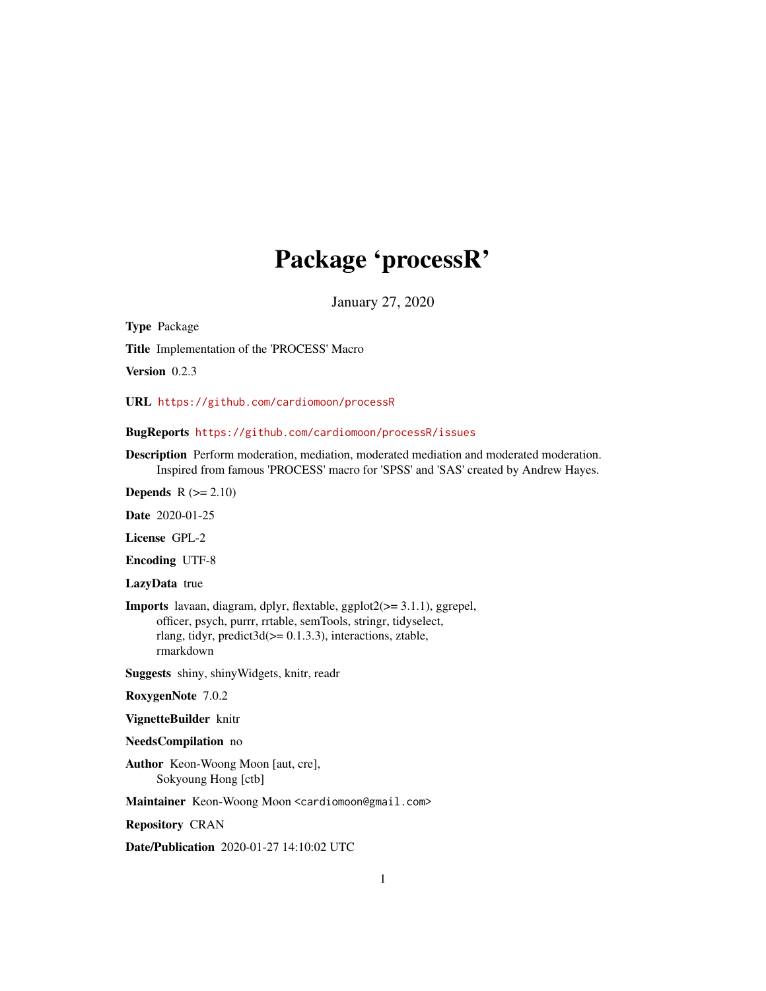# Package 'processR'

January 27, 2020

Type Package

Title Implementation of the 'PROCESS' Macro

Version 0.2.3

URL <https://github.com/cardiomoon/processR>

# BugReports <https://github.com/cardiomoon/processR/issues>

Description Perform moderation, mediation, moderated mediation and moderated moderation. Inspired from famous 'PROCESS' macro for 'SPSS' and 'SAS' created by Andrew Hayes.

Depends  $R$  ( $>= 2.10$ )

Date 2020-01-25

License GPL-2

Encoding UTF-8

LazyData true

Imports lavaan, diagram, dplyr, flextable, ggplot2(>= 3.1.1), ggrepel, officer, psych, purrr, rrtable, semTools, stringr, tidyselect, rlang, tidyr, predict3d(>= 0.1.3.3), interactions, ztable, rmarkdown

Suggests shiny, shinyWidgets, knitr, readr

#### RoxygenNote 7.0.2

VignetteBuilder knitr

#### NeedsCompilation no

Author Keon-Woong Moon [aut, cre], Sokyoung Hong [ctb]

Maintainer Keon-Woong Moon <cardiomoon@gmail.com>

Repository CRAN

Date/Publication 2020-01-27 14:10:02 UTC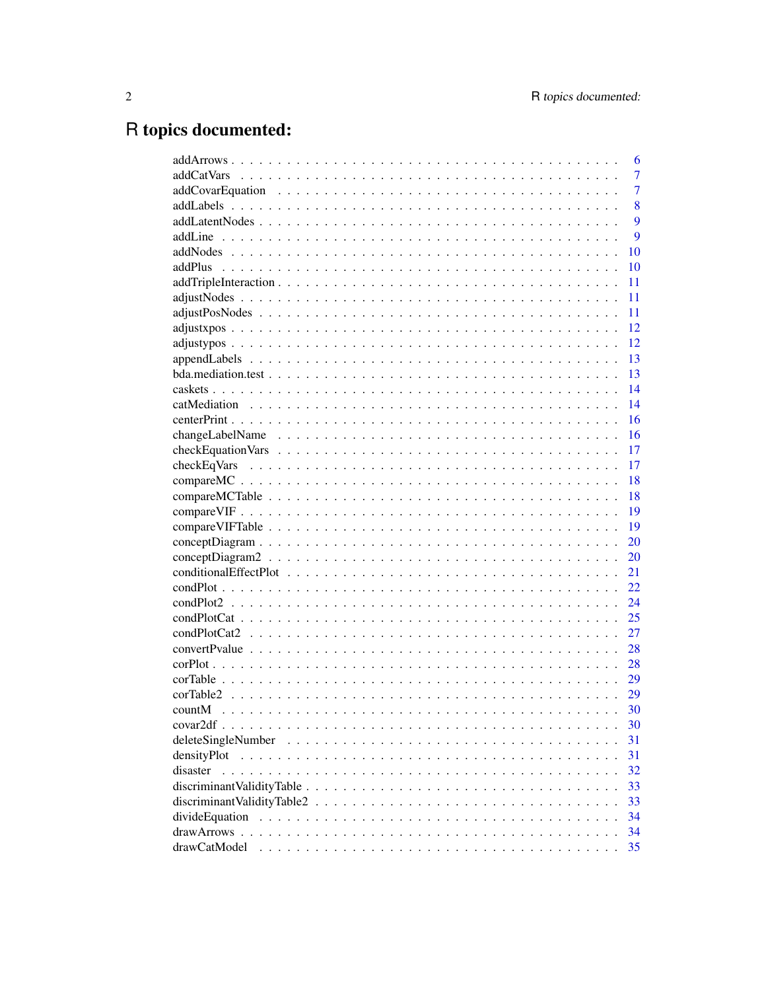# R topics documented:

|                                                                                                                  | 6              |
|------------------------------------------------------------------------------------------------------------------|----------------|
|                                                                                                                  | 7              |
|                                                                                                                  | $\overline{7}$ |
|                                                                                                                  | 8              |
|                                                                                                                  | 9              |
|                                                                                                                  | 9              |
|                                                                                                                  | 10             |
|                                                                                                                  | 10             |
|                                                                                                                  | 11             |
|                                                                                                                  | 11             |
|                                                                                                                  | 11             |
|                                                                                                                  | 12             |
|                                                                                                                  | 12             |
|                                                                                                                  | 13             |
|                                                                                                                  | 13             |
|                                                                                                                  | 14             |
|                                                                                                                  | 14             |
|                                                                                                                  | 16             |
|                                                                                                                  | 16             |
|                                                                                                                  | 17             |
|                                                                                                                  | 17             |
|                                                                                                                  | 18             |
|                                                                                                                  | 18             |
|                                                                                                                  | 19             |
|                                                                                                                  | 19             |
|                                                                                                                  | 20             |
|                                                                                                                  | 20             |
|                                                                                                                  | 21             |
|                                                                                                                  | 22             |
|                                                                                                                  |                |
|                                                                                                                  | 24             |
|                                                                                                                  | 25             |
|                                                                                                                  | 27             |
|                                                                                                                  | 28             |
|                                                                                                                  | 28             |
|                                                                                                                  | 29             |
| corTable2                                                                                                        | 29             |
|                                                                                                                  | 30             |
|                                                                                                                  | 30             |
|                                                                                                                  | 31             |
| densityPlot                                                                                                      | 31             |
| disaster                                                                                                         | 32             |
| $discriminant ValidityTable \dots \dots \dots \dots \dots \dots \dots \dots \dots \dots \dots \dots \dots \dots$ | 33             |
|                                                                                                                  | 33             |
|                                                                                                                  | 34             |
|                                                                                                                  | 34             |
| drawCatModel                                                                                                     | 35             |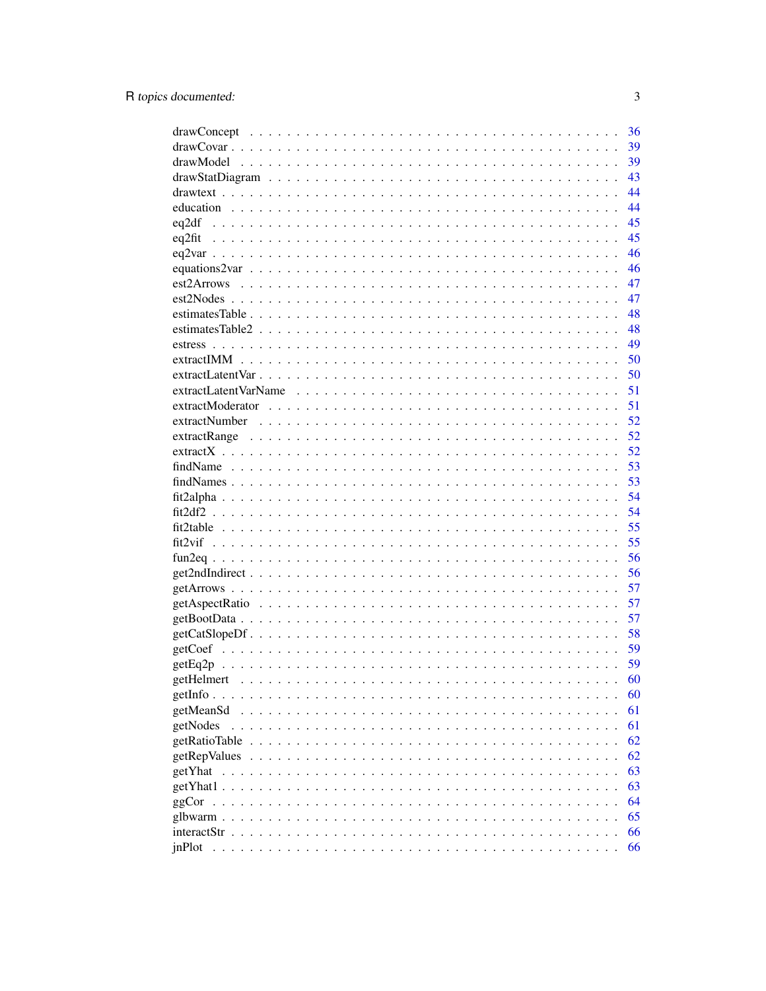|                                                                                                            | 36 |
|------------------------------------------------------------------------------------------------------------|----|
|                                                                                                            | 39 |
|                                                                                                            | 39 |
|                                                                                                            | 43 |
|                                                                                                            | 44 |
|                                                                                                            | 44 |
|                                                                                                            | 45 |
|                                                                                                            | 45 |
|                                                                                                            | 46 |
|                                                                                                            | 46 |
|                                                                                                            | 47 |
|                                                                                                            | 47 |
|                                                                                                            | 48 |
|                                                                                                            | 48 |
|                                                                                                            | 49 |
|                                                                                                            | 50 |
|                                                                                                            | 50 |
|                                                                                                            | 51 |
|                                                                                                            | 51 |
|                                                                                                            | 52 |
|                                                                                                            | 52 |
|                                                                                                            | 52 |
|                                                                                                            | 53 |
|                                                                                                            | 53 |
|                                                                                                            | 54 |
|                                                                                                            | 54 |
|                                                                                                            | 55 |
|                                                                                                            | 55 |
|                                                                                                            | 56 |
|                                                                                                            | 56 |
|                                                                                                            | 57 |
|                                                                                                            | 57 |
|                                                                                                            | 57 |
| $getCatSlopeDf \ldots \ldots \ldots \ldots \ldots \ldots \ldots \ldots \ldots \ldots \ldots \ldots \ldots$ | 58 |
|                                                                                                            | 59 |
|                                                                                                            | 59 |
|                                                                                                            | 60 |
|                                                                                                            | 60 |
| getMeanSd                                                                                                  | 61 |
| getNodes                                                                                                   | 61 |
| getRatioTable                                                                                              | 62 |
| getRepValues                                                                                               | 62 |
| getYhat                                                                                                    | 63 |
|                                                                                                            |    |
| $getYhat1$ .                                                                                               | 63 |
| ggCor                                                                                                      | 64 |
|                                                                                                            | 65 |
|                                                                                                            | 66 |
| inPlot                                                                                                     | 66 |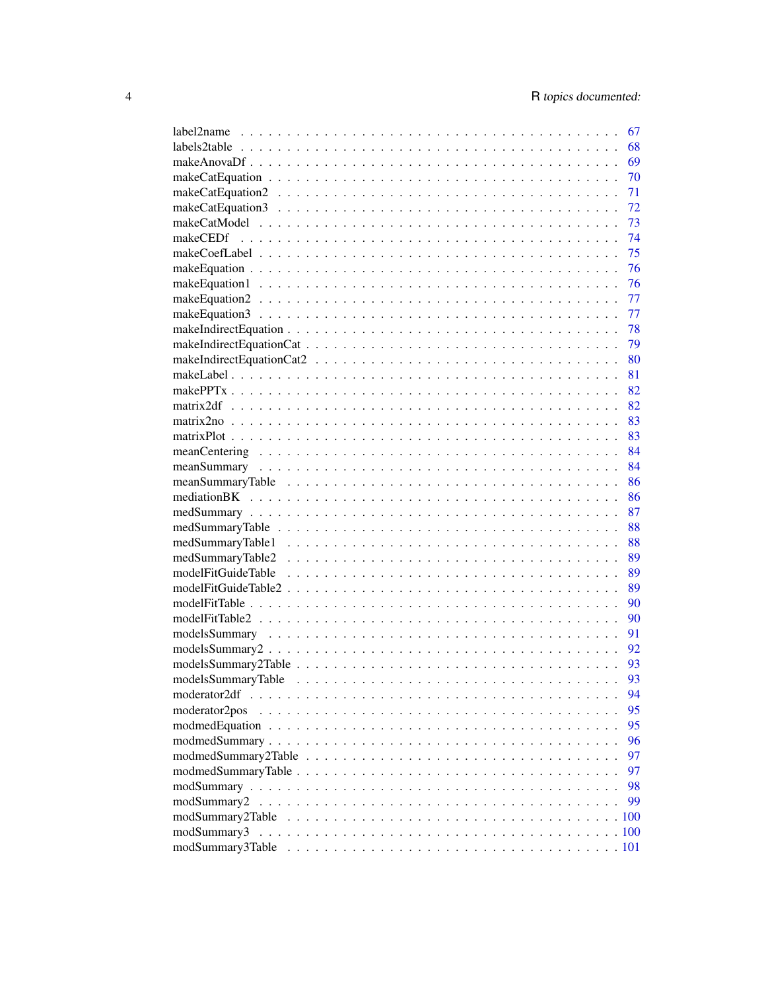| label2name    | 67       |
|---------------|----------|
|               | 68       |
|               | 69       |
|               | 70       |
|               | 71       |
|               | 72       |
|               | 73       |
|               | 74       |
|               | 75       |
|               | 76       |
|               | 76       |
|               | 77       |
|               | 77       |
|               | 78       |
|               | 79       |
|               | 80       |
|               | 81       |
|               | 82       |
|               | 82       |
|               | 83       |
|               | 83       |
|               | 84       |
|               | - 84     |
|               | 86       |
|               | 86       |
|               | 87       |
|               | 88       |
|               | 88       |
|               | 89       |
|               | 89       |
|               | 89       |
|               | 90       |
|               | 90       |
|               | 91       |
|               | 92       |
|               | 93       |
|               | 93       |
| moderator2df  |          |
|               | 94<br>95 |
| moderator2pos |          |
|               | 95       |
|               | 96       |
|               | 97       |
|               | 97       |
|               | 98       |
|               | 99       |
|               |          |
| modSummary3   |          |
|               |          |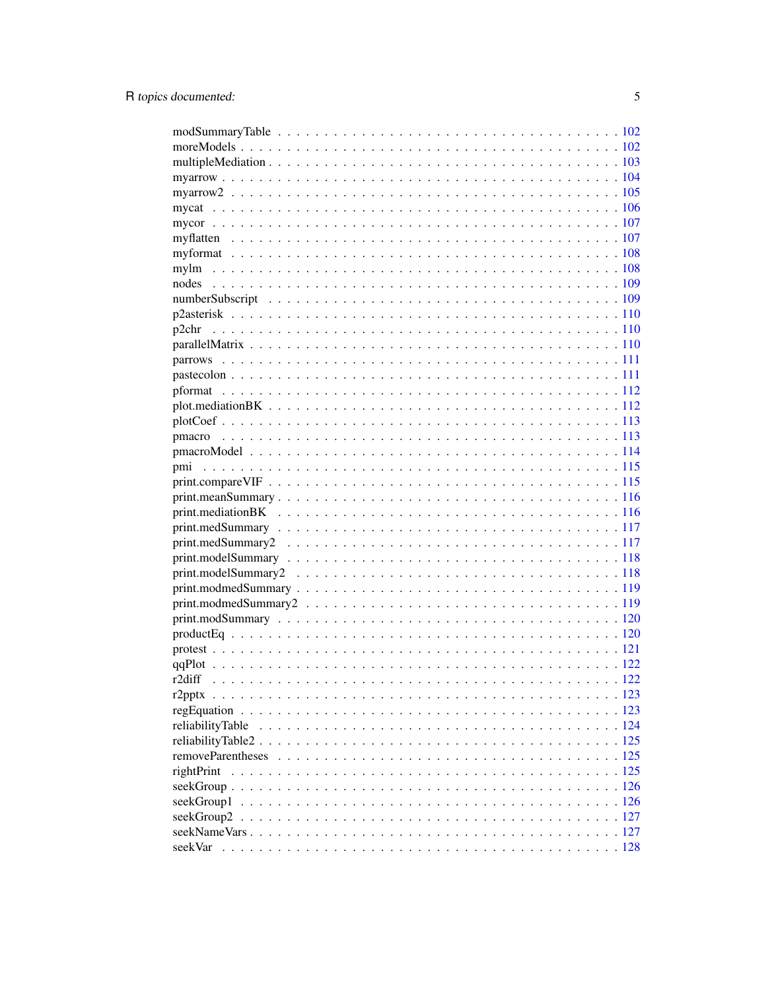| p2chr      |  |
|------------|--|
|            |  |
|            |  |
|            |  |
|            |  |
|            |  |
|            |  |
|            |  |
|            |  |
|            |  |
|            |  |
|            |  |
|            |  |
|            |  |
|            |  |
|            |  |
|            |  |
|            |  |
|            |  |
|            |  |
|            |  |
|            |  |
|            |  |
|            |  |
| r2diff     |  |
|            |  |
|            |  |
|            |  |
|            |  |
|            |  |
| rightPrint |  |
|            |  |
|            |  |
|            |  |
|            |  |
|            |  |
|            |  |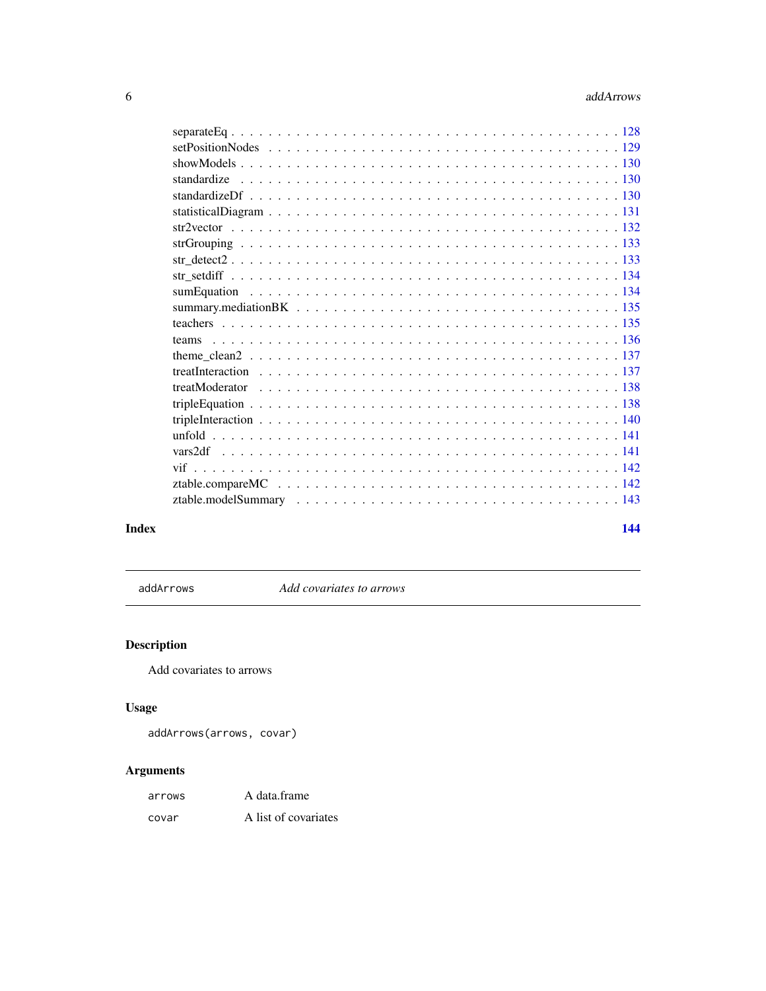<span id="page-5-0"></span>

| teams |  |
|-------|--|
|       |  |
|       |  |
|       |  |
|       |  |
|       |  |
|       |  |
|       |  |
|       |  |
|       |  |
|       |  |
|       |  |
|       |  |

#### **Index** 2008 **[144](#page-143-0)**

addArrows *Add covariates to arrows*

# Description

Add covariates to arrows

# Usage

```
addArrows(arrows, covar)
```

| arrows | A data.frame         |
|--------|----------------------|
| covar  | A list of covariates |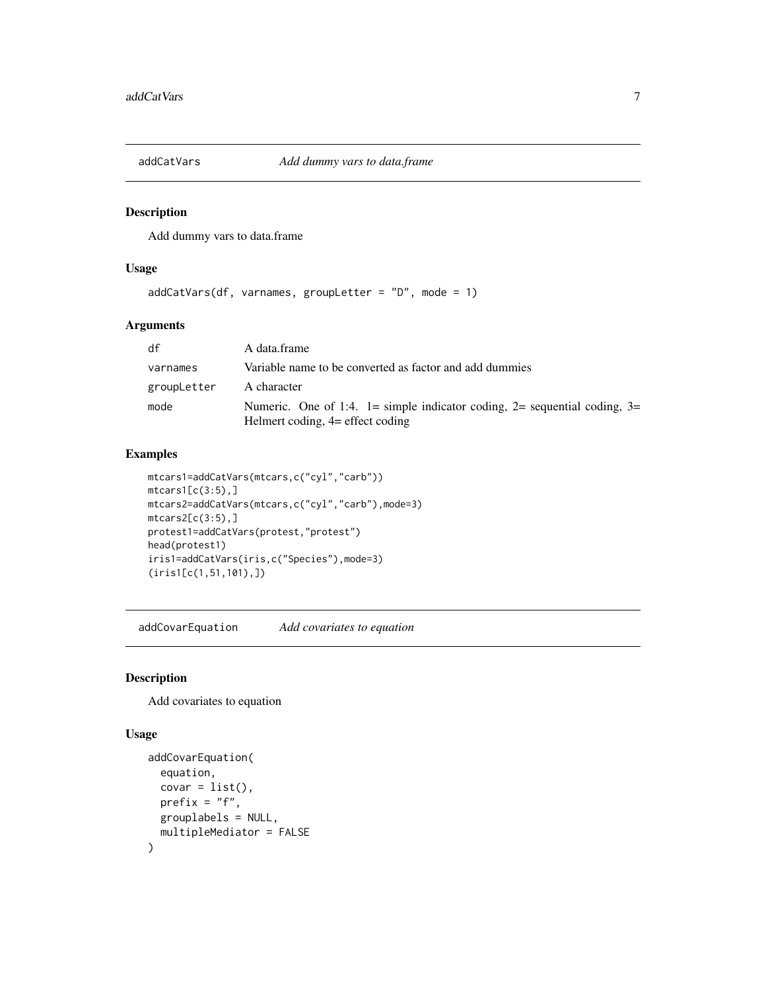<span id="page-6-0"></span>

Add dummy vars to data.frame

# Usage

```
addCatVars(df, varnames, groupLetter = "D", mode = 1)
```
# Arguments

| df          | A data.frame                                                                                                  |
|-------------|---------------------------------------------------------------------------------------------------------------|
| varnames    | Variable name to be converted as factor and add dummies                                                       |
| groupLetter | A character                                                                                                   |
| mode        | Numeric. One of 1:4. 1= simple indicator coding, 2= sequential coding, 3=<br>Helmert coding, 4= effect coding |

# Examples

```
mtcars1=addCatVars(mtcars,c("cyl","carb"))
mtcars1[c(3:5),]mtcars2=addCatVars(mtcars,c("cyl","carb"),mode=3)
mtcars2[c(3:5),]protest1=addCatVars(protest,"protest")
head(protest1)
iris1=addCatVars(iris,c("Species"),mode=3)
(iris1[c(1,51,101),])
```
addCovarEquation *Add covariates to equation*

# Description

Add covariates to equation

```
addCovarEquation(
 equation,
 covar = list(),
 prefix = "f",grouplabels = NULL,
 multipleMediator = FALSE
)
```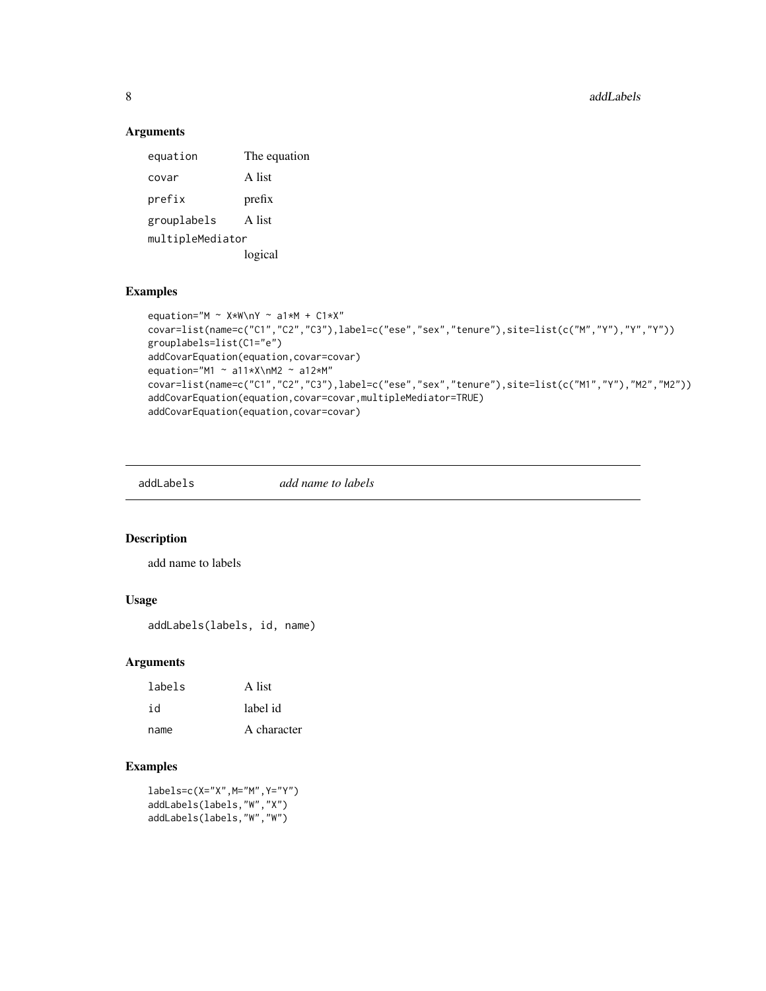8 addLabels and the control of the control of the control of the control of the control of the control of the control of the control of the control of the control of the control of the control of the control of the control

# Arguments

equation The equation covar A list prefix prefix grouplabels A list multipleMediator logical

### Examples

```
equation="M \sim X*W\nY \sim a1*M + C1*X"
covar=list(name=c("C1","C2","C3"),label=c("ese","sex","tenure"),site=list(c("M","Y"),"Y","Y"))
grouplabels=list(C1="e")
addCovarEquation(equation,covar=covar)
equation="M1 \sim a11*X\nM2 \sim a12*M"
covar=list(name=c("C1","C2","C3"),label=c("ese","sex","tenure"),site=list(c("M1","Y"),"M2","M2"))
addCovarEquation(equation,covar=covar,multipleMediator=TRUE)
addCovarEquation(equation,covar=covar)
```
addLabels *add name to labels*

#### Description

add name to labels

#### Usage

addLabels(labels, id, name)

### Arguments

| labels | A list      |
|--------|-------------|
| id     | label id    |
| name   | A character |

# Examples

labels=c(X="X",M="M",Y="Y") addLabels(labels,"W","X") addLabels(labels,"W","W")

<span id="page-7-0"></span>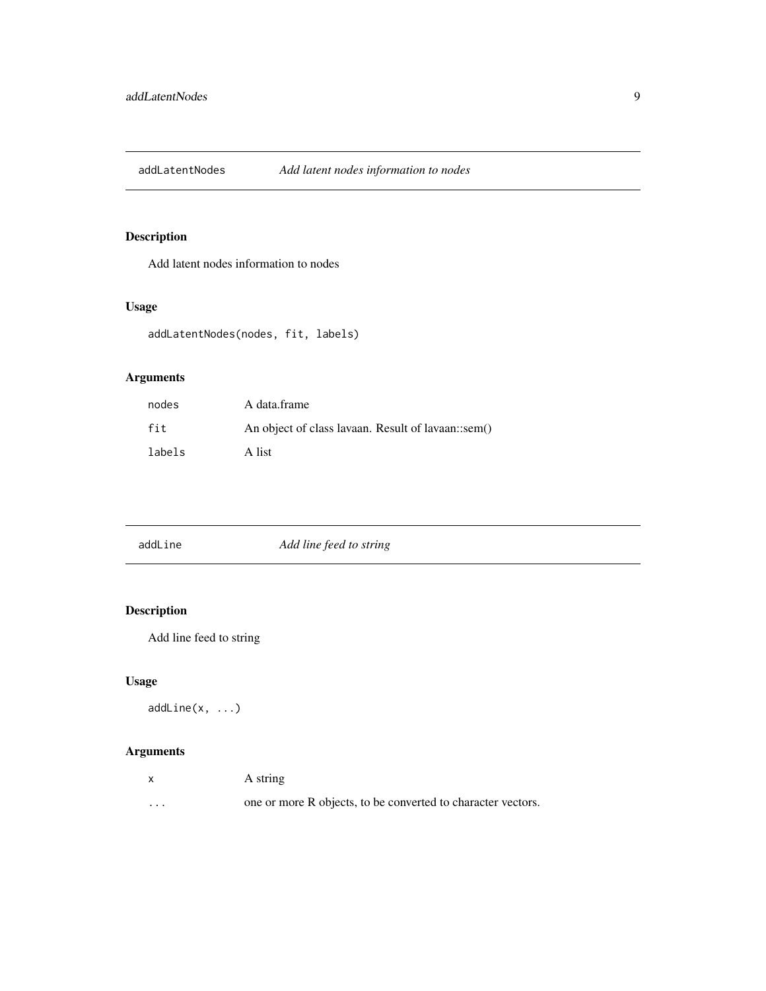<span id="page-8-0"></span>addLatentNodes *Add latent nodes information to nodes*

# Description

Add latent nodes information to nodes

# Usage

```
addLatentNodes(nodes, fit, labels)
```
# Arguments

| nodes  | A data.frame                                       |
|--------|----------------------------------------------------|
| fit    | An object of class lavaan. Result of lavaan::sem() |
| labels | A list                                             |

| addLine | Add line feed to string |  |
|---------|-------------------------|--|
|         |                         |  |

# Description

Add line feed to string

# Usage

```
addLine(x, ...)
```

| $\mathsf{x}$            | A string                                                     |
|-------------------------|--------------------------------------------------------------|
| $\cdot$ $\cdot$ $\cdot$ | one or more R objects, to be converted to character vectors. |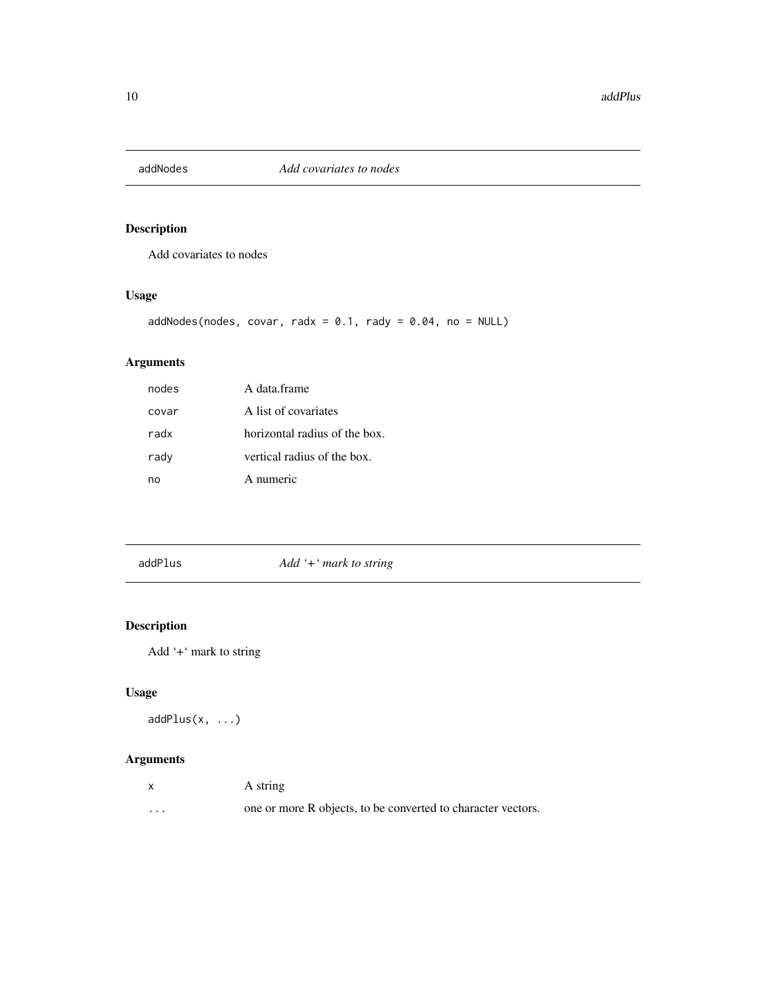<span id="page-9-0"></span>

Add covariates to nodes

# Usage

addNodes(nodes, covar, radx =  $0.1$ , rady =  $0.04$ , no = NULL)

# Arguments

| nodes | A data frame                  |
|-------|-------------------------------|
| covar | A list of covariates          |
| radx  | horizontal radius of the box. |
| rady  | vertical radius of the box.   |
| nn    | A numeric                     |

addPlus *Add '+' mark to string*

# Description

Add '+' mark to string

# Usage

```
addPlus(x, ...)
```

|         | A string                                                     |
|---------|--------------------------------------------------------------|
| $\cdot$ | one or more R objects, to be converted to character vectors. |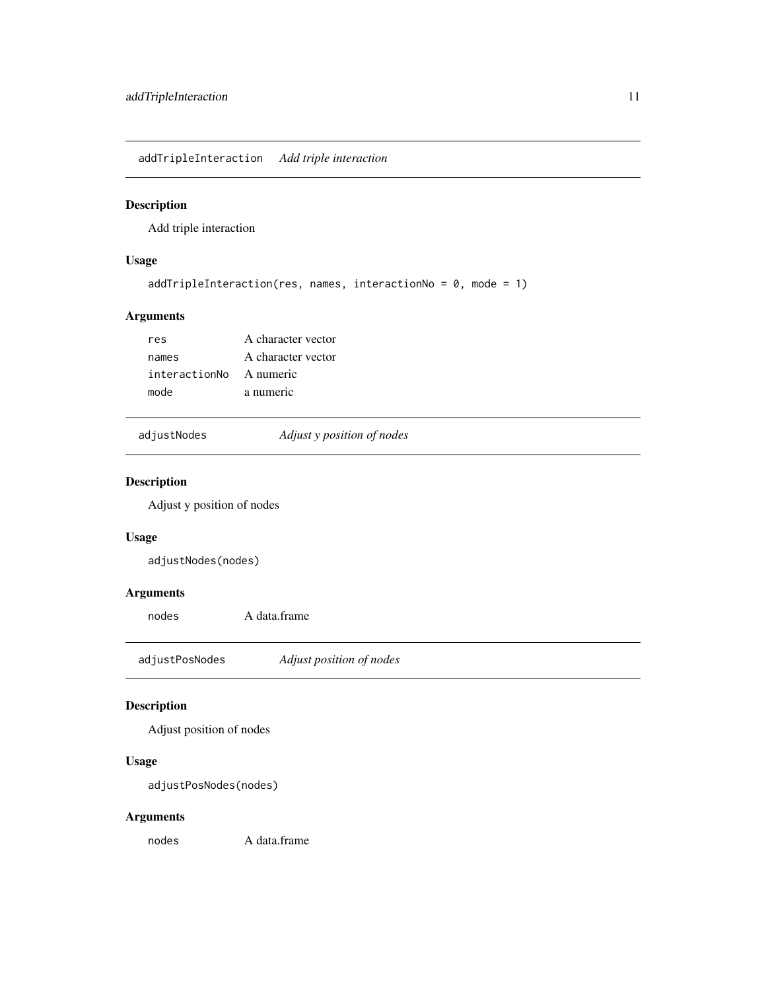<span id="page-10-0"></span>addTripleInteraction *Add triple interaction*

# Description

Add triple interaction

# Usage

```
addTripleInteraction(res, names, interactionNo = 0, mode = 1)
```
# Arguments

| res                     | A character vector |
|-------------------------|--------------------|
| names                   | A character vector |
| interactionNo A numeric |                    |
| mode                    | a numeric          |

adjustNodes *Adjust y position of nodes*

# Description

Adjust y position of nodes

# Usage

adjustNodes(nodes)

# Arguments

nodes A data.frame

adjustPosNodes *Adjust position of nodes*

# Description

Adjust position of nodes

# Usage

adjustPosNodes(nodes)

# Arguments

nodes A data.frame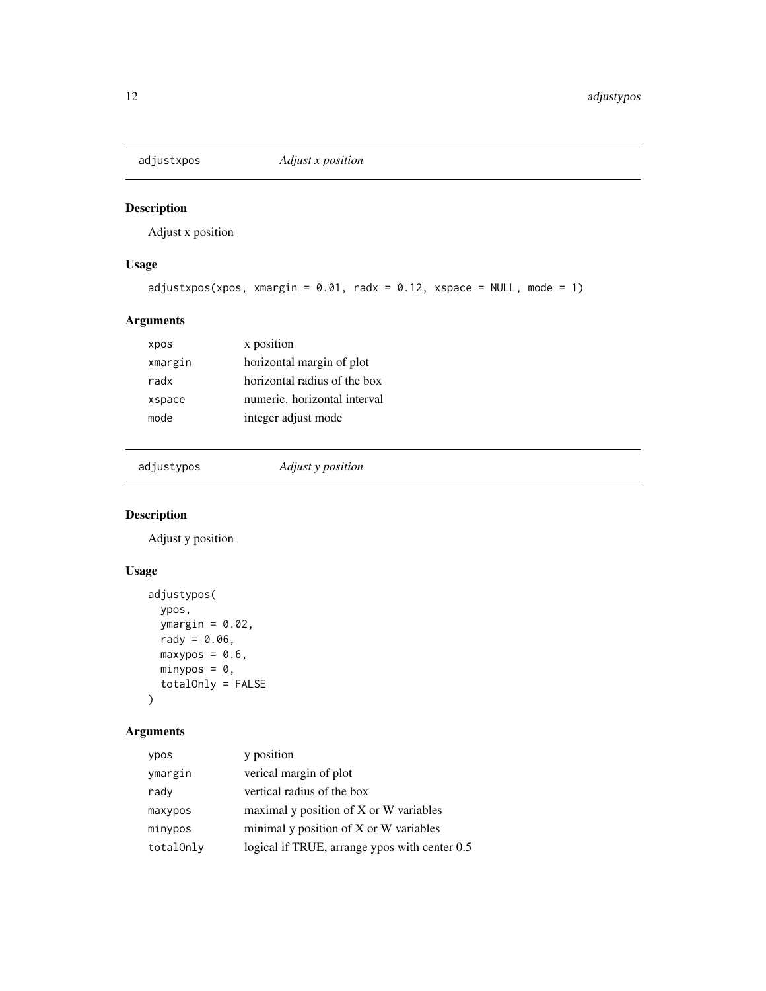<span id="page-11-0"></span>

Adjust x position

# Usage

```
adjustxpos(xpos, xmargin = 0.01, radx = 0.12, xspace = NULL, mode = 1)
```
# Arguments

| xpos    | x position                   |
|---------|------------------------------|
| xmargin | horizontal margin of plot    |
| radx    | horizontal radius of the box |
| xspace  | numeric, horizontal interval |
| mode    | integer adjust mode          |
|         |                              |

adjustypos *Adjust y position*

# Description

Adjust y position

# Usage

```
adjustypos(
  ypos,
  ymargin = 0.02,
  rady = 0.06,
  maxypos = 0.6,
  minypos = 0,
  totalOnly = FALSE
\mathcal{L}
```

| ypos      | y position                                    |
|-----------|-----------------------------------------------|
| ymargin   | verical margin of plot                        |
| rady      | vertical radius of the box                    |
| maxypos   | maximal y position of X or W variables        |
| minypos   | minimal y position of X or W variables        |
| totalOnly | logical if TRUE, arrange ypos with center 0.5 |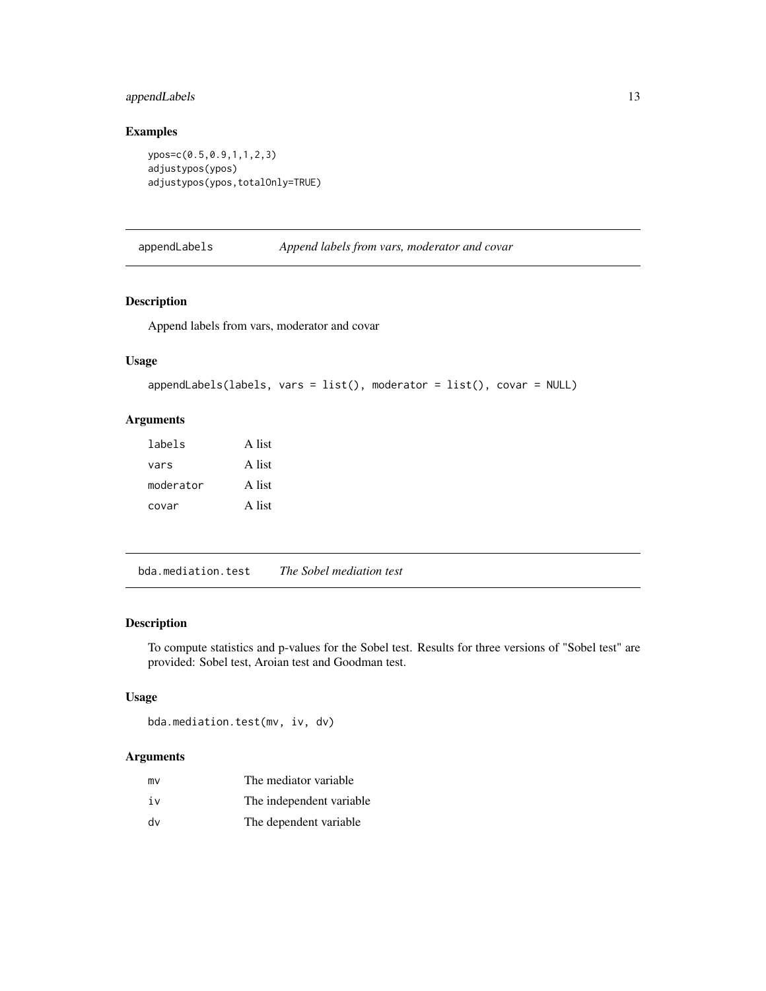# <span id="page-12-0"></span>appendLabels 13

# Examples

```
ypos=c(0.5,0.9,1,1,2,3)
adjustypos(ypos)
adjustypos(ypos,totalOnly=TRUE)
```
appendLabels *Append labels from vars, moderator and covar*

# Description

Append labels from vars, moderator and covar

# Usage

```
appendLabels(labels, vars = list(), moderator = list(), covar = NULL)
```
# Arguments

| labels    | A list |
|-----------|--------|
| vars      | A list |
| moderator | A list |
| covar     | A list |

bda.mediation.test *The Sobel mediation test*

#### Description

To compute statistics and p-values for the Sobel test. Results for three versions of "Sobel test" are provided: Sobel test, Aroian test and Goodman test.

# Usage

```
bda.mediation.test(mv, iv, dv)
```

| mv | The mediator variable     |
|----|---------------------------|
| iv | The independent variable. |
| dv | The dependent variable    |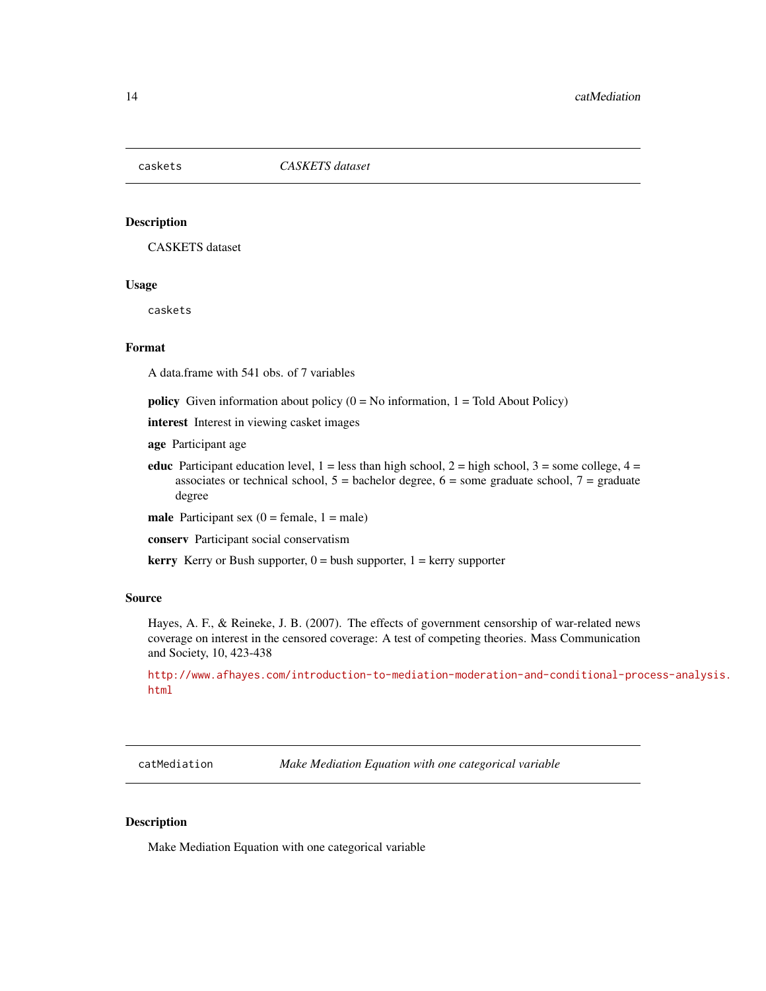<span id="page-13-0"></span>

CASKETS dataset

#### Usage

caskets

# Format

A data.frame with 541 obs. of 7 variables

**policy** Given information about policy  $(0 = No$  information,  $1 = Told$  About Policy)

interest Interest in viewing casket images

age Participant age

educ Participant education level,  $1 =$  less than high school,  $2 =$  high school,  $3 =$  some college,  $4 =$ associates or technical school,  $5 =$  bachelor degree,  $6 =$  some graduate school,  $7 =$  graduate degree

male Participant sex  $(0 = \text{female}, 1 = \text{male})$ 

conserv Participant social conservatism

**kerry** Kerry or Bush supporter,  $0 =$  bush supporter,  $1 =$  kerry supporter

#### Source

Hayes, A. F., & Reineke, J. B. (2007). The effects of government censorship of war-related news coverage on interest in the censored coverage: A test of competing theories. Mass Communication and Society, 10, 423-438

[http://www.afhayes.com/introduction-to-mediation-moderation-and-conditional-pro](http://www.afhayes.com/introduction-to-mediation-moderation-and-conditional-process-analysis.html)cess-analysis. [html](http://www.afhayes.com/introduction-to-mediation-moderation-and-conditional-process-analysis.html)

catMediation *Make Mediation Equation with one categorical variable*

#### Description

Make Mediation Equation with one categorical variable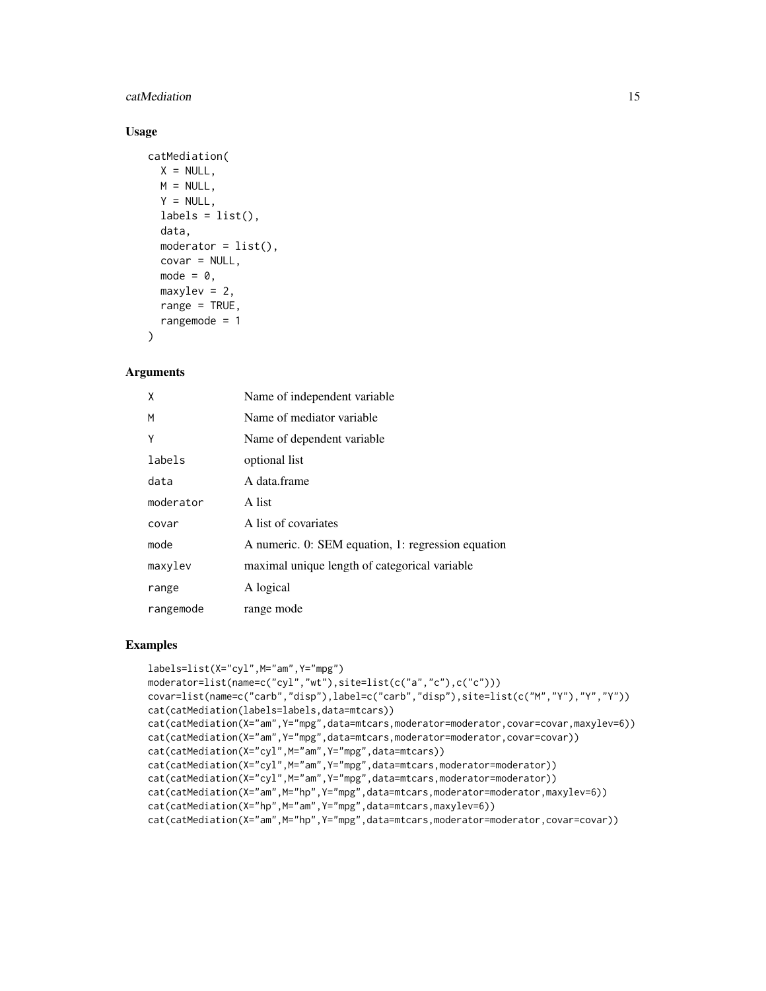#### catMediation 15

# Usage

```
catMediation(
  X = NULL,M = NULL,
  Y = NULL,labels = list(),data,
  moderator = list(),
  covar = NULL,
  mode = 0,maxylev = 2,
  range = TRUE,
  rangemode = 1
\lambda
```
#### Arguments

| X         | Name of independent variable                       |
|-----------|----------------------------------------------------|
| M         | Name of mediator variable                          |
| Υ         | Name of dependent variable                         |
| labels    | optional list                                      |
| data      | A data frame                                       |
| moderator | A list                                             |
| covar     | A list of covariates                               |
| mode      | A numeric. 0: SEM equation, 1: regression equation |
| maxylev   | maximal unique length of categorical variable      |
| range     | A logical                                          |
| rangemode | range mode                                         |

```
labels=list(X="cyl",M="am",Y="mpg")
moderator=list(name=c("cyl","wt"),site=list(c("a","c"),c("c")))
covar=list(name=c("carb","disp"),label=c("carb","disp"),site=list(c("M","Y"),"Y","Y"))
cat(catMediation(labels=labels,data=mtcars))
cat(catMediation(X="am",Y="mpg",data=mtcars,moderator=moderator,covar=covar,maxylev=6))
cat(catMediation(X="am",Y="mpg",data=mtcars,moderator=moderator,covar=covar))
cat(catMediation(X="cyl",M="am",Y="mpg",data=mtcars))
cat(catMediation(X="cyl",M="am",Y="mpg",data=mtcars,moderator=moderator))
cat(catMediation(X="cyl",M="am",Y="mpg",data=mtcars,moderator=moderator))
cat(catMediation(X="am",M="hp",Y="mpg",data=mtcars,moderator=moderator,maxylev=6))
cat(catMediation(X="hp",M="am",Y="mpg",data=mtcars,maxylev=6))
cat(catMediation(X="am",M="hp",Y="mpg",data=mtcars,moderator=moderator,covar=covar))
```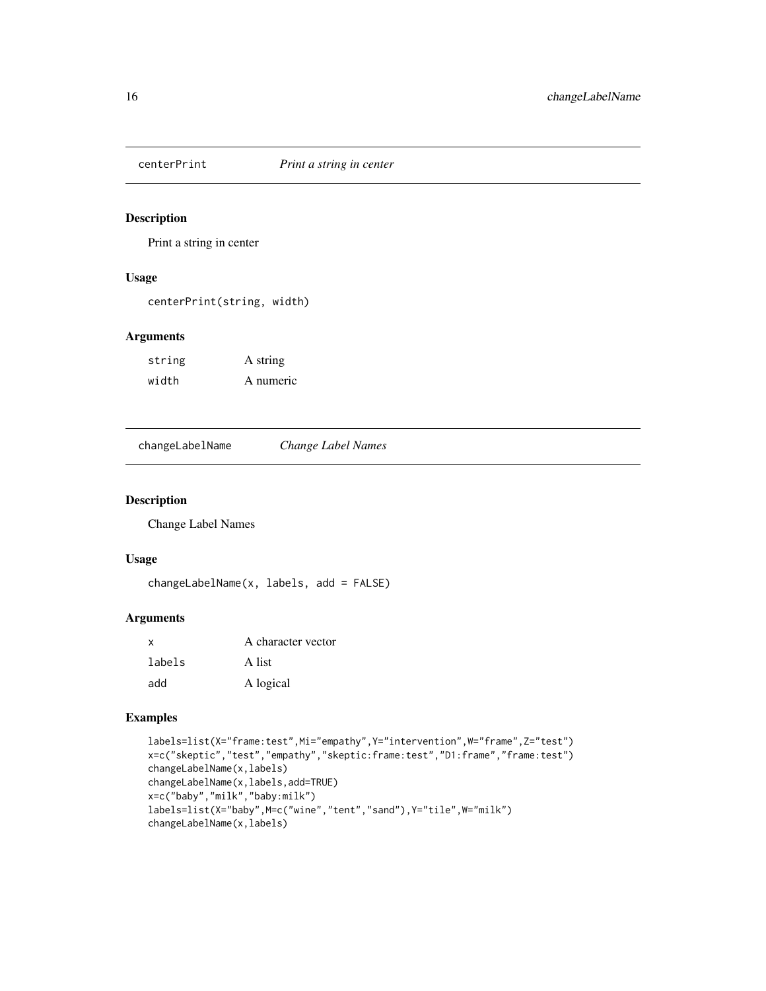<span id="page-15-0"></span>

Print a string in center

#### Usage

centerPrint(string, width)

### Arguments

| string | A string  |
|--------|-----------|
| width  | A numeric |

changeLabelName *Change Label Names*

# Description

Change Label Names

# Usage

changeLabelName(x, labels, add = FALSE)

# Arguments

| x      | A character vector |
|--------|--------------------|
| labels | A list             |
| add    | A logical          |

```
labels=list(X="frame:test",Mi="empathy",Y="intervention",W="frame",Z="test")
x=c("skeptic","test","empathy","skeptic:frame:test","D1:frame","frame:test")
changeLabelName(x,labels)
changeLabelName(x,labels,add=TRUE)
x=c("baby","milk","baby:milk")
labels=list(X="baby",M=c("wine","tent","sand"),Y="tile",W="milk")
changeLabelName(x,labels)
```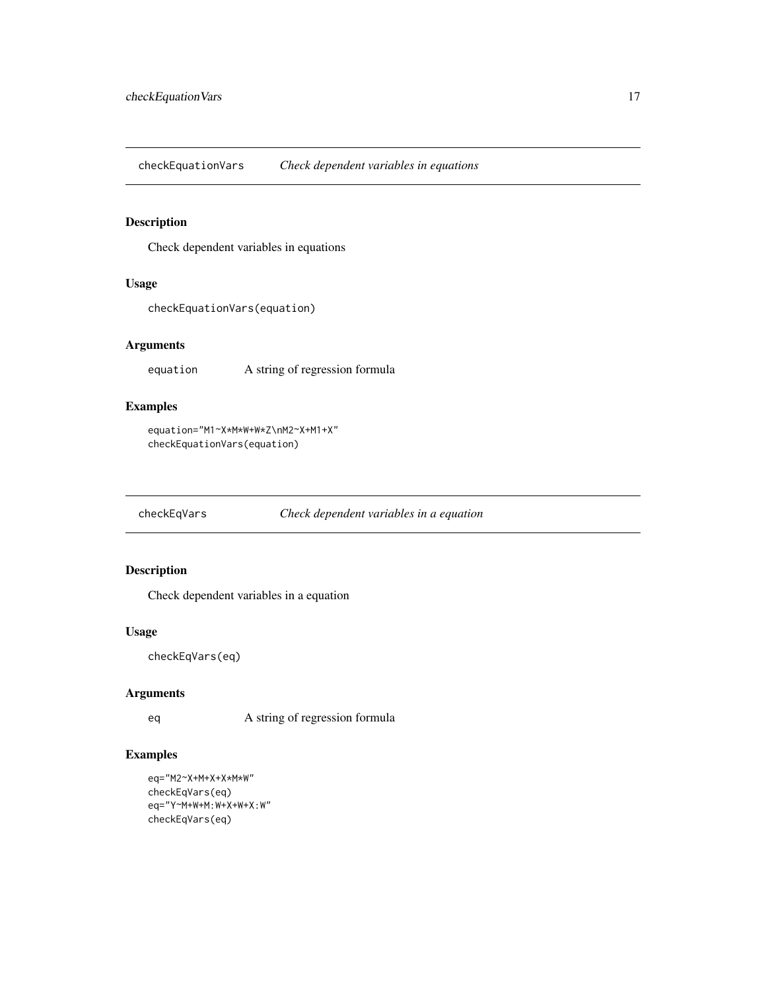<span id="page-16-0"></span>checkEquationVars *Check dependent variables in equations*

# Description

Check dependent variables in equations

# Usage

checkEquationVars(equation)

# Arguments

equation A string of regression formula

# Examples

```
equation="M1~X*M*W+W*Z\nM2~X+M1+X"
checkEquationVars(equation)
```
checkEqVars *Check dependent variables in a equation*

# Description

Check dependent variables in a equation

# Usage

```
checkEqVars(eq)
```
#### Arguments

eq A string of regression formula

```
eq="M2~X+M+X+X*M*W"
checkEqVars(eq)
eq="Y~M+W+M:W+X+W+X:W"
checkEqVars(eq)
```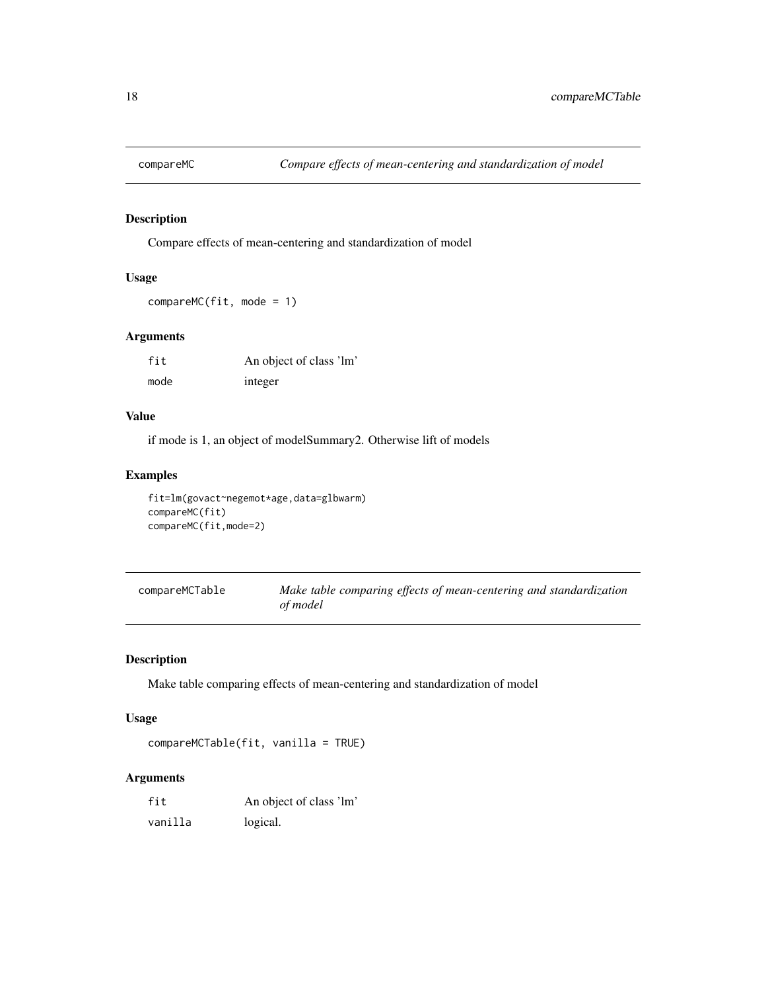<span id="page-17-0"></span>

Compare effects of mean-centering and standardization of model

# Usage

compareMC(fit, mode = 1)

# Arguments

| fit  | An object of class 'lm' |
|------|-------------------------|
| mode | integer                 |

#### Value

if mode is 1, an object of modelSummary2. Otherwise lift of models

### Examples

```
fit=lm(govact~negemot*age,data=glbwarm)
compareMC(fit)
compareMC(fit,mode=2)
```

| compareMCTable | Make table comparing effects of mean-centering and standardization |
|----------------|--------------------------------------------------------------------|
|                | of model                                                           |

# Description

Make table comparing effects of mean-centering and standardization of model

#### Usage

```
compareMCTable(fit, vanilla = TRUE)
```

| fit     | An object of class 'lm' |
|---------|-------------------------|
| vanilla | logical.                |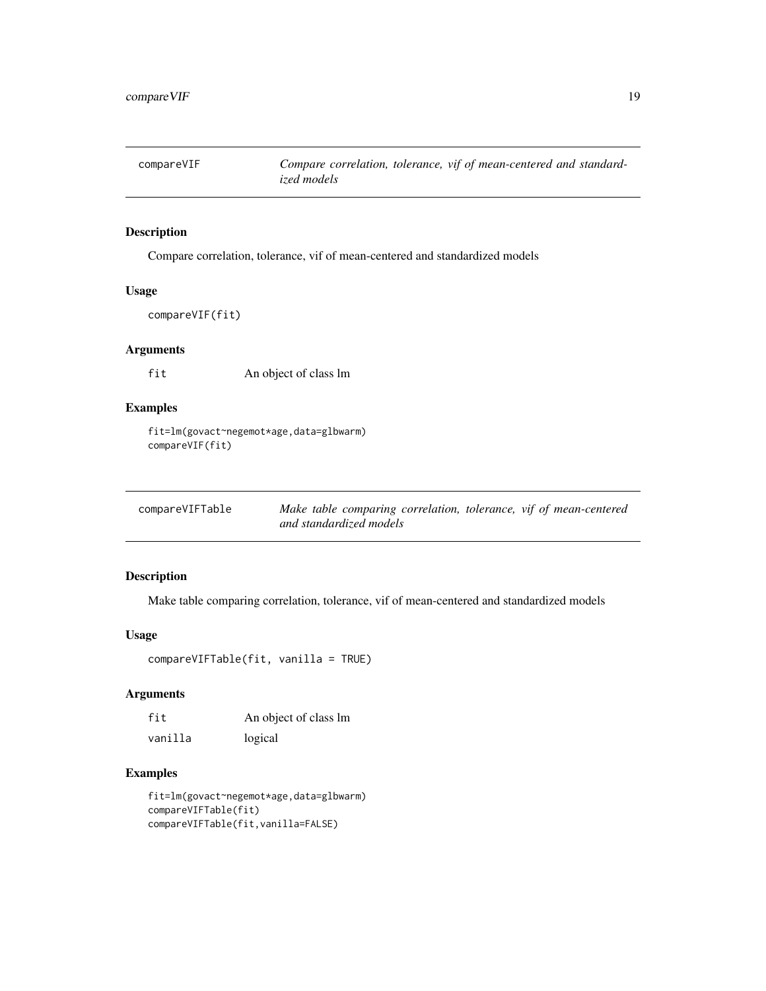<span id="page-18-0"></span>

Compare correlation, tolerance, vif of mean-centered and standardized models

#### Usage

compareVIF(fit)

# Arguments

fit An object of class lm

# Examples

fit=lm(govact~negemot\*age,data=glbwarm) compareVIF(fit)

| compareVIFTable | Make table comparing correlation, tolerance, vif of mean-centered |  |
|-----------------|-------------------------------------------------------------------|--|
|                 | and standardized models                                           |  |

# Description

Make table comparing correlation, tolerance, vif of mean-centered and standardized models

#### Usage

```
compareVIFTable(fit, vanilla = TRUE)
```
# Arguments

| fit     | An object of class lm |
|---------|-----------------------|
| vanilla | logical               |

```
fit=lm(govact~negemot*age,data=glbwarm)
compareVIFTable(fit)
compareVIFTable(fit,vanilla=FALSE)
```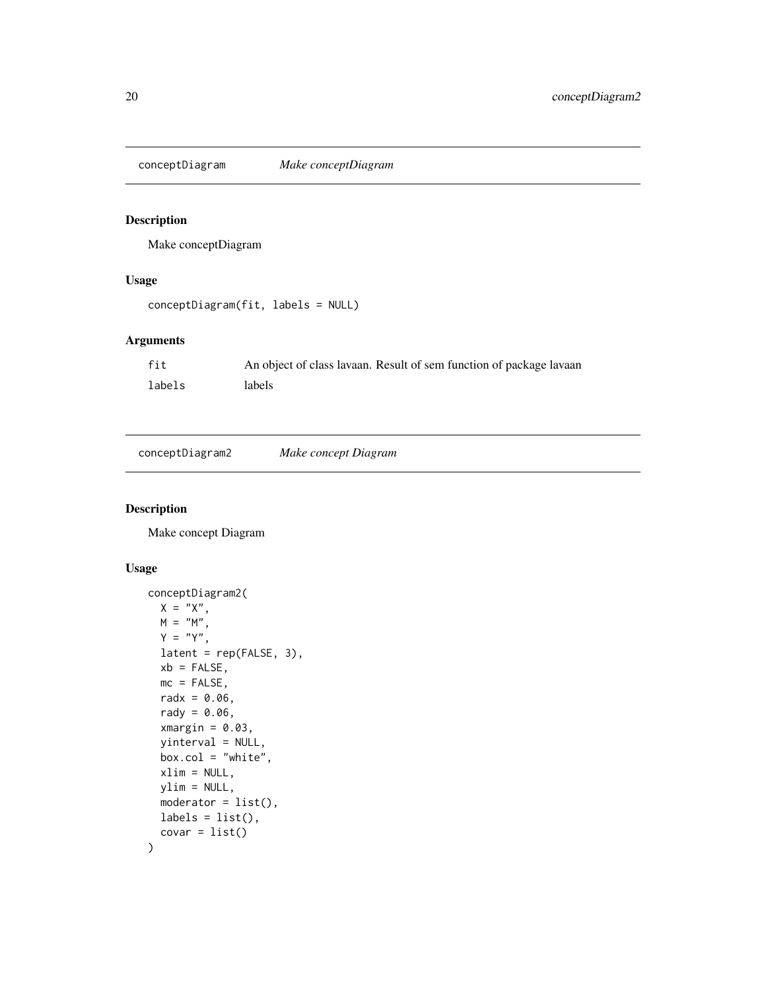<span id="page-19-0"></span>conceptDiagram *Make conceptDiagram*

# Description

Make conceptDiagram

#### Usage

```
conceptDiagram(fit, labels = NULL)
```
# Arguments

| fit    | An object of class lavaan. Result of sem function of package lavaan |  |
|--------|---------------------------------------------------------------------|--|
| labels | labels                                                              |  |

|--|--|--|

# Description

Make concept Diagram

```
conceptDiagram2(
 X = "X",M = "M",Y = "Y",latent = rep(FALSE, 3),
 xb = FALSE,mc = FALSE,
 radx = 0.06,
  rady = 0.06,
 xmargin = 0.03,
 yinterval = NULL,
 box.col = "white",xlim = NULL,ylim = NULL,
 moderator = list(),
 labels = list(),covar = list()\mathcal{L}
```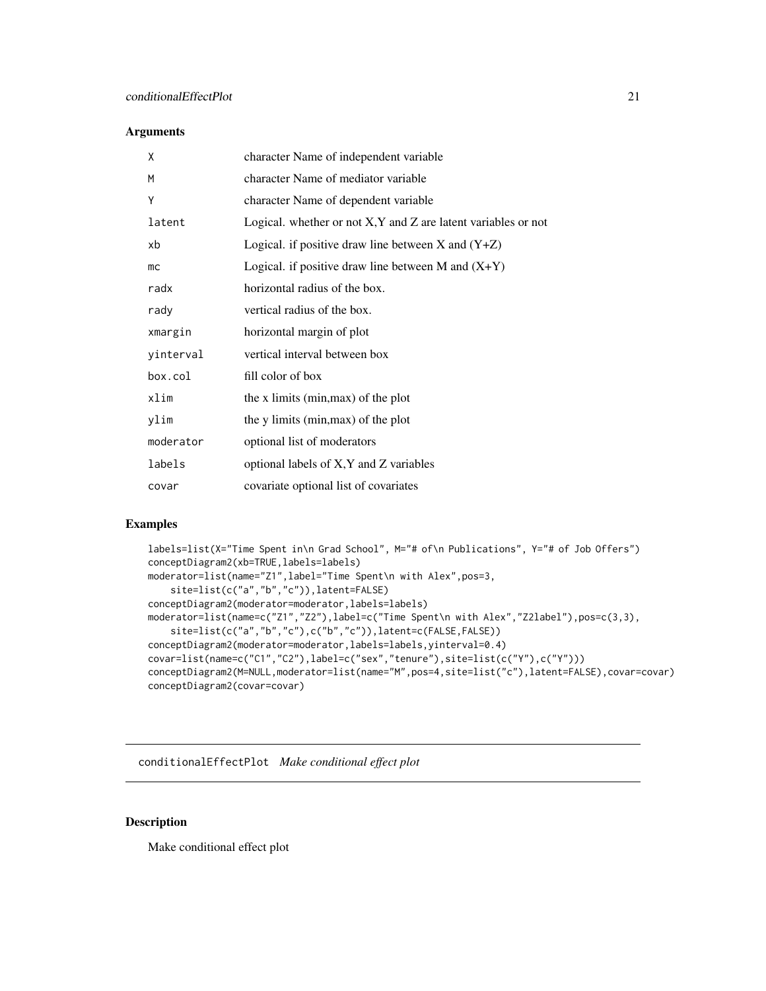#### <span id="page-20-0"></span>Arguments

| X         | character Name of independent variable                             |
|-----------|--------------------------------------------------------------------|
| M         | character Name of mediator variable                                |
| Υ         | character Name of dependent variable                               |
| latent    | Logical. whether or not $X, Y$ and $Z$ are latent variables or not |
| xb        | Logical. if positive draw line between $X$ and $(Y+Z)$             |
| mc        | Logical. if positive draw line between M and $(X+Y)$               |
| radx      | horizontal radius of the box.                                      |
| rady      | vertical radius of the box.                                        |
| xmargin   | horizontal margin of plot                                          |
| yinterval | vertical interval between box                                      |
| box.col   | fill color of box                                                  |
| xlim      | the x limits (min, max) of the plot                                |
| ylim      | the y limits (min, max) of the plot                                |
| moderator | optional list of moderators                                        |
| labels    | optional labels of X, Y and Z variables                            |
| covar     | covariate optional list of covariates                              |

# Examples

```
labels=list(X="Time Spent in\n Grad School", M="# of\n Publications", Y="# of Job Offers")
conceptDiagram2(xb=TRUE,labels=labels)
moderator=list(name="Z1",label="Time Spent\n with Alex",pos=3,
    site=list(c("a","b","c")),latent=FALSE)
conceptDiagram2(moderator=moderator,labels=labels)
moderator=list(name=c("Z1","Z2"),label=c("Time Spent\n with Alex","Z2label"),pos=c(3,3),
    site=list(c("a","b","c"),c("b","c")),latent=c(FALSE,FALSE))
conceptDiagram2(moderator=moderator,labels=labels,yinterval=0.4)
covar=list(name=c("C1","C2"),label=c("sex","tenure"),site=list(c("Y"),c("Y")))
conceptDiagram2(M=NULL,moderator=list(name="M",pos=4,site=list("c"),latent=FALSE),covar=covar)
conceptDiagram2(covar=covar)
```
conditionalEffectPlot *Make conditional effect plot*

#### Description

Make conditional effect plot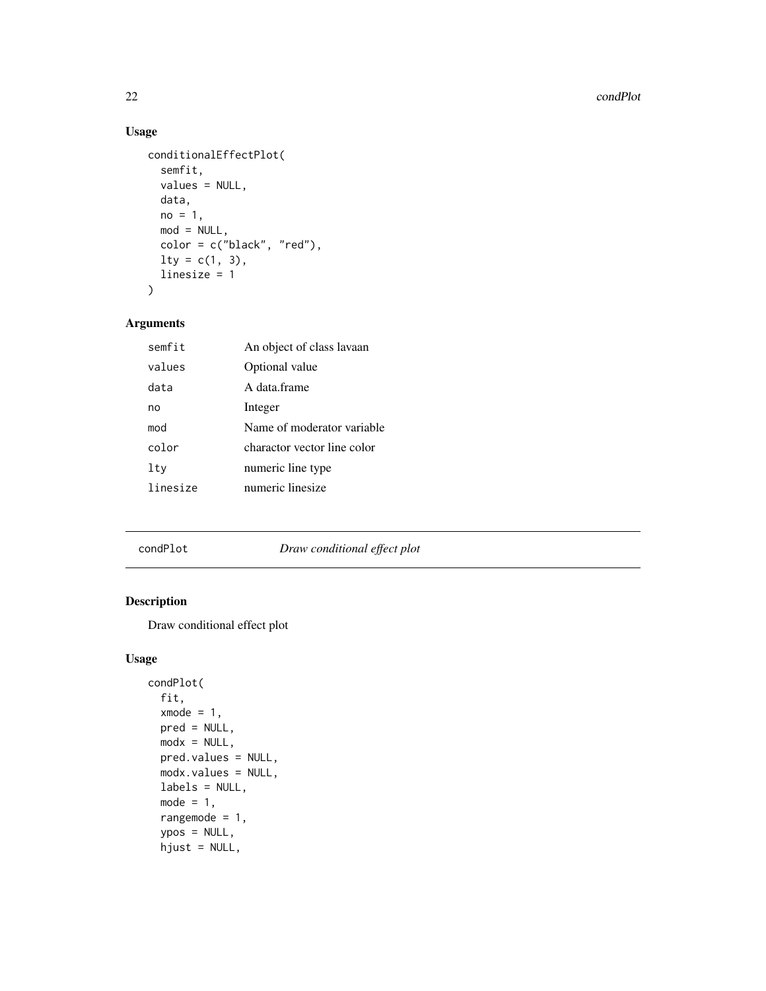# Usage

```
conditionalEffectPlot(
  semfit,
  values = NULL,
 data,
 no = 1,mod = NULL,color = c("black", "red"),
 lty = c(1, 3),linesize = 1
\mathcal{L}
```
# Arguments

| semfit   | An object of class lavaan   |
|----------|-----------------------------|
| values   | Optional value              |
| data     | A data frame                |
| no       | Integer                     |
| mod      | Name of moderator variable  |
| color    | charactor vector line color |
| lty      | numeric line type           |
| linesize | numeric linesize            |
|          |                             |

# condPlot *Draw conditional effect plot*

# Description

Draw conditional effect plot

```
condPlot(
 fit,
 xmode = 1,
 pred = NULL,
 modx = NULL,pred.values = NULL,
 modx.values = NULL,
 labels = NULL,
 mode = 1,
 rangemode = 1,
 ypos = NULL,
 hjust = NULL,
```
<span id="page-21-0"></span>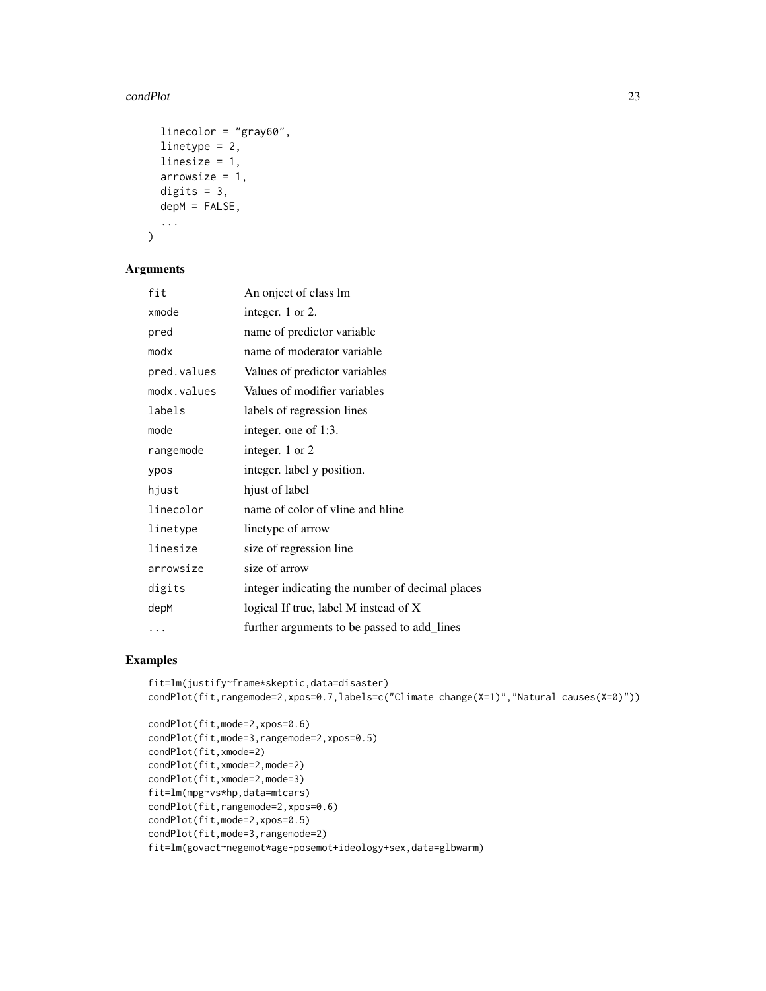#### condPlot 23

```
linecolor = "gray60",linetype = 2,
  linesize = 1,
  arrowsize = 1,
  digits = 3,
  depM = FALSE,
  ...
\lambda
```
# Arguments

| fit         | An onject of class lm                           |
|-------------|-------------------------------------------------|
| xmode       | integer. 1 or 2.                                |
| pred        | name of predictor variable                      |
| modx        | name of moderator variable                      |
| pred.values | Values of predictor variables                   |
| modx.values | Values of modifier variables                    |
| labels      | labels of regression lines                      |
| mode        | integer. one of 1:3.                            |
| rangemode   | integer. 1 or 2                                 |
| ypos        | integer. label y position.                      |
| hjust       | hjust of label                                  |
| linecolor   | name of color of vline and hline                |
| linetype    | linetype of arrow                               |
| linesize    | size of regression line                         |
| arrowsize   | size of arrow                                   |
| digits      | integer indicating the number of decimal places |
| depM        | logical If true, label M instead of X           |
| .           | further arguments to be passed to add_lines     |

```
fit=lm(justify~frame*skeptic,data=disaster)
condPlot(fit,rangemode=2,xpos=0.7,labels=c("Climate change(X=1)","Natural causes(X=0)"))
```

```
condPlot(fit,mode=2,xpos=0.6)
condPlot(fit,mode=3,rangemode=2,xpos=0.5)
condPlot(fit,xmode=2)
condPlot(fit,xmode=2,mode=2)
condPlot(fit,xmode=2,mode=3)
fit=lm(mpg~vs*hp,data=mtcars)
condPlot(fit,rangemode=2,xpos=0.6)
condPlot(fit,mode=2,xpos=0.5)
condPlot(fit,mode=3,rangemode=2)
fit=lm(govact~negemot*age+posemot+ideology+sex,data=glbwarm)
```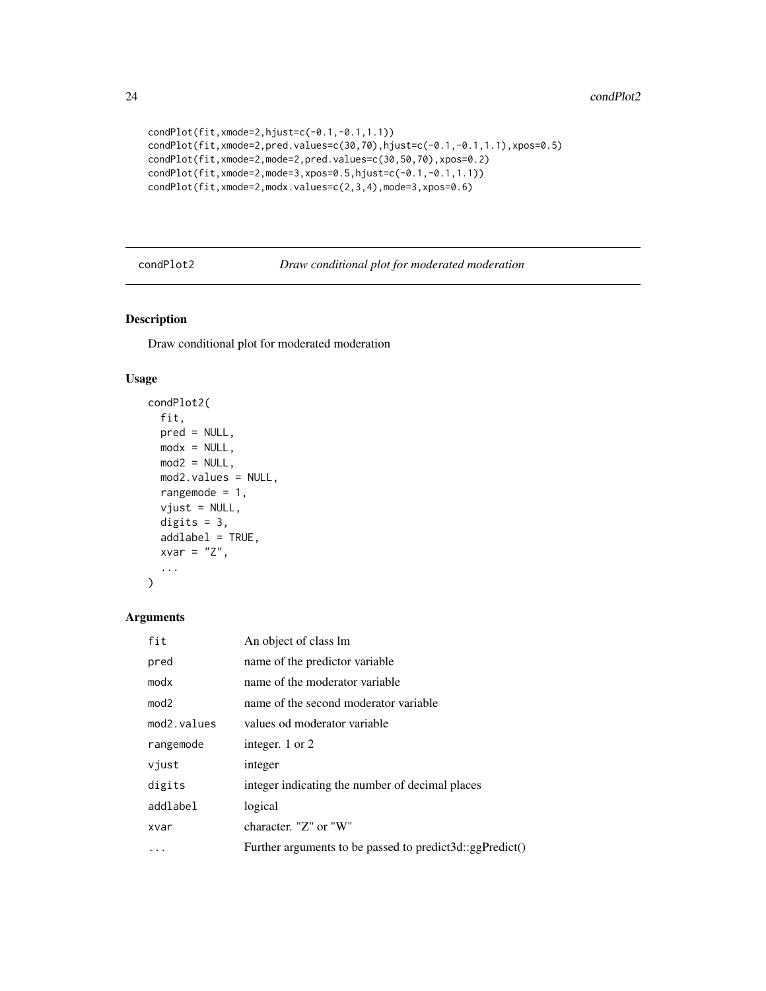```
condPlot(fit,xmode=2,hjust=c(-0.1,-0.1,1.1))
condPlot(fit,xmode=2,pred.values=c(30,70),hjust=c(-0.1,-0.1,1.1),xpos=0.5)
condPlot(fit,xmode=2,mode=2,pred.values=c(30,50,70),xpos=0.2)
condPlot(fit,xmode=2,mode=3,xpos=0.5,hjust=c(-0.1,-0.1,1.1))
condPlot(fit,xmode=2,modx.values=c(2,3,4),mode=3,xpos=0.6)
```
condPlot2 *Draw conditional plot for moderated moderation*

#### Description

Draw conditional plot for moderated moderation

#### Usage

```
condPlot2(
  fit,
 pred = NULL,
 modx = NULL,mod2 = NULL,mod2.values = NULL,
 rangemode = 1,
  vjust = NULL,digits = 3,
  addlabel = TRUE,
 xvar = "Z",...
```
#### Arguments

)

| fit                      | An object of class lm                                    |
|--------------------------|----------------------------------------------------------|
| pred                     | name of the predictor variable                           |
| modx                     | name of the moderator variable                           |
| mod2                     | name of the second moderator variable                    |
| mod <sub>2</sub> .values | values od moderator variable                             |
| rangemode                | integer. 1 or 2                                          |
| vjust                    | integer                                                  |
| digits                   | integer indicating the number of decimal places          |
| addlabel                 | logical                                                  |
| xvar                     | character. "Z" or "W"                                    |
| .                        | Further arguments to be passed to predict3d::ggPredict() |

<span id="page-23-0"></span>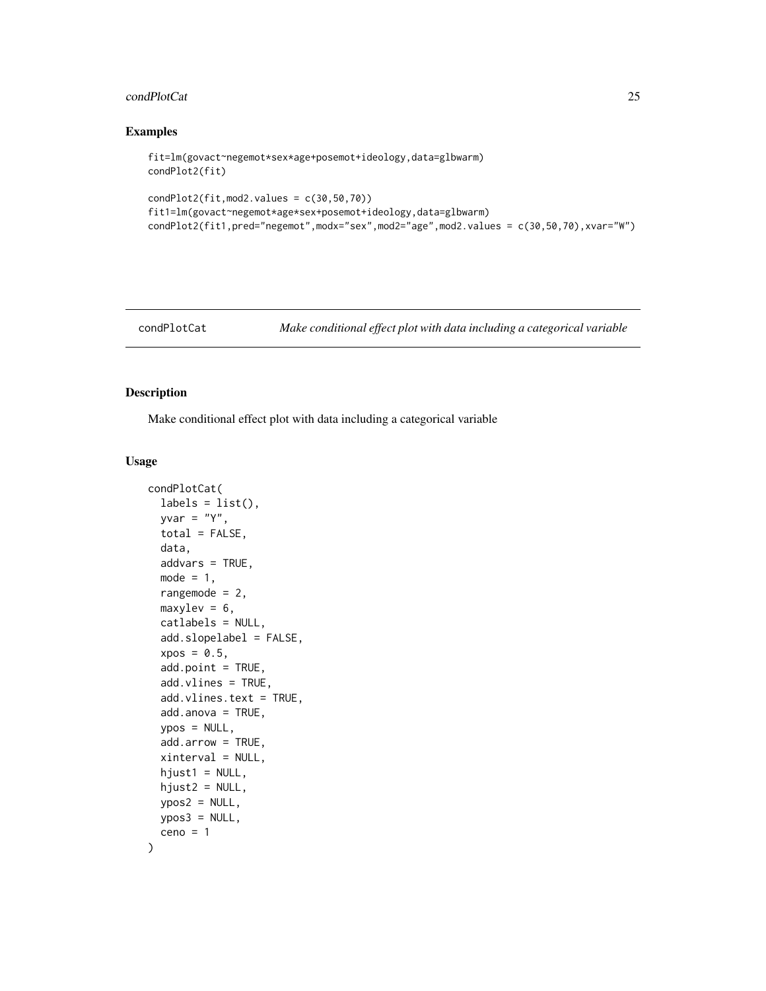# <span id="page-24-0"></span>condPlotCat 25

#### Examples

```
fit=lm(govact~negemot*sex*age+posemot+ideology,data=glbwarm)
condPlot2(fit)
condPlot2(fit,mod2.values = c(30,50,70))
fit1=lm(govact~negemot*age*sex+posemot+ideology,data=glbwarm)
condPlot2(fit1,pred="negemot",modx="sex",mod2="age",mod2.values = c(30,50,70),xvar="W")
```

```
condPlotCat Make conditional effect plot with data including a categorical variable
```
# Description

Make conditional effect plot with data including a categorical variable

```
condPlotCat(
  labels = list(),vvar = "Y".total = FALSE,data,
  addvars = TRUE,
  mode = 1,
  rangemode = 2,
  maxylev = 6,
  catlabels = NULL,
  add.slopelabel = FALSE,
  xpos = 0.5,
  add.point = TRUE,
  add.vlines = TRUE,
  add.vlines.text = TRUE,
  add.annotation = TRUE,ypos = NULL,
  add.arrow = TRUE,
  xinterval = NULL,
  hjust1 = NULL,hjust2 = NULL,
  ypos2 = NULL,ypos3 = NULL,
  ceno = 1)
```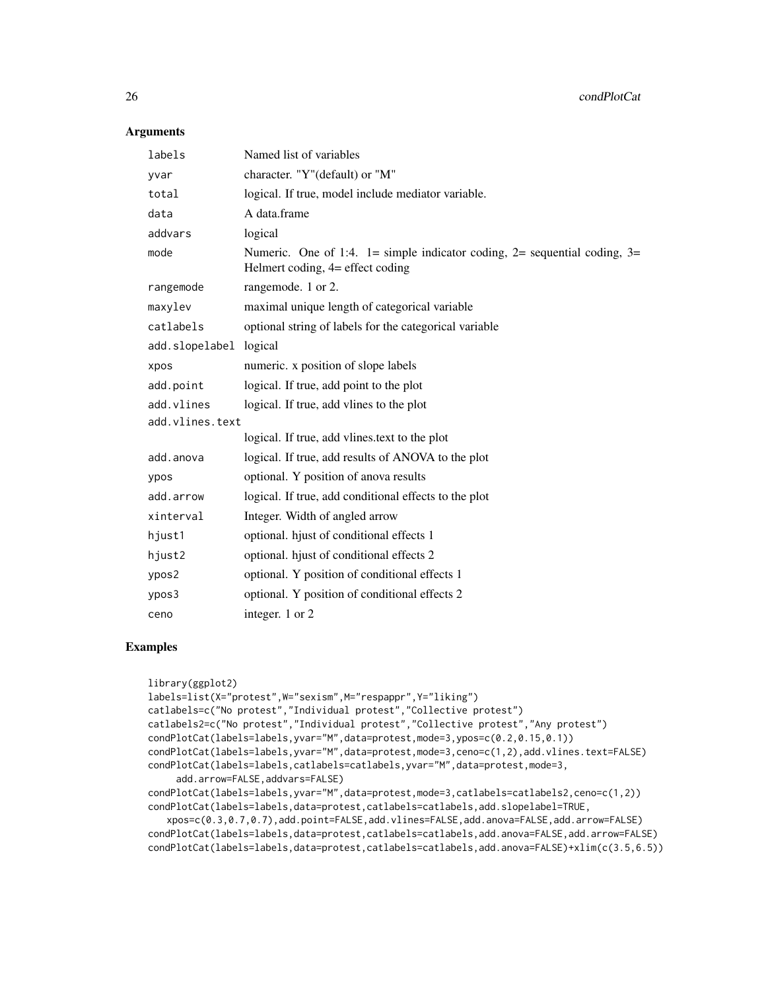26 condPlotCat

#### Arguments

| labels          | Named list of variables                                                                                                |
|-----------------|------------------------------------------------------------------------------------------------------------------------|
| yvar            | character. "Y"(default) or "M"                                                                                         |
| total           | logical. If true, model include mediator variable.                                                                     |
| data            | A data.frame                                                                                                           |
| addvars         | logical                                                                                                                |
| mode            | Numeric. One of 1:4. $1 =$ simple indicator coding, $2 =$ sequential coding, $3 =$<br>Helmert coding, 4= effect coding |
| rangemode       | rangemode. 1 or 2.                                                                                                     |
| maxylev         | maximal unique length of categorical variable                                                                          |
| catlabels       | optional string of labels for the categorical variable                                                                 |
| add.slopelabel  | logical                                                                                                                |
| xpos            | numeric. x position of slope labels                                                                                    |
| add.point       | logical. If true, add point to the plot                                                                                |
| add.vlines      | logical. If true, add vlines to the plot                                                                               |
| add.vlines.text |                                                                                                                        |
|                 | logical. If true, add vlines.text to the plot                                                                          |
| add.anova       | logical. If true, add results of ANOVA to the plot                                                                     |
| ypos            | optional. Y position of anova results                                                                                  |
| add.arrow       | logical. If true, add conditional effects to the plot                                                                  |
| xinterval       | Integer. Width of angled arrow                                                                                         |
| hjust1          | optional. hjust of conditional effects 1                                                                               |
| hjust2          | optional. hjust of conditional effects 2                                                                               |
| ypos2           | optional. Y position of conditional effects 1                                                                          |
| ypos3           | optional. Y position of conditional effects 2                                                                          |
| ceno            | integer. 1 or 2                                                                                                        |

```
library(ggplot2)
labels=list(X="protest",W="sexism",M="respappr",Y="liking")
catlabels=c("No protest","Individual protest","Collective protest")
catlabels2=c("No protest","Individual protest","Collective protest","Any protest")
condPlotCat(labels=labels,yvar="M",data=protest,mode=3,ypos=c(0.2,0.15,0.1))
condPlotCat(labels=labels,yvar="M",data=protest,mode=3,ceno=c(1,2),add.vlines.text=FALSE)
condPlotCat(labels=labels,catlabels=catlabels,yvar="M",data=protest,mode=3,
     add.arrow=FALSE,addvars=FALSE)
condPlotCat(labels=labels,yvar="M",data=protest,mode=3,catlabels=catlabels2,ceno=c(1,2))
condPlotCat(labels=labels,data=protest,catlabels=catlabels,add.slopelabel=TRUE,
   xpos=c(0.3,0.7,0.7),add.point=FALSE,add.vlines=FALSE,add.anova=FALSE,add.arrow=FALSE)
condPlotCat(labels=labels,data=protest,catlabels=catlabels,add.anova=FALSE,add.arrow=FALSE)
condPlotCat(labels=labels,data=protest,catlabels=catlabels,add.anova=FALSE)+xlim(c(3.5,6.5))
```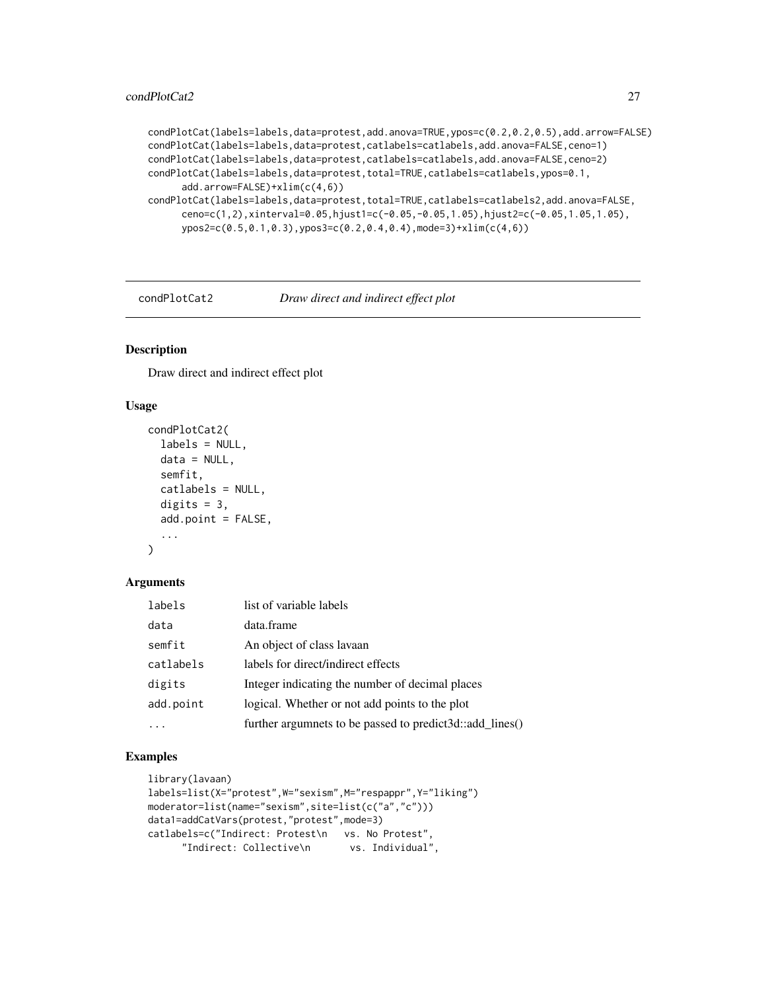```
condPlotCat(labels=labels,data=protest,add.anova=TRUE,ypos=c(0.2,0.2,0.5),add.arrow=FALSE)
condPlotCat(labels=labels,data=protest,catlabels=catlabels,add.anova=FALSE,ceno=1)
condPlotCat(labels=labels,data=protest,catlabels=catlabels,add.anova=FALSE,ceno=2)
condPlotCat(labels=labels,data=protest,total=TRUE,catlabels=catlabels,ypos=0.1,
      add.arrow=FALSE)+xlim(c(4,6))
condPlotCat(labels=labels,data=protest,total=TRUE,catlabels=catlabels2,add.anova=FALSE,
     ceno=c(1,2),xinterval=0.05,hjust1=c(-0.05,-0.05,1.05),hjust2=c(-0.05,1.05,1.05),
     ypos2=c(0.5,0.1,0.3),ypos3=c(0.2,0.4,0.4),mode=3)+xlim(c(4,6))
```
condPlotCat2 *Draw direct and indirect effect plot*

# Description

Draw direct and indirect effect plot

#### Usage

```
condPlotCat2(
  labels = NULL,
  data = NULL,semfit,
  catlabels = NULL,
  digits = 3,
  add.point = FALSE,
  ...
\lambda
```
#### Arguments

| labels    | list of variable labels                                  |
|-----------|----------------------------------------------------------|
| data      | data.frame                                               |
| semfit    | An object of class lavaan                                |
| catlabels | labels for direct/indirect effects                       |
| digits    | Integer indicating the number of decimal places          |
| add.point | logical. Whether or not add points to the plot           |
|           | further argumnets to be passed to predict3d::add_lines() |

```
library(lavaan)
labels=list(X="protest",W="sexism",M="respappr",Y="liking")
moderator=list(name="sexism",site=list(c("a","c")))
data1=addCatVars(protest,"protest",mode=3)
catlabels=c("Indirect: Protest\n vs. No Protest",
     "Indirect: Collective\n vs. Individual",
```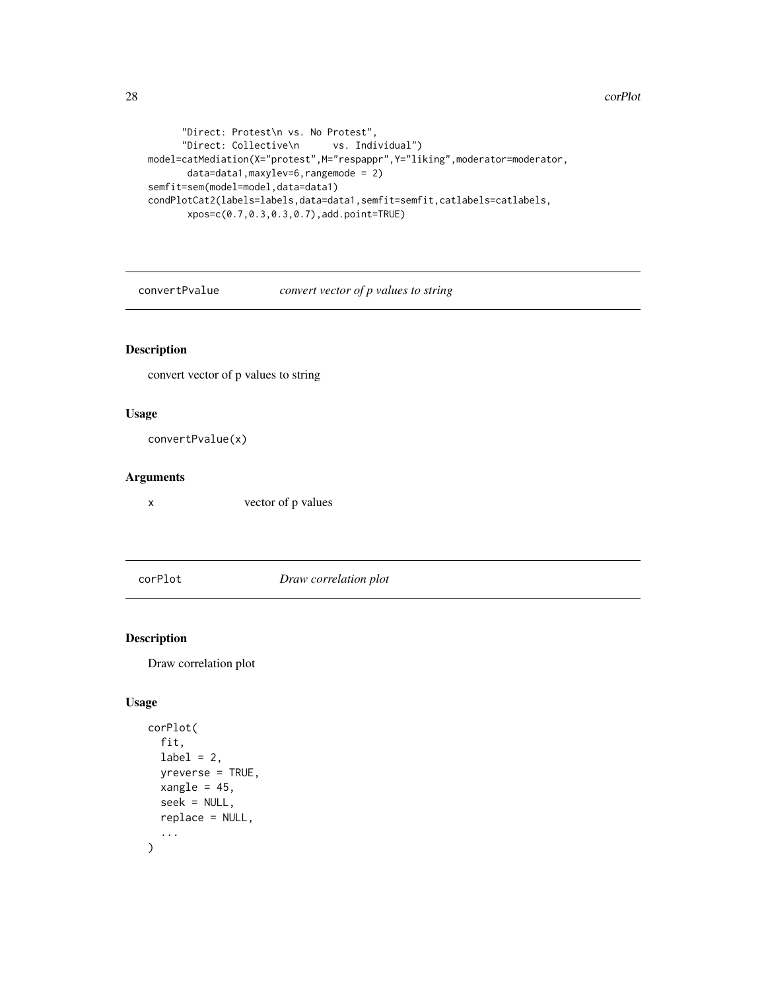```
"Direct: Protest\n vs. No Protest",
     "Direct: Collective\n vs. Individual")
model=catMediation(X="protest",M="respappr",Y="liking",moderator=moderator,
      data=data1,maxylev=6,rangemode = 2)
semfit=sem(model=model,data=data1)
condPlotCat2(labels=labels,data=data1,semfit=semfit,catlabels=catlabels,
      xpos=c(0.7,0.3,0.3,0.7),add.point=TRUE)
```
convertPvalue *convert vector of p values to string*

# Description

convert vector of p values to string

### Usage

```
convertPvalue(x)
```
### Arguments

x vector of p values

corPlot *Draw correlation plot*

# Description

Draw correlation plot

```
corPlot(
  fit,
  label = 2,yreverse = TRUE,
  xangle = 45,
  seek = NULL,
  replace = NULL,
  ...
\mathcal{L}
```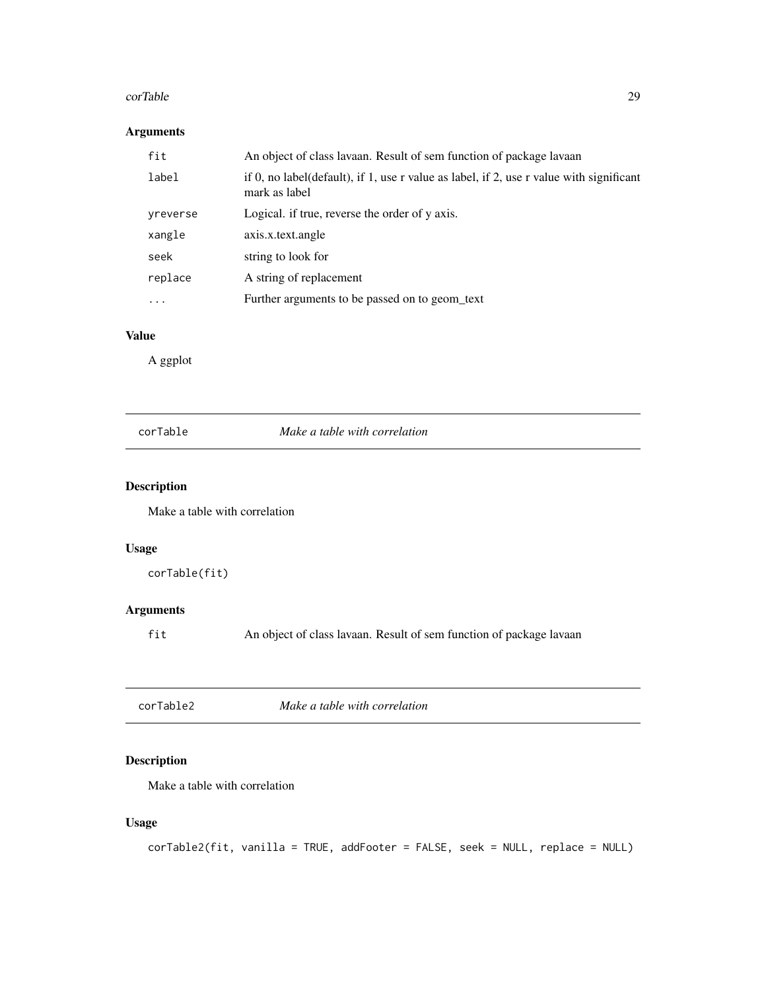#### <span id="page-28-0"></span>corTable 29

# Arguments

| fit       | An object of class lavaan. Result of sem function of package lavaan                                      |
|-----------|----------------------------------------------------------------------------------------------------------|
| label     | if 0, no label(default), if 1, use r value as label, if 2, use r value with significant<br>mark as label |
| yreverse  | Logical. if true, reverse the order of y axis.                                                           |
| xangle    | axis.x.text.angle                                                                                        |
| seek      | string to look for                                                                                       |
| replace   | A string of replacement                                                                                  |
| $\ddotsc$ | Further arguments to be passed on to geom_text                                                           |

# Value

A ggplot

corTable *Make a table with correlation*

# Description

Make a table with correlation

# Usage

```
corTable(fit)
```
# Arguments

fit An object of class lavaan. Result of sem function of package lavaan

| corTable2 | Make a table with correlation |  |
|-----------|-------------------------------|--|
|           |                               |  |

# Description

Make a table with correlation

```
corTable2(fit, vanilla = TRUE, addFooter = FALSE, seek = NULL, replace = NULL)
```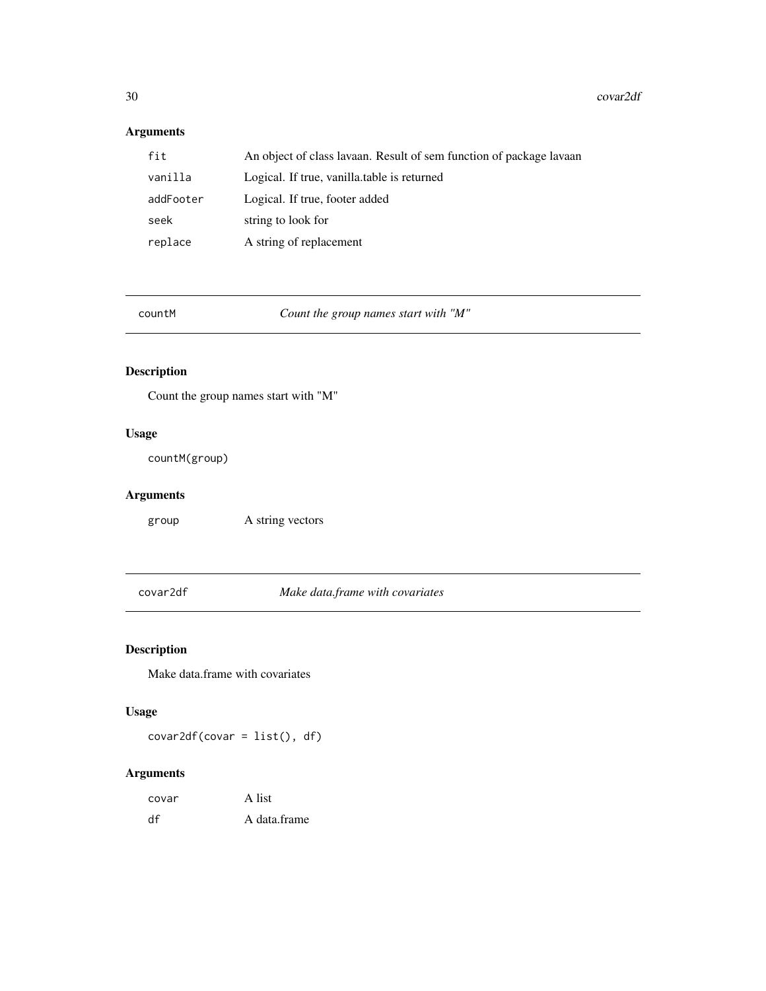# <span id="page-29-0"></span>Arguments

| fit       | An object of class lavaan. Result of sem function of package lavaan |
|-----------|---------------------------------------------------------------------|
| vanilla   | Logical. If true, vanilla, table is returned                        |
| addFooter | Logical. If true, footer added                                      |
| seek      | string to look for                                                  |
| replace   | A string of replacement                                             |

| countM |  |  |
|--------|--|--|

Count the group names start with "M"

# Description

Count the group names start with "M"

# Usage

countM(group)

# Arguments

group A string vectors

covar2df *Make data.frame with covariates*

# Description

Make data.frame with covariates

# Usage

covar2df(covar = list(), df)

| covar | A list       |
|-------|--------------|
| df    | A data.frame |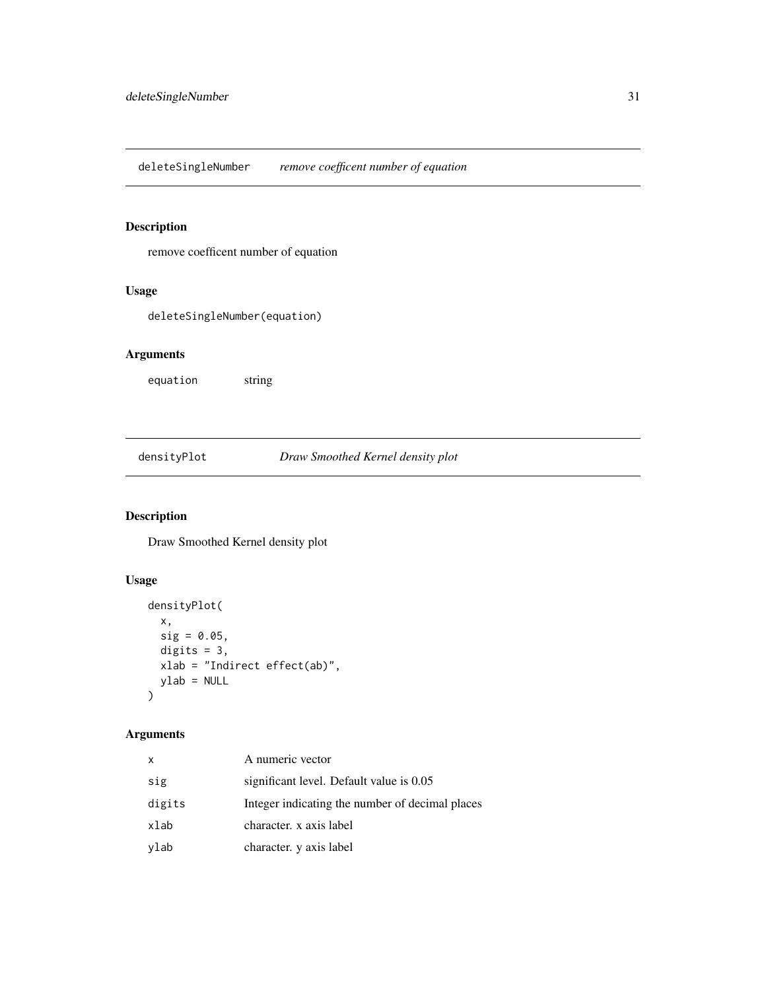<span id="page-30-0"></span>deleteSingleNumber *remove coefficent number of equation*

# Description

remove coefficent number of equation

# Usage

deleteSingleNumber(equation)

# Arguments

equation string

# densityPlot *Draw Smoothed Kernel density plot*

# Description

Draw Smoothed Kernel density plot

# Usage

```
densityPlot(
 x,
 sig = 0.05,digits = 3,
 xlab = "Indirect effect(ab)",
 ylab = NULL
)
```

| x      | A numeric vector                                |
|--------|-------------------------------------------------|
| sig    | significant level. Default value is 0.05        |
| digits | Integer indicating the number of decimal places |
| xlab   | character. x axis label                         |
| ylab   | character. y axis label                         |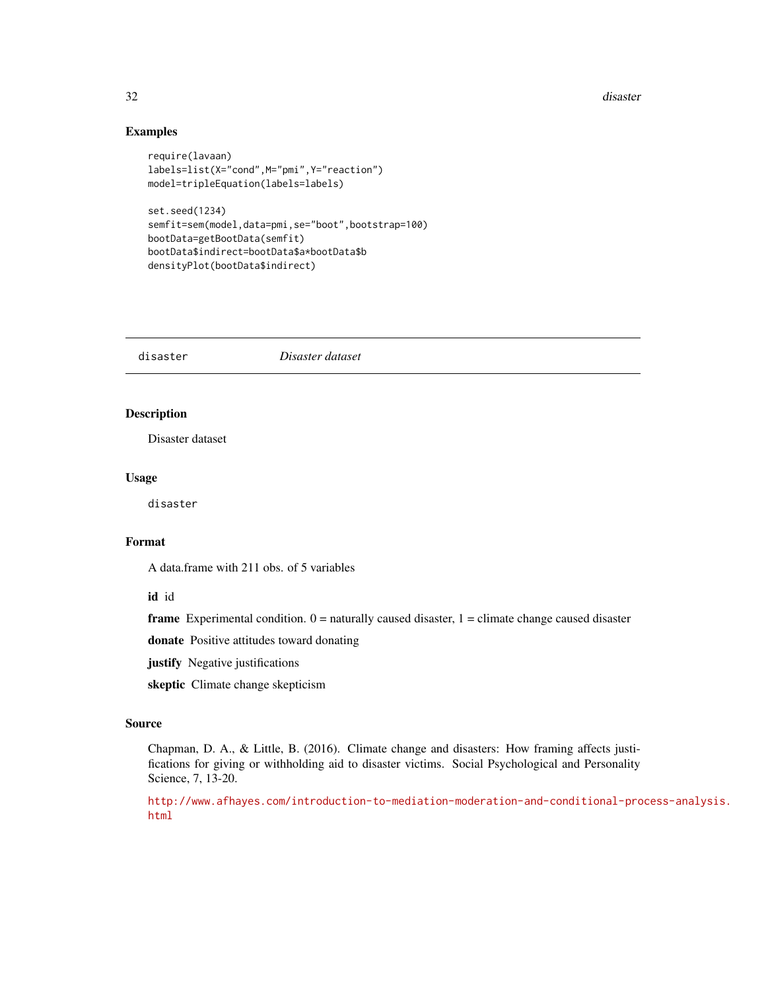#### <span id="page-31-0"></span>32 disaster

#### Examples

```
require(lavaan)
labels=list(X="cond",M="pmi",Y="reaction")
model=tripleEquation(labels=labels)
set.seed(1234)
semfit=sem(model,data=pmi,se="boot",bootstrap=100)
bootData=getBootData(semfit)
```
bootData\$indirect=bootData\$a\*bootData\$b densityPlot(bootData\$indirect)

disaster *Disaster dataset*

# Description

Disaster dataset

#### Usage

disaster

#### Format

A data.frame with 211 obs. of 5 variables

#### id id

**frame** Experimental condition.  $0 =$  naturally caused disaster,  $1 =$  climate change caused disaster

donate Positive attitudes toward donating

justify Negative justifications

skeptic Climate change skepticism

#### Source

Chapman, D. A., & Little, B. (2016). Climate change and disasters: How framing affects justifications for giving or withholding aid to disaster victims. Social Psychological and Personality Science, 7, 13-20.

[http://www.afhayes.com/introduction-to-mediation-moderation-and-conditional-pro](http://www.afhayes.com/introduction-to-mediation-moderation-and-conditional-process-analysis.html)cess-analysis. [html](http://www.afhayes.com/introduction-to-mediation-moderation-and-conditional-process-analysis.html)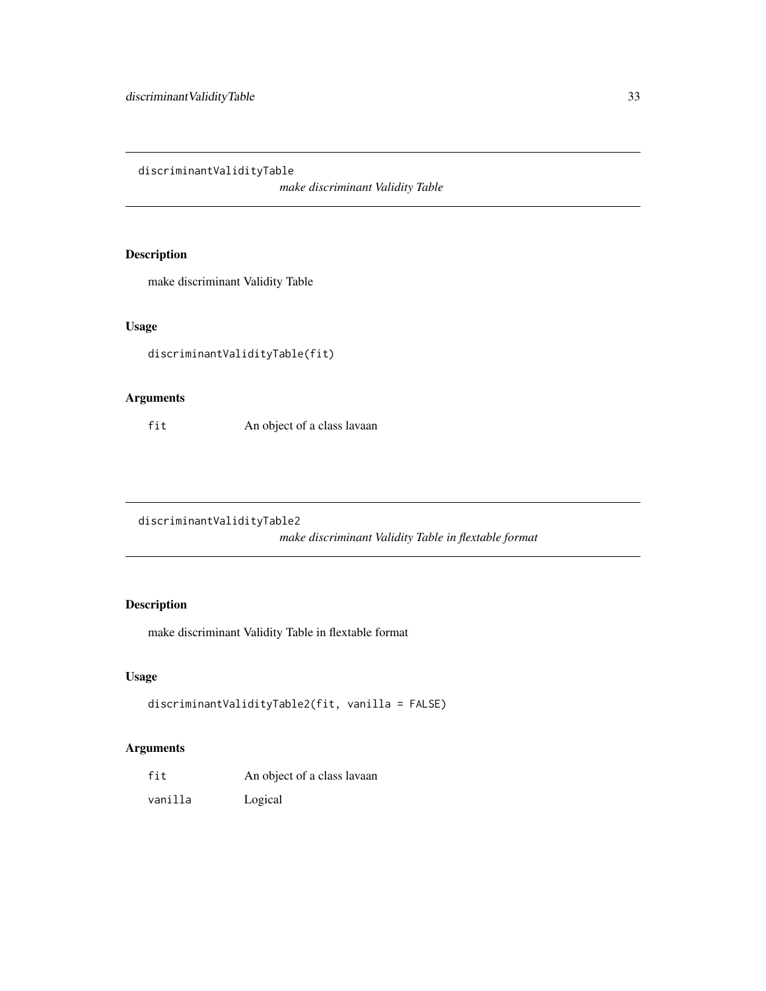<span id="page-32-0"></span>discriminantValidityTable

*make discriminant Validity Table*

# Description

make discriminant Validity Table

# Usage

discriminantValidityTable(fit)

# Arguments

fit An object of a class lavaan

discriminantValidityTable2

*make discriminant Validity Table in flextable format*

# Description

make discriminant Validity Table in flextable format

# Usage

```
discriminantValidityTable2(fit, vanilla = FALSE)
```

| fit     | An object of a class lavaan |
|---------|-----------------------------|
| vanilla | Logical                     |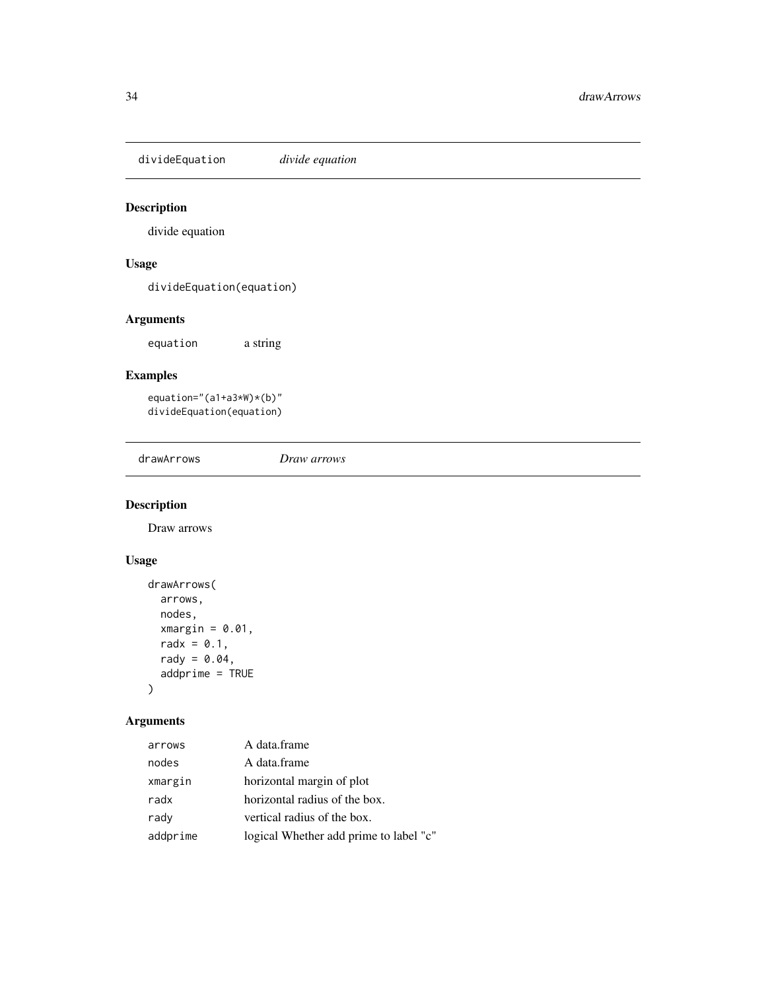<span id="page-33-0"></span>divideEquation *divide equation*

# Description

divide equation

# Usage

divideEquation(equation)

# Arguments

equation a string

# Examples

equation="(a1+a3\*W)\*(b)" divideEquation(equation)

drawArrows *Draw arrows*

# Description

Draw arrows

# Usage

```
drawArrows(
  arrows,
  nodes,
  xmargin = 0.01,
  radx = 0.1,
  rady = 0.04,
  addprime = TRUE
\mathcal{L}
```

| arrows   | A data.frame                           |
|----------|----------------------------------------|
| nodes    | A data.frame                           |
| xmargin  | horizontal margin of plot              |
| radx     | horizontal radius of the box.          |
| rady     | vertical radius of the box.            |
| addprime | logical Whether add prime to label "c" |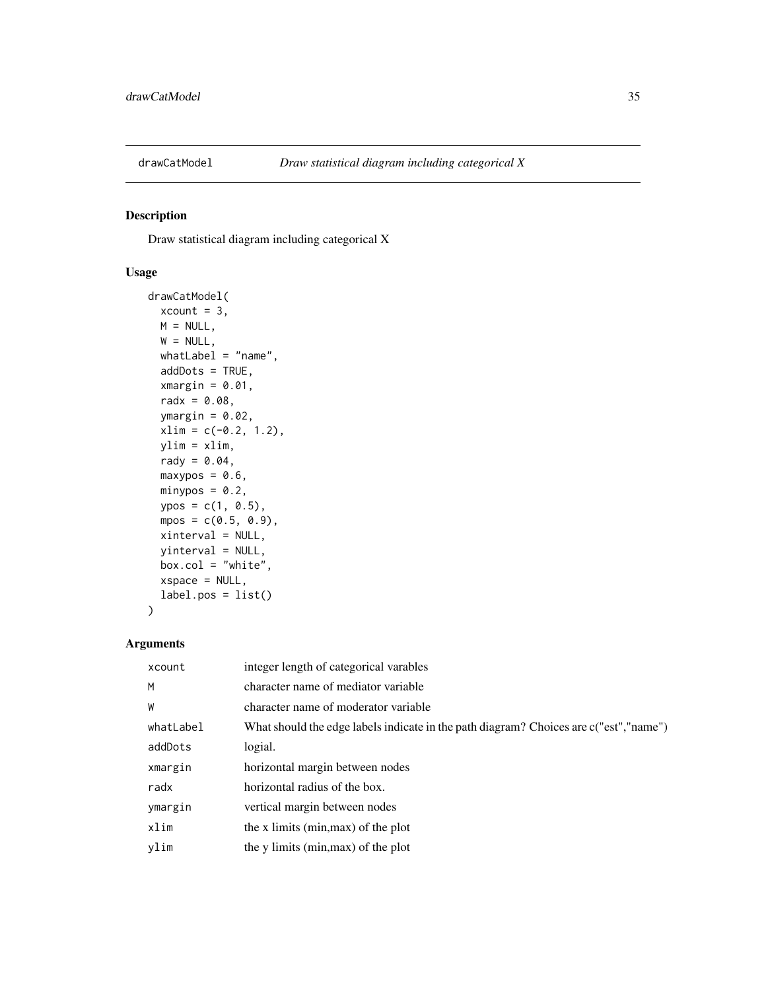<span id="page-34-0"></span>

Draw statistical diagram including categorical X

# Usage

```
drawCatModel(
 xcount = 3,
 M = NULL,W = NULL,whatLabel = "name",addDots = TRUE,
 xmargin = 0.01,
 radx = 0.08,
 ymargin = 0.02,
 xlim = c(-0.2, 1.2),ylim = xlim,
 rady = 0.04,
 maxypos = 0.6,
 minypos = 0.2,
 ypos = c(1, 0.5),
 mpos = c(0.5, 0.9),
 xinterval = NULL,
 yinterval = NULL,
 box.col = "white",
 xspace = NULL,label.pos = list()
)
```

| xcount    | integer length of categorical varables                                                 |
|-----------|----------------------------------------------------------------------------------------|
| M         | character name of mediator variable                                                    |
| W         | character name of moderator variable                                                   |
| whatLabel | What should the edge labels indicate in the path diagram? Choices are c("est", "name") |
| addDots   | logial.                                                                                |
| xmargin   | horizontal margin between nodes                                                        |
| radx      | horizontal radius of the box.                                                          |
| ymargin   | vertical margin between nodes                                                          |
| xlim      | the x limits (min, max) of the plot                                                    |
| vlim      | the y limits (min, max) of the plot                                                    |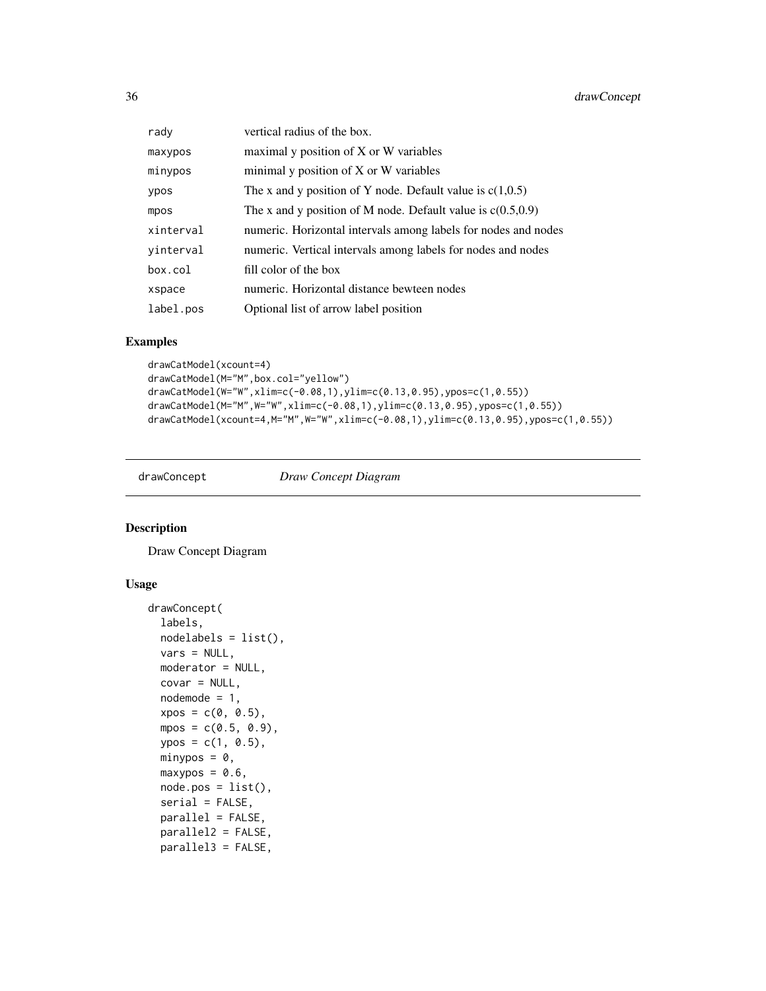<span id="page-35-0"></span>

| rady      | vertical radius of the box.                                    |
|-----------|----------------------------------------------------------------|
| maxypos   | maximal y position of X or W variables                         |
| minypos   | minimal y position of X or W variables                         |
| ypos      | The x and y position of Y node. Default value is $c(1,0.5)$    |
| mpos      | The x and y position of M node. Default value is $c(0.5,0.9)$  |
| xinterval | numeric. Horizontal intervals among labels for nodes and nodes |
| yinterval | numeric. Vertical intervals among labels for nodes and nodes   |
| box.col   | fill color of the box                                          |
| xspace    | numeric. Horizontal distance bewteen nodes                     |
| label.pos | Optional list of arrow label position                          |

#### Examples

```
drawCatModel(xcount=4)
drawCatModel(M="M",box.col="yellow")
drawCatModel(W="W",xlim=c(-0.08,1),ylim=c(0.13,0.95),ypos=c(1,0.55))
drawCatModel(M="M",W="W",xlim=c(-0.08,1),ylim=c(0.13,0.95),ypos=c(1,0.55))
drawCatModel(xcount=4,M="M",W="W",xlim=c(-0.08,1),ylim=c(0.13,0.95),ypos=c(1,0.55))
```
drawConcept *Draw Concept Diagram*

#### Description

Draw Concept Diagram

```
drawConcept(
 labels,
 nodelabels = list(),
 vars = NULL,
 moderator = NULL,
 covar = NULL,node = 1,
  xpos = c(0, 0.5),
 mpos = c(0.5, 0.9),
 ypos = c(1, 0.5),
 minypos = 0,
 maxypos = 0.6,
 node.pos = list(),serial = FALSE,
 parallel = FALSE,
 parallel2 = FALSE,
 parallel3 = FALSE,
```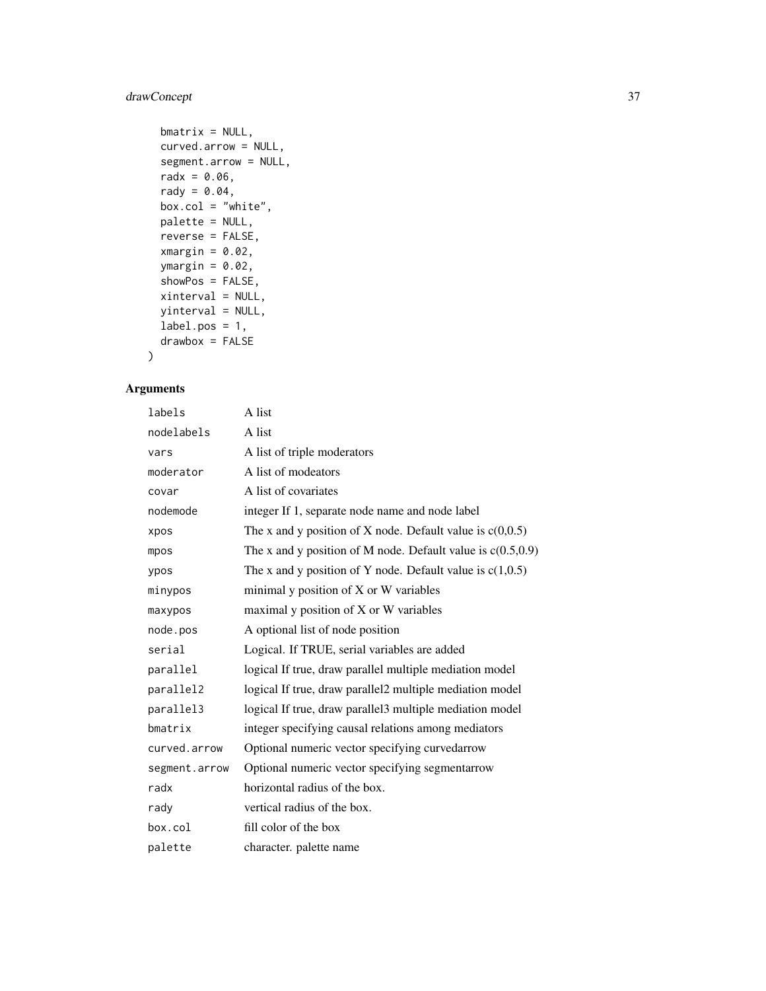# drawConcept 37

```
bm{r} = NULL,
curved.arrow = NULL,
segment.arrow = NULL,
radx = 0.06,
rady = 0.04,box.col = "white",
palette = NULL,
reverse = FALSE,
xmargin = 0.02,
ymargin = 0.02,
showPos = FALSE,
xinterval = NULL,
yinterval = NULL,
label.pos = 1,drawbox = FALSE
```
# Arguments

 $\mathcal{L}$ 

| labels        | A list                                                        |
|---------------|---------------------------------------------------------------|
| nodelabels    | A list                                                        |
| vars          | A list of triple moderators                                   |
| moderator     | A list of modeators                                           |
| covar         | A list of covariates                                          |
| nodemode      | integer If 1, separate node name and node label               |
| xpos          | The x and y position of X node. Default value is $c(0,0.5)$   |
| mpos          | The x and y position of M node. Default value is $c(0.5,0.9)$ |
| ypos          | The x and y position of Y node. Default value is $c(1,0.5)$   |
| minypos       | minimal y position of X or W variables                        |
| maxypos       | maximal y position of X or W variables                        |
| node.pos      | A optional list of node position                              |
| serial        | Logical. If TRUE, serial variables are added                  |
| parallel      | logical If true, draw parallel multiple mediation model       |
| parallel2     | logical If true, draw parallel2 multiple mediation model      |
| parallel3     | logical If true, draw parallel3 multiple mediation model      |
| bmatrix       | integer specifying causal relations among mediators           |
| curved.arrow  | Optional numeric vector specifying curvedarrow                |
| segment.arrow | Optional numeric vector specifying segmentarrow               |
| radx          | horizontal radius of the box.                                 |
| rady          | vertical radius of the box.                                   |
| box.col       | fill color of the box                                         |
| palette       | character. palette name                                       |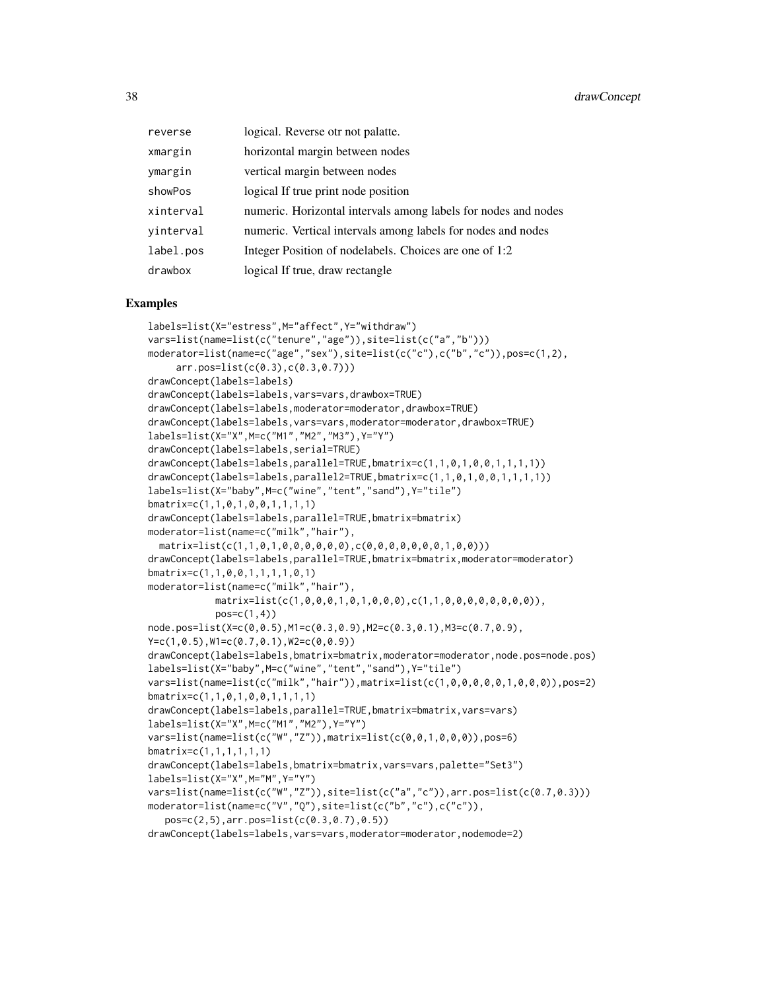| reverse   | logical. Reverse otr not palatte.                              |
|-----------|----------------------------------------------------------------|
| xmargin   | horizontal margin between nodes                                |
| ymargin   | vertical margin between nodes                                  |
| showPos   | logical If true print node position                            |
| xinterval | numeric. Horizontal intervals among labels for nodes and nodes |
| yinterval | numeric. Vertical intervals among labels for nodes and nodes   |
| label.pos | Integer Position of nodelabels. Choices are one of 1:2         |
| drawbox   | logical If true, draw rectangle                                |

```
labels=list(X="estress",M="affect",Y="withdraw")
vars=list(name=list(c("tenure","age")),site=list(c("a","b")))
moderator=list(name=c("age","sex"),site=list(c("c"),c("b","c")),pos=c(1,2),
     arr.pos=list(c(0.3),c(0.3,0.7)))
drawConcept(labels=labels)
drawConcept(labels=labels,vars=vars,drawbox=TRUE)
drawConcept(labels=labels,moderator=moderator,drawbox=TRUE)
drawConcept(labels=labels,vars=vars,moderator=moderator,drawbox=TRUE)
labels=list(X="X",M=c("M1","M2","M3"),Y="Y")
drawConcept(labels=labels,serial=TRUE)
drawConcept(labels=labels,parallel=TRUE,bmatrix=c(1,1,0,1,0,0,1,1,1,1))
drawConcept(labels=labels,parallel2=TRUE,bmatrix=c(1,1,0,1,0,0,1,1,1,1))
labels=list(X="baby",M=c("wine","tent","sand"),Y="tile")
bmatrix=c(1,1,0,1,0,0,1,1,1,1)
drawConcept(labels=labels,parallel=TRUE,bmatrix=bmatrix)
moderator=list(name=c("milk","hair"),
 matrix=list(c(1,1,0,1,0,0,0,0,0,0),c(0,0,0,0,0,0,0,1,0,0)))
drawConcept(labels=labels,parallel=TRUE,bmatrix=bmatrix,moderator=moderator)
bmatrix=c(1,1,0,0,1,1,1,1,0,1)
moderator=list(name=c("milk","hair"),
            matrix=list(c(1,0,0,0,1,0,1,0,0,0),c(1,1,0,0,0,0,0,0,0,0)),
            pos=c(1,4))
node.pos=list(X=c(0,0.5),M1=c(0.3,0.9),M2=c(0.3,0.1),M3=c(0.7,0.9),
Y=c(1,0.5),W1=c(0.7,0.1),W2=c(0,0.9))
drawConcept(labels=labels,bmatrix=bmatrix,moderator=moderator,node.pos=node.pos)
labels=list(X="baby",M=c("wine","tent","sand"),Y="tile")
vars=list(name=list(c("milk","hair")),matrix=list(c(1,0,0,0,0,0,1,0,0,0)),pos=2)
bmatrix=c(1,1,0,1,0,0,1,1,1,1)
drawConcept(labels=labels,parallel=TRUE,bmatrix=bmatrix,vars=vars)
labels=list(X="X",M=c("M1","M2"),Y="Y")
vars=list(name=list(c("W","Z")),matrix=list(c(0,0,1,0,0,0)),pos=6)
bmatrix=c(1,1,1,1,1,1)
drawConcept(labels=labels,bmatrix=bmatrix,vars=vars,palette="Set3")
labels=list(X="X",M="M",Y="Y")
vars=list(name=list(c("W","Z")),site=list(c("a","c")),arr.pos=list(c(0.7,0.3)))
moderator=list(name=c("V","Q"),site=list(c("b","c"),c("c")),
   pos=c(2,5),arr.pos=list(c(0.3,0.7),0.5))
drawConcept(labels=labels,vars=vars,moderator=moderator,nodemode=2)
```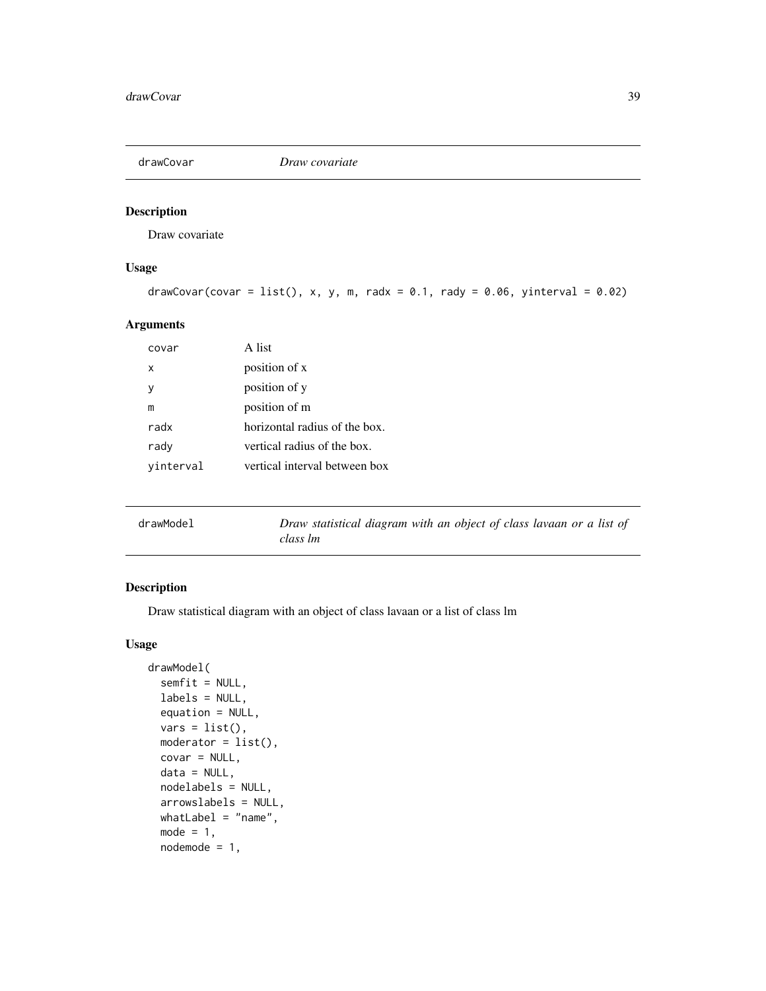Draw covariate

## Usage

```
drawCovar(covar = list(), x, y, m, radv = 0.1, rady = 0.06, yinterval = 0.02)
```
#### Arguments

| covar     | A list                        |
|-----------|-------------------------------|
| x         | position of x                 |
| ٧         | position of y                 |
| m         | position of m                 |
| radx      | horizontal radius of the box. |
| rady      | vertical radius of the box.   |
| vinterval | vertical interval between box |
|           |                               |

| drawModel | Draw statistical diagram with an object of class lavaan or a list of |
|-----------|----------------------------------------------------------------------|
|           | class lm                                                             |

## Description

Draw statistical diagram with an object of class lavaan or a list of class lm

## Usage

```
drawModel(
 semfit = NULL,
 labels = NULL,
 equation = NULL,
 vars = list(),modern = list(),covar = NULL,
 data = NULL,
 nodelabels = NULL,
  arrowslabels = NULL,
 whatLabel = "name",mode = 1,
 node = 1,
```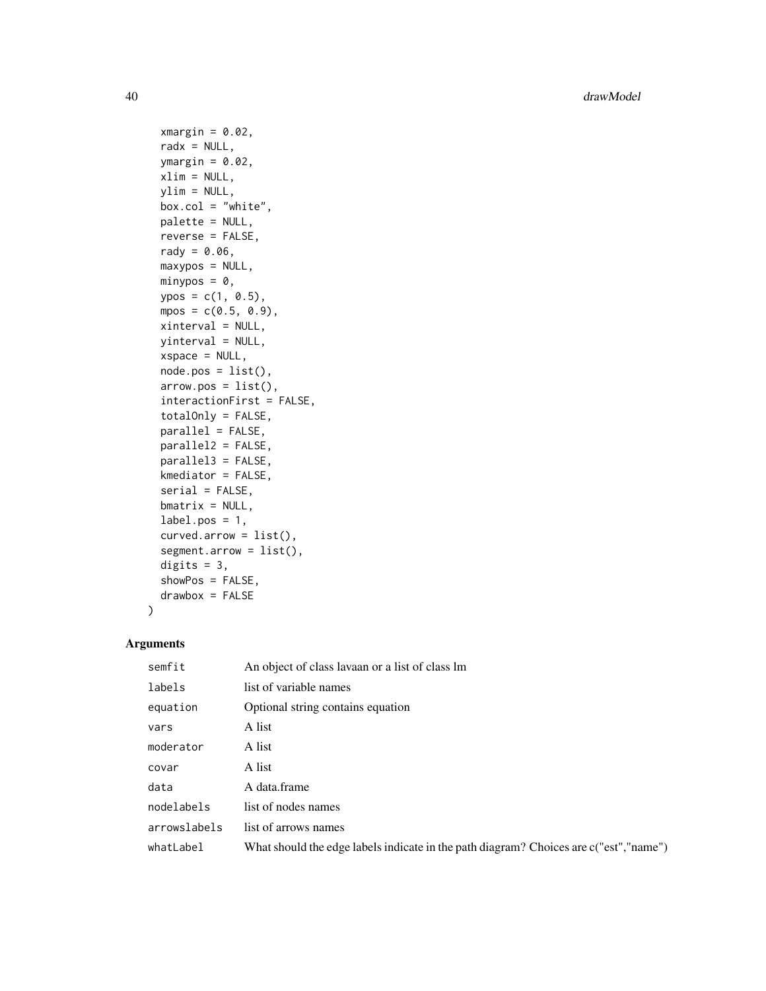40 drawModel

```
xmargin = 0.02,
  radx = NULL,ymargin = 0.02,
 xlim = NULL,ylim = NULL,
 box.col = "white",
 palette = NULL,
 reverse = FALSE,
 rady = 0.06,
 maxypos = NULL,minypos = 0,
 ypos = c(1, 0.5),
 mpos = c(0.5, 0.9),xinterval = NULL,
 yinterval = NULL,
  xspace = NULL,node.pos = list(),arrow.pos = list(),
  interactionFirst = FALSE,
  totalOnly = FALSE,
 parallel = FALSE,
 parallel2 = FALSE,
 parallel3 = FALSE,
 kmediator = FALSE,
  serial = FALSE,
 bmatrix = NULL,
 label.pos = 1,curved.arrow = list(),
  segment.arrow = list(),
 digits = 3,
  showPos = FALSE,
 drawbox = FALSE\mathcal{L}
```

| semfit       | An object of class lavaan or a list of class lm                                        |
|--------------|----------------------------------------------------------------------------------------|
| labels       | list of variable names                                                                 |
| equation     | Optional string contains equation                                                      |
| vars         | A list                                                                                 |
| moderator    | A list                                                                                 |
| covar        | A list                                                                                 |
| data         | A data.frame                                                                           |
| nodelabels   | list of nodes names                                                                    |
| arrowslabels | list of arrows names                                                                   |
| whatLabel    | What should the edge labels indicate in the path diagram? Choices are c("est", "name") |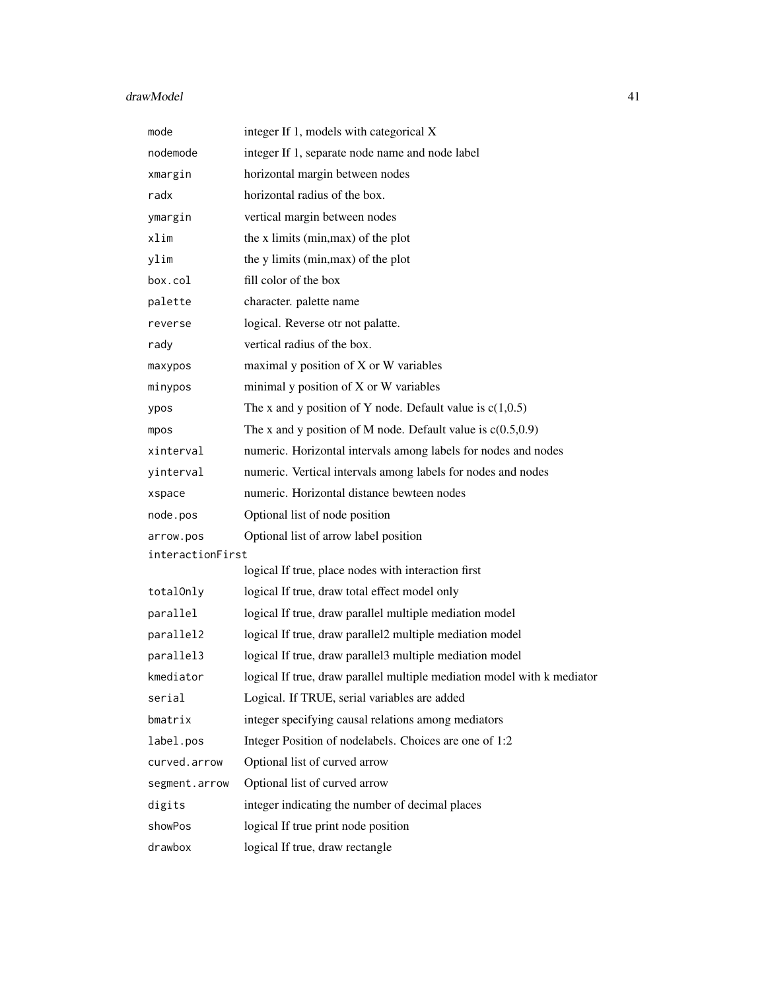# drawModel 41

| mode             | integer If 1, models with categorical X                                 |  |
|------------------|-------------------------------------------------------------------------|--|
| nodemode         | integer If 1, separate node name and node label                         |  |
| xmargin          | horizontal margin between nodes                                         |  |
| radx             | horizontal radius of the box.                                           |  |
| ymargin          | vertical margin between nodes                                           |  |
| xlim             | the x limits (min, max) of the plot                                     |  |
| ylim             | the y limits (min, max) of the plot                                     |  |
| box.col          | fill color of the box                                                   |  |
| palette          | character. palette name                                                 |  |
| reverse          | logical. Reverse otr not palatte.                                       |  |
| rady             | vertical radius of the box.                                             |  |
| maxypos          | maximal y position of X or W variables                                  |  |
| minypos          | minimal y position of X or W variables                                  |  |
| ypos             | The x and y position of Y node. Default value is $c(1,0.5)$             |  |
| mpos             | The x and y position of M node. Default value is $c(0.5,0.9)$           |  |
| xinterval        | numeric. Horizontal intervals among labels for nodes and nodes          |  |
| yinterval        | numeric. Vertical intervals among labels for nodes and nodes            |  |
| xspace           | numeric. Horizontal distance bewteen nodes                              |  |
| node.pos         | Optional list of node position                                          |  |
| arrow.pos        | Optional list of arrow label position                                   |  |
| interactionFirst |                                                                         |  |
|                  | logical If true, place nodes with interaction first                     |  |
| totalOnly        | logical If true, draw total effect model only                           |  |
| parallel         | logical If true, draw parallel multiple mediation model                 |  |
| parallel2        | logical If true, draw parallel2 multiple mediation model                |  |
| parallel3        | logical If true, draw parallel3 multiple mediation model                |  |
| kmediator        | logical If true, draw parallel multiple mediation model with k mediator |  |
| serial           | Logical. If TRUE, serial variables are added                            |  |
| bmatrix          | integer specifying causal relations among mediators                     |  |
| label.pos        | Integer Position of nodelabels. Choices are one of 1:2                  |  |
| curved.arrow     | Optional list of curved arrow                                           |  |
| segment.arrow    | Optional list of curved arrow                                           |  |
| digits           | integer indicating the number of decimal places                         |  |
| showPos          | logical If true print node position                                     |  |
| drawbox          | logical If true, draw rectangle                                         |  |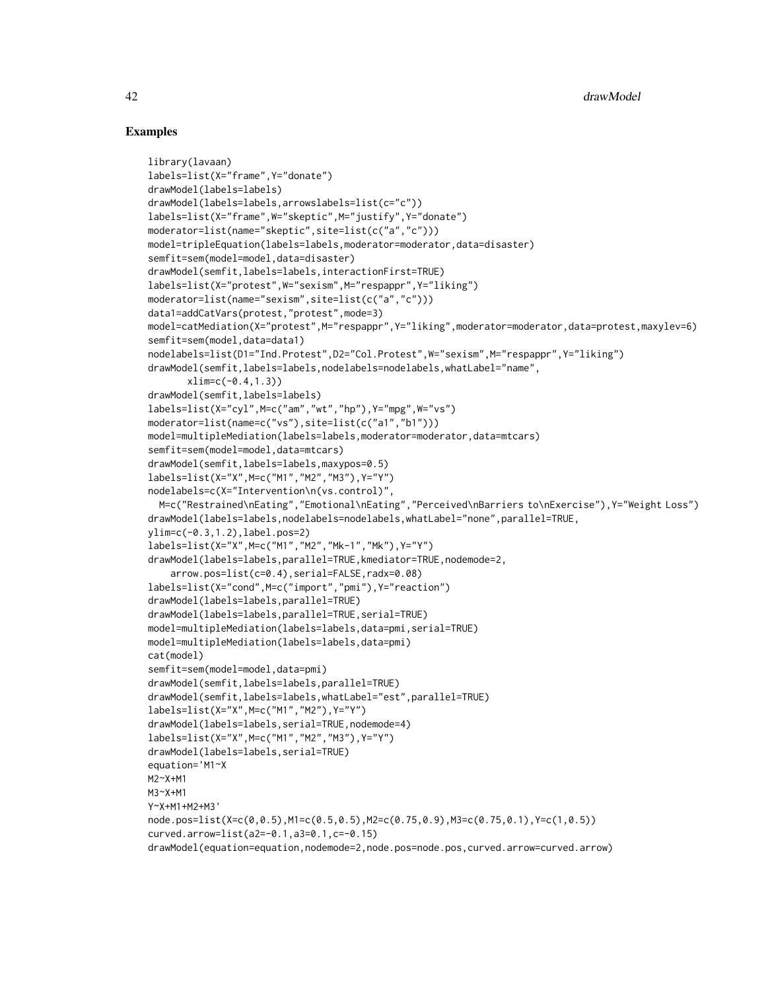```
library(lavaan)
labels=list(X="frame",Y="donate")
drawModel(labels=labels)
drawModel(labels=labels,arrowslabels=list(c="c"))
labels=list(X="frame",W="skeptic",M="justify",Y="donate")
moderator=list(name="skeptic",site=list(c("a","c")))
model=tripleEquation(labels=labels,moderator=moderator,data=disaster)
semfit=sem(model=model,data=disaster)
drawModel(semfit,labels=labels,interactionFirst=TRUE)
labels=list(X="protest",W="sexism",M="respappr",Y="liking")
moderator=list(name="sexism",site=list(c("a","c")))
data1=addCatVars(protest,"protest",mode=3)
model=catMediation(X="protest",M="respappr",Y="liking",moderator=moderator,data=protest,maxylev=6)
semfit=sem(model,data=data1)
nodelabels=list(D1="Ind.Protest",D2="Col.Protest",W="sexism",M="respappr",Y="liking")
drawModel(semfit,labels=labels,nodelabels=nodelabels,whatLabel="name",
      xlim=c(-0.4,1.3))
drawModel(semfit,labels=labels)
labels=list(X="cyl",M=c("am","wt","hp"),Y="mpg",W="vs")
moderator=list(name=c("vs"),site=list(c("a1","b1")))
model=multipleMediation(labels=labels,moderator=moderator,data=mtcars)
semfit=sem(model=model,data=mtcars)
drawModel(semfit,labels=labels,maxypos=0.5)
labels=list(X="X",M=c("M1","M2","M3"),Y="Y")
nodelabels=c(X="Intervention\n(vs.control)",
 M=c("Restrained\nEating","Emotional\nEating","Perceived\nBarriers to\nExercise"),Y="Weight Loss")
drawModel(labels=labels,nodelabels=nodelabels,whatLabel="none",parallel=TRUE,
ylim=c(-0.3,1.2),label.pos=2)
labels=list(X="X",M=c("M1","M2","Mk-1","Mk"),Y="Y")
drawModel(labels=labels,parallel=TRUE,kmediator=TRUE,nodemode=2,
    arrow.pos=list(c=0.4),serial=FALSE,radx=0.08)
labels=list(X="cond",M=c("import","pmi"),Y="reaction")
drawModel(labels=labels,parallel=TRUE)
drawModel(labels=labels,parallel=TRUE,serial=TRUE)
model=multipleMediation(labels=labels,data=pmi,serial=TRUE)
model=multipleMediation(labels=labels,data=pmi)
cat(model)
semfit=sem(model=model,data=pmi)
drawModel(semfit,labels=labels,parallel=TRUE)
drawModel(semfit,labels=labels,whatLabel="est",parallel=TRUE)
labels=list(X="X",M=c("M1","M2"),Y="Y")
drawModel(labels=labels,serial=TRUE,nodemode=4)
labels=list(X="X",M=c("M1","M2","M3"),Y="Y")
drawModel(labels=labels,serial=TRUE)
equation='M1~X
M2~X+M1
M3~X+M1
Y~X+M1+M2+M3'
node.pos=list(X=c(0,0.5),M1=c(0.5,0.5),M2=c(0.75,0.9),M3=c(0.75,0.1),Y=c(1,0.5))
curved.arrow=list(a2=-0.1,a3=0.1,c=-0.15)
drawModel(equation=equation,nodemode=2,node.pos=node.pos,curved.arrow=curved.arrow)
```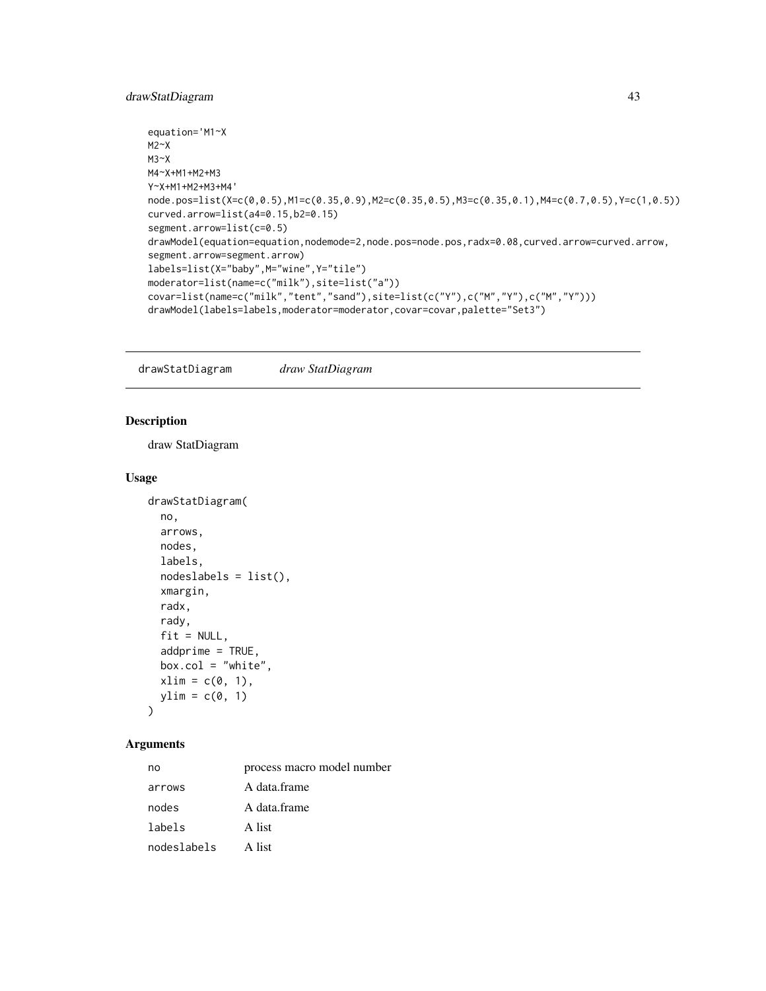## drawStatDiagram 43

```
equation='M1~X
M2~X
M3~X
M4~X+M1+M2+M3
Y~X+M1+M2+M3+M4'
node.pos=list(X=c(0,0.5),M1=c(0.35,0.9),M2=c(0.35,0.5),M3=c(0.35,0.1),M4=c(0.7,0.5),Y=c(1,0.5))
curved.arrow=list(a4=0.15,b2=0.15)
segment.arrow=list(c=0.5)
drawModel(equation=equation,nodemode=2,node.pos=node.pos,radx=0.08,curved.arrow=curved.arrow,
segment.arrow=segment.arrow)
labels=list(X="baby",M="wine",Y="tile")
moderator=list(name=c("milk"),site=list("a"))
covar=list(name=c("milk","tent","sand"),site=list(c("Y"),c("M","Y"),c("M","Y")))
drawModel(labels=labels,moderator=moderator,covar=covar,palette="Set3")
```
drawStatDiagram *draw StatDiagram*

### Description

draw StatDiagram

#### Usage

```
drawStatDiagram(
 no,
  arrows,
 nodes,
  labels,
 nodeslabels = list(),
 xmargin,
  radx,
  rady,
  fit = NULL,addprime = TRUE,box.col = "white",xlim = c(0, 1),ylim = c(0, 1))
```

| no          | process macro model number |
|-------------|----------------------------|
| arrows      | A data.frame               |
| nodes       | A data.frame               |
| labels      | A list                     |
| nodeslabels | A list                     |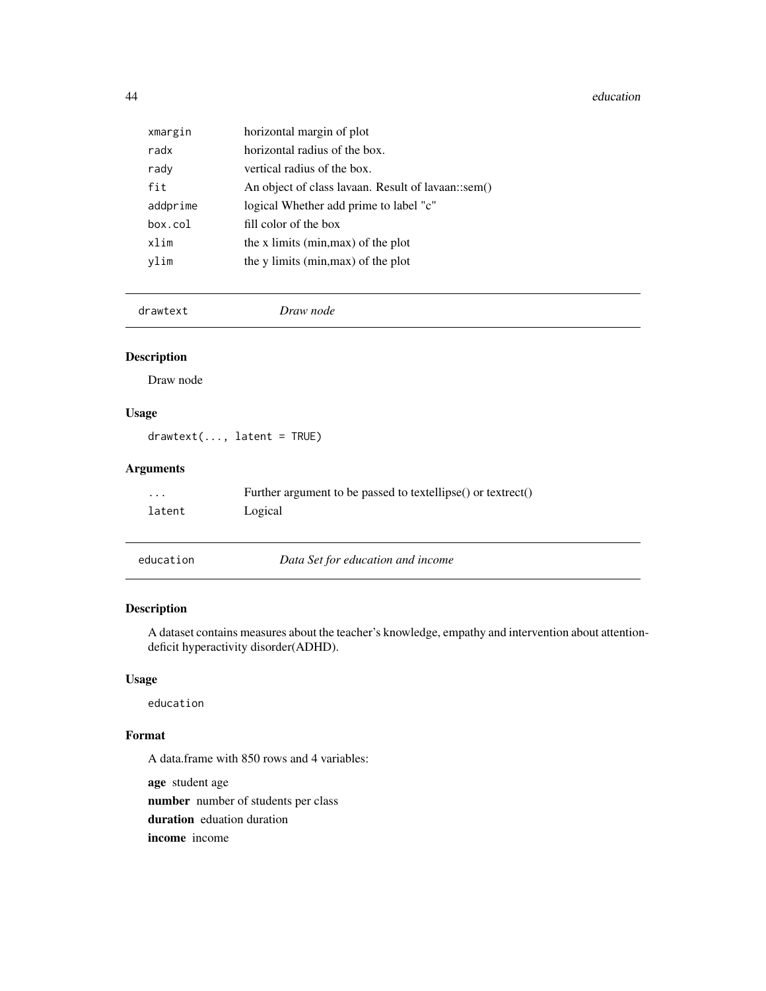44 education

| xmargin  | horizontal margin of plot                          |
|----------|----------------------------------------------------|
| radx     | horizontal radius of the box.                      |
| rady     | vertical radius of the box.                        |
| fit      | An object of class lavaan. Result of lavaan::sem() |
| addprime | logical Whether add prime to label "c"             |
| box.col  | fill color of the box                              |
| xlim     | the x limits (min, max) of the plot                |
| vlim     | the y limits (min, max) of the plot                |

drawtext *Draw node*

## Description

Draw node

## Usage

drawtext(..., latent = TRUE)

## Arguments

| $\cdots$ | Further argument to be passed to textellipse() or textrect() |
|----------|--------------------------------------------------------------|
| latent   | Logical                                                      |
|          |                                                              |

education *Data Set for education and income*

## Description

A dataset contains measures about the teacher's knowledge, empathy and intervention about attentiondeficit hyperactivity disorder(ADHD).

## Usage

education

### Format

A data.frame with 850 rows and 4 variables:

age student age number number of students per class duration eduation duration income income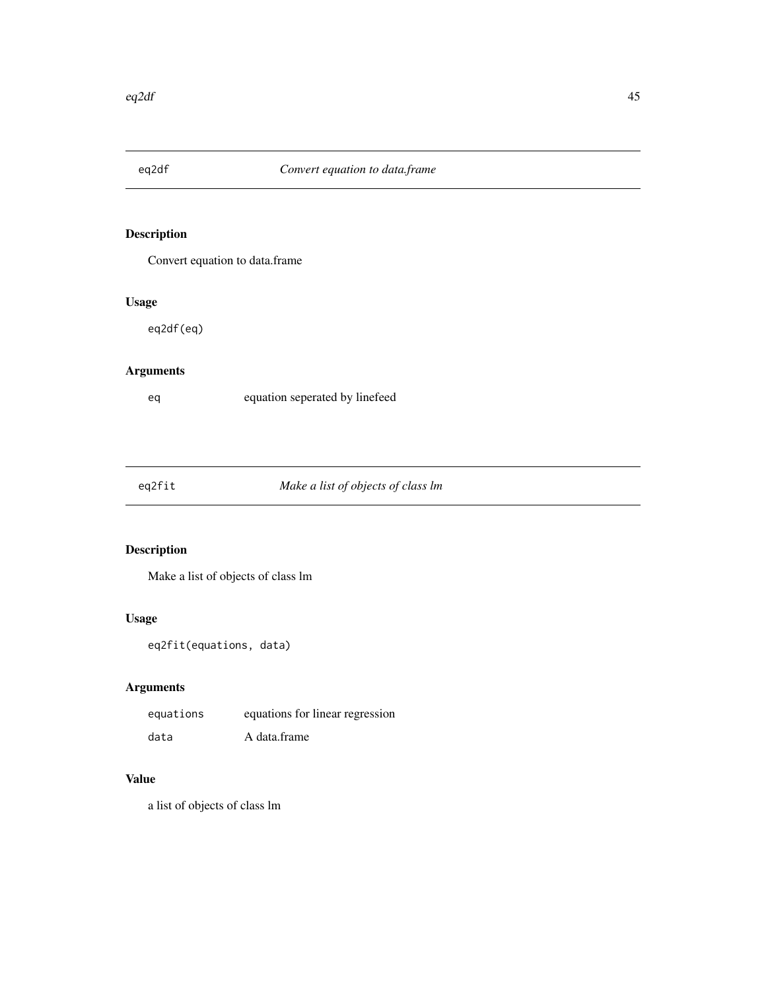Convert equation to data.frame

# Usage

eq2df(eq)

# Arguments

eq equation seperated by linefeed

# Make a list of objects of class lm

# Description

Make a list of objects of class lm

# Usage

eq2fit(equations, data)

## Arguments

| equations | equations for linear regression |
|-----------|---------------------------------|
| data      | A data.frame                    |

# Value

a list of objects of class lm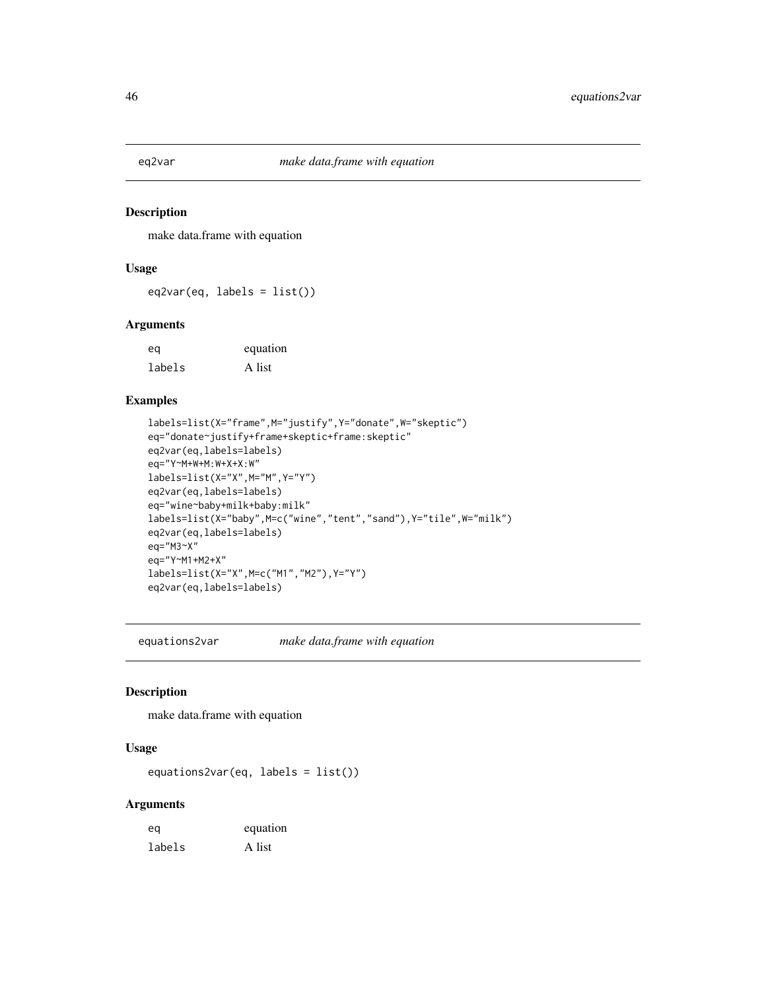make data.frame with equation

## Usage

 $eq2var(eq, labels = list())$ 

### Arguments

eq equation labels A list

## Examples

```
labels=list(X="frame",M="justify",Y="donate",W="skeptic")
eq="donate~justify+frame+skeptic+frame:skeptic"
eq2var(eq,labels=labels)
eq="Y~M+W+M:W+X+X:W"
labels=list(X="X",M="M",Y="Y")
eq2var(eq,labels=labels)
eq="wine~baby+milk+baby:milk"
labels=list(X="baby",M=c("wine","tent","sand"),Y="tile",W="milk")
eq2var(eq,labels=labels)
eq="M3~X"
eq="Y~M1+M2+X"
labels=list(X="X",M=c("M1","M2"),Y="Y")
eq2var(eq,labels=labels)
```
equations2var *make data.frame with equation*

#### Description

make data.frame with equation

#### Usage

equations2var(eq, labels = list())

| eq     | equation |
|--------|----------|
| labels | A list   |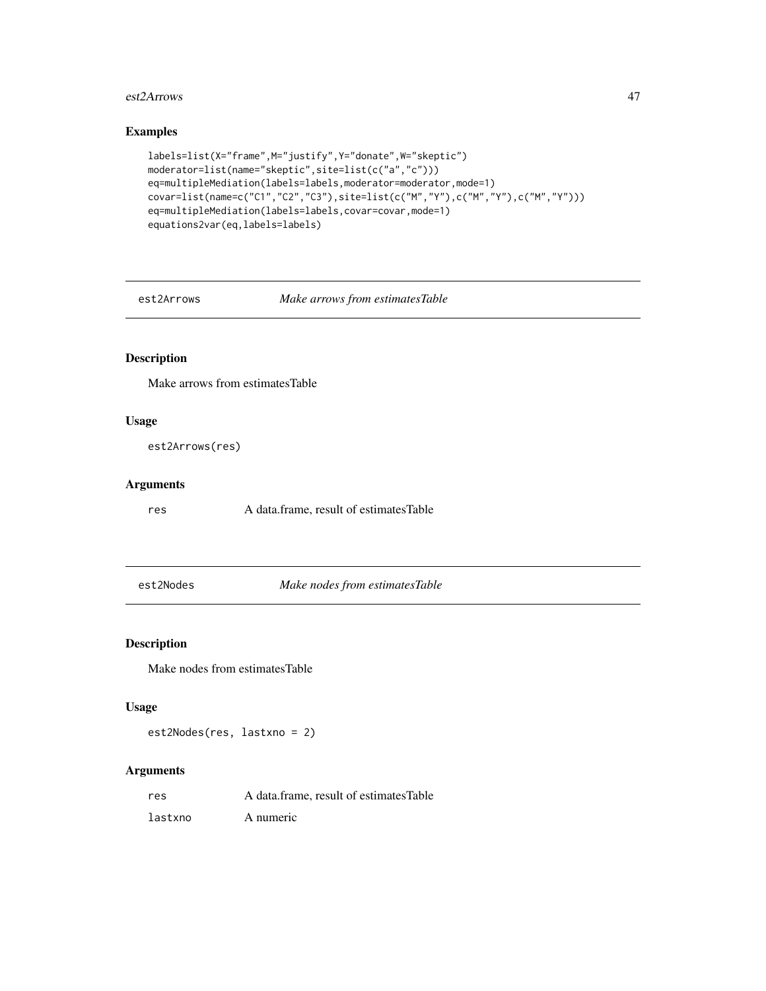#### est2Arrows 47

## Examples

```
labels=list(X="frame",M="justify",Y="donate",W="skeptic")
moderator=list(name="skeptic",site=list(c("a","c")))
eq=multipleMediation(labels=labels,moderator=moderator,mode=1)
covar=list(name=c("C1","C2","C3"),site=list(c("M","Y"),c("M","Y"),c("M","Y")))
eq=multipleMediation(labels=labels,covar=covar,mode=1)
equations2var(eq,labels=labels)
```
est2Arrows *Make arrows from estimatesTable*

# Description

Make arrows from estimatesTable

### Usage

est2Arrows(res)

### Arguments

res A data.frame, result of estimatesTable

est2Nodes *Make nodes from estimatesTable*

## Description

Make nodes from estimatesTable

#### Usage

est2Nodes(res, lastxno = 2)

| res     | A data frame, result of estimates Table |
|---------|-----------------------------------------|
| lastxno | A numeric                               |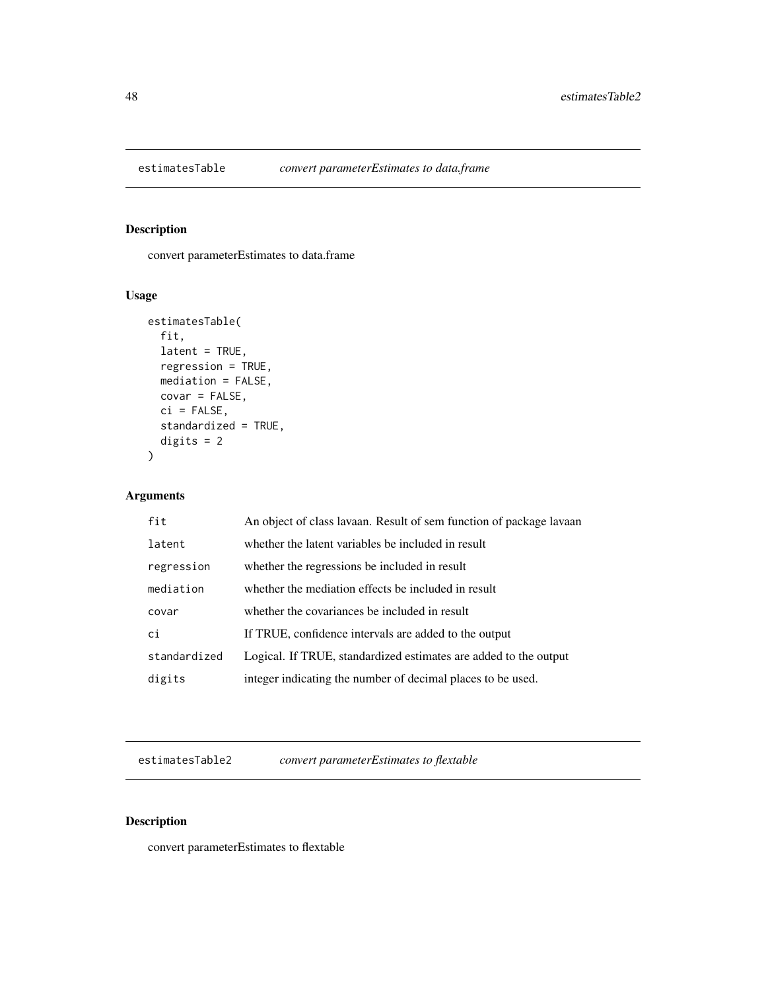convert parameterEstimates to data.frame

## Usage

```
estimatesTable(
  fit,
 latent = TRUE,
 regression = TRUE,
 mediation = FALSE,
 covar = FALSE,
 ci = FALSE,standardized = TRUE,
 digits = 2)
```
## Arguments

| fit          | An object of class lavaan. Result of sem function of package lavaan |
|--------------|---------------------------------------------------------------------|
| latent       | whether the latent variables be included in result                  |
| regression   | whether the regressions be included in result                       |
| mediation    | whether the mediation effects be included in result                 |
| covar        | whether the covariances be included in result                       |
| ci           | If TRUE, confidence intervals are added to the output               |
| standardized | Logical. If TRUE, standardized estimates are added to the output    |
| digits       | integer indicating the number of decimal places to be used.         |

estimatesTable2 *convert parameterEstimates to flextable*

# Description

convert parameterEstimates to flextable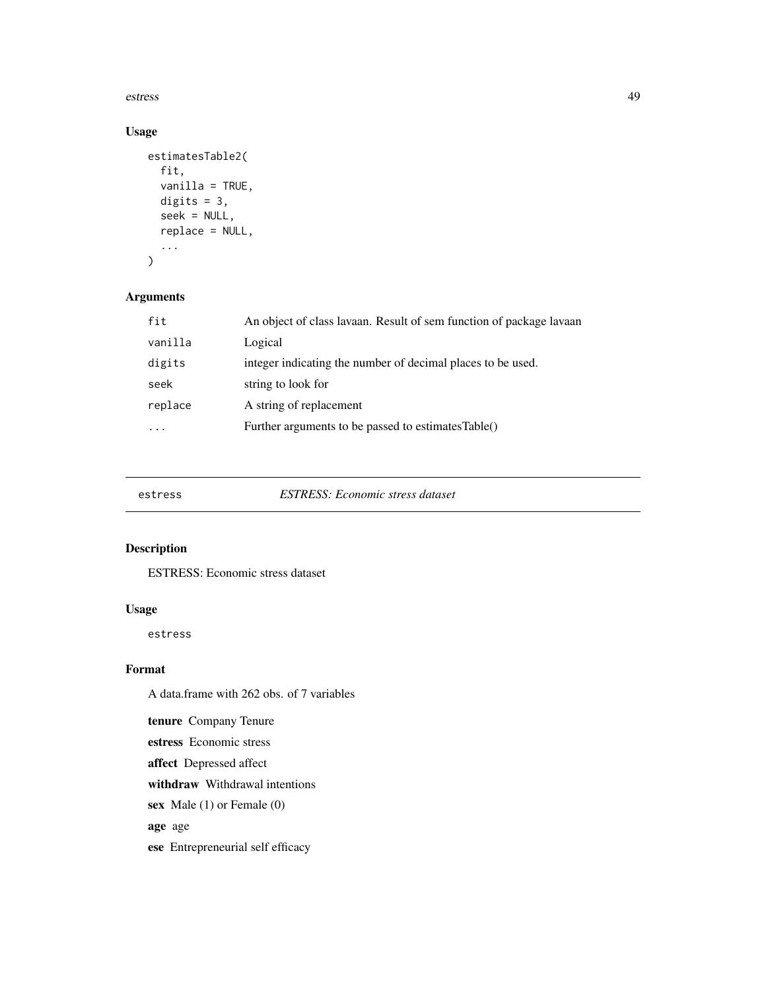estress 49

# Usage

```
estimatesTable2(
  fit,
  vanilla = TRUE,
 digits = 3,
  seek = NULL,
  replace = NULL,
  ...
)
```
## Arguments

| fit     | An object of class lavaan. Result of sem function of package lavaan |
|---------|---------------------------------------------------------------------|
| vanilla | Logical                                                             |
| digits  | integer indicating the number of decimal places to be used.         |
| seek    | string to look for                                                  |
| replace | A string of replacement                                             |
|         | Further arguments to be passed to estimatesTable()                  |

estress *ESTRESS: Economic stress dataset*

## Description

ESTRESS: Economic stress dataset

## Usage

estress

## Format

A data.frame with 262 obs. of 7 variables

tenure Company Tenure

estress Economic stress

affect Depressed affect

withdraw Withdrawal intentions

sex Male (1) or Female (0)

age age

ese Entrepreneurial self efficacy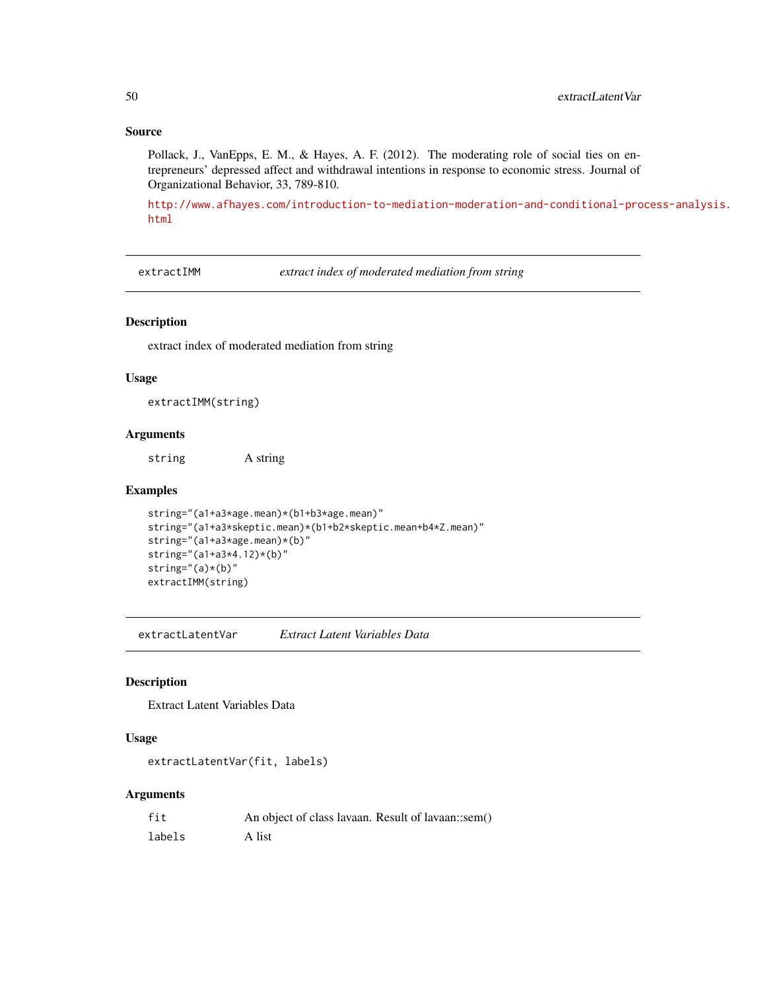## Source

Pollack, J., VanEpps, E. M., & Hayes, A. F. (2012). The moderating role of social ties on entrepreneurs' depressed affect and withdrawal intentions in response to economic stress. Journal of Organizational Behavior, 33, 789-810.

[http://www.afhayes.com/introduction-to-mediation-moderation-and-conditional-pro](http://www.afhayes.com/introduction-to-mediation-moderation-and-conditional-process-analysis.html)cess-analysis. [html](http://www.afhayes.com/introduction-to-mediation-moderation-and-conditional-process-analysis.html)

extractIMM *extract index of moderated mediation from string*

#### Description

extract index of moderated mediation from string

#### Usage

extractIMM(string)

### Arguments

string A string

#### Examples

```
string="(a1+a3*age.mean)*(b1+b3*age.mean)"
string="(a1+a3*skeptic.mean)*(b1+b2*skeptic.mean+b4*Z.mean)"
string="(a1+a3*age.mean)*(b)"
string="(a1+a3*4.12)*(b)"
string="(a)*(b)"
extractIMM(string)
```
extractLatentVar *Extract Latent Variables Data*

### Description

Extract Latent Variables Data

### Usage

```
extractLatentVar(fit, labels)
```

| fit    | An object of class lavaan. Result of lavaan::sem() |
|--------|----------------------------------------------------|
| labels | A list                                             |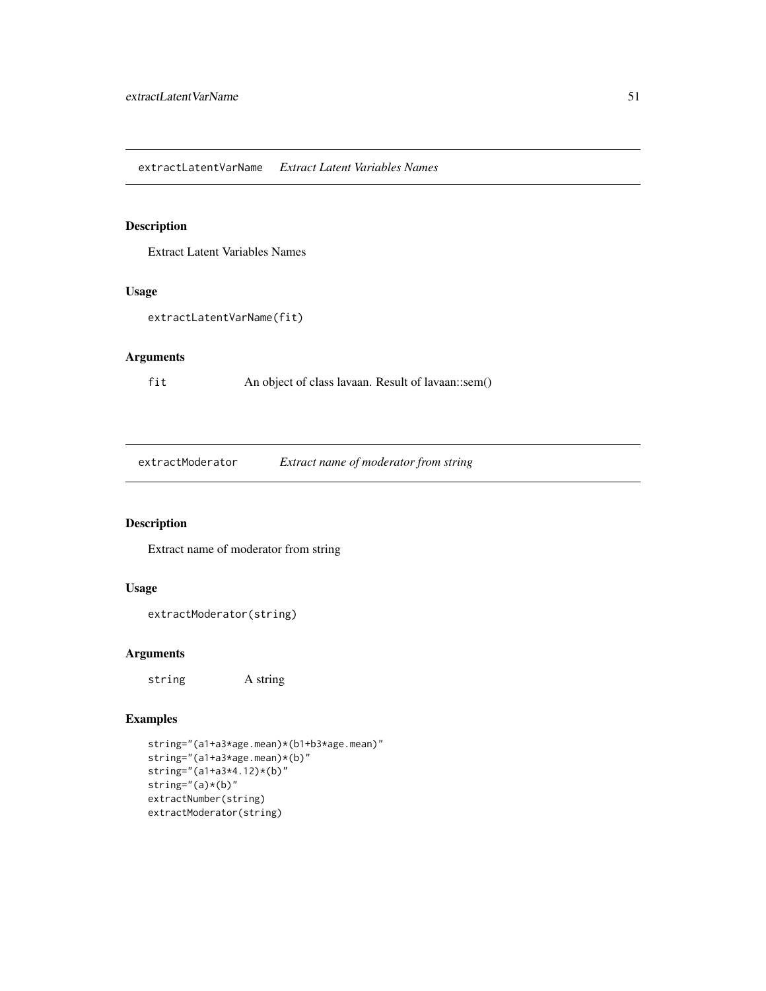Extract Latent Variables Names

#### Usage

```
extractLatentVarName(fit)
```
### Arguments

fit An object of class lavaan. Result of lavaan::sem()

extractModerator *Extract name of moderator from string*

# Description

Extract name of moderator from string

#### Usage

```
extractModerator(string)
```
## Arguments

string A string

```
string="(a1+a3*age.mean)*(b1+b3*age.mean)"
string="(a1+a3*age.mean)*(b)"
string="(a1+a3*4.12)*(b)"
string="(a)*(b)"
extractNumber(string)
extractModerator(string)
```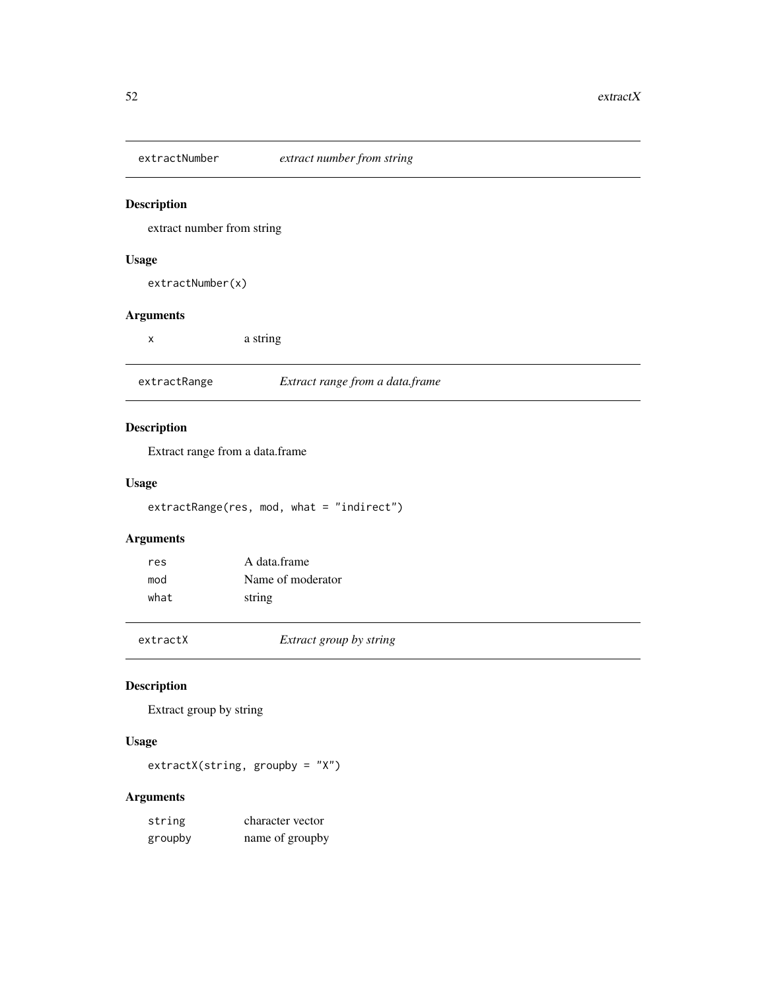extract number from string

### Usage

extractNumber(x)

## Arguments

| $rac{1}{2}$ |  |
|-------------|--|
|             |  |
|             |  |

| extractRange | Extract range from a data.frame |  |  |
|--------------|---------------------------------|--|--|
|--------------|---------------------------------|--|--|

# Description

Extract range from a data.frame

## Usage

extractRange(res, mod, what = "indirect")

# Arguments

| res  | A data frame      |
|------|-------------------|
| mod  | Name of moderator |
| what | string            |

extractX *Extract group by string*

## Description

Extract group by string

## Usage

extractX(string, groupby = "X")

| string  | character vector |
|---------|------------------|
| groupby | name of groupby  |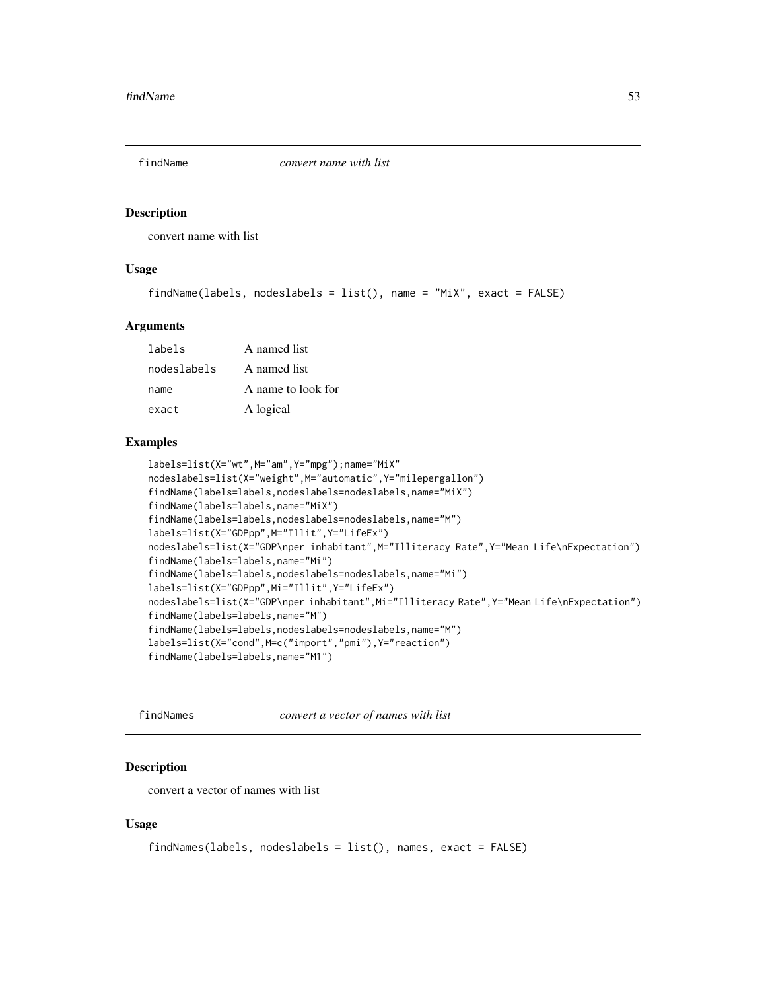convert name with list

## Usage

```
findName(labels, nodeslabels = list(), name = "MiX", exact = FALSE)
```
#### Arguments

| labels      | A named list       |
|-------------|--------------------|
| nodeslabels | A named list       |
| name        | A name to look for |
| exact       | A logical          |

#### Examples

```
labels=list(X="wt",M="am",Y="mpg");name="MiX"
nodeslabels=list(X="weight",M="automatic",Y="milepergallon")
findName(labels=labels,nodeslabels=nodeslabels,name="MiX")
findName(labels=labels,name="MiX")
findName(labels=labels,nodeslabels=nodeslabels,name="M")
labels=list(X="GDPpp",M="Illit",Y="LifeEx")
nodeslabels=list(X="GDP\nper inhabitant",M="Illiteracy Rate",Y="Mean Life\nExpectation")
findName(labels=labels,name="Mi")
findName(labels=labels,nodeslabels=nodeslabels,name="Mi")
labels=list(X="GDPpp",Mi="Illit",Y="LifeEx")
nodeslabels=list(X="GDP\nper inhabitant",Mi="Illiteracy Rate",Y="Mean Life\nExpectation")
findName(labels=labels,name="M")
findName(labels=labels,nodeslabels=nodeslabels,name="M")
labels=list(X="cond",M=c("import","pmi"),Y="reaction")
findName(labels=labels,name="M1")
```
findNames *convert a vector of names with list*

#### Description

convert a vector of names with list

#### Usage

```
findNames(labels, nodeslabels = list(), names, exact = FALSE)
```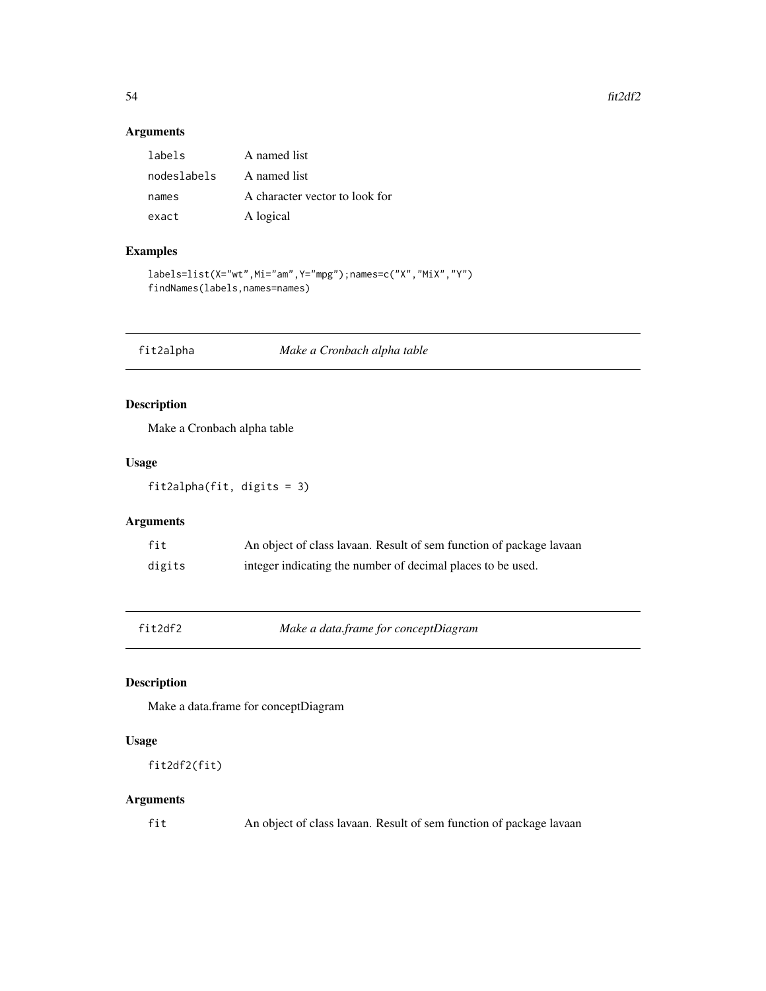#### $54$  fit2df2

### Arguments

| labels      | A named list                   |
|-------------|--------------------------------|
| nodeslabels | A named list                   |
| names       | A character vector to look for |
| exact       | A logical                      |

## Examples

```
labels=list(X="wt",Mi="am",Y="mpg");names=c("X","MiX","Y")
findNames(labels,names=names)
```
fit2alpha *Make a Cronbach alpha table*

## Description

Make a Cronbach alpha table

### Usage

fit2alpha(fit, digits = 3)

## Arguments

| fit    | An object of class lavaan. Result of sem function of package lavaan |
|--------|---------------------------------------------------------------------|
| digits | integer indicating the number of decimal places to be used.         |

fit2df2 *Make a data.frame for conceptDiagram*

## Description

Make a data.frame for conceptDiagram

## Usage

fit2df2(fit)

## Arguments

fit An object of class lavaan. Result of sem function of package lavaan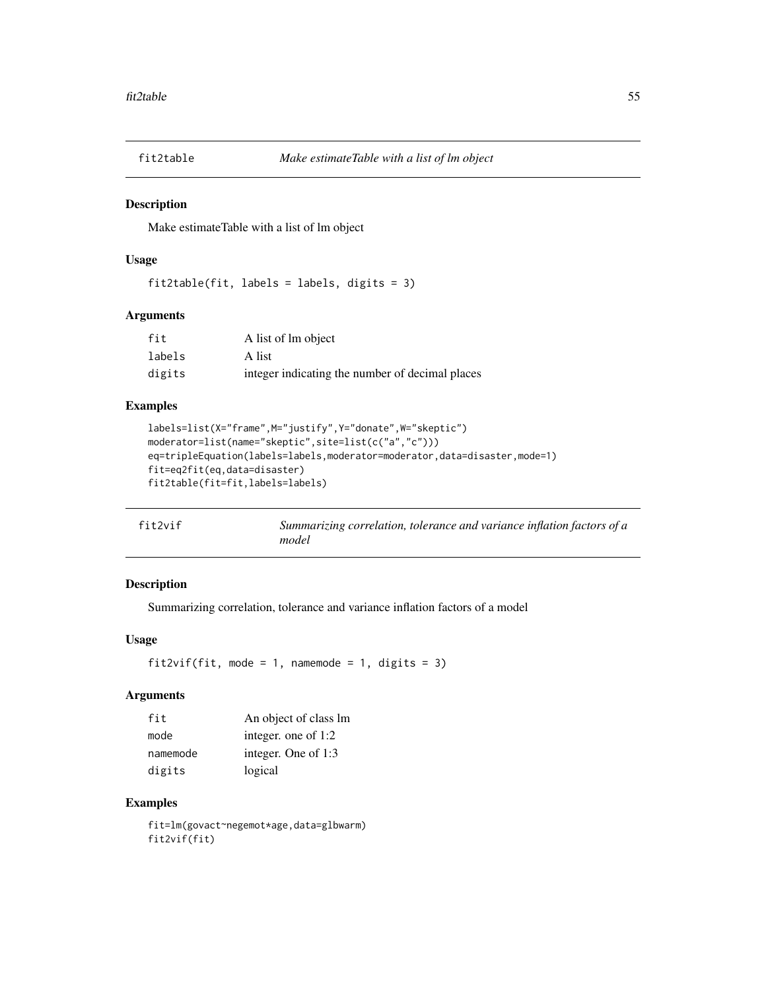Make estimateTable with a list of lm object

### Usage

fit2table(fit, labels = labels, digits = 3)

#### Arguments

| fit    | A list of lm object                             |
|--------|-------------------------------------------------|
| labels | A list                                          |
| digits | integer indicating the number of decimal places |

## Examples

```
labels=list(X="frame",M="justify",Y="donate",W="skeptic")
moderator=list(name="skeptic",site=list(c("a","c")))
eq=tripleEquation(labels=labels,moderator=moderator,data=disaster,mode=1)
fit=eq2fit(eq,data=disaster)
fit2table(fit=fit,labels=labels)
```

| fit2vif | Summarizing correlation, tolerance and variance inflation factors of a |
|---------|------------------------------------------------------------------------|
|         | model                                                                  |

## Description

Summarizing correlation, tolerance and variance inflation factors of a model

## Usage

```
fit2vif(fit, mode = 1, namemode = 1, digits = 3)
```
## Arguments

| fit      | An object of class lm |
|----------|-----------------------|
| mode     | integer. one of 1:2   |
| namemode | integer. One of 1:3   |
| digits   | logical               |

### Examples

fit=lm(govact~negemot\*age,data=glbwarm) fit2vif(fit)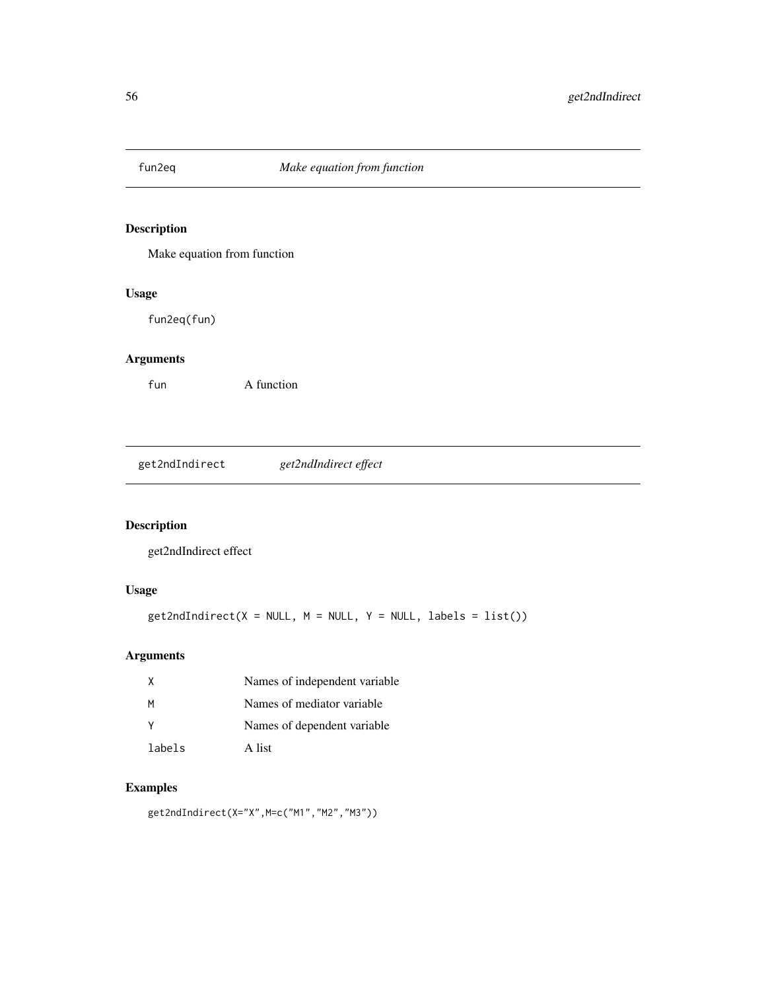Make equation from function

## Usage

fun2eq(fun)

# Arguments

fun A function

get2ndIndirect *get2ndIndirect effect*

# Description

get2ndIndirect effect

## Usage

```
get2ndIndirect(X = NULL, M = NULL, Y = NULL, labels = list())
```
## Arguments

| X      | Names of independent variable |
|--------|-------------------------------|
| M      | Names of mediator variable.   |
| - Y    | Names of dependent variable   |
| labels | A list                        |

# Examples

get2ndIndirect(X="X",M=c("M1","M2","M3"))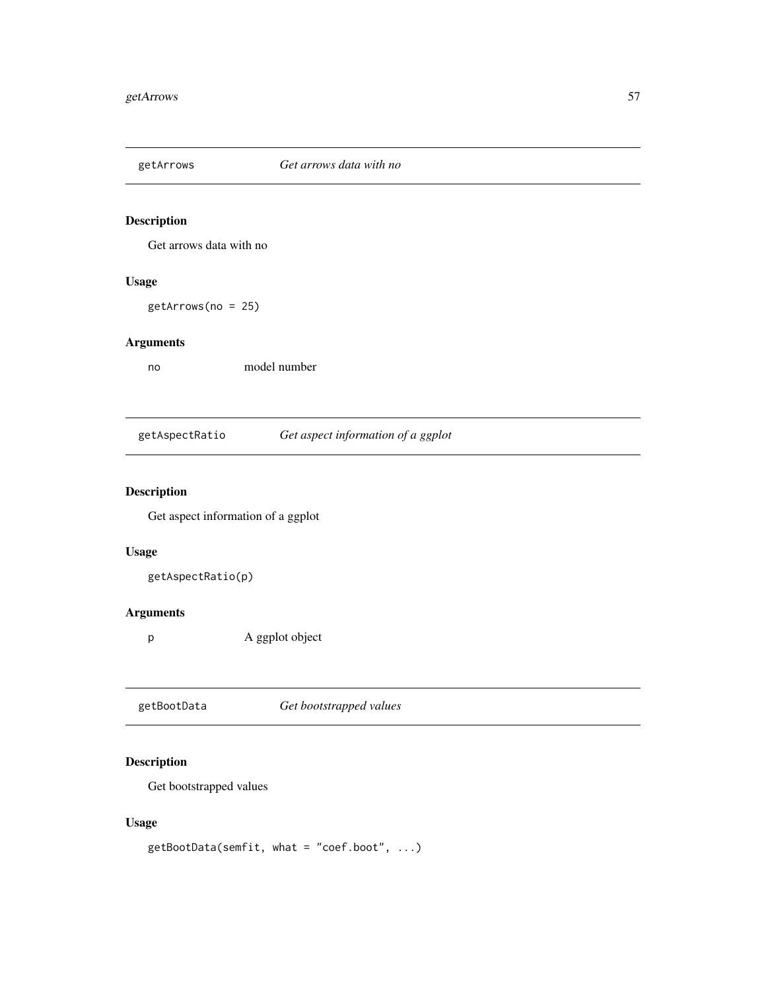Get arrows data with no

## Usage

getArrows(no = 25)

## Arguments

no model number

getAspectRatio *Get aspect information of a ggplot*

# Description

Get aspect information of a ggplot

## Usage

getAspectRatio(p)

# Arguments

p A ggplot object

|--|

## Description

Get bootstrapped values

## Usage

getBootData(semfit, what = "coef.boot", ...)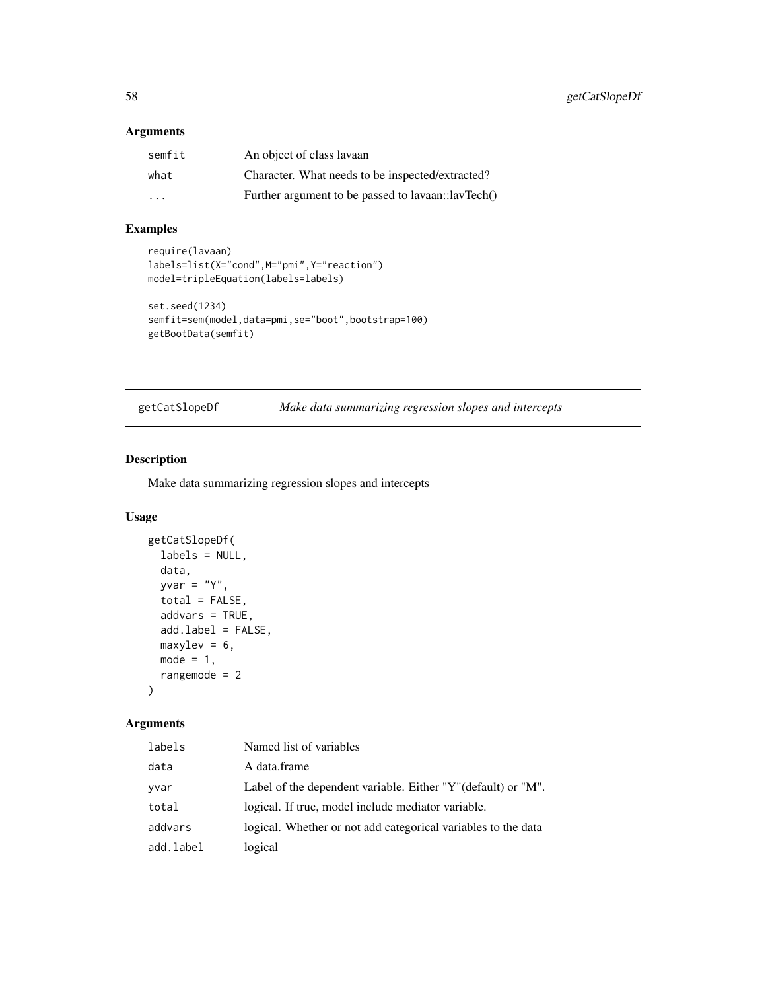### Arguments

| semfit | An object of class lavaan                          |
|--------|----------------------------------------------------|
| what   | Character. What needs to be inspected/extracted?   |
| .      | Further argument to be passed to lavaan::lavTech() |

## Examples

```
require(lavaan)
labels=list(X="cond",M="pmi",Y="reaction")
model=tripleEquation(labels=labels)
```

```
set.seed(1234)
semfit=sem(model,data=pmi,se="boot",bootstrap=100)
getBootData(semfit)
```
getCatSlopeDf *Make data summarizing regression slopes and intercepts*

## Description

Make data summarizing regression slopes and intercepts

# Usage

```
getCatSlopeDf(
  labels = NULL,
  data,
 yvar = "Y",total = FALSE,addvars = TRUE,
  add.label = FALSE,
 maxylev = 6,
 mode = 1,
  rangemode = 2
\lambda
```

| labels    | Named list of variables                                       |
|-----------|---------------------------------------------------------------|
| data      | A data.frame                                                  |
| yvar      | Label of the dependent variable. Either "Y"(default) or "M".  |
| total     | logical. If true, model include mediator variable.            |
| addvars   | logical. Whether or not add categorical variables to the data |
| add.label | logical                                                       |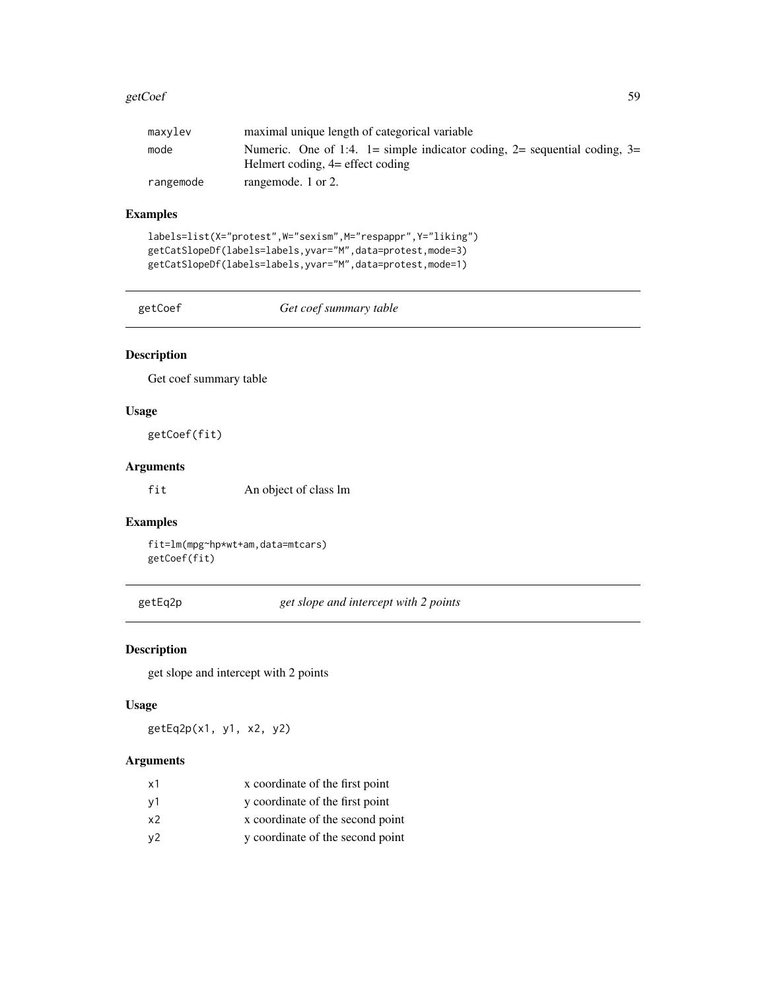#### getCoef 59

| maxylev   | maximal unique length of categorical variable                                                                   |
|-----------|-----------------------------------------------------------------------------------------------------------------|
| mode      | Numeric. One of 1:4. 1= simple indicator coding, 2= sequential coding, 3=<br>Helmert coding, $4=$ effect coding |
| rangemode | rangemode. 1 or 2.                                                                                              |

## Examples

```
labels=list(X="protest",W="sexism",M="respappr",Y="liking")
getCatSlopeDf(labels=labels,yvar="M",data=protest,mode=3)
getCatSlopeDf(labels=labels,yvar="M",data=protest,mode=1)
```
getCoef *Get coef summary table*

## Description

Get coef summary table

### Usage

getCoef(fit)

#### Arguments

fit An object of class lm

## Examples

fit=lm(mpg~hp\*wt+am,data=mtcars) getCoef(fit)

getEq2p *get slope and intercept with 2 points*

### Description

get slope and intercept with 2 points

### Usage

getEq2p(x1, y1, x2, y2)

| x1 | x coordinate of the first point  |
|----|----------------------------------|
| ν1 | y coordinate of the first point  |
| x2 | x coordinate of the second point |
| y2 | y coordinate of the second point |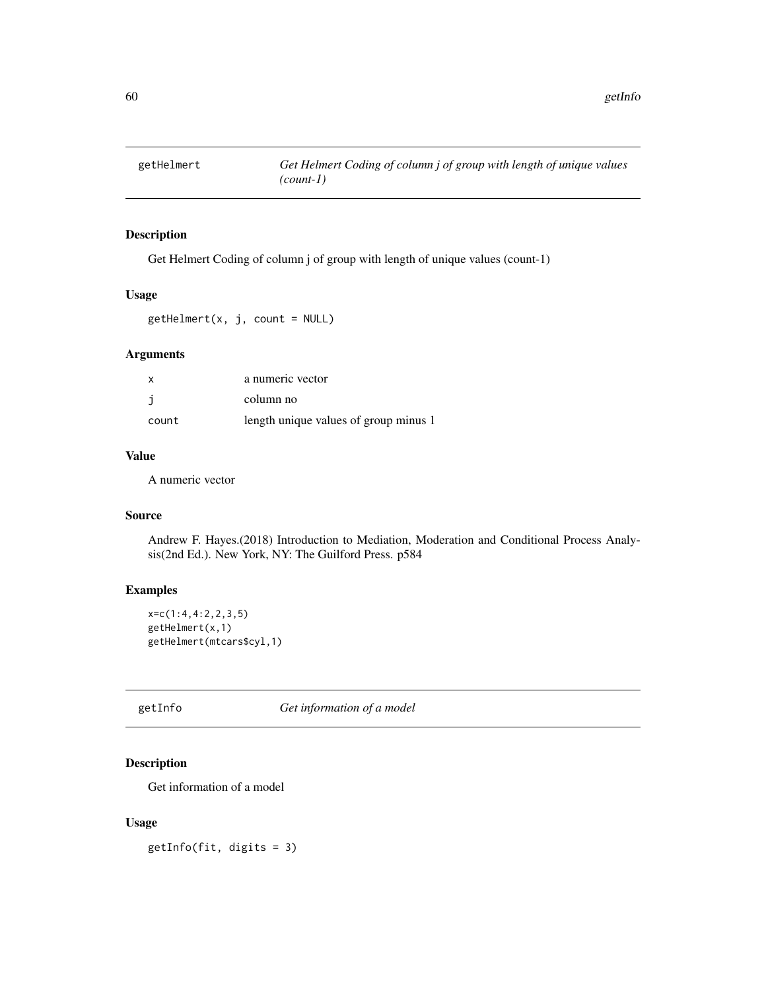Get Helmert Coding of column j of group with length of unique values (count-1)

#### Usage

 $getHelmert(x, j, count = NULL)$ 

## Arguments

| $\boldsymbol{\mathsf{x}}$ | a numeric vector                      |
|---------------------------|---------------------------------------|
|                           | column no                             |
| count                     | length unique values of group minus 1 |

### Value

A numeric vector

### Source

Andrew F. Hayes.(2018) Introduction to Mediation, Moderation and Conditional Process Analysis(2nd Ed.). New York, NY: The Guilford Press. p584

## Examples

```
x=c(1:4,4:2,2,3,5)
getHelmert(x,1)
getHelmert(mtcars$cyl,1)
```
getInfo *Get information of a model*

## Description

Get information of a model

#### Usage

getInfo(fit, digits = 3)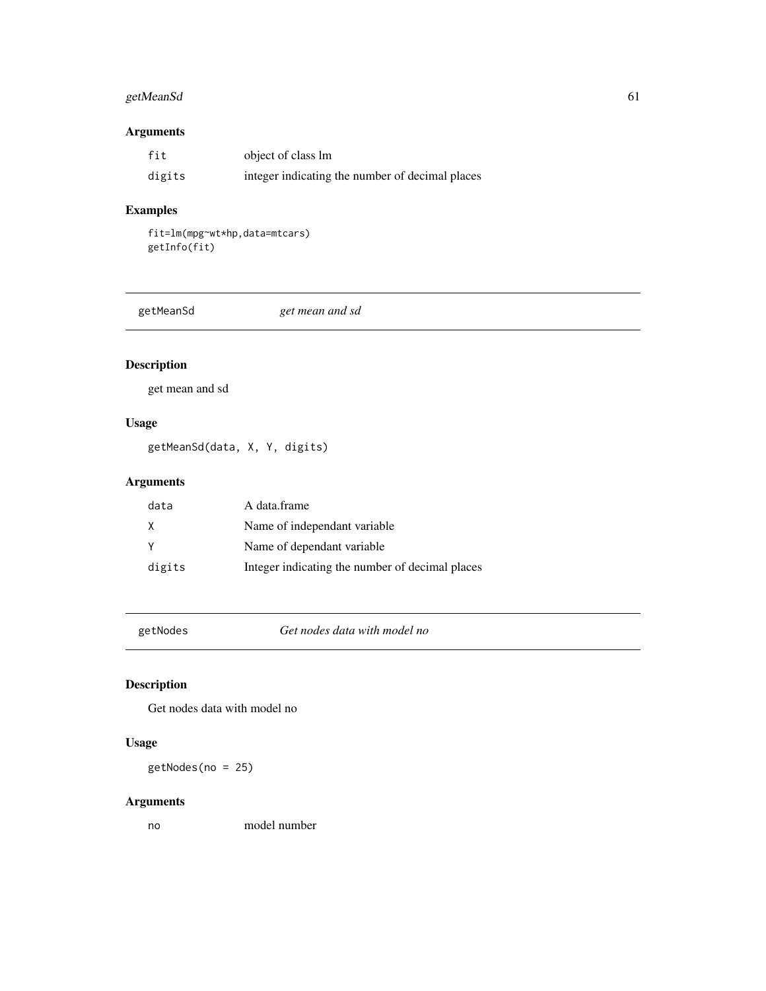# getMeanSd 61

## Arguments

| fit    | object of class lm                              |
|--------|-------------------------------------------------|
| digits | integer indicating the number of decimal places |

# Examples

```
fit=lm(mpg~wt*hp,data=mtcars)
getInfo(fit)
```

|--|

# Description

get mean and sd

## Usage

getMeanSd(data, X, Y, digits)

# Arguments

| data   | A data.frame                                    |
|--------|-------------------------------------------------|
| X      | Name of independant variable.                   |
|        | Name of dependant variable.                     |
| digits | Integer indicating the number of decimal places |

getNodes *Get nodes data with model no*

# Description

Get nodes data with model no

# Usage

getNodes(no = 25)

## Arguments

no model number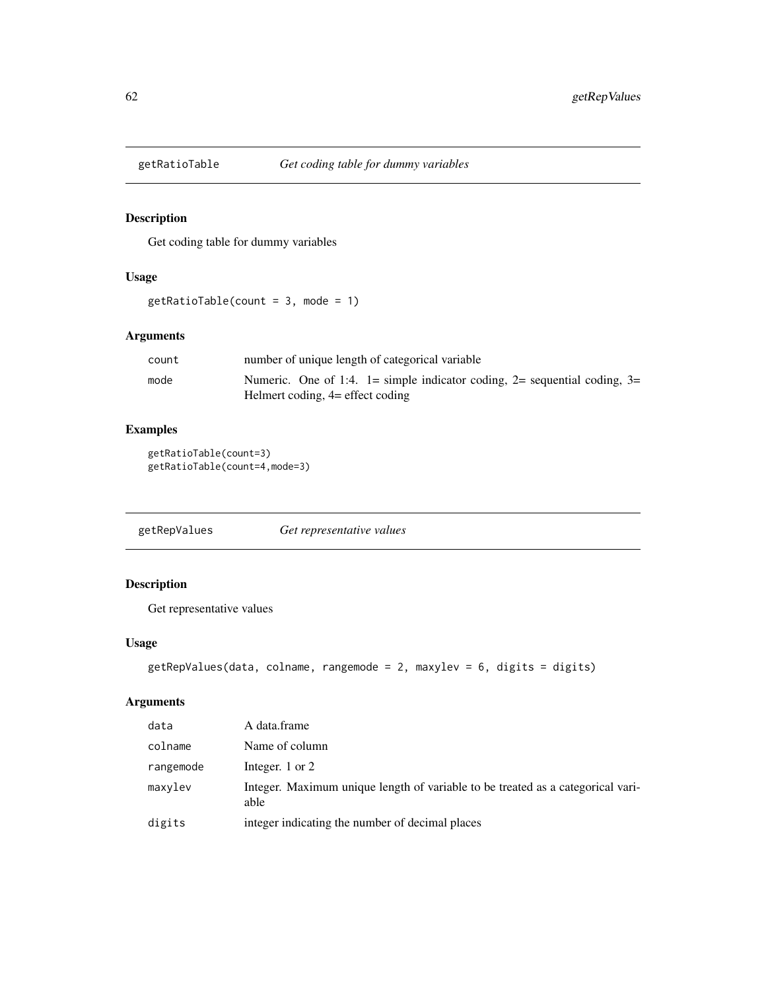Get coding table for dummy variables

### Usage

```
getRatioTable(count = 3, mode = 1)
```
## Arguments

| count | number of unique length of categorical variable                           |
|-------|---------------------------------------------------------------------------|
| mode  | Numeric. One of 1:4. 1= simple indicator coding, 2= sequential coding, 3= |
|       | Helmert coding, 4= effect coding                                          |

## Examples

```
getRatioTable(count=3)
getRatioTable(count=4,mode=3)
```
getRepValues *Get representative values*

## Description

Get representative values

### Usage

```
getRepValues(data, colname, rangemode = 2, maxylev = 6, digits = digits)
```

| data      | A data.frame                                                                            |
|-----------|-----------------------------------------------------------------------------------------|
| colname   | Name of column                                                                          |
| rangemode | Integer, $1$ or $2$                                                                     |
| maxvlev   | Integer. Maximum unique length of variable to be treated as a categorical vari-<br>able |
| digits    | integer indicating the number of decimal places                                         |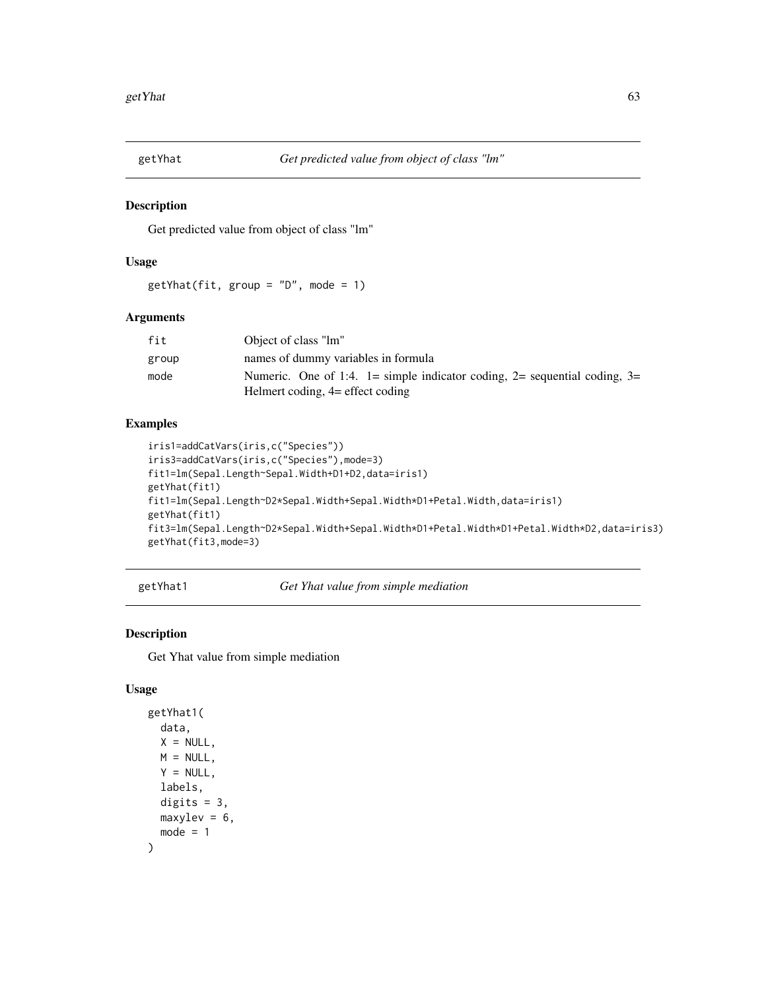Get predicted value from object of class "lm"

## Usage

 $getYhat(fit, group = "D", mode = 1)$ 

## Arguments

| fit   | Object of class "lm"                                                      |
|-------|---------------------------------------------------------------------------|
| group | names of dummy variables in formula                                       |
| mode  | Numeric. One of 1:4. 1= simple indicator coding, 2= sequential coding, 3= |
|       | Helmert coding, $4=$ effect coding                                        |

## Examples

```
iris1=addCatVars(iris,c("Species"))
iris3=addCatVars(iris,c("Species"),mode=3)
fit1=lm(Sepal.Length~Sepal.Width+D1+D2,data=iris1)
getYhat(fit1)
fit1=lm(Sepal.Length~D2*Sepal.Width+Sepal.Width*D1+Petal.Width,data=iris1)
getYhat(fit1)
fit3=lm(Sepal.Length~D2*Sepal.Width+Sepal.Width*D1+Petal.Width*D1+Petal.Width*D2,data=iris3)
getYhat(fit3,mode=3)
```
getYhat1 *Get Yhat value from simple mediation*

## Description

Get Yhat value from simple mediation

## Usage

```
getYhat1(
 data,
 X = NULL,M = NULL,Y = NULLlabels,
 digits = 3,
 maxylev = 6,
 mode = 1)
```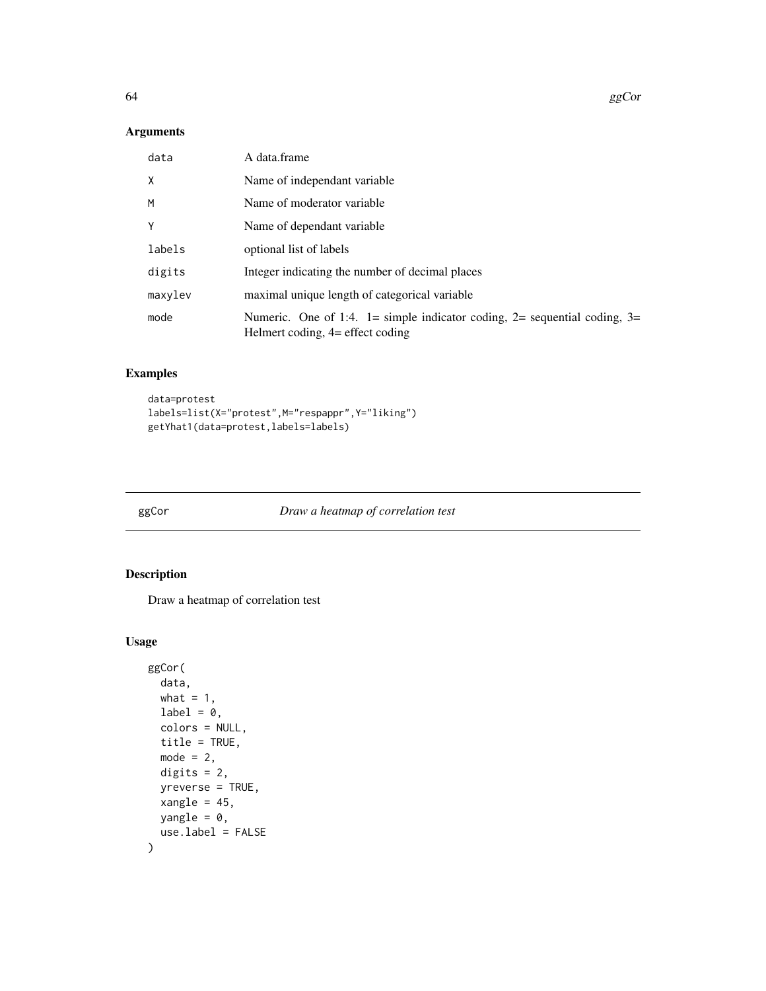## Arguments

| data    | A data.frame                                                                                                   |
|---------|----------------------------------------------------------------------------------------------------------------|
| X       | Name of independant variable                                                                                   |
| M       | Name of moderator variable                                                                                     |
| Y       | Name of dependant variable                                                                                     |
| labels  | optional list of labels                                                                                        |
| digits  | Integer indicating the number of decimal places                                                                |
| maxylev | maximal unique length of categorical variable                                                                  |
| mode    | Numeric. One of 1:4. 1= simple indicator coding, 2= sequential coding, 3=<br>Helmert coding, 4 = effect coding |

## Examples

```
data=protest
labels=list(X="protest",M="respappr",Y="liking")
getYhat1(data=protest,labels=labels)
```
ggCor *Draw a heatmap of correlation test*

# Description

Draw a heatmap of correlation test

## Usage

```
ggCor(
 data,
 what = 1,
 label = 0,colors = NULL,
 title = TRUE,
 mode = 2,
 digits = 2,
 yreverse = TRUE,
  xangle = 45,
 yangle = 0,
  use.label = FALSE
\mathcal{L}
```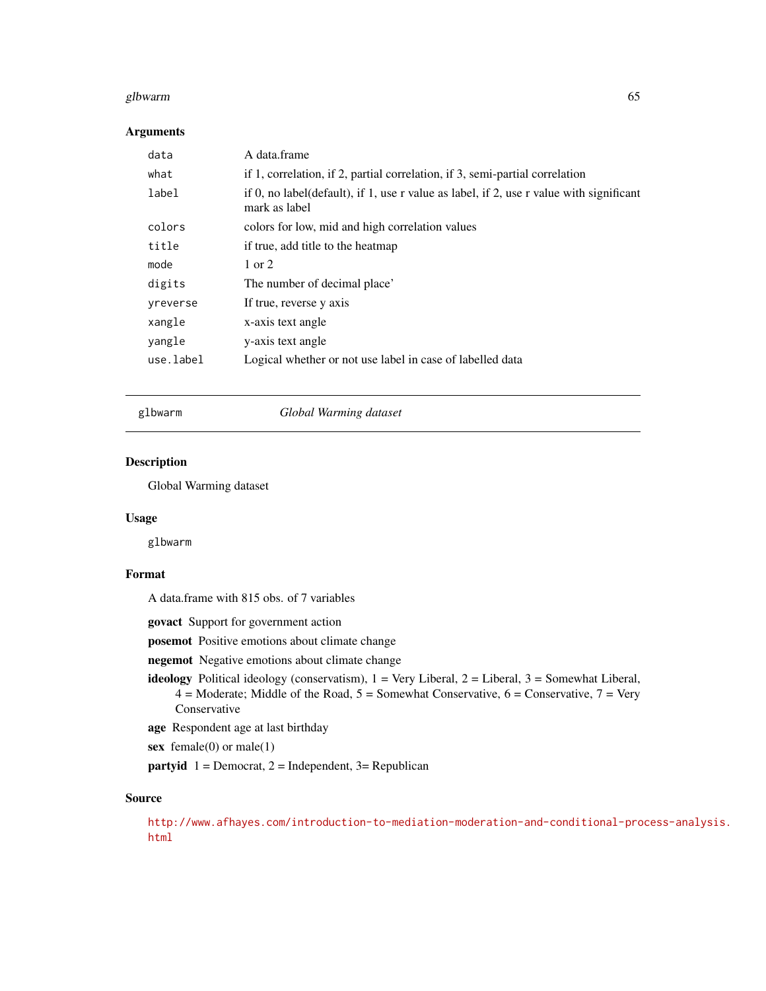#### glbwarm 65

### Arguments

| data      | A data.frame                                                                                             |
|-----------|----------------------------------------------------------------------------------------------------------|
| what      | if 1, correlation, if 2, partial correlation, if 3, semi-partial correlation                             |
| label     | if 0, no label(default), if 1, use r value as label, if 2, use r value with significant<br>mark as label |
| colors    | colors for low, mid and high correlation values                                                          |
| title     | if true, add title to the heatmap                                                                        |
| mode      | 1 or 2                                                                                                   |
| digits    | The number of decimal place'                                                                             |
| yreverse  | If true, reverse y axis                                                                                  |
| xangle    | x-axis text angle                                                                                        |
| yangle    | y-axis text angle                                                                                        |
| use.label | Logical whether or not use label in case of labelled data                                                |
|           |                                                                                                          |

## glbwarm *Global Warming dataset*

## Description

Global Warming dataset

#### Usage

glbwarm

## Format

A data.frame with 815 obs. of 7 variables

govact Support for government action

posemot Positive emotions about climate change

negemot Negative emotions about climate change

ideology Political ideology (conservatism),  $1 = \text{Very Liberal}, 2 = \text{Liberal}, 3 = \text{Somewhat Liberal},$  $4 =$  Moderate; Middle of the Road,  $5 =$  Somewhat Conservative,  $6 =$  Conservative,  $7 =$  Very Conservative

age Respondent age at last birthday

sex female(0) or male(1)

**partyid**  $1 =$  Democrat,  $2 =$  Independent,  $3 =$  Republican

## Source

[http://www.afhayes.com/introduction-to-mediation-moderation-and-conditional-pro](http://www.afhayes.com/introduction-to-mediation-moderation-and-conditional-process-analysis.html)cess-analysis. [html](http://www.afhayes.com/introduction-to-mediation-moderation-and-conditional-process-analysis.html)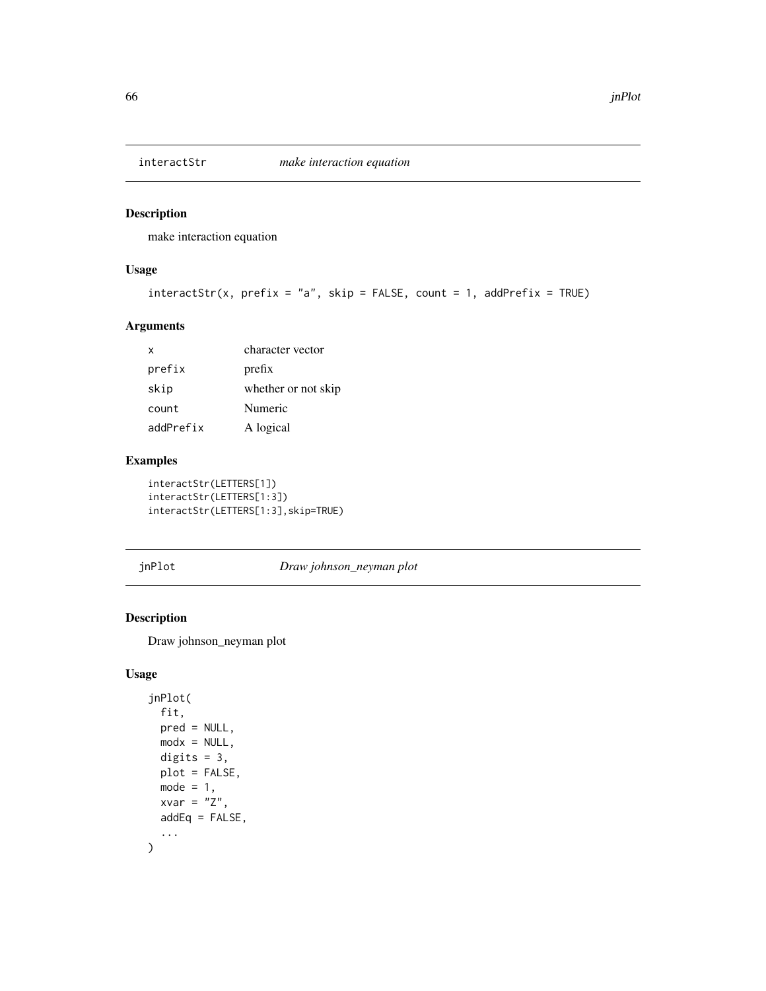make interaction equation

## Usage

```
interactstr(x, prefix = "a", skip = FALSE, count = 1, addPrefix = TRUE)
```
## Arguments

| x         | character vector    |
|-----------|---------------------|
| prefix    | prefix              |
| skip      | whether or not skip |
| count     | Numeric             |
| addPrefix | A logical           |

## Examples

interactStr(LETTERS[1]) interactStr(LETTERS[1:3]) interactStr(LETTERS[1:3],skip=TRUE)

jnPlot *Draw johnson\_neyman plot*

## Description

Draw johnson\_neyman plot

## Usage

```
jnPlot(
  fit,
 pred = NULL,
 modx = NULL,digits = 3,
 plot = FALSE,
 mode = 1,
 xvar = "Z",addEq = FALSE,...
\mathcal{L}
```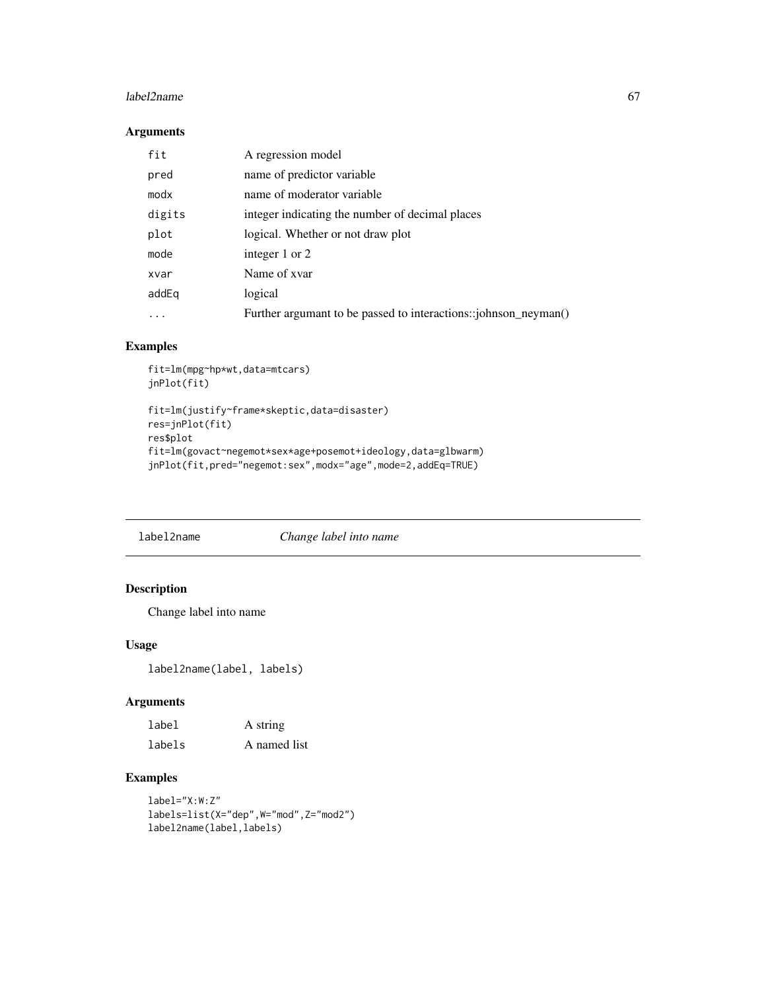#### $labeled2name$  67

## Arguments

| fit    | A regression model                                              |
|--------|-----------------------------------------------------------------|
| pred   | name of predictor variable                                      |
| modx   | name of moderator variable                                      |
| digits | integer indicating the number of decimal places                 |
| plot   | logical. Whether or not draw plot                               |
| mode   | integer 1 or 2                                                  |
| xvar   | Name of xvar                                                    |
| addEg  | logical                                                         |
|        | Further argumant to be passed to interactions::johnson_neyman() |

## Examples

```
fit=lm(mpg~hp*wt,data=mtcars)
jnPlot(fit)
```

```
fit=lm(justify~frame*skeptic,data=disaster)
res=jnPlot(fit)
res$plot
fit=lm(govact~negemot*sex*age+posemot+ideology,data=glbwarm)
jnPlot(fit,pred="negemot:sex",modx="age",mode=2,addEq=TRUE)
```
label2name *Change label into name*

## Description

Change label into name

## Usage

label2name(label, labels)

# Arguments

| label  | A string     |
|--------|--------------|
| labels | A named list |

```
label="X:W:Z"
labels=list(X="dep",W="mod",Z="mod2")
label2name(label,labels)
```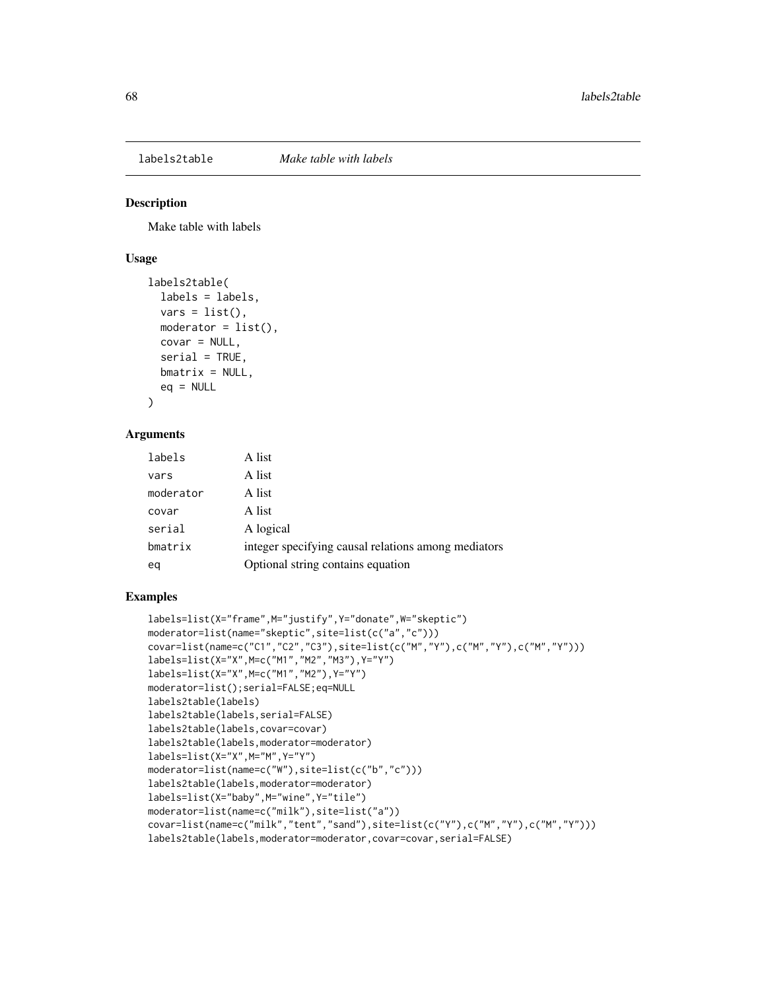Make table with labels

#### Usage

```
labels2table(
  labels = labels,
  vars = list(),
  moderator = list(),
  covar = NULL,serial = TRUE,
 bmatrix = NULL,
  eq = NULL)
```
# Arguments

| labels    | A list                                              |
|-----------|-----------------------------------------------------|
| vars      | A list                                              |
| moderator | A list                                              |
| covar     | A list                                              |
| serial    | A logical                                           |
| bmatrix   | integer specifying causal relations among mediators |
| eq        | Optional string contains equation                   |

```
labels=list(X="frame",M="justify",Y="donate",W="skeptic")
moderator=list(name="skeptic",site=list(c("a","c")))
covar=list(name=c("C1","C2","C3"),site=list(c("M","Y"),c("M","Y"),c("M","Y")))
labels=list(X="X",M=c("M1","M2","M3"),Y="Y")
labels=list(X="X",M=c("M1","M2"),Y="Y")
moderator=list();serial=FALSE;eq=NULL
labels2table(labels)
labels2table(labels,serial=FALSE)
labels2table(labels,covar=covar)
labels2table(labels,moderator=moderator)
labels=list(X="X",M="M",Y="Y")
moderator=list(name=c("W"),site=list(c("b","c")))
labels2table(labels,moderator=moderator)
labels=list(X="baby",M="wine",Y="tile")
moderator=list(name=c("milk"),site=list("a"))
covar=list(name=c("milk","tent","sand"),site=list(c("Y"),c("M","Y"),c("M","Y")))
labels2table(labels,moderator=moderator,covar=covar,serial=FALSE)
```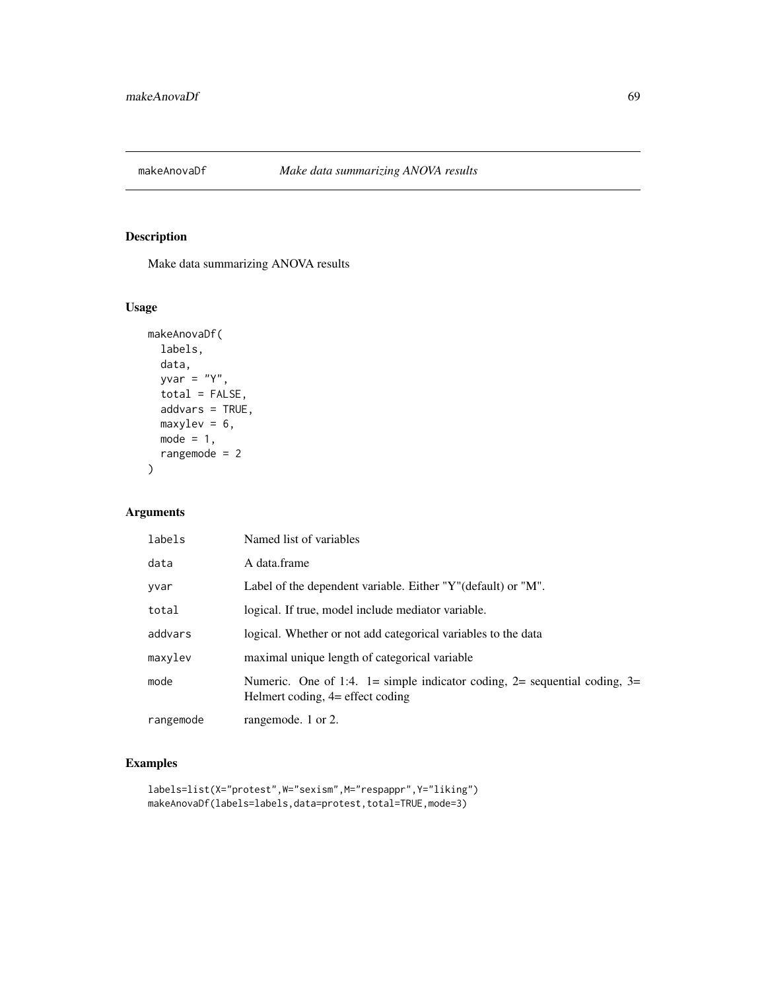Make data summarizing ANOVA results

## Usage

```
makeAnovaDf(
  labels,
 data,
 yvar = "Y",total = FALSE,addvars = TRUE,
 maxylev = 6,
 mode = 1,
  rangemode = 2
\mathcal{L}
```
## Arguments

| labels    | Named list of variables                                                                                       |
|-----------|---------------------------------------------------------------------------------------------------------------|
| data      | A data.frame                                                                                                  |
| yvar      | Label of the dependent variable. Either "Y" (default) or "M".                                                 |
| total     | logical. If true, model include mediator variable.                                                            |
| addvars   | logical. Whether or not add categorical variables to the data                                                 |
| maxylev   | maximal unique length of categorical variable                                                                 |
| mode      | Numeric. One of 1:4. 1= simple indicator coding, 2= sequential coding, 3=<br>Helmert coding, 4= effect coding |
| rangemode | rangemode. 1 or 2.                                                                                            |

```
labels=list(X="protest",W="sexism",M="respappr",Y="liking")
makeAnovaDf(labels=labels,data=protest,total=TRUE,mode=3)
```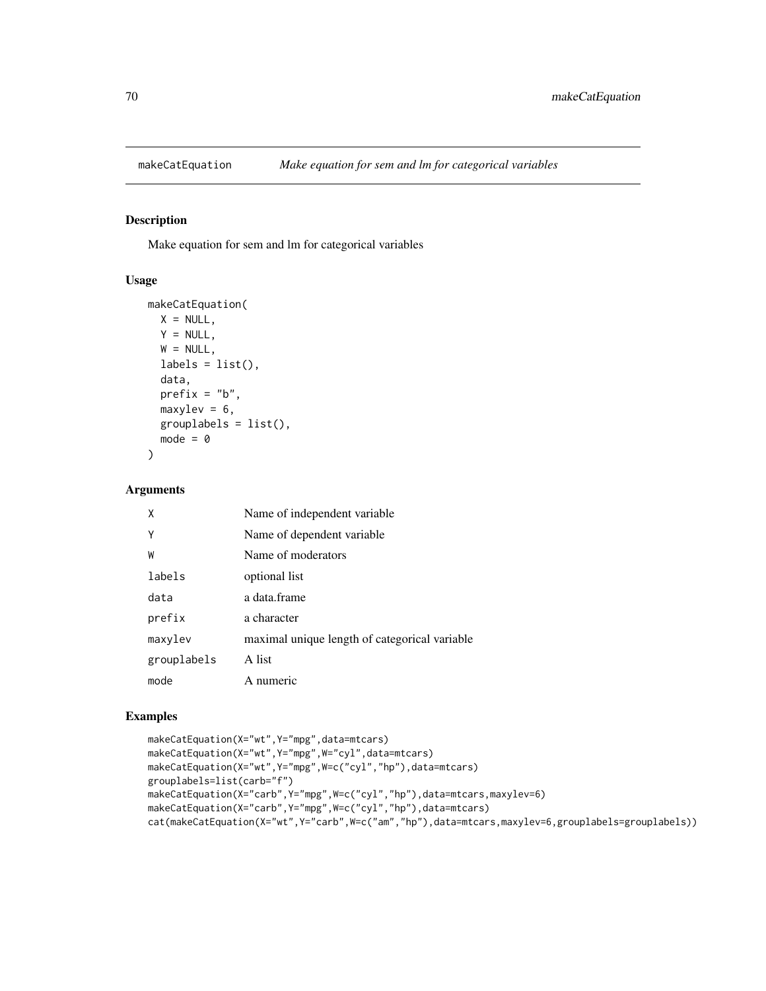Make equation for sem and lm for categorical variables

#### Usage

```
makeCatEquation(
 X = NULL,Y = NULL,W = NULL,labels = list(),data,
 prefix = "b",maxylev = 6,
  grouplabels = list(),
  mode = 0\mathcal{E}
```
### Arguments

| X           | Name of independent variable                  |
|-------------|-----------------------------------------------|
| Y           | Name of dependent variable                    |
| W           | Name of moderators                            |
| labels      | optional list                                 |
| data        | a data.frame                                  |
| prefix      | a character                                   |
| maxylev     | maximal unique length of categorical variable |
| grouplabels | A list                                        |
| mode        | A numeric                                     |

```
makeCatEquation(X="wt",Y="mpg",data=mtcars)
makeCatEquation(X="wt",Y="mpg",W="cyl",data=mtcars)
makeCatEquation(X="wt",Y="mpg",W=c("cyl","hp"),data=mtcars)
grouplabels=list(carb="f")
makeCatEquation(X="carb",Y="mpg",W=c("cyl","hp"),data=mtcars,maxylev=6)
makeCatEquation(X="carb",Y="mpg",W=c("cyl","hp"),data=mtcars)
cat(makeCatEquation(X="wt",Y="carb",W=c("am","hp"),data=mtcars,maxylev=6,grouplabels=grouplabels))
```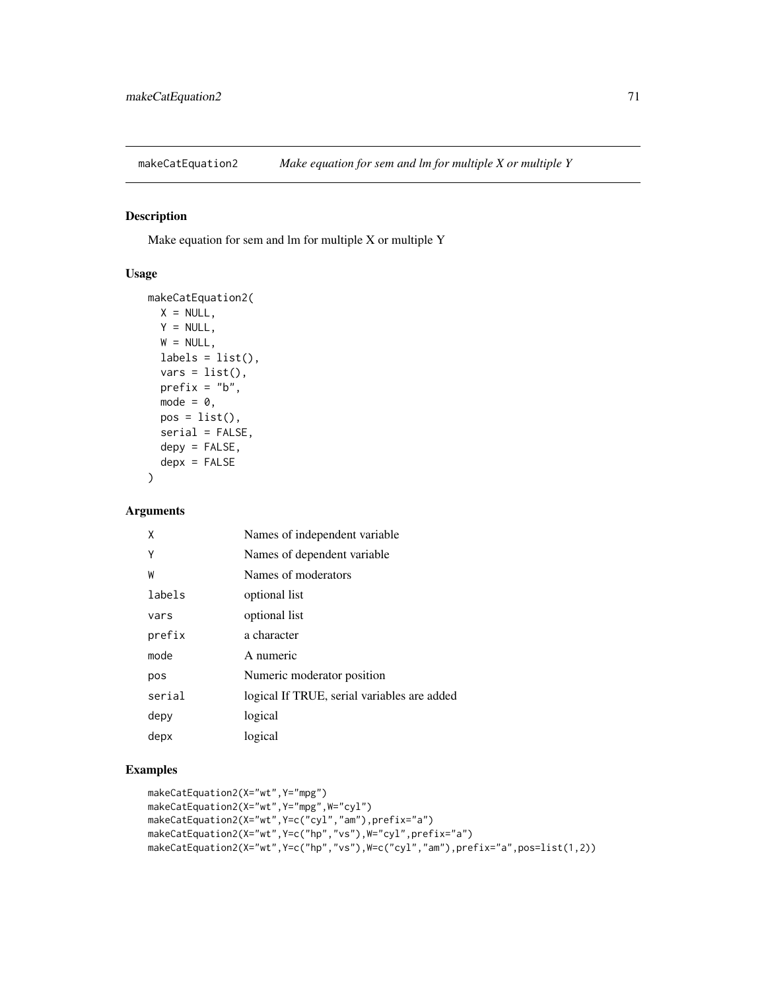Make equation for sem and lm for multiple X or multiple Y

### Usage

```
makeCatEquation2(
 X = NULL,Y = NULL,W = NULL,labels = list(),vars = list(),prefix = "b",mode = 0,pos = list(),serial = FALSE,depy = FALSE,
  depx = FALSE)
```
## Arguments

| χ      | Names of independent variable               |
|--------|---------------------------------------------|
| Υ      | Names of dependent variable                 |
| W      | Names of moderators                         |
| labels | optional list                               |
| vars   | optional list                               |
| prefix | a character                                 |
| mode   | A numeric                                   |
| pos    | Numeric moderator position                  |
| serial | logical If TRUE, serial variables are added |
| depy   | logical                                     |
| depx   | logical                                     |

```
makeCatEquation2(X="wt",Y="mpg")
makeCatEquation2(X="wt",Y="mpg",W="cyl")
makeCatEquation2(X="wt",Y=c("cyl","am"),prefix="a")
makeCatEquation2(X="wt",Y=c("hp","vs"),W="cyl",prefix="a")
makeCatEquation2(X="wt",Y=c("hp","vs"),W=c("cyl","am"),prefix="a",pos=list(1,2))
```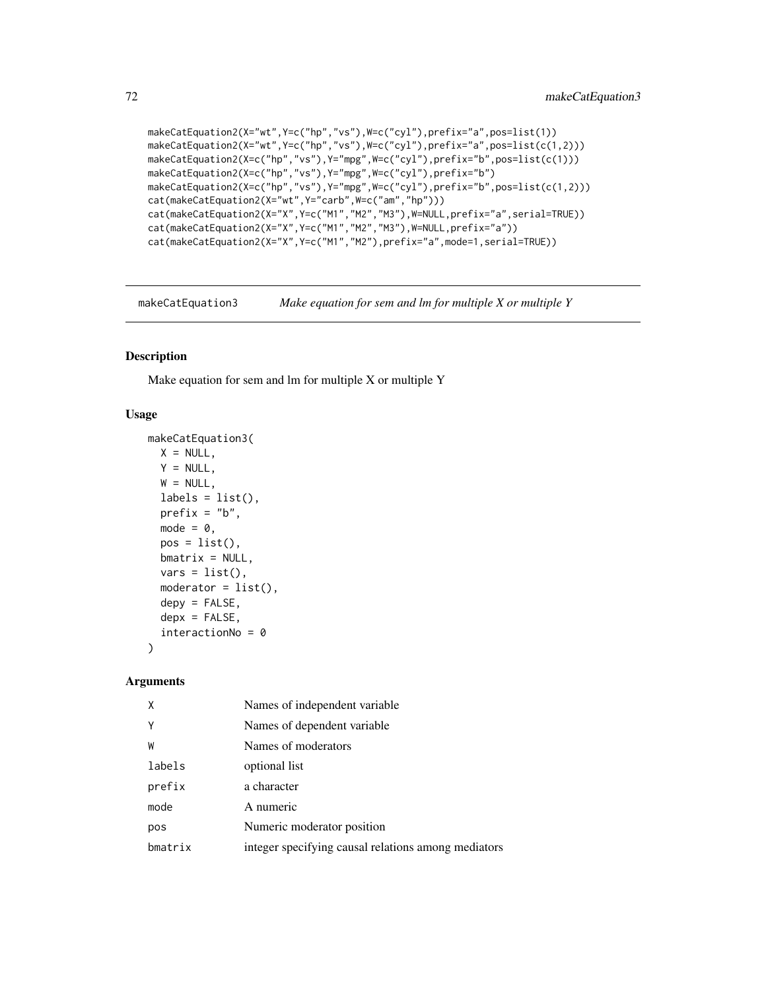```
makeCatEquation2(X="wt",Y=c("hp","vs"),W=c("cyl"),prefix="a",pos=list(1))
makeCatEquation2(X="wt",Y=c("hp","vs"),W=c("cyl"),prefix="a",pos=list(c(1,2)))
makeCatEquation2(X=c("hp","vs"),Y="mpg",W=c("cyl"),prefix="b",pos=list(c(1)))
makeCatEquation2(X=c("hp","vs"),Y="mpg",W=c("cyl"),prefix="b")
makeCatEquation2(X=c("hp","vs"),Y="mpg",W=c("cyl"),prefix="b",pos=list(c(1,2)))
cat(makeCatEquation2(X="wt",Y="carb",W=c("am","hp")))
cat(makeCatEquation2(X="X",Y=c("M1","M2","M3"),W=NULL,prefix="a",serial=TRUE))
cat(makeCatEquation2(X="X",Y=c("M1","M2","M3"),W=NULL,prefix="a"))
cat(makeCatEquation2(X="X",Y=c("M1","M2"),prefix="a",mode=1,serial=TRUE))
```
makeCatEquation3 *Make equation for sem and lm for multiple X or multiple Y*

#### **Description**

Make equation for sem and lm for multiple X or multiple Y

#### Usage

```
makeCatEquation3(
 X = NULL,Y = NULL,W = NULL,labels = list(),
  prefix = "b",mode = 0,
  pos = list(),bm{r} = NULL,
  vars = list(),moderator = list(),
  depy = FALSE,
  depx = FALSE,
  interactionNo = 0
\lambda
```

| X       | Names of independent variable                       |
|---------|-----------------------------------------------------|
| Υ       | Names of dependent variable.                        |
| W       | Names of moderators                                 |
| labels  | optional list                                       |
| prefix  | a character                                         |
| mode    | A numeric                                           |
| pos     | Numeric moderator position                          |
| bmatrix | integer specifying causal relations among mediators |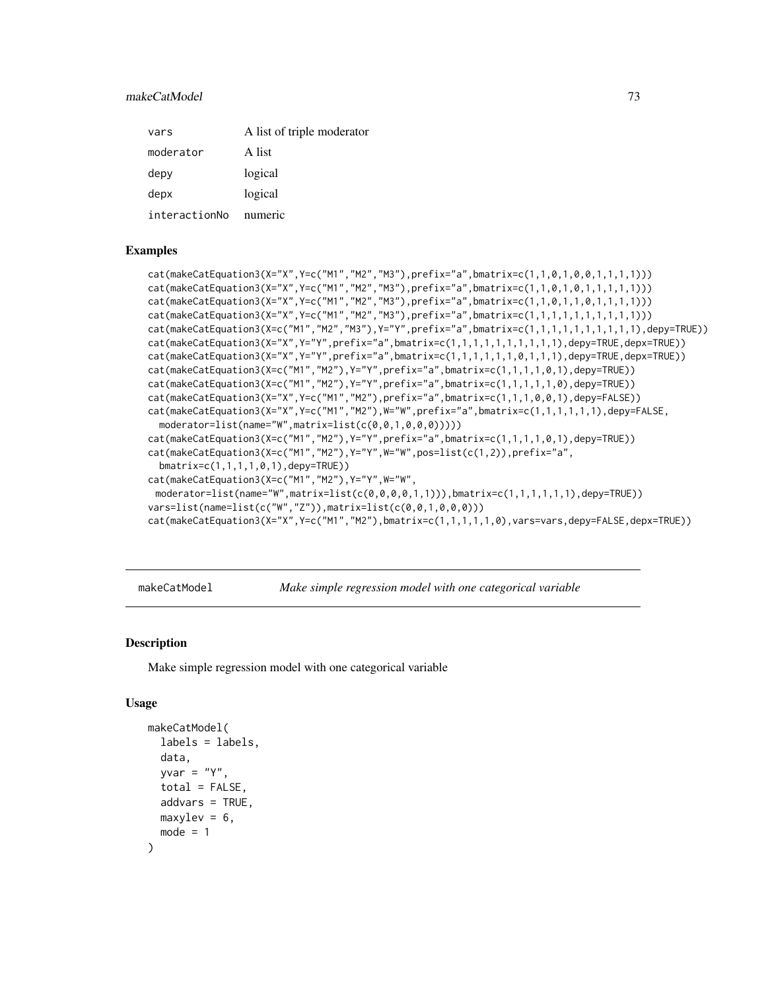# makeCatModel 73

| vars          | A list of triple moderator |
|---------------|----------------------------|
| moderator     | A list                     |
| depy          | logical                    |
| depx          | logical                    |
| interactionNo | numeric                    |

#### Examples

```
cat(makeCatEquation3(X="X",Y=c("M1","M2","M3"),prefix="a",bmatrix=c(1,1,0,1,0,0,1,1,1,1)))
cat(makeCatEquation3(X="X",Y=c("M1","M2","M3"),prefix="a",bmatrix=c(1,1,0,1,0,1,1,1,1,1)))
cat(makeCatEquation3(X="X",Y=c("M1","M2","M3"),prefix="a",bmatrix=c(1,1,0,1,1,0,1,1,1,1)))
cat(makeCatEquation3(X="X",Y=c("M1","M2","M3"),prefix="a",bmatrix=c(1,1,1,1,1,1,1,1,1,1)))
cat(makeCatEquation3(X=c("M1","M2","M3"),Y="Y",prefix="a",bmatrix=c(1,1,1,1,1,1,1,1,1,1),depy=TRUE))
cat(makeCatEquation3(X="X",Y="Y",prefix="a",bmatrix=c(1,1,1,1,1,1,1,1,1,1,1),depy=TRUE,depx=TRUE))
cat(makeCatEquation3(X="X",Y="Y",prefix="a",bmatrix=c(1,1,1,1,1,0,1,1,1),depy=TRUE,depx=TRUE))
cat(makeCatEquation3(X=c("M1","M2"),Y="Y",prefix="a",bmatrix=c(1,1,1,1,0,1),depy=TRUE))
cat(makeCatEquation3(X=c("M1","M2"),Y="Y",prefix="a",bmatrix=c(1,1,1,1,1,0),depy=TRUE))
cat(makeCatEquation3(X="X",Y=c("M1","M2"),prefix="a",bmatrix=c(1,1,1,0,0,1),depy=FALSE))
cat(makeCatEquation3(X="X",Y=c("M1","M2"),W="W",prefix="a",bmatrix=c(1,1,1,1,1,1),depy=FALSE,
 moderator=list(name="W",matrix=list(c(0,0,1,0,0,0)))))
cat(makeCatEquation3(X=c("M1","M2"),Y="Y",prefix="a",bmatrix=c(1,1,1,1,0,1),depy=TRUE))
cat(makeCatEquation3(X=c("M1","M2"),Y="Y",W="W",pos=list(c(1,2)),prefix="a",
 bmatrix=c(1,1,1,1,0,1),depy=TRUE))
cat(makeCatEquation3(X=c("M1","M2"),Y="Y",W="W",
 moderator=list(name="W",matrix=list(c(0,0,0,0,1,1))),bmatrix=c(1,1,1,1,1,1),depy=TRUE))
vars=list(name=list(c("W","Z")),matrix=list(c(0,0,1,0,0,0)))
cat(makeCatEquation3(X="X",Y=c("M1","M2"),bmatrix=c(1,1,1,1,1,0),vars=vars,depy=FALSE,depx=TRUE))
```
makeCatModel *Make simple regression model with one categorical variable*

#### **Description**

Make simple regression model with one categorical variable

#### Usage

```
makeCatModel(
  labels = labels,
  data,
  vvar = "Y".total = FALSE,
  addvars = TRUE,
 maxylev = 6,
  mode = 1)
```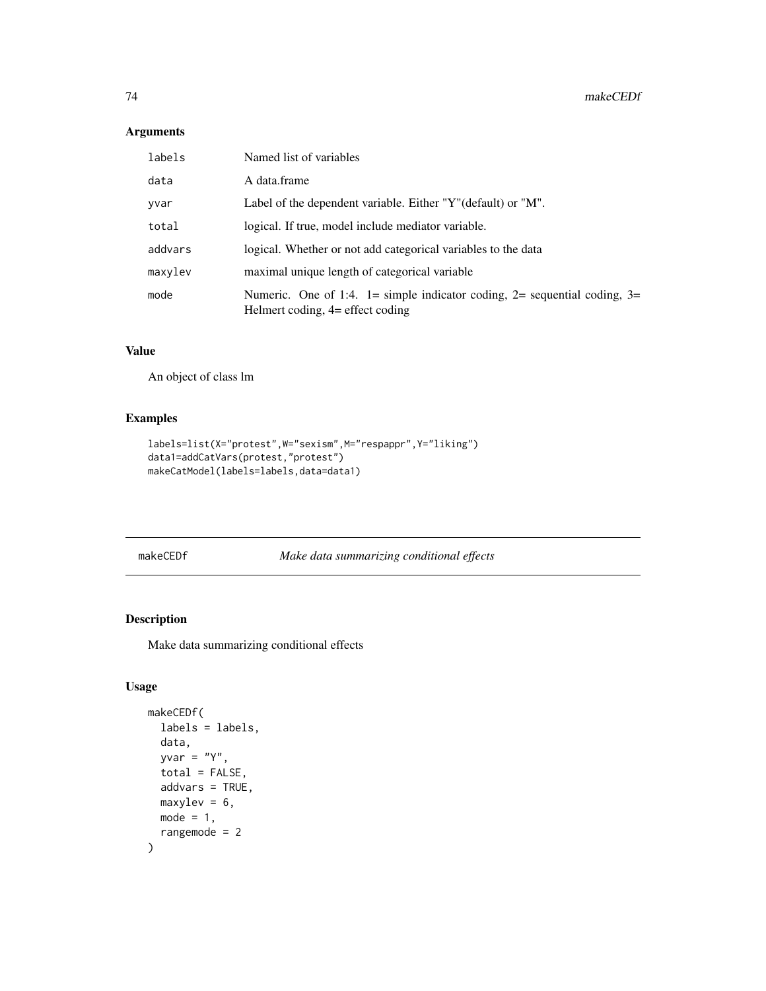# Arguments

| labels  | Named list of variables                                                                                         |
|---------|-----------------------------------------------------------------------------------------------------------------|
| data    | A data.frame                                                                                                    |
| yvar    | Label of the dependent variable. Either "Y" (default) or "M".                                                   |
| total   | logical. If true, model include mediator variable.                                                              |
| addvars | logical. Whether or not add categorical variables to the data                                                   |
| maxylev | maximal unique length of categorical variable                                                                   |
| mode    | Numeric. One of 1:4. 1= simple indicator coding, 2= sequential coding, 3=<br>Helmert coding, $4=$ effect coding |

# Value

An object of class lm

# Examples

```
labels=list(X="protest",W="sexism",M="respappr",Y="liking")
data1=addCatVars(protest,"protest")
makeCatModel(labels=labels,data=data1)
```
makeCEDf *Make data summarizing conditional effects*

# Description

Make data summarizing conditional effects

# Usage

```
makeCEDf(
  labels = labels,
 data,
 yvar = "Y",total = FALSE,addvars = TRUE,
 maxylev = 6,
 mode = 1,
  rangemode = 2
\mathcal{E}
```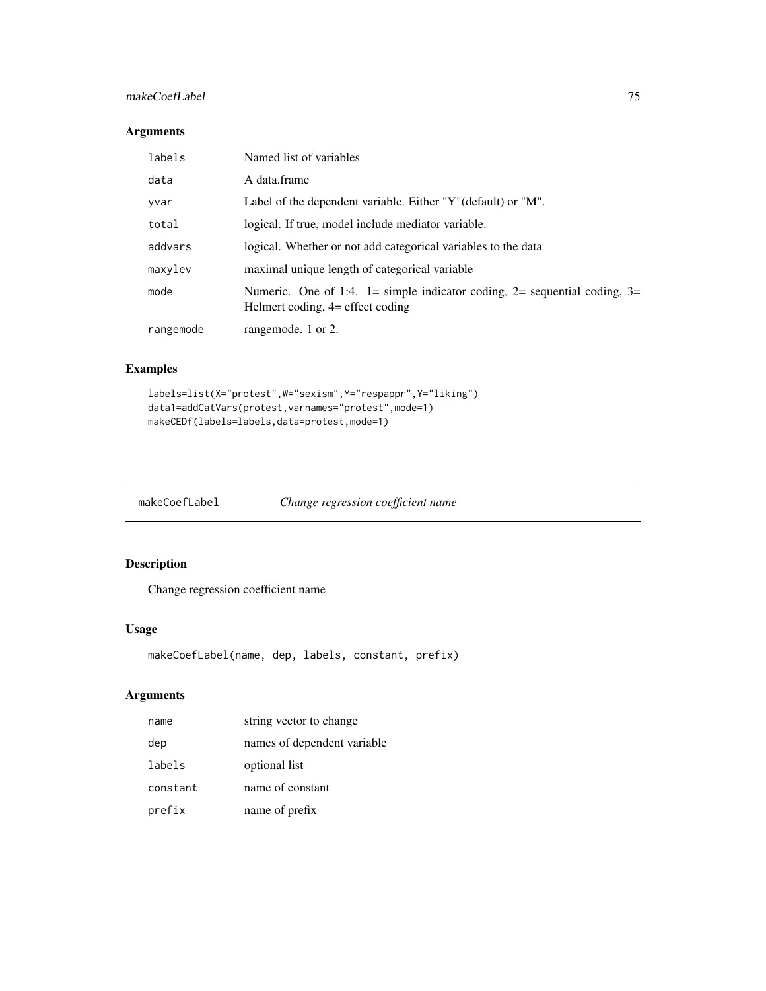# makeCoefLabel 75

# Arguments

| labels    | Named list of variables                                                                                                |
|-----------|------------------------------------------------------------------------------------------------------------------------|
| data      | A data.frame                                                                                                           |
| yvar      | Label of the dependent variable. Either "Y" (default) or "M".                                                          |
| total     | logical. If true, model include mediator variable.                                                                     |
| addvars   | logical. Whether or not add categorical variables to the data                                                          |
| maxylev   | maximal unique length of categorical variable                                                                          |
| mode      | Numeric. One of 1:4. $1 =$ simple indicator coding, $2 =$ sequential coding, $3 =$<br>Helmert coding, 4= effect coding |
| rangemode | rangemode. 1 or 2.                                                                                                     |

# Examples

```
labels=list(X="protest",W="sexism",M="respappr",Y="liking")
data1=addCatVars(protest,varnames="protest",mode=1)
makeCEDf(labels=labels,data=protest,mode=1)
```
makeCoefLabel *Change regression coefficient name*

# Description

Change regression coefficient name

#### Usage

```
makeCoefLabel(name, dep, labels, constant, prefix)
```

| name     | string vector to change     |
|----------|-----------------------------|
| dep      | names of dependent variable |
| labels   | optional list               |
| constant | name of constant            |
| prefix   | name of prefix              |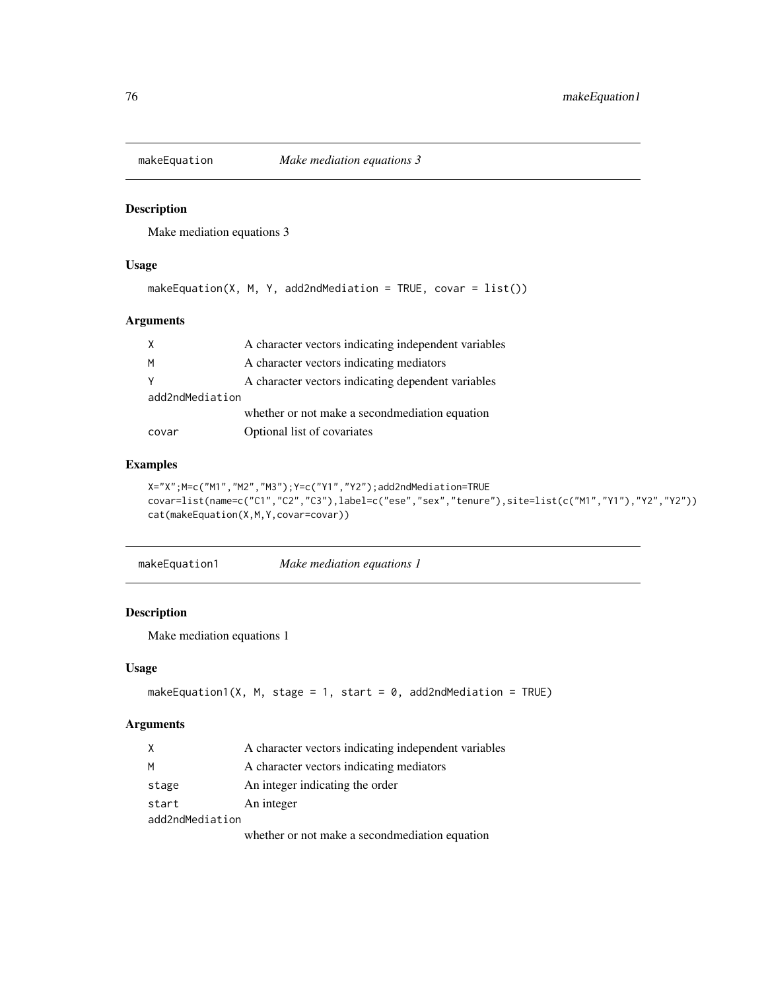Make mediation equations 3

#### Usage

```
makeEquation(X, M, Y, add2ndMedian = TRUE, covar = list())
```
# Arguments

|                 | A character vectors indicating independent variables |  |
|-----------------|------------------------------------------------------|--|
| M               | A character vectors indicating mediators             |  |
|                 | A character vectors indicating dependent variables   |  |
| add2ndMediation |                                                      |  |
|                 | whether or not make a second mediation equation      |  |
| covar           | Optional list of covariates                          |  |

## Examples

```
X="X";M=c("M1","M2","M3");Y=c("Y1","Y2");add2ndMediation=TRUE
covar=list(name=c("C1","C2","C3"),label=c("ese","sex","tenure"),site=list(c("M1","Y1"),"Y2","Y2"))
cat(makeEquation(X,M,Y,covar=covar))
```

| makeEquation1 | Make mediation equations 1 |  |
|---------------|----------------------------|--|
|               |                            |  |

# Description

Make mediation equations 1

## Usage

```
makeEquation1(X, M, stage = 1, start = 0, add2ndMediation = TRUE)
```

| X               | A character vectors indicating independent variables |
|-----------------|------------------------------------------------------|
| M               | A character vectors indicating mediators             |
| stage           | An integer indicating the order                      |
| start           | An integer                                           |
| add2ndMediation |                                                      |
|                 | whether or not make a second mediation equation      |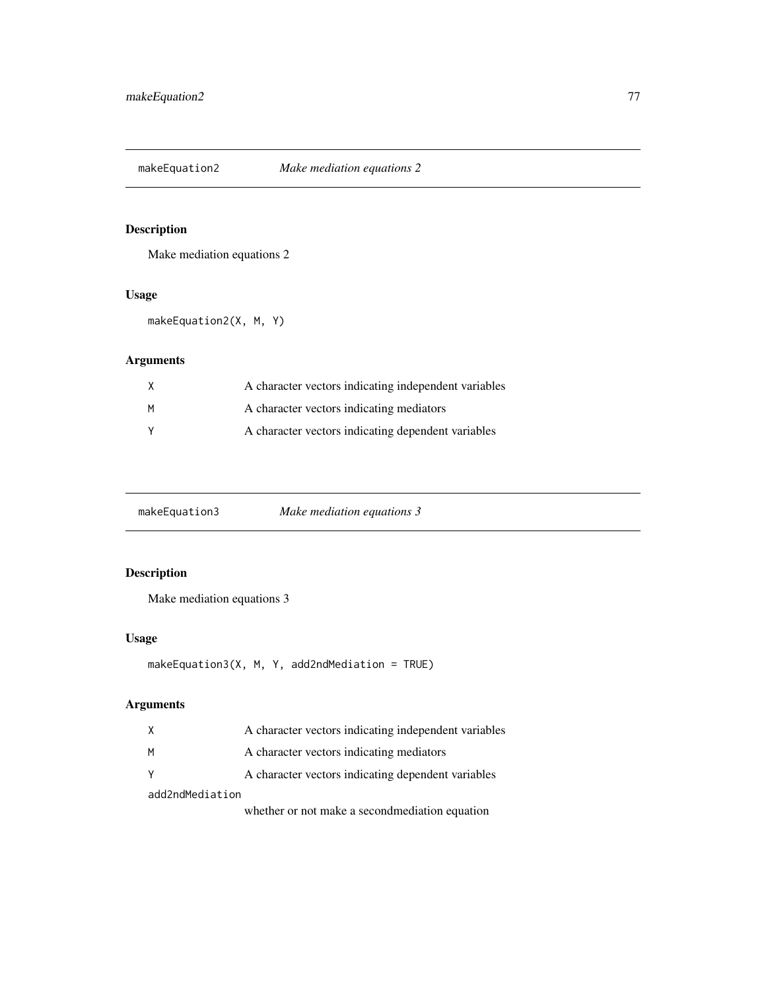Make mediation equations 2

# Usage

makeEquation2(X, M, Y)

# Arguments

| X | A character vectors indicating independent variables |
|---|------------------------------------------------------|
| M | A character vectors indicating mediators             |
|   | A character vectors indicating dependent variables   |

makeEquation3 *Make mediation equations 3*

# Description

Make mediation equations 3

# Usage

```
makeEquation3(X, M, Y, add2ndMediation = TRUE)
```
# Arguments

|                 | A character vectors indicating independent variables |
|-----------------|------------------------------------------------------|
| M               | A character vectors indicating mediators             |
|                 | A character vectors indicating dependent variables   |
| add2ndMediation |                                                      |
|                 | $1 \t1$                                              |

whether or not make a secondmediation equation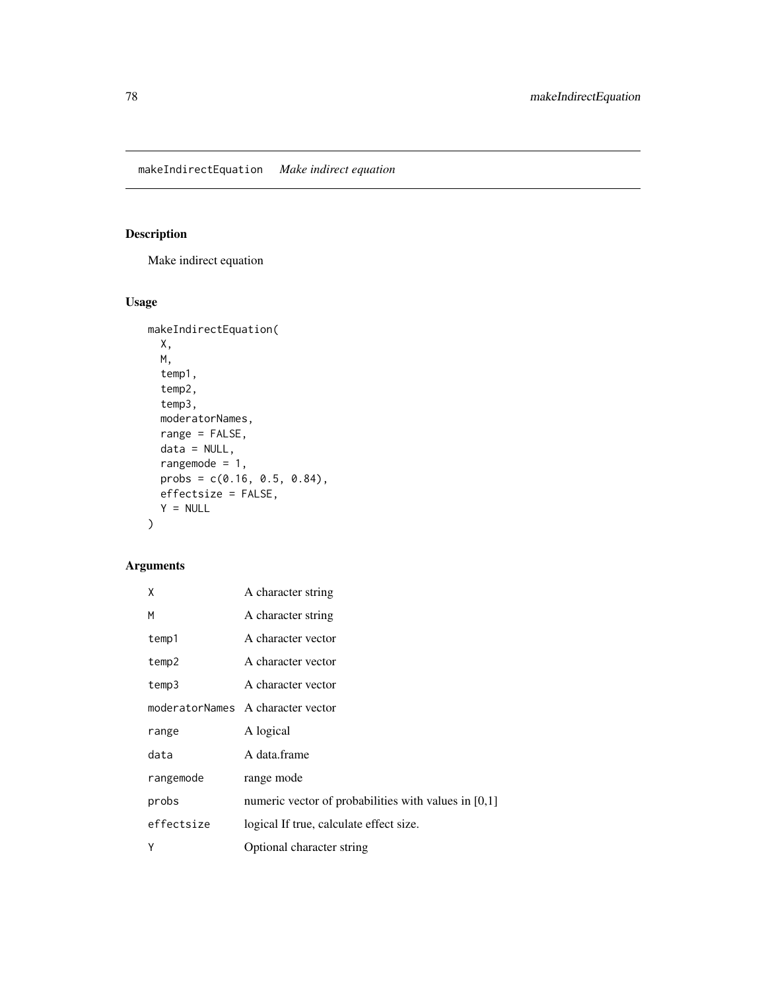Make indirect equation

# Usage

```
makeIndirectEquation(
 X,
 M,
 temp1,
  temp2,
  temp3,
 moderatorNames,
 range = FALSE,
 data = NULL,rangemode = 1,
 probs = c(0.16, 0.5, 0.84),
 effectsize = FALSE,
 Y = NULL\mathcal{L}
```

| χ          | A character string                                     |
|------------|--------------------------------------------------------|
| M          | A character string                                     |
| temp1      | A character vector                                     |
| temp2      | A character vector                                     |
| temp3      | A character vector                                     |
|            | moderatorNames A character vector                      |
| range      | A logical                                              |
| data       | A data.frame                                           |
| rangemode  | range mode                                             |
| probs      | numeric vector of probabilities with values in $[0,1]$ |
| effectsize | logical If true, calculate effect size.                |
| Υ          | Optional character string                              |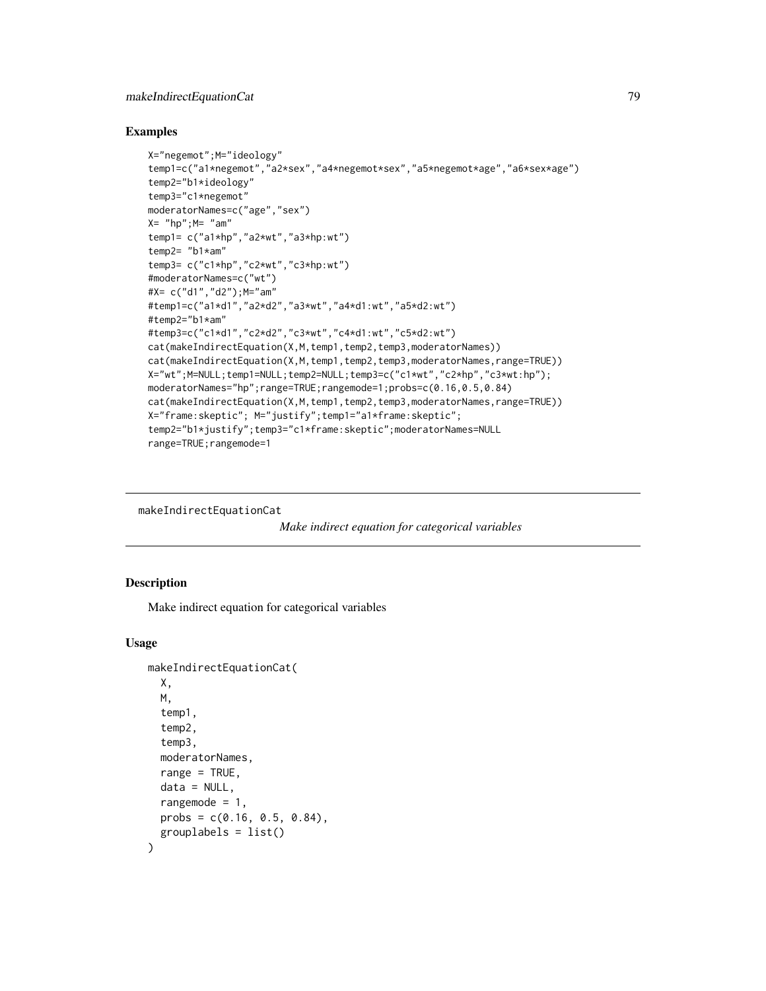#### Examples

```
X="negemot";M="ideology"
temp1=c("a1*negemot","a2*sex","a4*negemot*sex","a5*negemot*age","a6*sex*age")
temp2="b1*ideology"
temp3="c1*negemot"
moderatorNames=c("age","sex")
X= "hp"; M= "am"
temp1= c("a1*hp","a2*wt","a3*hp:wt")
temp2= "b1*am"
temp3= c("c1*hp","c2*wt","c3*hp:wt")
#moderatorNames=c("wt")
#X= c("d1","d2");M="am"
#temp1=c("a1*d1","a2*d2","a3*wt","a4*d1:wt","a5*d2:wt")
#temp2="b1*am"
#temp3=c("c1*d1","c2*d2","c3*wt","c4*d1:wt","c5*d2:wt")
cat(makeIndirectEquation(X,M,temp1,temp2,temp3,moderatorNames))
cat(makeIndirectEquation(X,M,temp1,temp2,temp3,moderatorNames,range=TRUE))
X="wt";M=NULL;temp1=NULL;temp2=NULL;temp3=c("c1*wt","c2*hp","c3*wt:hp");
moderatorNames="hp";range=TRUE;rangemode=1;probs=c(0.16,0.5,0.84)
cat(makeIndirectEquation(X,M,temp1,temp2,temp3,moderatorNames,range=TRUE))
X="frame:skeptic"; M="justify";temp1="a1*frame:skeptic";
temp2="b1*justify";temp3="c1*frame:skeptic";moderatorNames=NULL
range=TRUE;rangemode=1
```
makeIndirectEquationCat

```
Make indirect equation for categorical variables
```
## Description

Make indirect equation for categorical variables

#### Usage

```
makeIndirectEquationCat(
  X,
 M,
  temp1,
  temp2,
  temp3,
 moderatorNames,
  range = TRUE,
  data = NULL,rangemode = 1,
 probs = c(0.16, 0.5, 0.84),
  grouplabels = list())
```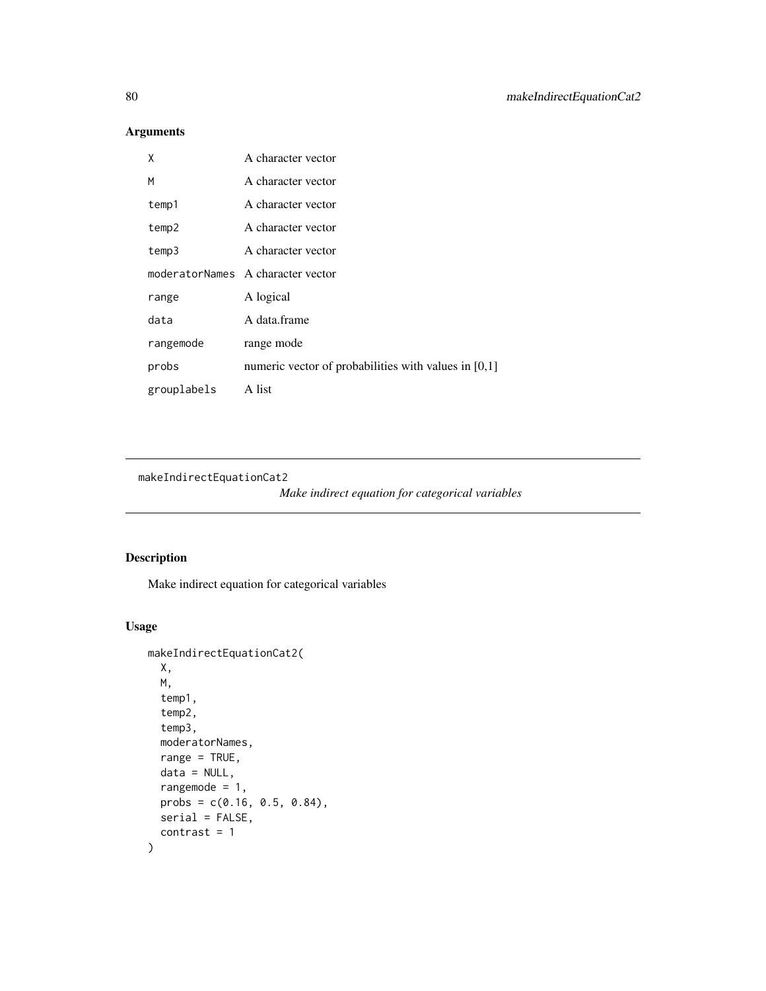# Arguments

| χ           | A character vector                                     |
|-------------|--------------------------------------------------------|
| M           | A character vector                                     |
| temp1       | A character vector                                     |
| temp2       | A character vector                                     |
| temp3       | A character vector                                     |
|             | moderatorNames A character vector                      |
| range       | A logical                                              |
| data        | A data.frame                                           |
| rangemode   | range mode                                             |
| probs       | numeric vector of probabilities with values in $[0,1]$ |
| grouplabels | A list                                                 |

makeIndirectEquationCat2

*Make indirect equation for categorical variables*

# Description

Make indirect equation for categorical variables

# Usage

```
makeIndirectEquationCat2(
 X,
 M,
  temp1,
  temp2,
  temp3,
 moderatorNames,
 range = TRUE,
 data = NULL,rangemode = 1,
 probs = c(0.16, 0.5, 0.84),
 serial = FALSE,
  contrast = 1\mathcal{E}
```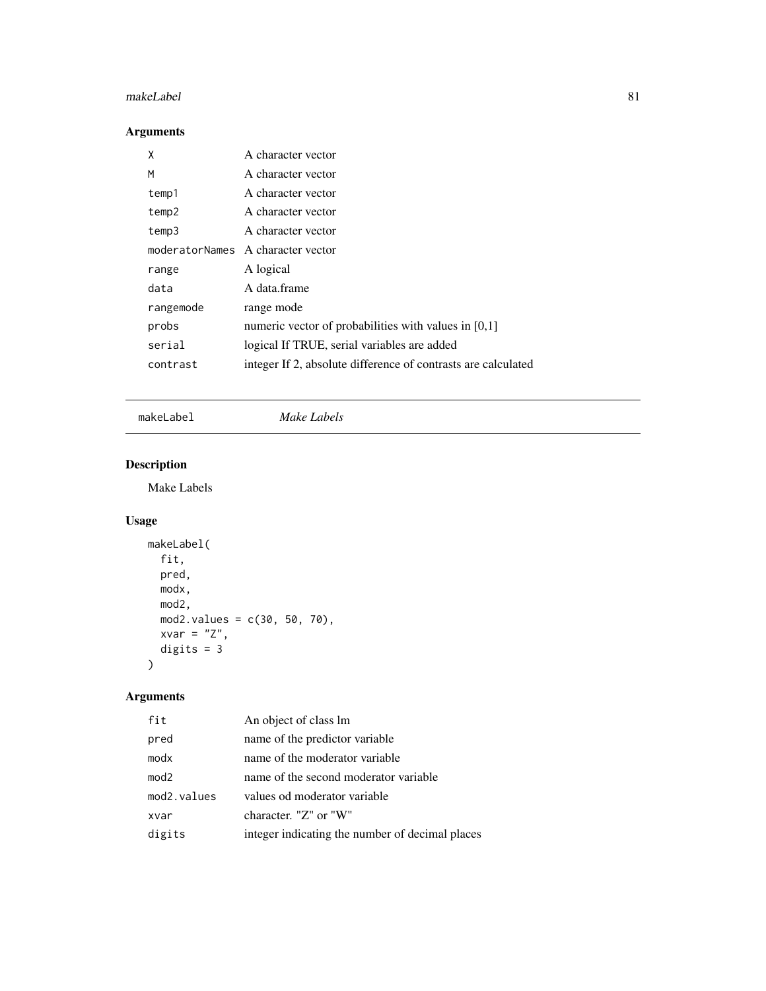# makeLabel 81

# Arguments

| χ         | A character vector                                            |
|-----------|---------------------------------------------------------------|
| M         | A character vector                                            |
| temp1     | A character vector                                            |
| temp2     | A character vector                                            |
| temp3     | A character vector                                            |
|           | moderatorNames A character vector                             |
| range     | A logical                                                     |
| data      | A data.frame                                                  |
| rangemode | range mode                                                    |
| probs     | numeric vector of probabilities with values in $[0,1]$        |
| serial    | logical If TRUE, serial variables are added                   |
| contrast  | integer If 2, absolute difference of contrasts are calculated |
|           |                                                               |

makeLabel *Make Labels*

# Description

Make Labels

# Usage

```
makeLabel(
  fit,
  pred,
  modx,
  mod2,
  mod2.values = c(30, 50, 70),
  xvar = "Z",digits = 3
\mathcal{L}
```

| fit              | An object of class lm                           |
|------------------|-------------------------------------------------|
| pred             | name of the predictor variable                  |
| modx             | name of the moderator variable                  |
| mod <sub>2</sub> | name of the second moderator variable           |
| mod2.values      | values od moderator variable                    |
| xvar             | character. "Z" or "W"                           |
| digits           | integer indicating the number of decimal places |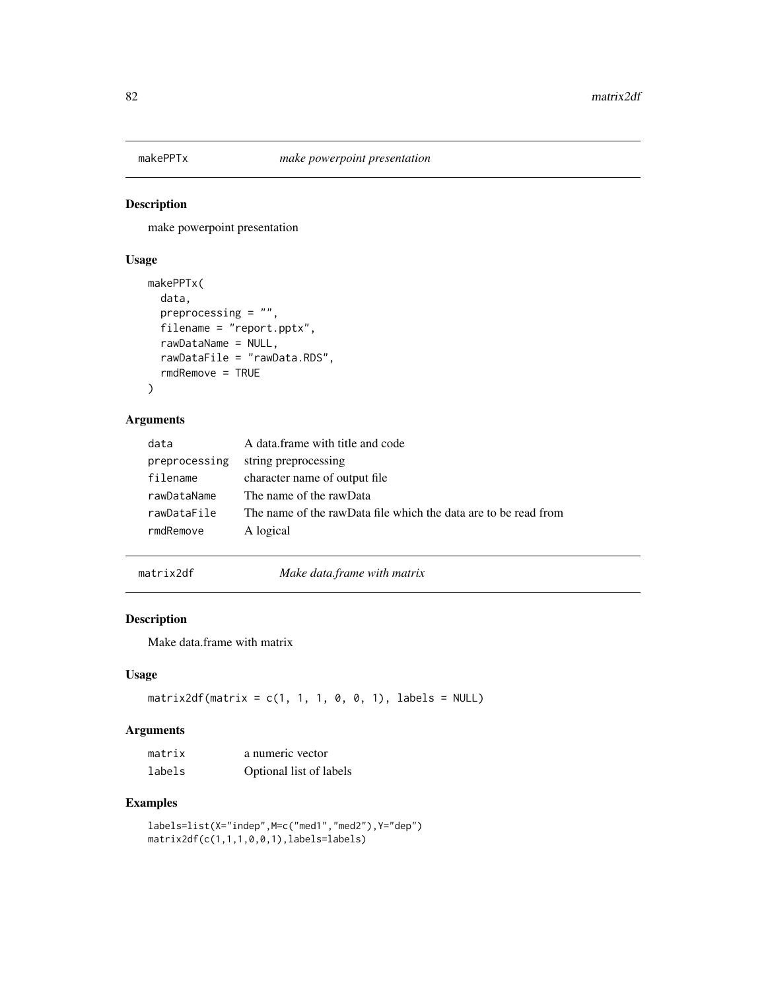make powerpoint presentation

#### Usage

```
makePPTx(
 data,
 preprocessing = "",
 filename = "report.pptx",
  rawDataName = NULL,
  rawDataFile = "rawData.RDS",
  rmdRemove = TRUE
)
```
# Arguments

| data          | A data frame with title and code                                |
|---------------|-----------------------------------------------------------------|
| preprocessing | string preprocessing                                            |
| filename      | character name of output file                                   |
| rawDataName   | The name of the rawData                                         |
| rawDataFile   | The name of the rawData file which the data are to be read from |
| rmdRemove     | A logical                                                       |

matrix2df *Make data.frame with matrix*

# Description

Make data.frame with matrix

# Usage

matrix2df(matrix =  $c(1, 1, 1, 0, 0, 1)$ , labels = NULL)

#### Arguments

| matrix | a numeric vector        |
|--------|-------------------------|
| labels | Optional list of labels |

# Examples

```
labels=list(X="indep",M=c("med1","med2"),Y="dep")
matrix2df(c(1,1,1,0,0,1),labels=labels)
```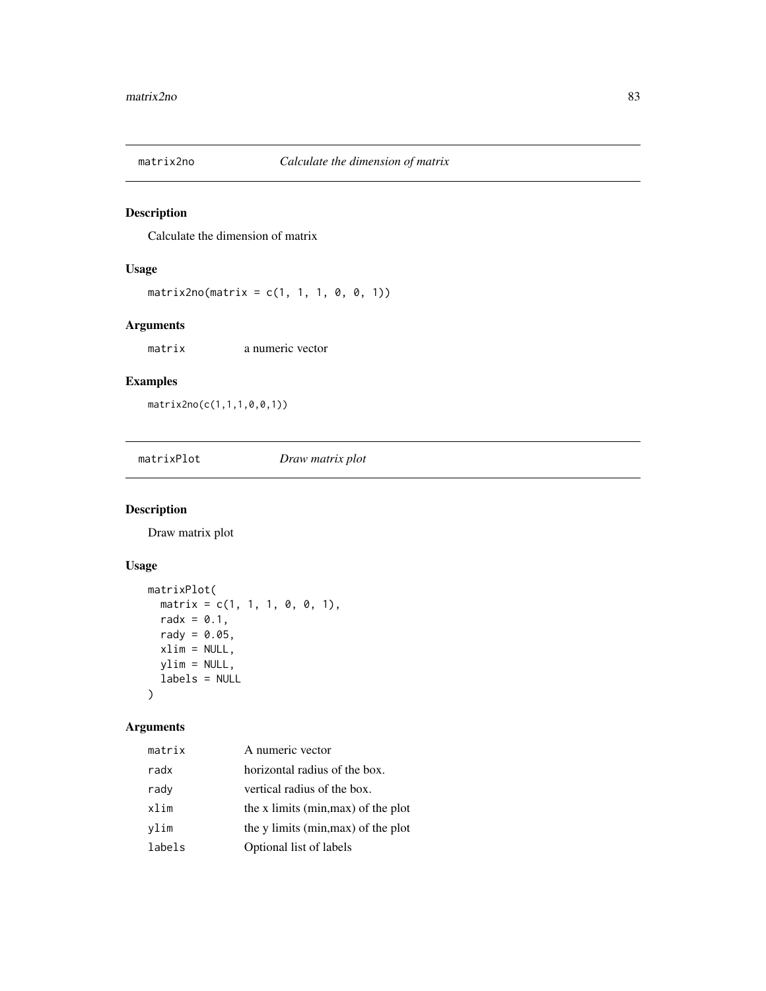Calculate the dimension of matrix

# Usage

```
matrix2no(matrix = c(1, 1, 1, 0, 0, 1))
```
# Arguments

matrix a numeric vector

# Examples

matrix2no(c(1,1,1,0,0,1))

matrixPlot *Draw matrix plot*

# Description

Draw matrix plot

# Usage

```
matrixPlot(
 matrix = c(1, 1, 1, 0, 0, 1),radx = 0.1,
 rady = 0.05,
 xlim = NULL,ylim = NULL,
 labels = NULL
)
```

| matrix | A numeric vector                    |
|--------|-------------------------------------|
| radx   | horizontal radius of the box.       |
| rady   | vertical radius of the box.         |
| xlim   | the x limits (min, max) of the plot |
| vlim   | the y limits (min, max) of the plot |
| labels | Optional list of labels             |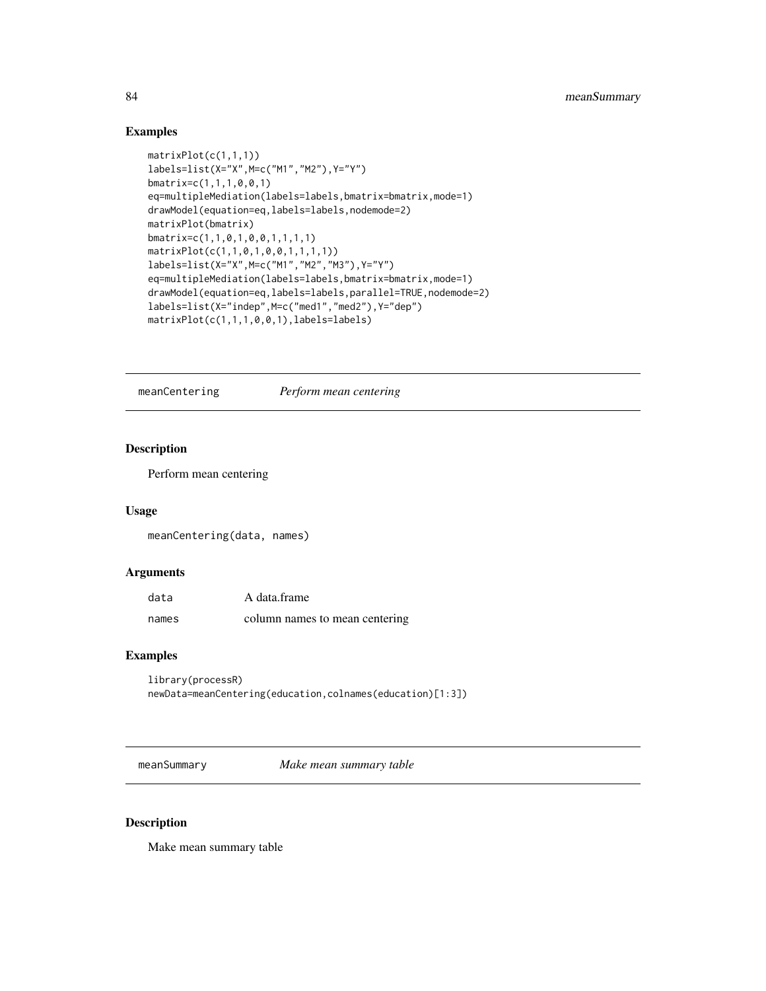# Examples

```
matrixPlot(c(1,1,1))labels=list(X="X",M=c("M1","M2"),Y="Y")
bmatrix=c(1,1,1,0,0,1)
eq=multipleMediation(labels=labels,bmatrix=bmatrix,mode=1)
drawModel(equation=eq,labels=labels,nodemode=2)
matrixPlot(bmatrix)
bmatrix=c(1,1,0,1,0,0,1,1,1,1)
matrixPlot(c(1,1,0,1,0,0,1,1,1,1))
labels=list(X="X",M=c("M1","M2","M3"),Y="Y")
eq=multipleMediation(labels=labels,bmatrix=bmatrix,mode=1)
drawModel(equation=eq,labels=labels,parallel=TRUE,nodemode=2)
labels=list(X="indep",M=c("med1","med2"),Y="dep")
matrixPlot(c(1,1,1,0,0,1),labels=labels)
```
meanCentering *Perform mean centering*

#### Description

Perform mean centering

#### Usage

meanCentering(data, names)

## Arguments

| data  | A data.frame                   |
|-------|--------------------------------|
| names | column names to mean centering |

## Examples

library(processR) newData=meanCentering(education,colnames(education)[1:3])

meanSummary *Make mean summary table*

#### Description

Make mean summary table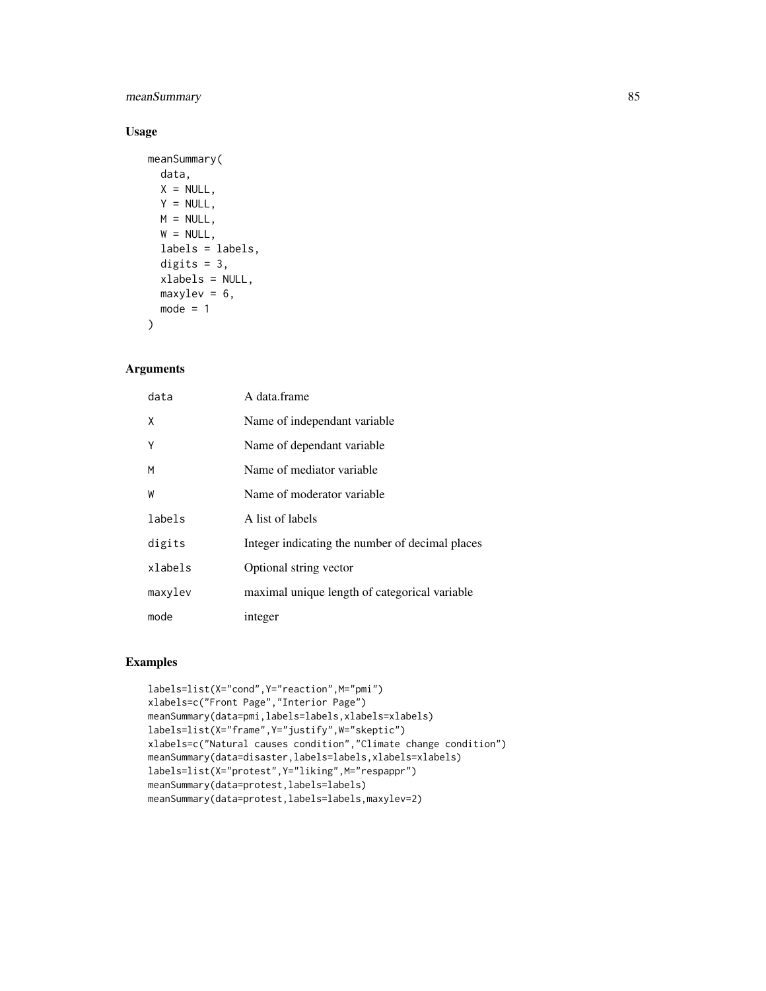# meanSummary 85

# Usage

```
meanSummary(
 data,
 X = NULL,Y = NULL,M = NULL,W = NULL,labels = labels,
  digits = 3,
 xlabels = NULL,
 maxylev = 6,
 mode = 1)
```
#### Arguments

| data    | A data.frame                                    |
|---------|-------------------------------------------------|
| X       | Name of independant variable                    |
| Υ       | Name of dependant variable                      |
| M       | Name of mediator variable                       |
| W       | Name of moderator variable                      |
| labels  | A list of labels                                |
| digits  | Integer indicating the number of decimal places |
| xlabels | Optional string vector                          |
| maxylev | maximal unique length of categorical variable   |
| mode    | integer                                         |

# Examples

```
labels=list(X="cond",Y="reaction",M="pmi")
xlabels=c("Front Page","Interior Page")
meanSummary(data=pmi,labels=labels,xlabels=xlabels)
labels=list(X="frame",Y="justify",W="skeptic")
xlabels=c("Natural causes condition","Climate change condition")
meanSummary(data=disaster,labels=labels,xlabels=xlabels)
labels=list(X="protest",Y="liking",M="respappr")
meanSummary(data=protest,labels=labels)
meanSummary(data=protest,labels=labels,maxylev=2)
```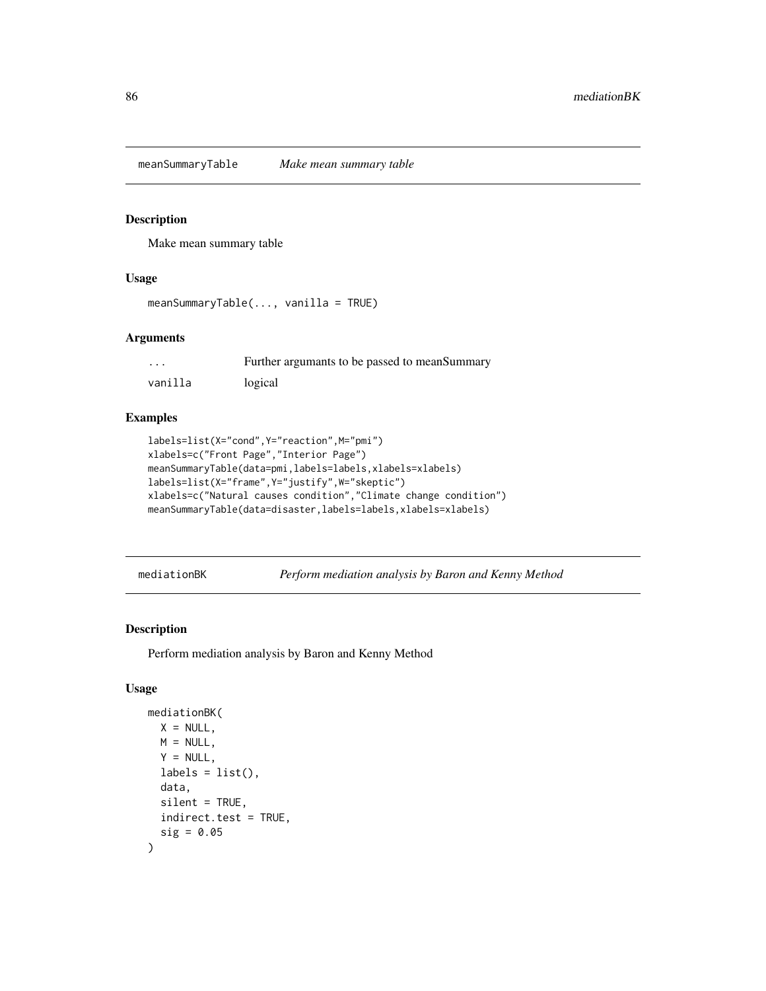meanSummaryTable *Make mean summary table*

# Description

Make mean summary table

#### Usage

```
meanSummaryTable(..., vanilla = TRUE)
```
## Arguments

| $\cdots$ | Further argumants to be passed to mean Summary |
|----------|------------------------------------------------|
| vanilla  | logical                                        |

# Examples

```
labels=list(X="cond",Y="reaction",M="pmi")
xlabels=c("Front Page","Interior Page")
meanSummaryTable(data=pmi,labels=labels,xlabels=xlabels)
labels=list(X="frame",Y="justify",W="skeptic")
xlabels=c("Natural causes condition","Climate change condition")
meanSummaryTable(data=disaster,labels=labels,xlabels=xlabels)
```
mediationBK *Perform mediation analysis by Baron and Kenny Method*

# Description

Perform mediation analysis by Baron and Kenny Method

# Usage

```
mediationBK(
 X = NULL,M = NULL,Y = NULL,labels = list(),data,
  silent = TRUE,indirect.test = TRUE,
  sig = 0.05)
```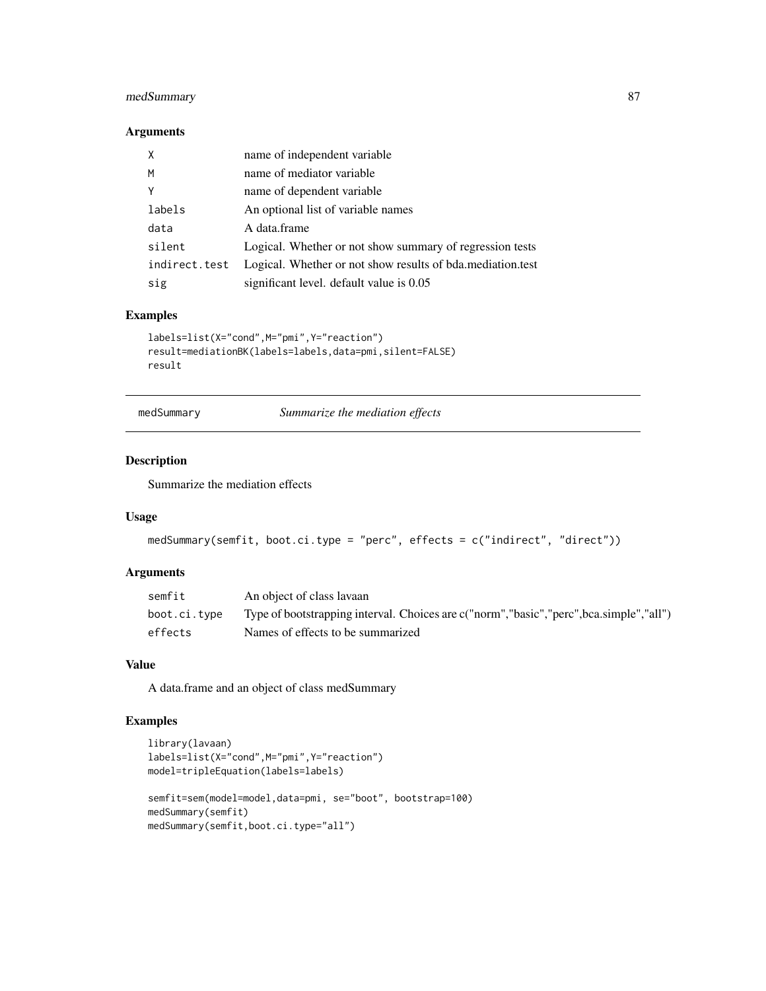# medSummary 87

## Arguments

| X             | name of independent variable                                 |
|---------------|--------------------------------------------------------------|
| M             | name of mediator variable                                    |
| Y             | name of dependent variable                                   |
| labels        | An optional list of variable names                           |
| data          | A data.frame                                                 |
| silent        | Logical. Whether or not show summary of regression tests     |
| indirect.test | Logical. Whether or not show results of bda. mediation. test |
| sig           | significant level. default value is 0.05                     |

## Examples

```
labels=list(X="cond",M="pmi",Y="reaction")
result=mediationBK(labels=labels,data=pmi,silent=FALSE)
result
```
medSummary *Summarize the mediation effects*

# Description

Summarize the mediation effects

# Usage

```
medSummary(semfit, boot.ci.type = "perc", effects = c("indirect", "direct"))
```
# Arguments

| semfit       | An object of class lavaan                                                                  |
|--------------|--------------------------------------------------------------------------------------------|
| boot.ci.tvpe | Type of bootstrapping interval. Choices are c("norm", "basic", "perc", bca.simple", "all") |
| effects      | Names of effects to be summarized                                                          |

## Value

A data.frame and an object of class medSummary

# Examples

```
library(lavaan)
labels=list(X="cond",M="pmi",Y="reaction")
model=tripleEquation(labels=labels)
semfit=sem(model=model,data=pmi, se="boot", bootstrap=100)
medSummary(semfit)
medSummary(semfit,boot.ci.type="all")
```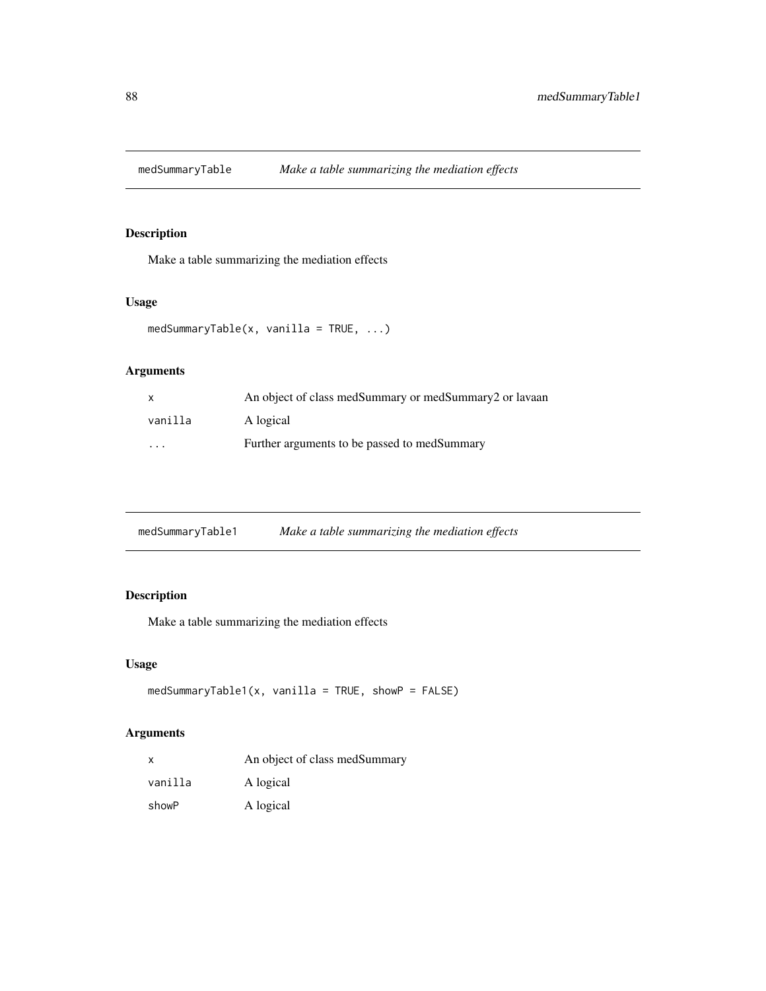Make a table summarizing the mediation effects

# Usage

```
medSummaryTable(x, vanilla = TRUE, ...)
```
# Arguments

| $\mathsf{x}$         | An object of class medSummary or medSummary2 or layaan |
|----------------------|--------------------------------------------------------|
| vanilla              | A logical                                              |
| $\ddot{\phantom{0}}$ | Further arguments to be passed to medSummary           |

| medSummaryTable1 | Make a table summarizing the mediation effects |  |
|------------------|------------------------------------------------|--|
|                  |                                                |  |

# Description

Make a table summarizing the mediation effects

# Usage

```
medSummaryTable1(x, vanilla = TRUE, showP = FALSE)
```

| x       | An object of class medSummary |  |
|---------|-------------------------------|--|
| vanilla | A logical                     |  |
| showP   | A logical                     |  |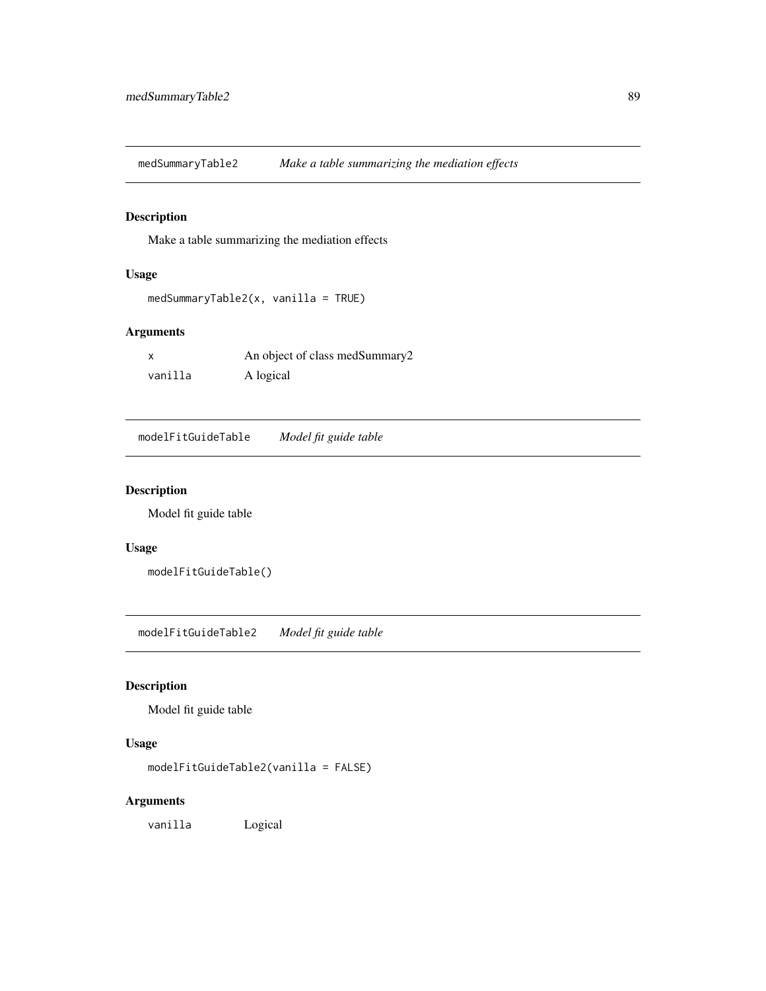medSummaryTable2 *Make a table summarizing the mediation effects*

# Description

Make a table summarizing the mediation effects

# Usage

```
medSummaryTable2(x, vanilla = TRUE)
```
#### Arguments

|         | An object of class medSummary2 |
|---------|--------------------------------|
| vanilla | A logical                      |

modelFitGuideTable *Model fit guide table*

# Description

Model fit guide table

#### Usage

modelFitGuideTable()

modelFitGuideTable2 *Model fit guide table*

# Description

Model fit guide table

# Usage

modelFitGuideTable2(vanilla = FALSE)

#### Arguments

vanilla Logical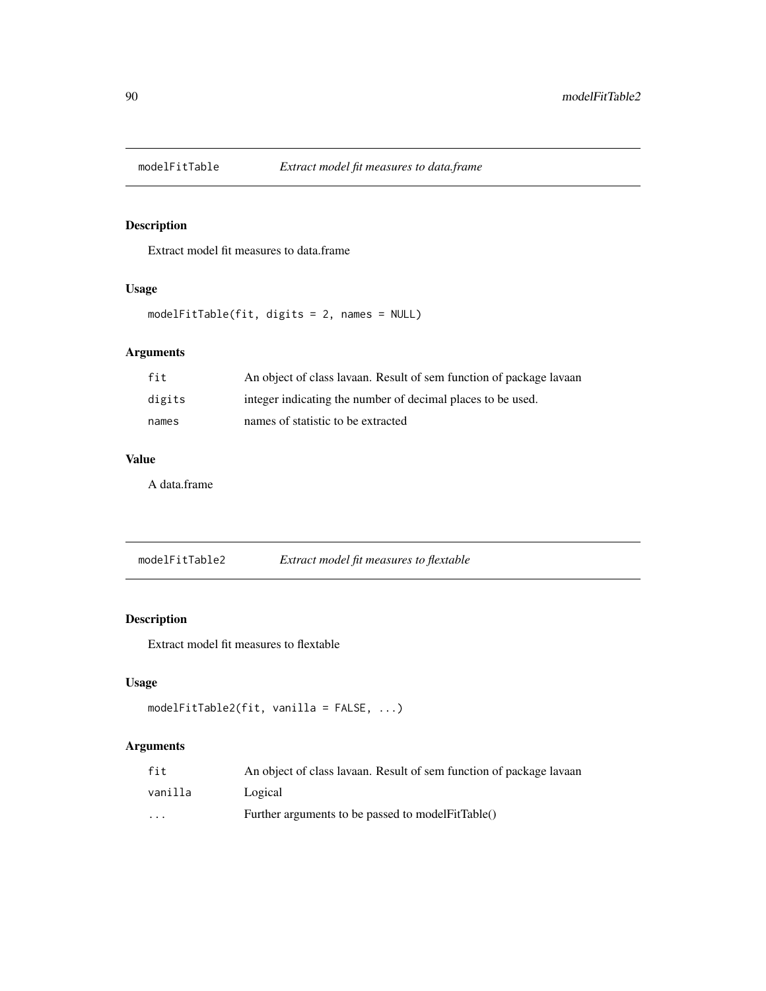Extract model fit measures to data.frame

# Usage

modelFitTable(fit, digits = 2, names = NULL)

# Arguments

| fit    | An object of class lavaan. Result of sem function of package lavaan |
|--------|---------------------------------------------------------------------|
| digits | integer indicating the number of decimal places to be used.         |
| names  | names of statistic to be extracted                                  |

# Value

A data.frame

modelFitTable2 *Extract model fit measures to flextable*

# Description

Extract model fit measures to flextable

## Usage

```
modelFitTable2(fit, vanilla = FALSE, ...)
```

| fit                     | An object of class lavaan. Result of sem function of package lavaan |
|-------------------------|---------------------------------------------------------------------|
| vanilla                 | Logical                                                             |
| $\cdot$ $\cdot$ $\cdot$ | Further arguments to be passed to model FitTable()                  |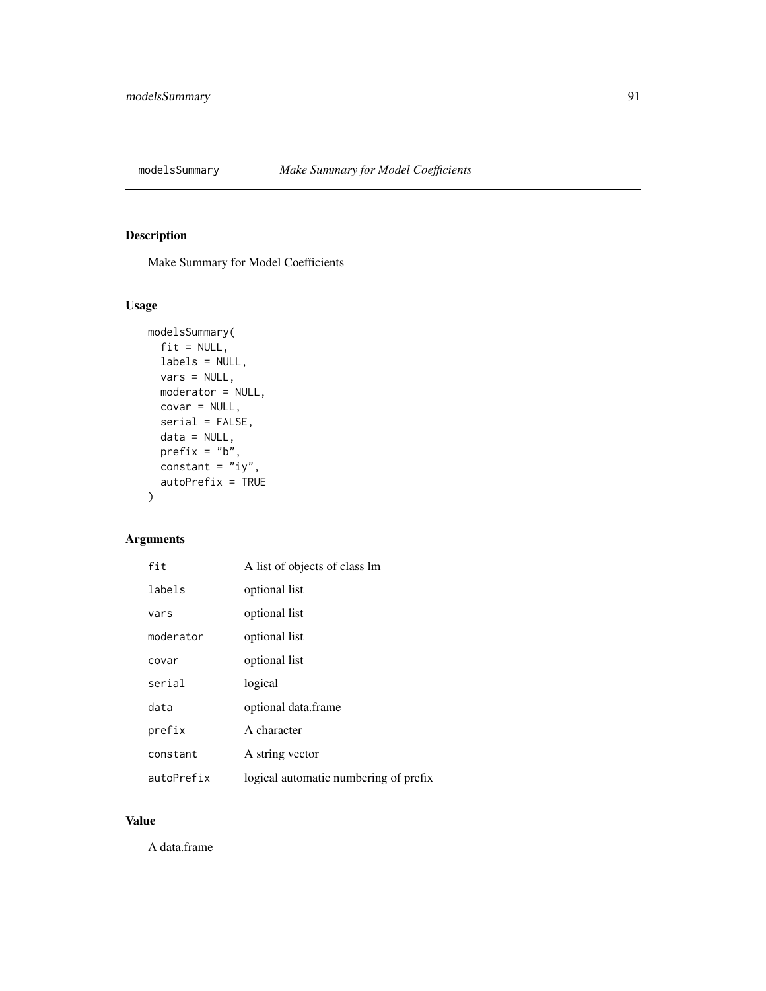Make Summary for Model Coefficients

# Usage

```
modelsSummary(
  fit = NULL,labels = NULL,
  vars = NULL,moderator = NULL,
  covar = NULL,
  serial = FALSE,
  data = NULL,
  prefix = "b",constant = "iy",autoPrefix = TRUE
\mathcal{L}
```
# Arguments

| fit        | A list of objects of class lm         |
|------------|---------------------------------------|
| labels     | optional list                         |
| vars       | optional list                         |
| moderator  | optional list                         |
| covar      | optional list                         |
| serial     | logical                               |
| data       | optional data.frame                   |
| prefix     | A character                           |
| constant   | A string vector                       |
| autoPrefix | logical automatic numbering of prefix |

# Value

A data.frame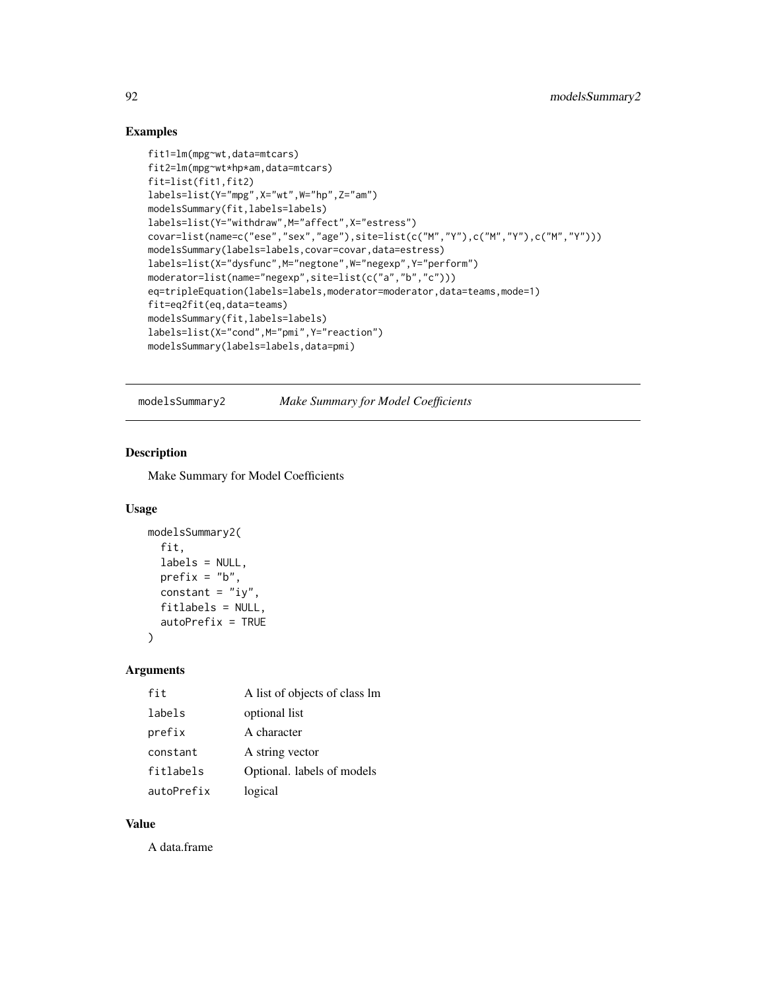# Examples

```
fit1=lm(mpg~wt,data=mtcars)
fit2=lm(mpg~wt*hp*am,data=mtcars)
fit=list(fit1,fit2)
labels=list(Y="mpg",X="wt",W="hp",Z="am")
modelsSummary(fit,labels=labels)
labels=list(Y="withdraw",M="affect",X="estress")
covar=list(name=c("ese","sex","age"),site=list(c("M","Y"),c("M","Y"),c("M","Y")))
modelsSummary(labels=labels,covar=covar,data=estress)
labels=list(X="dysfunc",M="negtone",W="negexp",Y="perform")
moderator=list(name="negexp",site=list(c("a","b","c")))
eq=tripleEquation(labels=labels,moderator=moderator,data=teams,mode=1)
fit=eq2fit(eq,data=teams)
modelsSummary(fit,labels=labels)
labels=list(X="cond",M="pmi",Y="reaction")
modelsSummary(labels=labels,data=pmi)
```
modelsSummary2 *Make Summary for Model Coefficients*

# Description

Make Summary for Model Coefficients

#### Usage

```
modelsSummary2(
  fit,
  labels = NULL,
  prefix = "b",constant = "iy",
  fitlabels = NULL,
  autoPrefix = TRUE
)
```
#### Arguments

| fit        | A list of objects of class lm |
|------------|-------------------------------|
| labels     | optional list                 |
| prefix     | A character                   |
| constant   | A string vector               |
| fitlabels  | Optional. labels of models    |
| autoPrefix | logical                       |

## Value

A data.frame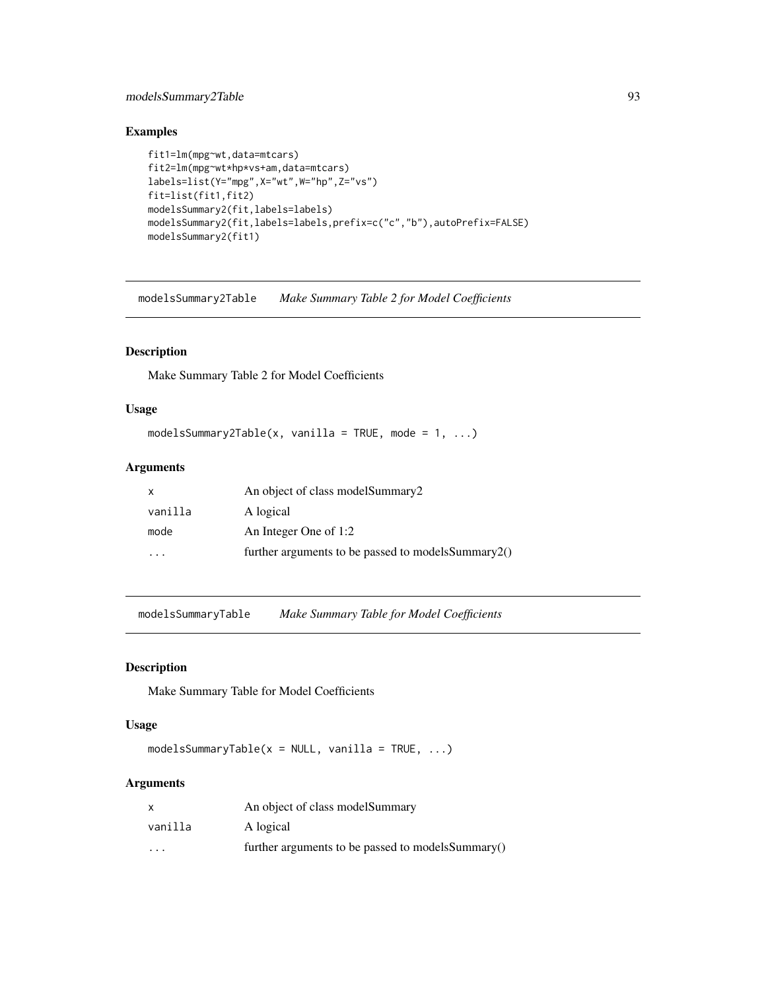# modelsSummary2Table 93

# Examples

```
fit1=lm(mpg~wt,data=mtcars)
fit2=lm(mpg~wt*hp*vs+am,data=mtcars)
labels=list(Y="mpg",X="wt",W="hp",Z="vs")
fit=list(fit1,fit2)
modelsSummary2(fit,labels=labels)
modelsSummary2(fit,labels=labels,prefix=c("c","b"),autoPrefix=FALSE)
modelsSummary2(fit1)
```
modelsSummary2Table *Make Summary Table 2 for Model Coefficients*

# Description

Make Summary Table 2 for Model Coefficients

#### Usage

```
modelsSummary2Table(x, vanilla = TRUE, mode = 1, ...)
```
# Arguments

| X       | An object of class modelSummary2                       |
|---------|--------------------------------------------------------|
| vanilla | A logical                                              |
| mode    | An Integer One of 1:2                                  |
|         | further arguments to be passed to models Summary $2()$ |

modelsSummaryTable *Make Summary Table for Model Coefficients*

# Description

Make Summary Table for Model Coefficients

## Usage

modelsSummaryTable( $x = NULL$ , vanilla = TRUE, ...)

| x       | An object of class model Summary                   |
|---------|----------------------------------------------------|
| vanilla | A logical                                          |
| $\cdot$ | further arguments to be passed to models Summary() |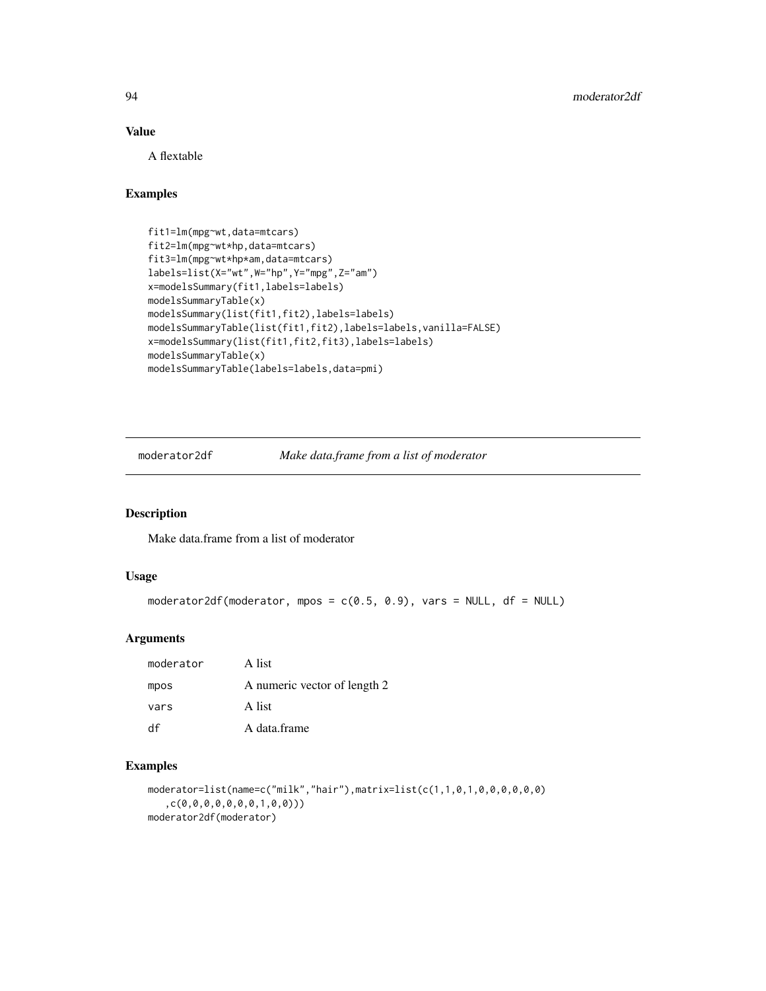# Value

A flextable

# Examples

```
fit1=lm(mpg~wt,data=mtcars)
fit2=lm(mpg~wt*hp,data=mtcars)
fit3=lm(mpg~wt*hp*am,data=mtcars)
labels=list(X="wt",W="hp",Y="mpg",Z="am")
x=modelsSummary(fit1,labels=labels)
modelsSummaryTable(x)
modelsSummary(list(fit1,fit2),labels=labels)
modelsSummaryTable(list(fit1,fit2),labels=labels,vanilla=FALSE)
x=modelsSummary(list(fit1,fit2,fit3),labels=labels)
modelsSummaryTable(x)
modelsSummaryTable(labels=labels,data=pmi)
```
moderator2df *Make data.frame from a list of moderator*

# Description

Make data.frame from a list of moderator

#### Usage

```
moderator2df(moderator, mpos = c(0.5, 0.9), vars = NULL, df = NULL)
```
# Arguments

| moderator | A list                       |
|-----------|------------------------------|
| mpos      | A numeric vector of length 2 |
| vars      | A list                       |
| df        | A data frame                 |

#### Examples

```
moderator=list(name=c("milk","hair"),matrix=list(c(1,1,0,1,0,0,0,0,0,0)
   ,c(0,0,0,0,0,0,0,1,0,0)))
moderator2df(moderator)
```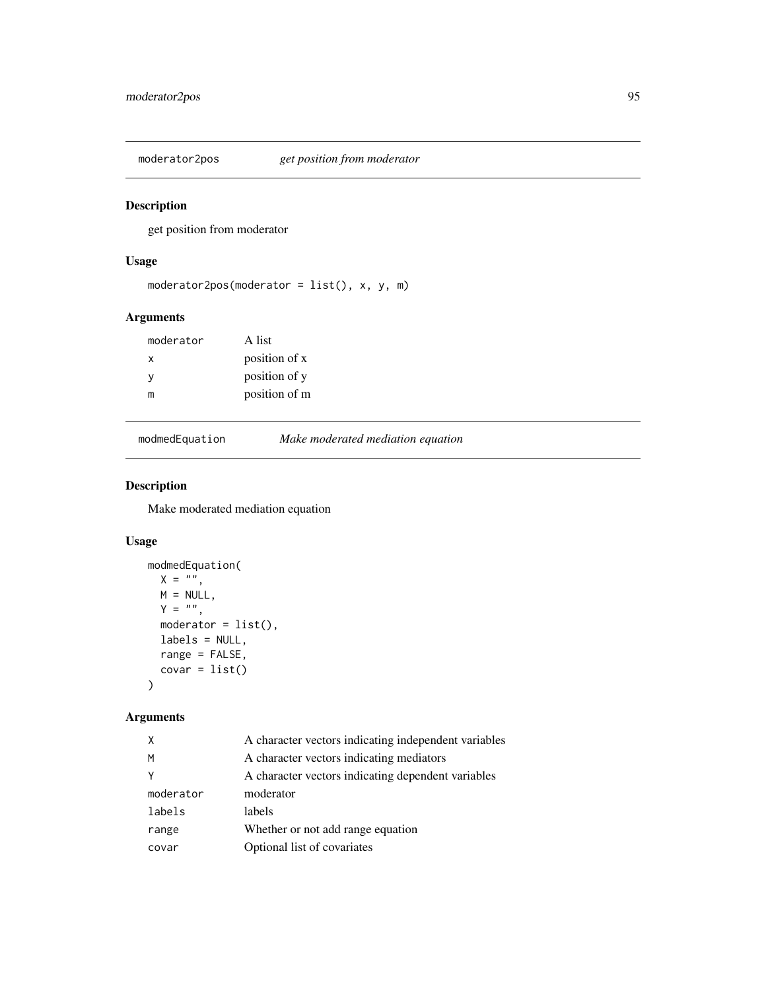moderator2pos *get position from moderator*

# Description

get position from moderator

# Usage

```
moderator2pos(moderator = list(), x, y, m)
```
# Arguments

| moderator | A list        |
|-----------|---------------|
| X         | position of x |
| <b>V</b>  | position of y |
| m         | position of m |

modmedEquation *Make moderated mediation equation*

# Description

Make moderated mediation equation

## Usage

```
modmedEquation(
 X = ",
 M = NULL,Y = ",
 modern = list(),
 labels = NULL,
 range = FALSE,
 covar = list())
```

| X         | A character vectors indicating independent variables |
|-----------|------------------------------------------------------|
| M         | A character vectors indicating mediators             |
| Y         | A character vectors indicating dependent variables   |
| moderator | moderator                                            |
| labels    | labels                                               |
| range     | Whether or not add range equation                    |
| covar     | Optional list of covariates                          |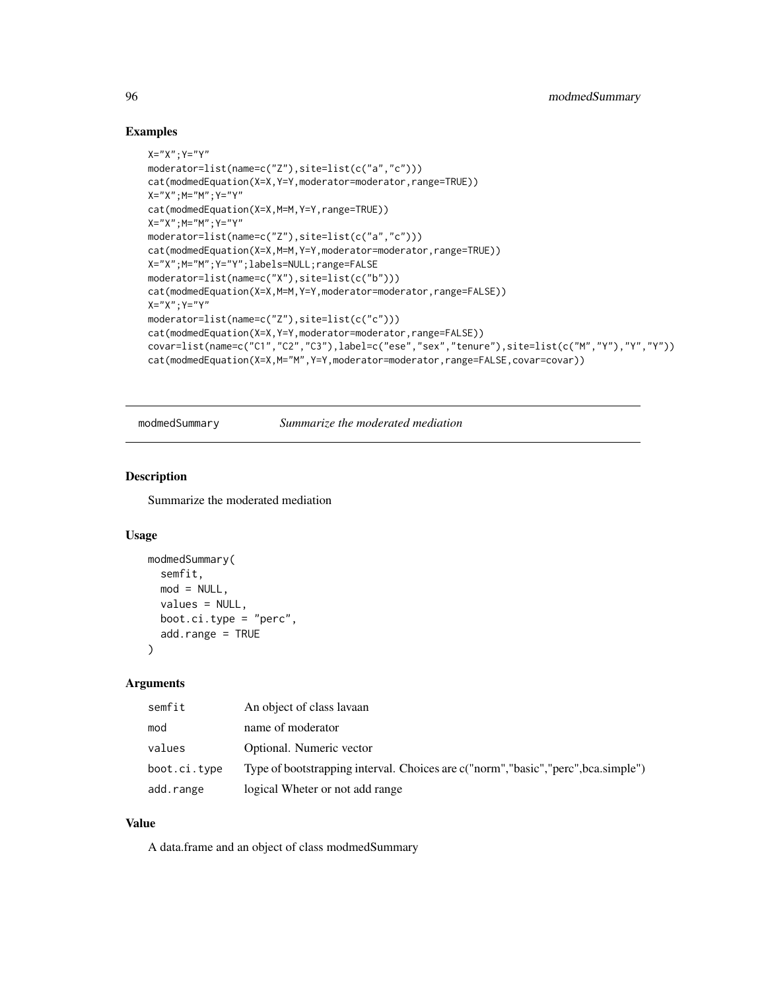#### Examples

```
X="X"; Y="Y"moderator=list(name=c("Z"),site=list(c("a","c")))
cat(modmedEquation(X=X,Y=Y,moderator=moderator,range=TRUE))
X="X";M="M";Y="Y"
cat(modmedEquation(X=X,M=M,Y=Y,range=TRUE))
X="'X"; M="'Y"; Y="'Y"moderator=list(name=c("Z"),site=list(c("a","c")))
cat(modmedEquation(X=X,M=M,Y=Y,moderator=moderator,range=TRUE))
X="X";M="M";Y="Y";labels=NULL;range=FALSE
moderator=list(name=c("X"),site=list(c("b")))
cat(modmedEquation(X=X,M=M,Y=Y,moderator=moderator,range=FALSE))
X="X"; Y="Y"moderator=list(name=c("Z"),site=list(c("c")))
cat(modmedEquation(X=X,Y=Y,moderator=moderator,range=FALSE))
covar=list(name=c("C1","C2","C3"),label=c("ese","sex","tenure"),site=list(c("M","Y"),"Y","Y"))
cat(modmedEquation(X=X,M="M",Y=Y,moderator=moderator,range=FALSE,covar=covar))
```
modmedSummary *Summarize the moderated mediation*

## Description

Summarize the moderated mediation

## Usage

```
modmedSummary(
  semfit,
 mod = NULL,values = NULL,
  boot.ci.type = "perc",
  add.range = TRUE
)
```
#### Arguments

| semfit       | An object of class lavaan                                                           |
|--------------|-------------------------------------------------------------------------------------|
| mod          | name of moderator                                                                   |
| values       | Optional. Numeric vector                                                            |
| boot.ci.type | Type of bootstrapping interval. Choices are c("norm", "basic", "perc", bca.simple") |
| add.range    | logical Wheter or not add range                                                     |

# Value

A data.frame and an object of class modmedSummary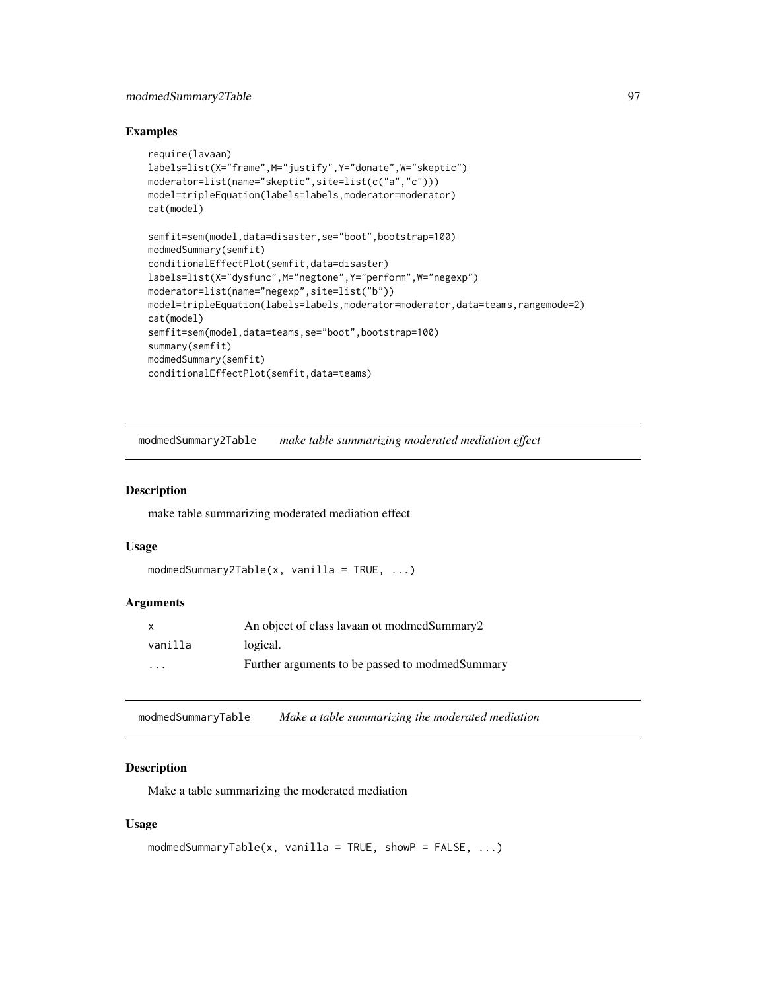#### modmedSummary2Table 97

#### Examples

```
require(lavaan)
labels=list(X="frame",M="justify",Y="donate",W="skeptic")
moderator=list(name="skeptic",site=list(c("a","c")))
model=tripleEquation(labels=labels,moderator=moderator)
cat(model)
semfit=sem(model,data=disaster,se="boot",bootstrap=100)
modmedSummary(semfit)
conditionalEffectPlot(semfit,data=disaster)
labels=list(X="dysfunc",M="negtone",Y="perform",W="negexp")
moderator=list(name="negexp",site=list("b"))
model=tripleEquation(labels=labels,moderator=moderator,data=teams,rangemode=2)
cat(model)
semfit=sem(model,data=teams,se="boot",bootstrap=100)
summary(semfit)
modmedSummary(semfit)
conditionalEffectPlot(semfit,data=teams)
```
modmedSummary2Table *make table summarizing moderated mediation effect*

#### Description

make table summarizing moderated mediation effect

#### Usage

```
modmedSummary2Table(x, vanilla = TRUE, ...)
```
#### **Arguments**

| $\mathsf{x}$            | An object of class lavaan ot modmed Summary 2    |
|-------------------------|--------------------------------------------------|
| vanilla                 | logical.                                         |
| $\cdot$ $\cdot$ $\cdot$ | Further arguments to be passed to modmed Summary |

modmedSummaryTable *Make a table summarizing the moderated mediation*

#### Description

Make a table summarizing the moderated mediation

#### Usage

```
modmedSummaryTable(x, vanilla = TRUE, showP = FALSE, \ldots)
```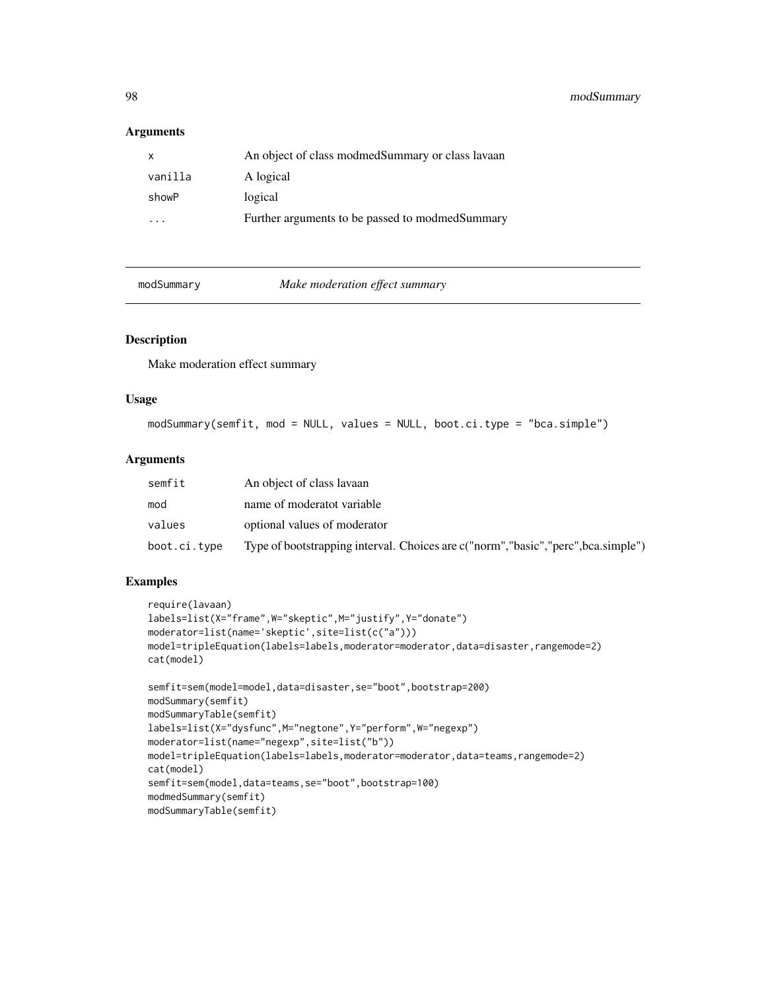98 modSummary

# Arguments

| X       | An object of class modmed Summary or class layaan |
|---------|---------------------------------------------------|
| vanilla | A logical                                         |
| showP   | logical                                           |
| .       | Further arguments to be passed to modmedSummary   |

modSummary *Make moderation effect summary*

#### Description

Make moderation effect summary

#### Usage

modSummary(semfit, mod = NULL, values = NULL, boot.ci.type = "bca.simple")

#### Arguments

| semfit       | An object of class lavaan                                                           |
|--------------|-------------------------------------------------------------------------------------|
| mod          | name of moderatot variable                                                          |
| values       | optional values of moderator                                                        |
| boot.ci.type | Type of bootstrapping interval. Choices are c("norm", "basic", "perc", bca.simple") |

# Examples

```
require(lavaan)
labels=list(X="frame",W="skeptic",M="justify",Y="donate")
moderator=list(name='skeptic',site=list(c("a")))
model=tripleEquation(labels=labels,moderator=moderator,data=disaster,rangemode=2)
cat(model)
```

```
semfit=sem(model=model,data=disaster,se="boot",bootstrap=200)
modSummary(semfit)
modSummaryTable(semfit)
labels=list(X="dysfunc",M="negtone",Y="perform",W="negexp")
moderator=list(name="negexp",site=list("b"))
model=tripleEquation(labels=labels,moderator=moderator,data=teams,rangemode=2)
cat(model)
semfit=sem(model,data=teams,se="boot",bootstrap=100)
modmedSummary(semfit)
modSummaryTable(semfit)
```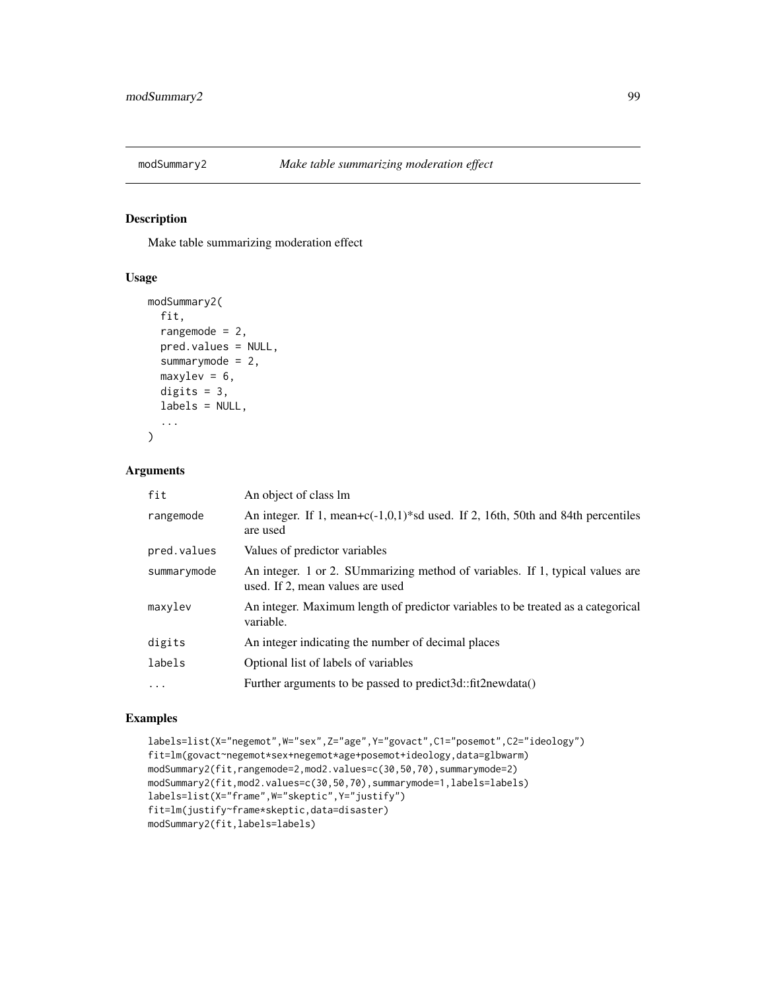Make table summarizing moderation effect

## Usage

```
modSummary2(
  fit,
  rangemode = 2,
  pred.values = NULL,
  summarymode = 2,
  maxylev = 6,
  digits = 3,
  labels = NULL,
  ...
)
```
## Arguments

| fit         | An object of class lm                                                                                             |
|-------------|-------------------------------------------------------------------------------------------------------------------|
| rangemode   | An integer. If 1, mean+ $c(-1,0,1)$ <sup>*</sup> sd used. If 2, 16th, 50th and 84th percentiles<br>are used       |
| pred.values | Values of predictor variables                                                                                     |
| summarymode | An integer. 1 or 2. SUmmarizing method of variables. If 1, typical values are<br>used. If 2, mean values are used |
| maxylev     | An integer. Maximum length of predictor variables to be treated as a categorical<br>variable.                     |
| digits      | An integer indicating the number of decimal places                                                                |
| labels      | Optional list of labels of variables                                                                              |
| $\cdots$    | Further arguments to be passed to predict3d::fit2newdata()                                                        |

## Examples

```
labels=list(X="negemot",W="sex",Z="age",Y="govact",C1="posemot",C2="ideology")
fit=lm(govact~negemot*sex+negemot*age+posemot+ideology,data=glbwarm)
modSummary2(fit,rangemode=2,mod2.values=c(30,50,70),summarymode=2)
modSummary2(fit,mod2.values=c(30,50,70),summarymode=1,labels=labels)
labels=list(X="frame",W="skeptic",Y="justify")
fit=lm(justify~frame*skeptic,data=disaster)
modSummary2(fit,labels=labels)
```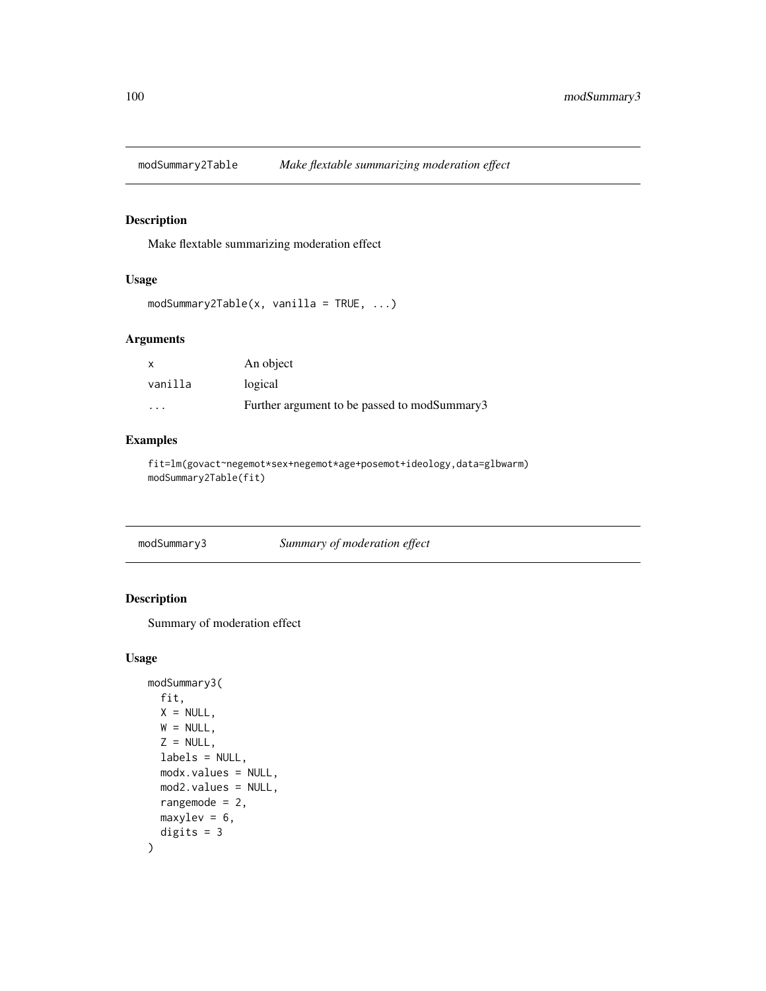modSummary2Table *Make flextable summarizing moderation effect*

# Description

Make flextable summarizing moderation effect

## Usage

```
modSummary2Table(x, vanilla = TRUE, ...)
```
## Arguments

| $\boldsymbol{\mathsf{x}}$ | An object                                    |
|---------------------------|----------------------------------------------|
| vanilla                   | logical                                      |
| .                         | Further argument to be passed to modSummary3 |

# Examples

fit=lm(govact~negemot\*sex+negemot\*age+posemot+ideology,data=glbwarm) modSummary2Table(fit)

| modSummary3 | Summary of moderation effect |  |
|-------------|------------------------------|--|
|-------------|------------------------------|--|

# Description

Summary of moderation effect

# Usage

```
modSummary3(
 fit,
 X = NULL,W = NULL,Z = NULL,labels = NULL,
 modx.values = NULL,
 mod2.values = NULL,
 rangemode = 2,
 maxylev = 6,
  digits = 3
\mathcal{E}
```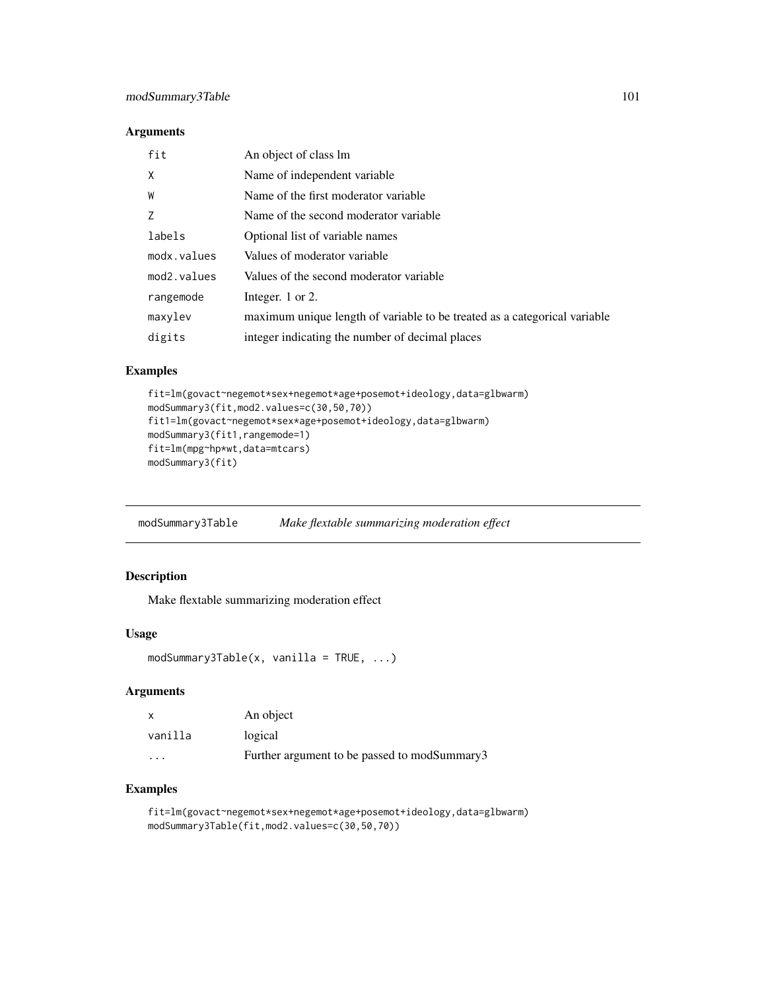## Arguments

| fit                      | An object of class lm                                                     |
|--------------------------|---------------------------------------------------------------------------|
| X                        | Name of independent variable                                              |
| W                        | Name of the first moderator variable                                      |
| 7                        | Name of the second moderator variable.                                    |
| labels                   | Optional list of variable names                                           |
| modx.values              | Values of moderator variable                                              |
| mod <sub>2</sub> .values | Values of the second moderator variable                                   |
| rangemode                | Integer. 1 or 2.                                                          |
| maxylev                  | maximum unique length of variable to be treated as a categorical variable |
| digits                   | integer indicating the number of decimal places                           |

# Examples

```
fit=lm(govact~negemot*sex+negemot*age+posemot+ideology,data=glbwarm)
modSummary3(fit,mod2.values=c(30,50,70))
fit1=lm(govact~negemot*sex*age+posemot+ideology,data=glbwarm)
modSummary3(fit1,rangemode=1)
fit=lm(mpg~hp*wt,data=mtcars)
modSummary3(fit)
```
modSummary3Table *Make flextable summarizing moderation effect*

# Description

Make flextable summarizing moderation effect

## Usage

```
modSummary3Table(x, vanilla = TRUE, ...)
```
# Arguments

| $\boldsymbol{\mathsf{x}}$ | An object                                    |
|---------------------------|----------------------------------------------|
| vanilla                   | logical                                      |
| $\cdot$ $\cdot$ $\cdot$   | Further argument to be passed to modSummary3 |

#### Examples

fit=lm(govact~negemot\*sex+negemot\*age+posemot+ideology,data=glbwarm) modSummary3Table(fit,mod2.values=c(30,50,70))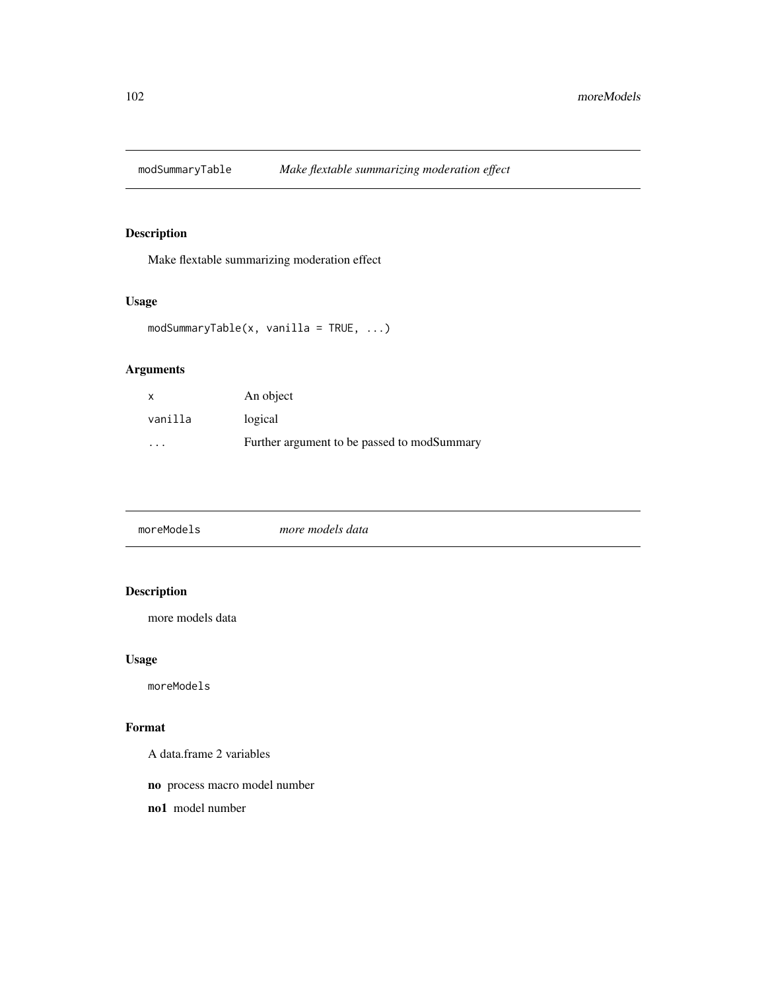Make flextable summarizing moderation effect

# Usage

```
modSummaryTable(x, vanilla = TRUE, ...)
```
# Arguments

| X       | An object                                   |
|---------|---------------------------------------------|
| vanilla | logical                                     |
| .       | Further argument to be passed to modSummary |

| moreModels | more models data |  |
|------------|------------------|--|
|            |                  |  |

# Description

more models data

# Usage

moreModels

## Format

A data.frame 2 variables

no process macro model number

no1 model number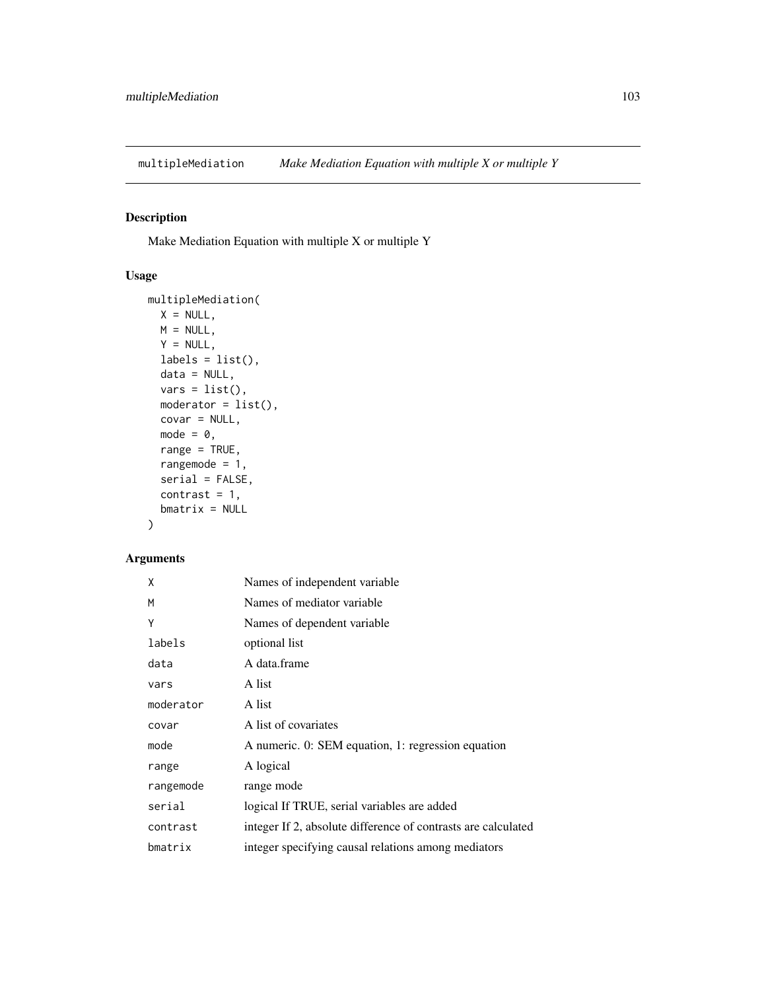multipleMediation *Make Mediation Equation with multiple X or multiple Y*

# Description

Make Mediation Equation with multiple X or multiple Y

# Usage

```
multipleMediation(
 X = NULL,M = NULL,Y = NULL,labels = list(),data = NULL,
 vars = list(),
 modern = list(),
 covar = NULL,
 mode = 0,range = TRUE,
 rangemode = 1,
 serial = FALSE,
 contrast = 1,
 bmatrix = NULL
)
```

| X         | Names of independent variable                                 |
|-----------|---------------------------------------------------------------|
| M         | Names of mediator variable                                    |
| Υ         | Names of dependent variable                                   |
| labels    | optional list                                                 |
| data      | A data.frame                                                  |
| vars      | A list                                                        |
| moderator | A list                                                        |
| covar     | A list of covariates                                          |
| mode      | A numeric. 0: SEM equation, 1: regression equation            |
| range     | A logical                                                     |
| rangemode | range mode                                                    |
| serial    | logical If TRUE, serial variables are added                   |
| contrast  | integer If 2, absolute difference of contrasts are calculated |
| bmatrix   | integer specifying causal relations among mediators           |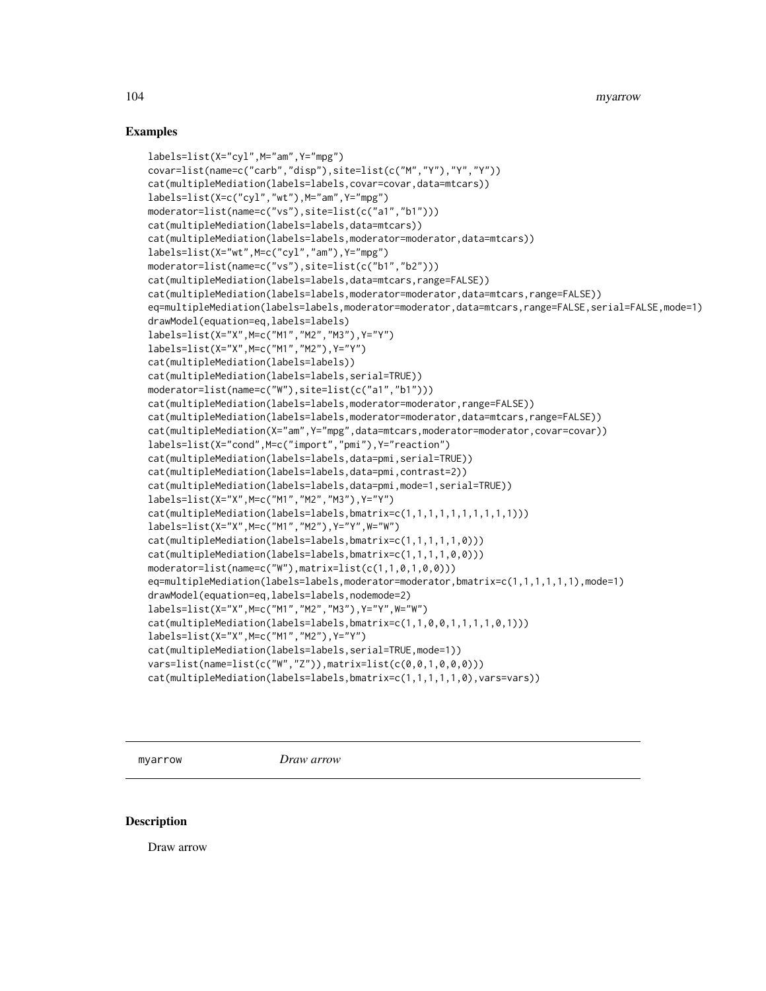#### Examples

```
labels=list(X="cyl",M="am",Y="mpg")
covar=list(name=c("carb","disp"),site=list(c("M","Y"),"Y","Y"))
cat(multipleMediation(labels=labels,covar=covar,data=mtcars))
labels=list(X=c("cyl","wt"),M="am",Y="mpg")
moderator=list(name=c("vs"),site=list(c("a1","b1")))
cat(multipleMediation(labels=labels,data=mtcars))
cat(multipleMediation(labels=labels,moderator=moderator,data=mtcars))
labels=list(X="wt",M=c("cyl","am"),Y="mpg")
moderator=list(name=c("vs"),site=list(c("b1","b2")))
cat(multipleMediation(labels=labels,data=mtcars,range=FALSE))
cat(multipleMediation(labels=labels,moderator=moderator,data=mtcars,range=FALSE))
eq=multipleMediation(labels=labels,moderator=moderator,data=mtcars,range=FALSE,serial=FALSE,mode=1)
drawModel(equation=eq,labels=labels)
labels=list(X="X",M=c("M1","M2","M3"),Y="Y")
labels=list(X="X",M=c("M1","M2"),Y="Y")
cat(multipleMediation(labels=labels))
cat(multipleMediation(labels=labels,serial=TRUE))
moderator=list(name=c("W"),site=list(c("a1","b1")))
cat(multipleMediation(labels=labels,moderator=moderator,range=FALSE))
cat(multipleMediation(labels=labels,moderator=moderator,data=mtcars,range=FALSE))
cat(multipleMediation(X="am",Y="mpg",data=mtcars,moderator=moderator,covar=covar))
labels=list(X="cond",M=c("import","pmi"),Y="reaction")
cat(multipleMediation(labels=labels,data=pmi,serial=TRUE))
cat(multipleMediation(labels=labels,data=pmi,contrast=2))
cat(multipleMediation(labels=labels,data=pmi,mode=1,serial=TRUE))
labels=list(X="X",M=c("M1","M2","M3"),Y="Y")
cat(multipleMediation(labels=labels,bmatrix=c(1,1,1,1,1,1,1,1,1,1)))
labels=list(X="X",M=c("M1","M2"),Y="Y",W="W")
cat(multipleMediation(labels=labels,bmatrix=c(1,1,1,1,1,0)))
cat(multipleMediation(labels=labels,bmatrix=c(1,1,1,1,0,0)))
moderator=list(name=c("W"),matrix=list(c(1,1,0,1,0,0)))
eq=multipleMediation(labels=labels,moderator=moderator,bmatrix=c(1,1,1,1,1,1),mode=1)
drawModel(equation=eq,labels=labels,nodemode=2)
labels=list(X="X",M=c("M1","M2","M3"),Y="Y",W="W")
cat(multipleMediation(labels=labels,bmatrix=c(1,1,0,0,1,1,1,1,0,1)))
labels=list(X="X",M=c("M1","M2"),Y="Y")
cat(multipleMediation(labels=labels,serial=TRUE,mode=1))
vars=list(name=list(c("W","Z")),matrix=list(c(0,0,1,0,0,0)))
cat(multipleMediation(labels=labels,bmatrix=c(1,1,1,1,1,0),vars=vars))
```
myarrow *Draw arrow*

#### Description

Draw arrow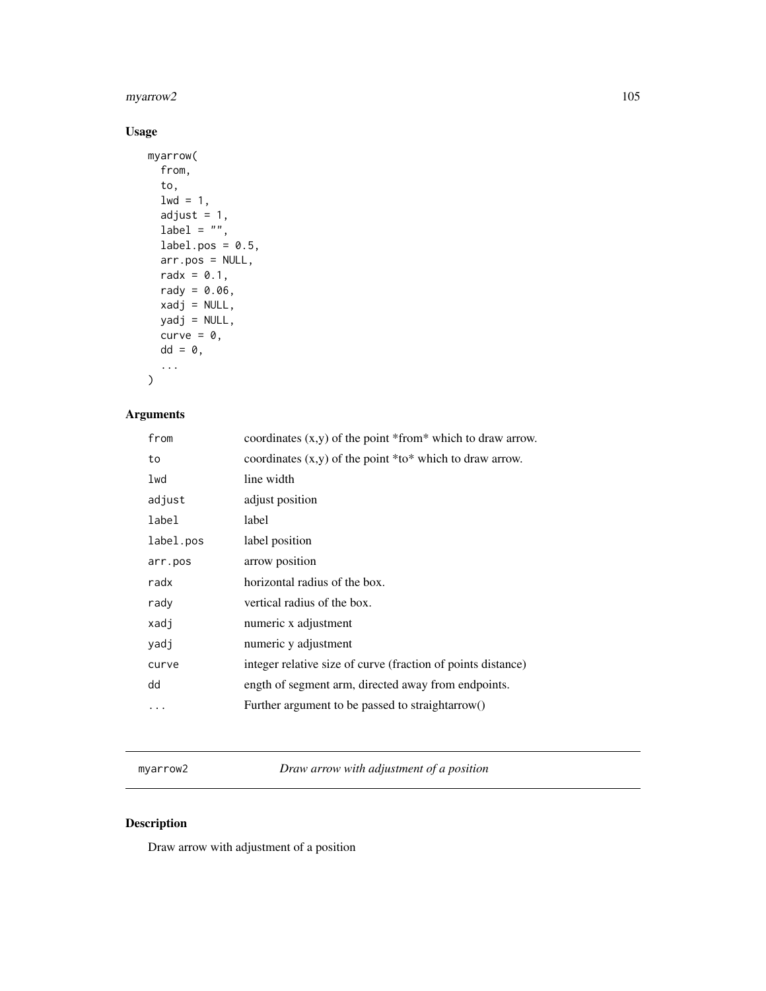# myarrow2 105

# Usage

```
myarrow(
  from,
  to,
  1wd = 1,adjust = 1,
  label = "",label.pos = 0.5,
  arr.pos = NULL,
  radx = 0.1,
  rady = 0.06,
  xadj = NULL,yadj = NULL,
  curve = \theta,
  dd = 0,...
)
```
# Arguments

| from      | coordinates $(x,y)$ of the point *from* which to draw arrow. |
|-----------|--------------------------------------------------------------|
| to        | coordinates $(x, y)$ of the point *to* which to draw arrow.  |
| lwd       | line width                                                   |
| adjust    | adjust position                                              |
| label     | label                                                        |
| label.pos | label position                                               |
| arr.pos   | arrow position                                               |
| radx      | horizontal radius of the box.                                |
| rady      | vertical radius of the box.                                  |
| xadj      | numeric x adjustment                                         |
| yadj      | numeric y adjustment                                         |
| curve     | integer relative size of curve (fraction of points distance) |
| dd        | ength of segment arm, directed away from endpoints.          |
|           | Further argument to be passed to straight arrow()            |

myarrow2 *Draw arrow with adjustment of a position*

# Description

Draw arrow with adjustment of a position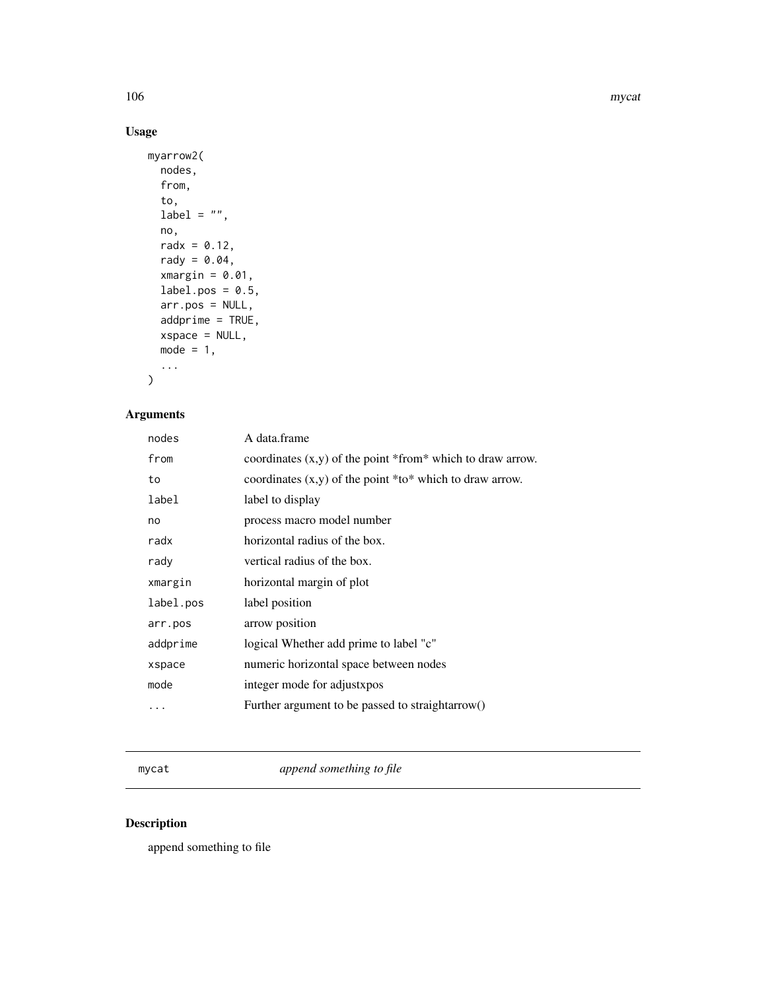106 mycatherine and the state of the state of the state of the state of the state of the state of the state of the state of the state of the state of the state of the state of the state of the state of the state of the sta

# Usage

```
myarrow2(
  nodes,
  from,
  to,
  label = "",no,
  radx = 0.12,
  rady = 0.04,
  xmargin = 0.01,
  label.pos = 0.5,
  arr.pos = NULL,
  addprime = TRUE,
  xspace = NULL,
  mode = 1,...
)
```
# Arguments

| A data.frame                                                 |
|--------------------------------------------------------------|
| coordinates $(x,y)$ of the point *from* which to draw arrow. |
| coordinates $(x, y)$ of the point *to* which to draw arrow.  |
| label to display                                             |
| process macro model number                                   |
| horizontal radius of the box.                                |
| vertical radius of the box.                                  |
| horizontal margin of plot                                    |
| label position                                               |
| arrow position                                               |
| logical Whether add prime to label "c"                       |
| numeric horizontal space between nodes                       |
| integer mode for adjustxpos                                  |
| Further argument to be passed to straight arrow()            |
|                                                              |

mycat *append something to file*

# Description

append something to file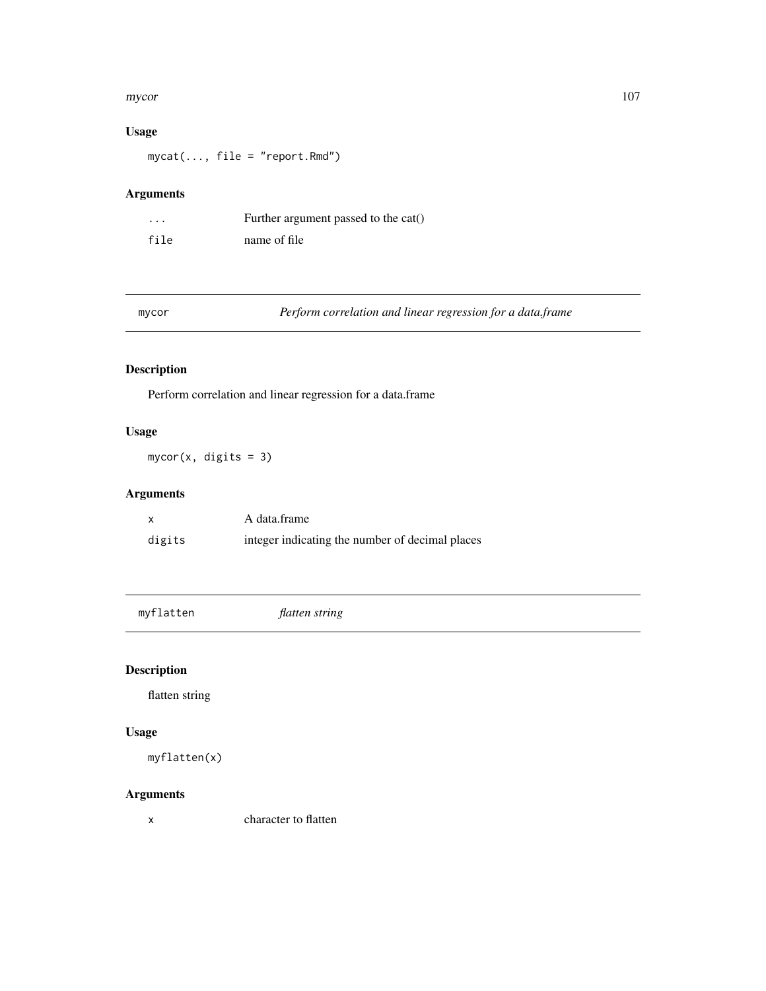#### mycor and the state of the state of the state of the state of the state of the state of the state of the state of the state of the state of the state of the state of the state of the state of the state of the state of the

# Usage

mycat(..., file = "report.Rmd")

# Arguments

| .    | Further argument passed to the cat() |
|------|--------------------------------------|
| file | name of file                         |

|  |  | ۰. |  |
|--|--|----|--|

mycor *Perform correlation and linear regression for a data.frame*

# Description

Perform correlation and linear regression for a data.frame

# Usage

mycor(x, digits = 3)

# Arguments

|        | A data frame                                    |
|--------|-------------------------------------------------|
| digits | integer indicating the number of decimal places |

myflatten *flatten string*

# Description

flatten string

#### Usage

myflatten(x)

# Arguments

x character to flatten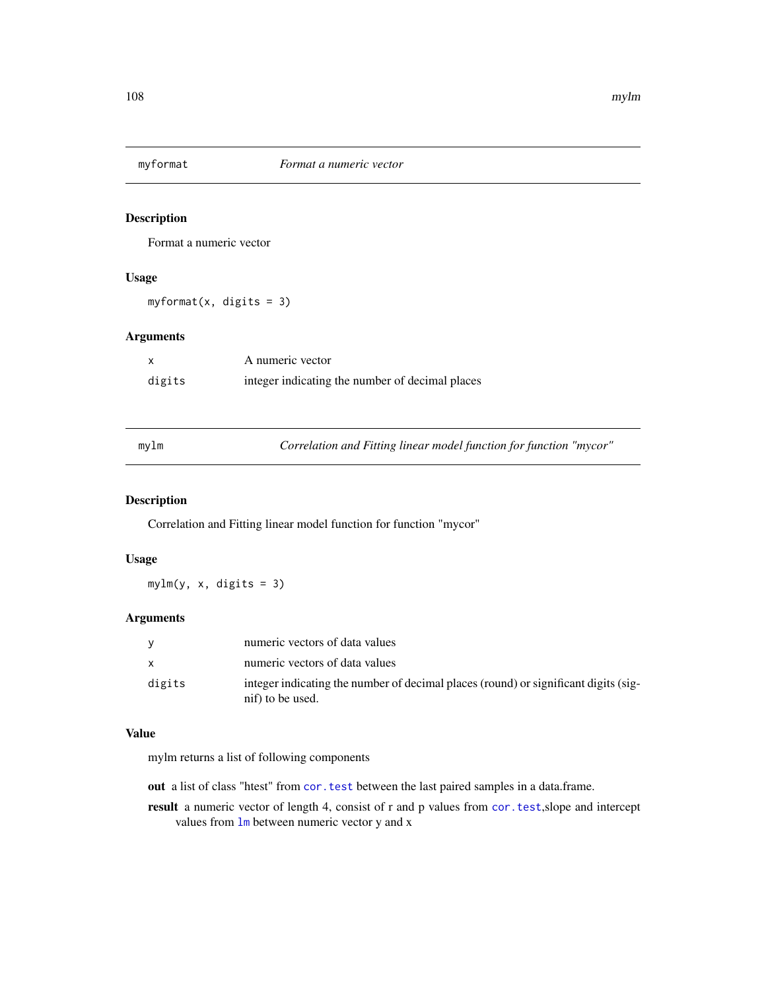Format a numeric vector

## Usage

myformat(x, digits = 3)

# Arguments

|        | A numeric vector                                |
|--------|-------------------------------------------------|
| digits | integer indicating the number of decimal places |

mylm *Correlation and Fitting linear model function for function "mycor"*

# Description

Correlation and Fitting linear model function for function "mycor"

## Usage

mylm(y, x, digits = 3)

# Arguments

| v        | numeric vectors of data values                                                                          |
|----------|---------------------------------------------------------------------------------------------------------|
| <b>X</b> | numeric vectors of data values                                                                          |
| digits   | integer indicating the number of decimal places (round) or significant digits (sig-<br>nif) to be used. |

#### Value

mylm returns a list of following components

out a list of class "htest" from [cor.test](#page-0-0) between the last paired samples in a data.frame.

result a numeric vector of length 4, consist of r and p values from [cor.test](#page-0-0),slope and intercept values from [lm](#page-0-0) between numeric vector y and x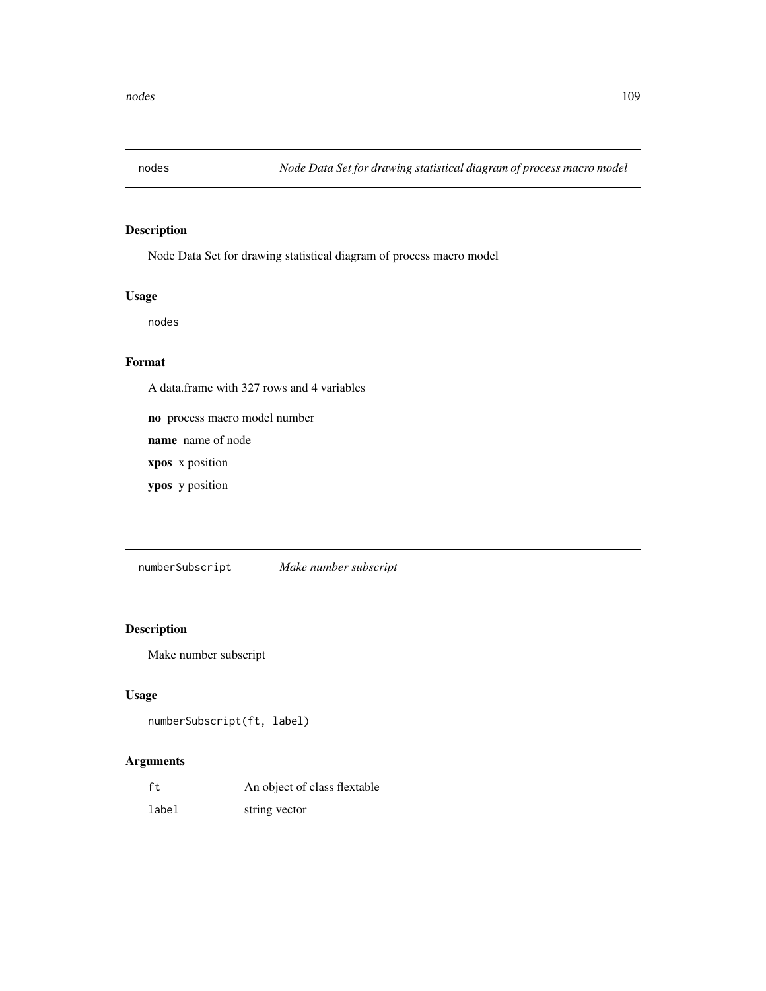<span id="page-108-0"></span>

Node Data Set for drawing statistical diagram of process macro model

# Usage

nodes

#### Format

A data.frame with 327 rows and 4 variables

no process macro model number

name name of node

xpos x position

ypos y position

numberSubscript *Make number subscript*

# Description

Make number subscript

# Usage

```
numberSubscript(ft, label)
```

| ft    | An object of class flextable |
|-------|------------------------------|
| label | string vector                |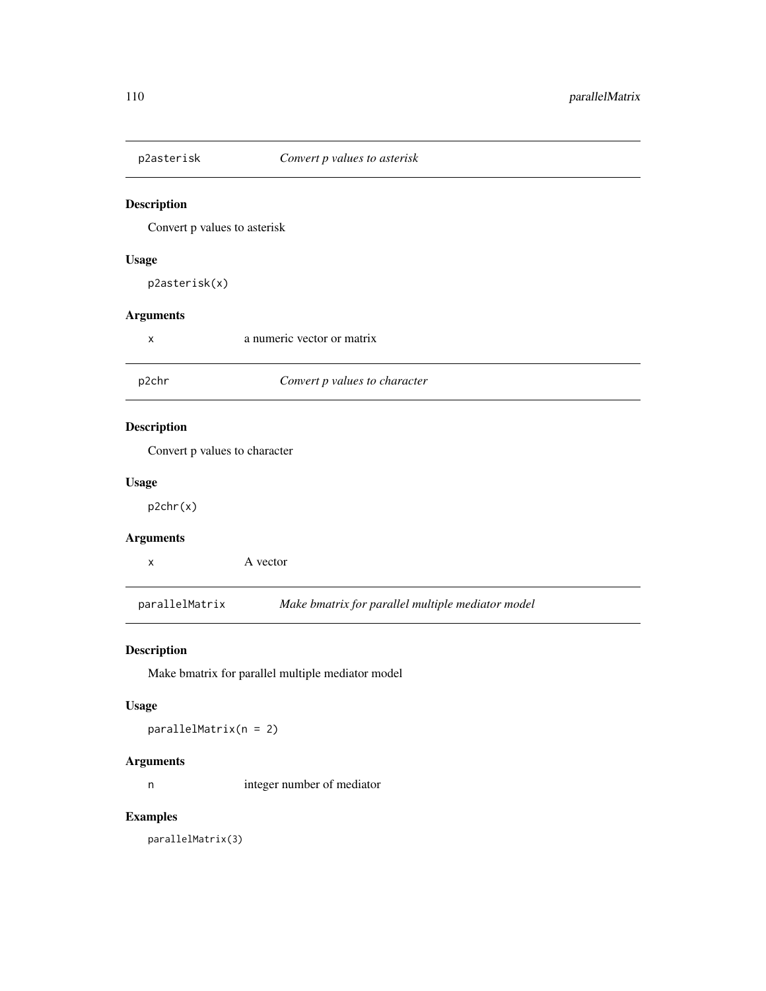Convert p values to asterisk

#### Usage

p2asterisk(x)

#### Arguments

| X                  | a numeric vector or matrix    |  |
|--------------------|-------------------------------|--|
| p2chr              | Convert p values to character |  |
| <b>Description</b> | Convert p values to character |  |
| <b>Usage</b>       |                               |  |
| p2chr(x)           |                               |  |
| $\blacksquare$     |                               |  |

#### Arguments

x A vector

parallelMatrix *Make bmatrix for parallel multiple mediator model*

#### Description

Make bmatrix for parallel multiple mediator model

#### Usage

parallelMatrix(n = 2)

#### Arguments

n integer number of mediator

#### Examples

parallelMatrix(3)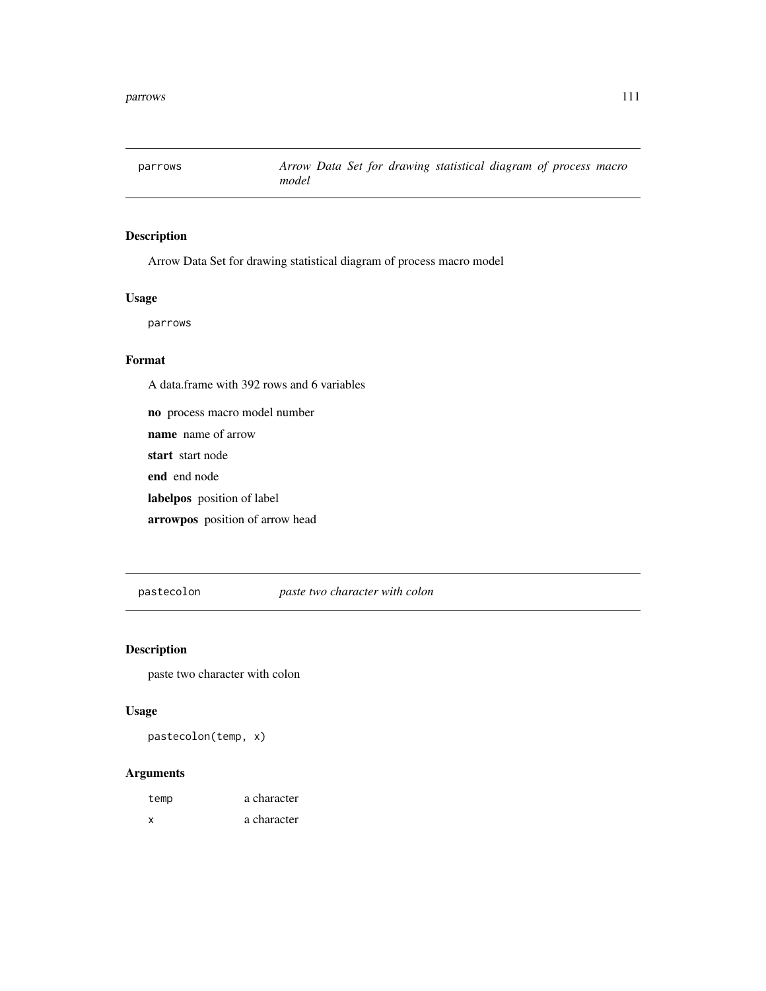<span id="page-110-0"></span>

Arrow Data Set for drawing statistical diagram of process macro model

#### Usage

parrows

#### Format

A data.frame with 392 rows and 6 variables

no process macro model number name name of arrow start start node end end node labelpos position of label

arrowpos position of arrow head

pastecolon *paste two character with colon*

#### Description

paste two character with colon

#### Usage

pastecolon(temp, x)

| temp | a character |
|------|-------------|
| x    | a character |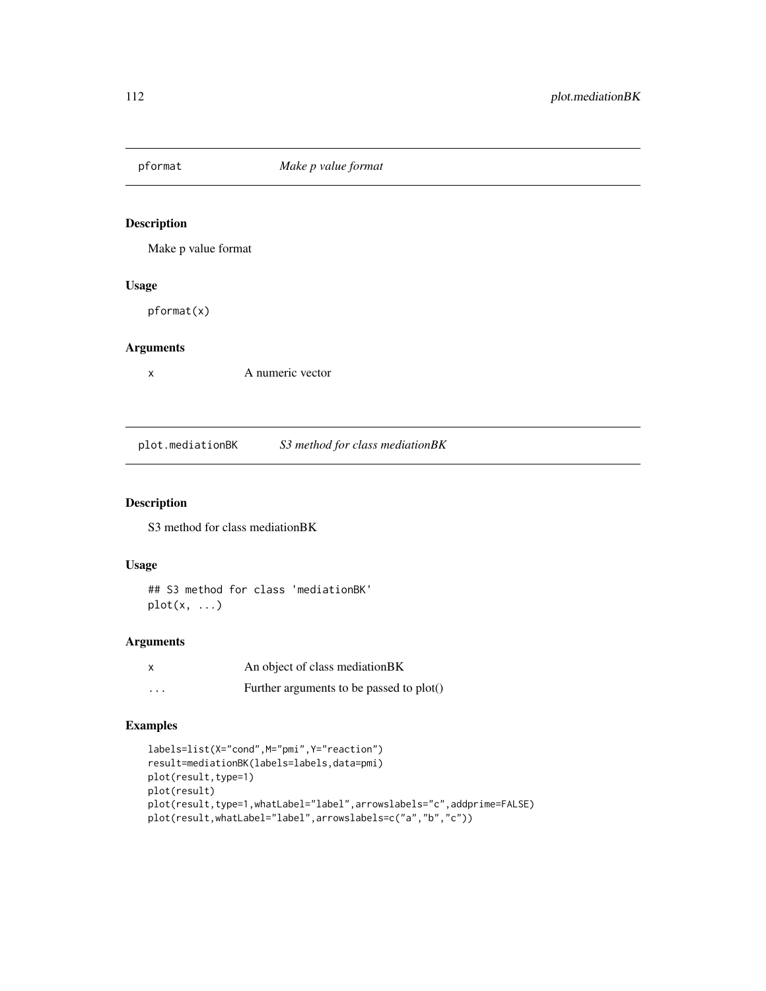Make p value format

#### Usage

pformat(x)

# Arguments

x A numeric vector

plot.mediationBK *S3 method for class mediationBK*

# Description

S3 method for class mediationBK

#### Usage

## S3 method for class 'mediationBK' plot(x, ...)

#### Arguments

|          | An object of class mediation BK          |
|----------|------------------------------------------|
| $\cdots$ | Further arguments to be passed to plot() |

```
labels=list(X="cond",M="pmi",Y="reaction")
result=mediationBK(labels=labels,data=pmi)
plot(result,type=1)
plot(result)
plot(result,type=1,whatLabel="label",arrowslabels="c",addprime=FALSE)
plot(result,whatLabel="label",arrowslabels=c("a","b","c"))
```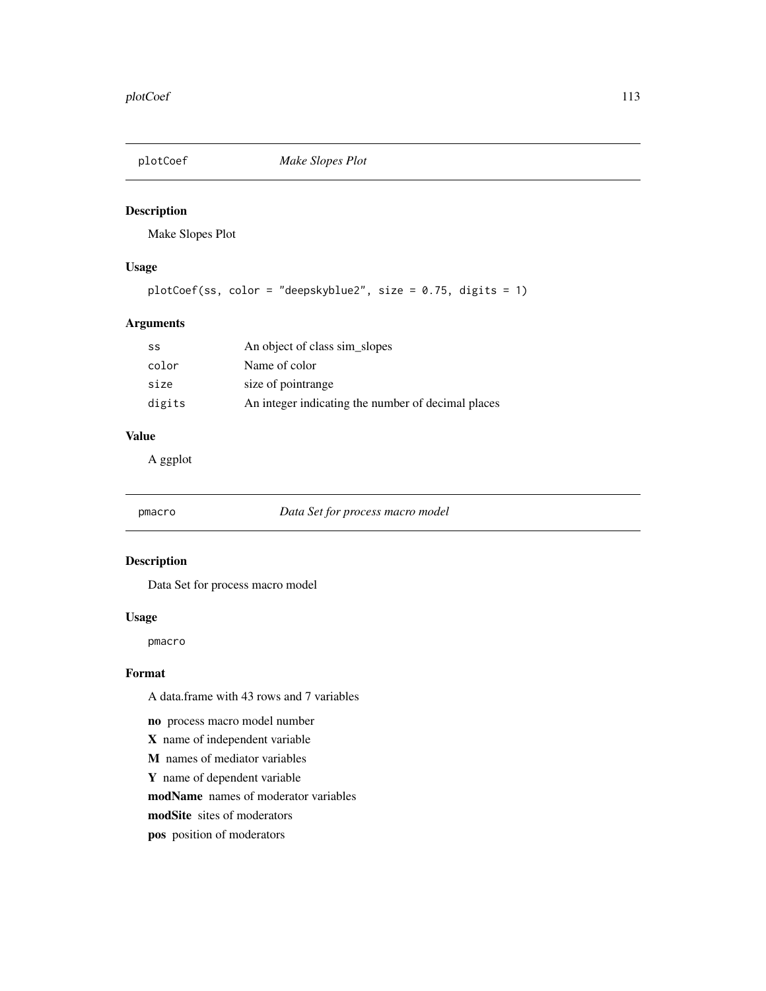<span id="page-112-0"></span>

Make Slopes Plot

# Usage

```
plotCoef(ss, color = "deepskyblue2", size = 0.75, digits = 1)
```
#### Arguments

| SS     | An object of class sim_slopes                      |
|--------|----------------------------------------------------|
| color  | Name of color                                      |
| size   | size of pointrange                                 |
| digits | An integer indicating the number of decimal places |

#### Value

A ggplot

pmacro *Data Set for process macro model*

#### Description

Data Set for process macro model

#### Usage

pmacro

#### Format

A data.frame with 43 rows and 7 variables

no process macro model number

- X name of independent variable
- M names of mediator variables
- Y name of dependent variable

modName names of moderator variables

- modSite sites of moderators
- pos position of moderators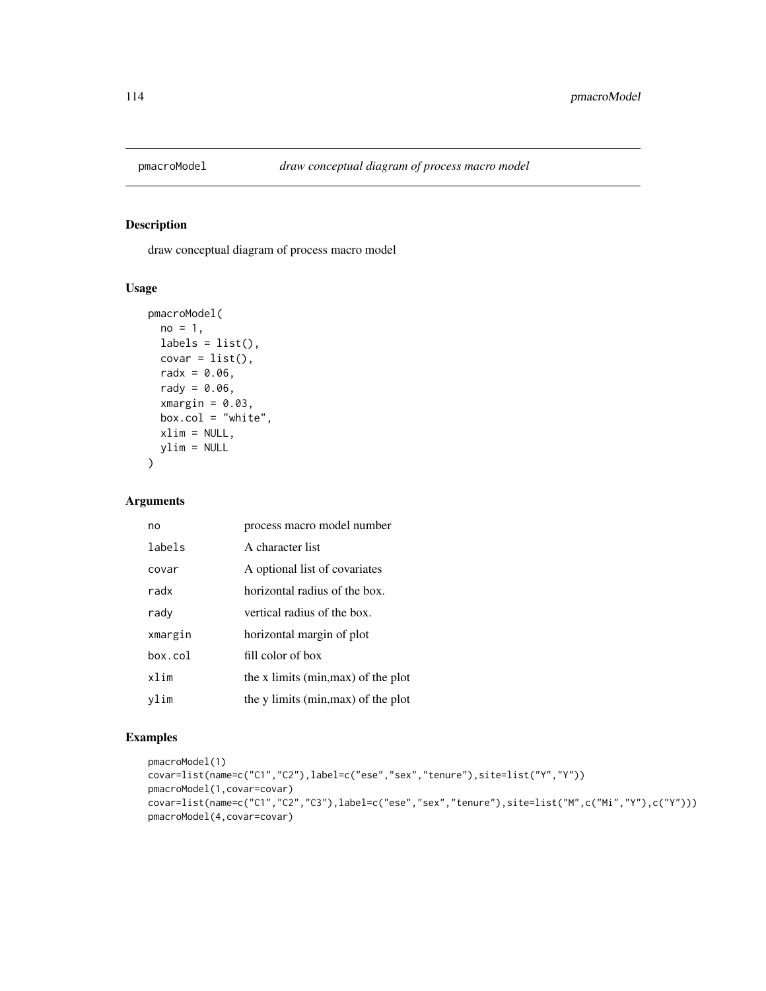draw conceptual diagram of process macro model

#### Usage

```
pmacroModel(
 no = 1,labels = list(),
 covar = list(),radx = 0.06,
 rady = 0.06,
  xmargin = 0.03,
 box.col = "white",xlim = NULL,
 ylim = NULL
\lambda
```
#### Arguments

| no      | process macro model number          |
|---------|-------------------------------------|
| labels  | A character list                    |
| covar   | A optional list of covariates       |
| radx    | horizontal radius of the box.       |
| rady    | vertical radius of the box.         |
| xmargin | horizontal margin of plot           |
| box.col | fill color of box                   |
| xlim    | the x limits (min, max) of the plot |
| vlim    | the y limits (min, max) of the plot |

```
pmacroModel(1)
covar=list(name=c("C1","C2"),label=c("ese","sex","tenure"),site=list("Y","Y"))
pmacroModel(1,covar=covar)
covar=list(name=c("C1","C2","C3"),label=c("ese","sex","tenure"),site=list("M",c("Mi","Y"),c("Y")))
pmacroModel(4,covar=covar)
```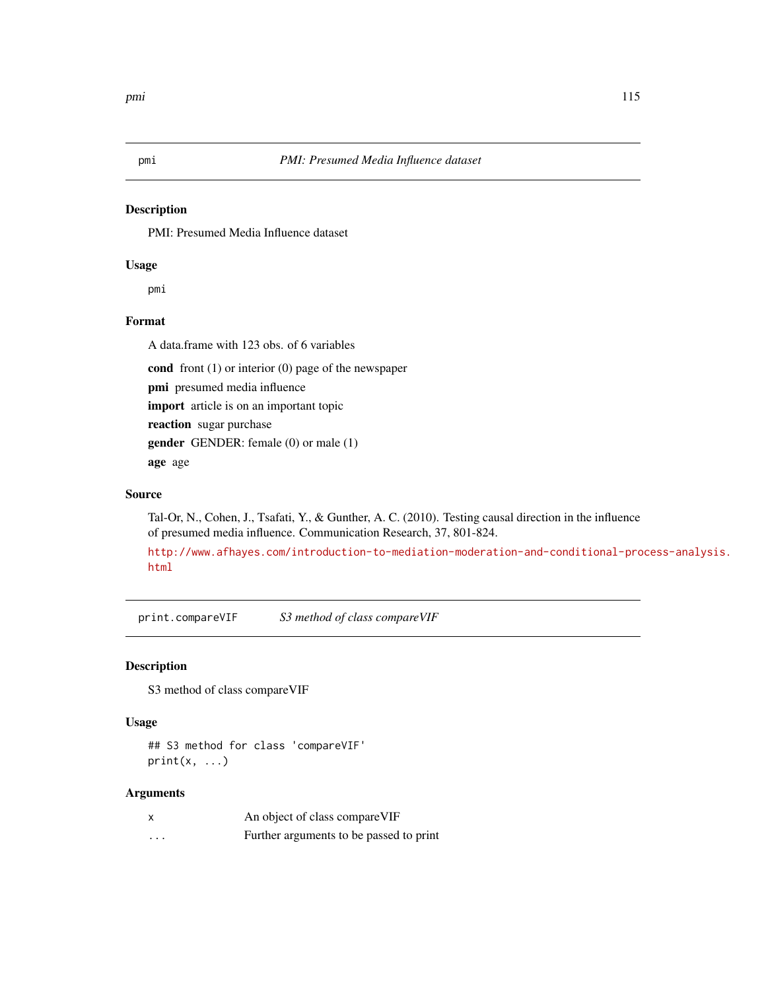<span id="page-114-0"></span>

PMI: Presumed Media Influence dataset

#### Usage

pmi

# Format

A data.frame with 123 obs. of 6 variables

cond front (1) or interior (0) page of the newspaper

pmi presumed media influence

import article is on an important topic

reaction sugar purchase

gender GENDER: female (0) or male (1)

age age

# Source

Tal-Or, N., Cohen, J., Tsafati, Y., & Gunther, A. C. (2010). Testing causal direction in the influence of presumed media influence. Communication Research, 37, 801-824.

[http://www.afhayes.com/introduction-to-mediation-moderation-and-conditional-pro](http://www.afhayes.com/introduction-to-mediation-moderation-and-conditional-process-analysis.html)cess-analysis. [html](http://www.afhayes.com/introduction-to-mediation-moderation-and-conditional-process-analysis.html)

print.compareVIF *S3 method of class compareVIF*

#### Description

S3 method of class compareVIF

#### Usage

## S3 method for class 'compareVIF'  $print(x, \ldots)$ 

| $\boldsymbol{\mathsf{x}}$ | An object of class compare VIF          |
|---------------------------|-----------------------------------------|
| $\cdots$                  | Further arguments to be passed to print |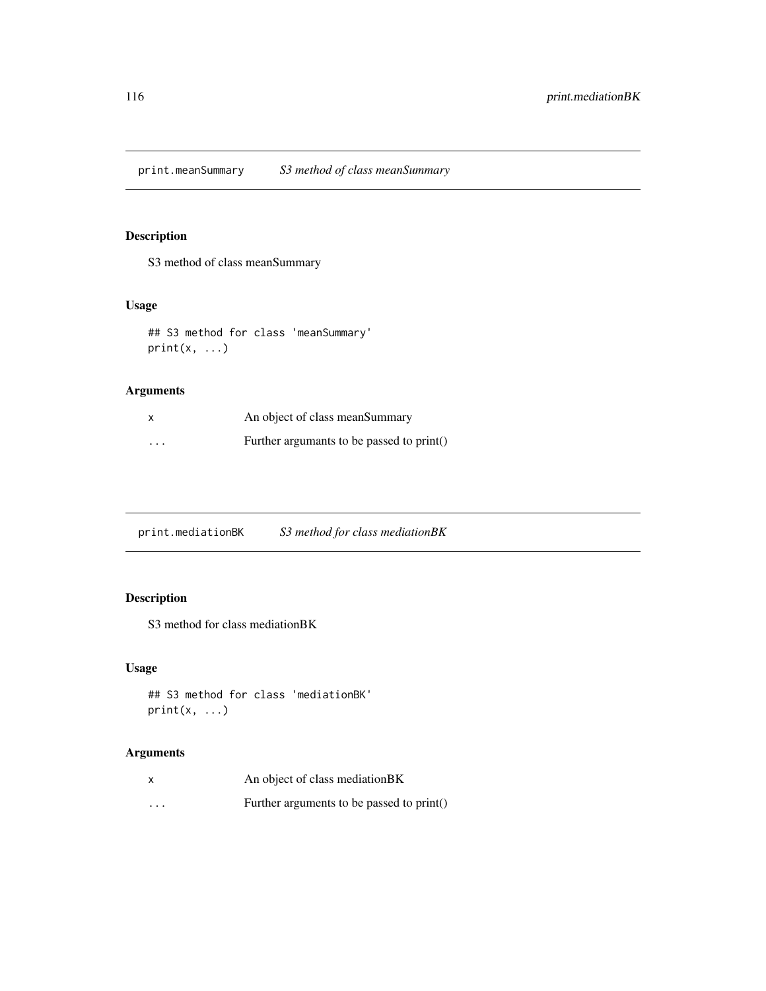print.meanSummary *S3 method of class meanSummary*

# Description

S3 method of class meanSummary

# Usage

```
## S3 method for class 'meanSummary'
print(x, \ldots)
```
#### Arguments

|          | An object of class mean Summary           |
|----------|-------------------------------------------|
| $\cdots$ | Further argumants to be passed to print() |

print.mediationBK *S3 method for class mediationBK*

# Description

S3 method for class mediationBK

# Usage

```
## S3 method for class 'mediationBK'
print(x, \ldots)
```

| x                       | An object of class mediation BK           |
|-------------------------|-------------------------------------------|
| $\cdot$ $\cdot$ $\cdot$ | Further arguments to be passed to print() |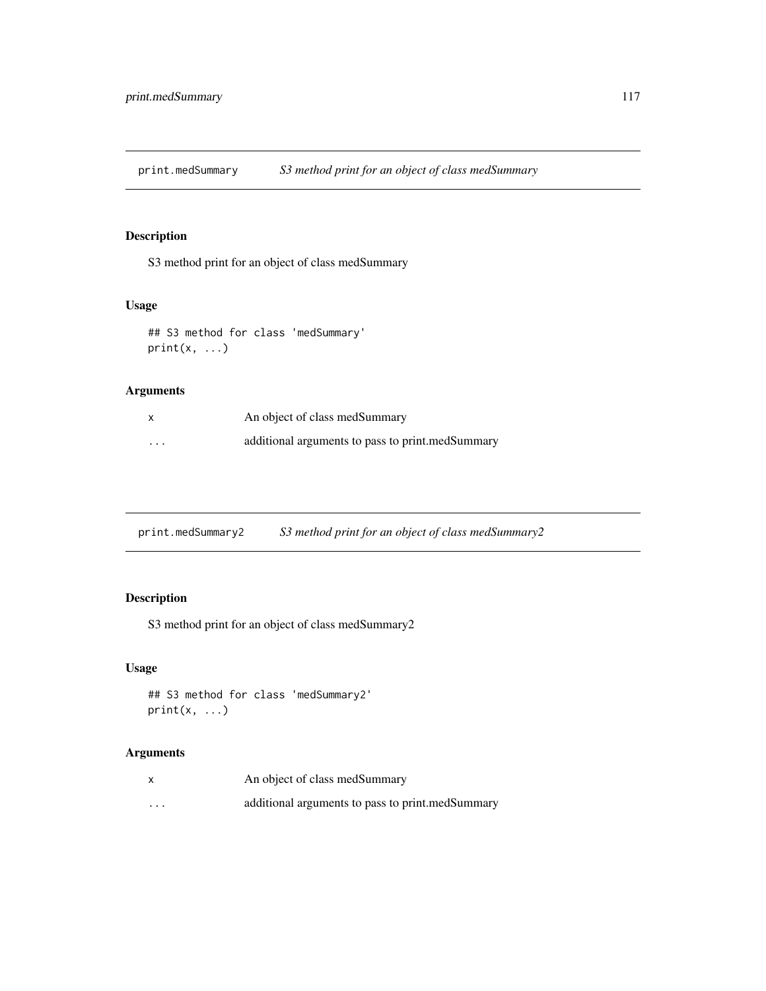print.medSummary *S3 method print for an object of class medSummary*

# Description

S3 method print for an object of class medSummary

#### Usage

```
## S3 method for class 'medSummary'
print(x, \ldots)
```
#### Arguments

| x                       | An object of class medSummary                    |
|-------------------------|--------------------------------------------------|
| $\cdot$ $\cdot$ $\cdot$ | additional arguments to pass to print.medSummary |

print.medSummary2 *S3 method print for an object of class medSummary2*

# Description

S3 method print for an object of class medSummary2

# Usage

```
## S3 method for class 'medSummary2'
print(x, \ldots)
```

| x        | An object of class medSummary                    |
|----------|--------------------------------------------------|
| $\cdots$ | additional arguments to pass to print.medSummary |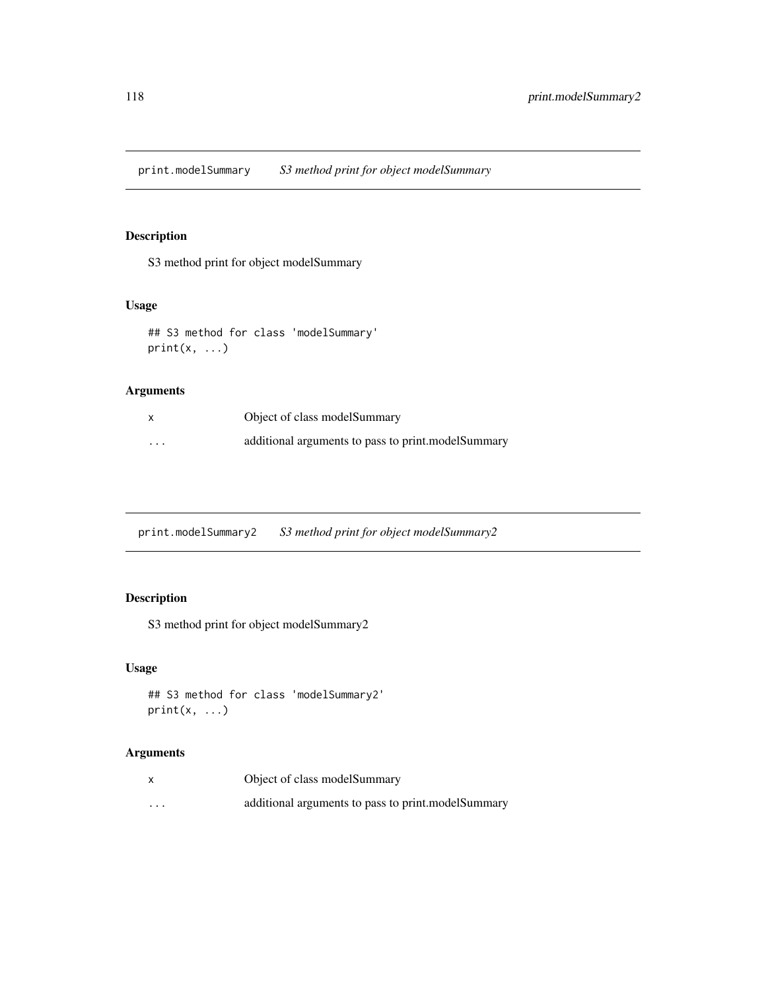print.modelSummary *S3 method print for object modelSummary*

# Description

S3 method print for object modelSummary

#### Usage

```
## S3 method for class 'modelSummary'
print(x, \ldots)
```
#### Arguments

|          | Object of class modelSummary                       |
|----------|----------------------------------------------------|
| $\cdots$ | additional arguments to pass to print.modelSummary |

print.modelSummary2 *S3 method print for object modelSummary2*

# Description

S3 method print for object modelSummary2

# Usage

```
## S3 method for class 'modelSummary2'
print(x, \ldots)
```

|          | Object of class modelSummary                       |
|----------|----------------------------------------------------|
| $\cdots$ | additional arguments to pass to print.modelSummary |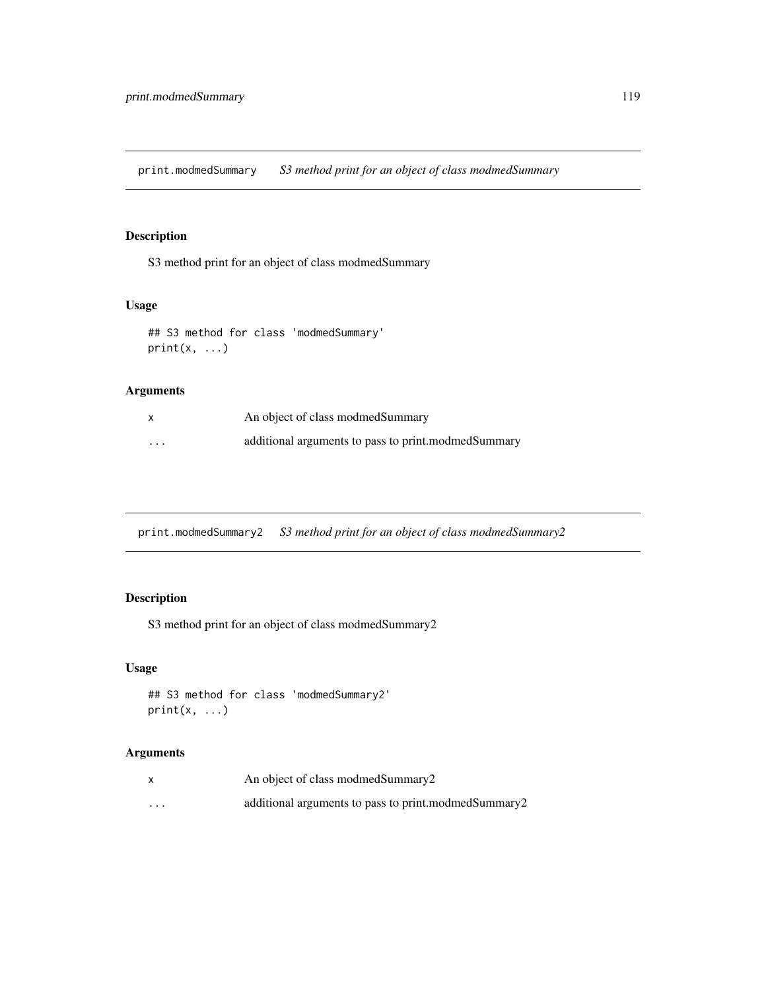print.modmedSummary *S3 method print for an object of class modmedSummary*

#### Description

S3 method print for an object of class modmedSummary

#### Usage

```
## S3 method for class 'modmedSummary'
print(x, \ldots)
```
#### Arguments

| X                       | An object of class modmed Summary                   |
|-------------------------|-----------------------------------------------------|
| $\cdot$ $\cdot$ $\cdot$ | additional arguments to pass to print.modmedSummary |

print.modmedSummary2 *S3 method print for an object of class modmedSummary2*

# Description

S3 method print for an object of class modmedSummary2

# Usage

```
## S3 method for class 'modmedSummary2'
print(x, \ldots)
```

|         | An object of class modmed Summary 2                  |
|---------|------------------------------------------------------|
| $\cdot$ | additional arguments to pass to print.modmedSummary2 |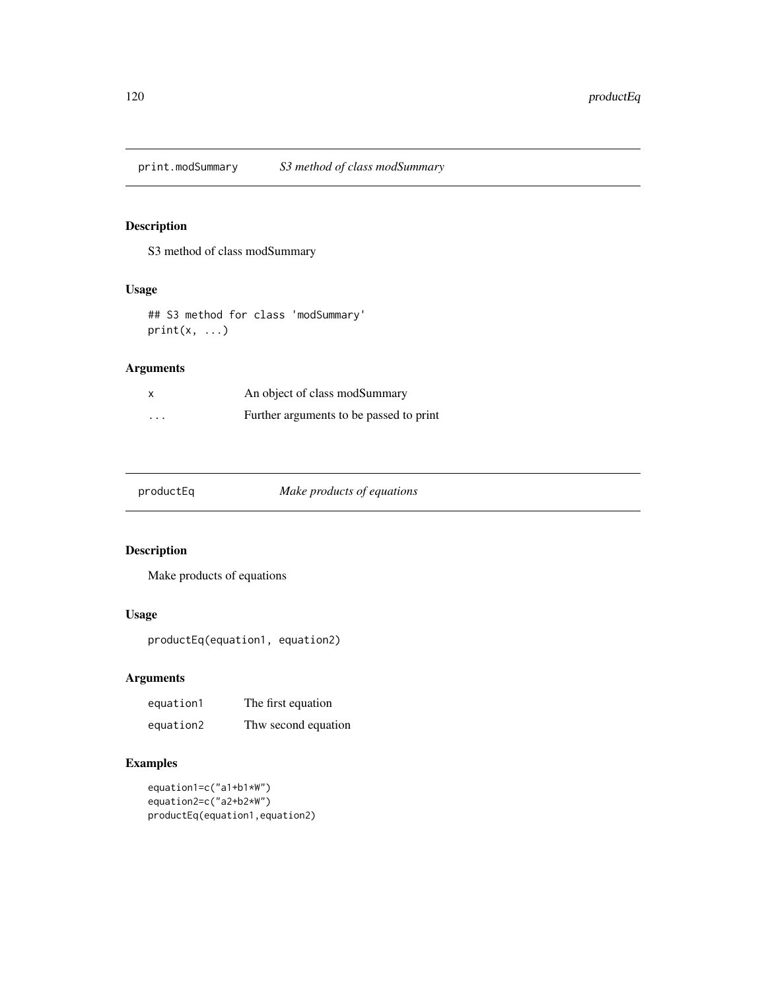print.modSummary *S3 method of class modSummary*

#### Description

S3 method of class modSummary

# Usage

```
## S3 method for class 'modSummary'
print(x, \ldots)
```
# Arguments

|          | An object of class modSummary           |
|----------|-----------------------------------------|
| $\cdots$ | Further arguments to be passed to print |

productEq *Make products of equations*

# Description

Make products of equations

#### Usage

productEq(equation1, equation2)

#### Arguments

| equation1 | The first equation  |
|-----------|---------------------|
| equation2 | Thw second equation |

```
equation1=c("a1+b1*W")
equation2=c("a2+b2*W")
productEq(equation1,equation2)
```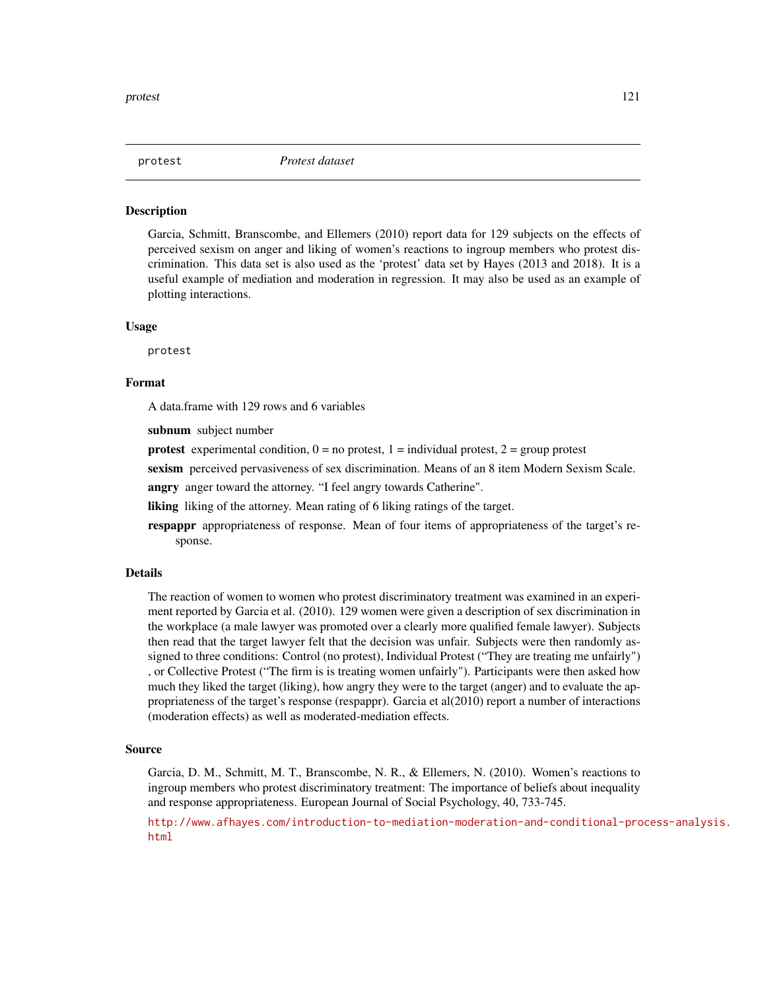<span id="page-120-0"></span>

Garcia, Schmitt, Branscombe, and Ellemers (2010) report data for 129 subjects on the effects of perceived sexism on anger and liking of women's reactions to ingroup members who protest discrimination. This data set is also used as the 'protest' data set by Hayes (2013 and 2018). It is a useful example of mediation and moderation in regression. It may also be used as an example of plotting interactions.

#### Usage

protest

#### Format

A data.frame with 129 rows and 6 variables

subnum subject number

**protest** experimental condition,  $0 =$  no protest,  $1 =$  individual protest,  $2 =$  group protest

sexism perceived pervasiveness of sex discrimination. Means of an 8 item Modern Sexism Scale.

angry anger toward the attorney. "I feel angry towards Catherine".

liking liking of the attorney. Mean rating of 6 liking ratings of the target.

respappr appropriateness of response. Mean of four items of appropriateness of the target's response.

#### Details

The reaction of women to women who protest discriminatory treatment was examined in an experiment reported by Garcia et al. (2010). 129 women were given a description of sex discrimination in the workplace (a male lawyer was promoted over a clearly more qualified female lawyer). Subjects then read that the target lawyer felt that the decision was unfair. Subjects were then randomly assigned to three conditions: Control (no protest), Individual Protest ("They are treating me unfairly") , or Collective Protest ("The firm is is treating women unfairly"). Participants were then asked how much they liked the target (liking), how angry they were to the target (anger) and to evaluate the appropriateness of the target's response (respappr). Garcia et al(2010) report a number of interactions (moderation effects) as well as moderated-mediation effects.

#### Source

Garcia, D. M., Schmitt, M. T., Branscombe, N. R., & Ellemers, N. (2010). Women's reactions to ingroup members who protest discriminatory treatment: The importance of beliefs about inequality and response appropriateness. European Journal of Social Psychology, 40, 733-745.

[http://www.afhayes.com/introduction-to-mediation-moderation-and-conditional-pro](http://www.afhayes.com/introduction-to-mediation-moderation-and-conditional-process-analysis.html)cess-analysis. [html](http://www.afhayes.com/introduction-to-mediation-moderation-and-conditional-process-analysis.html)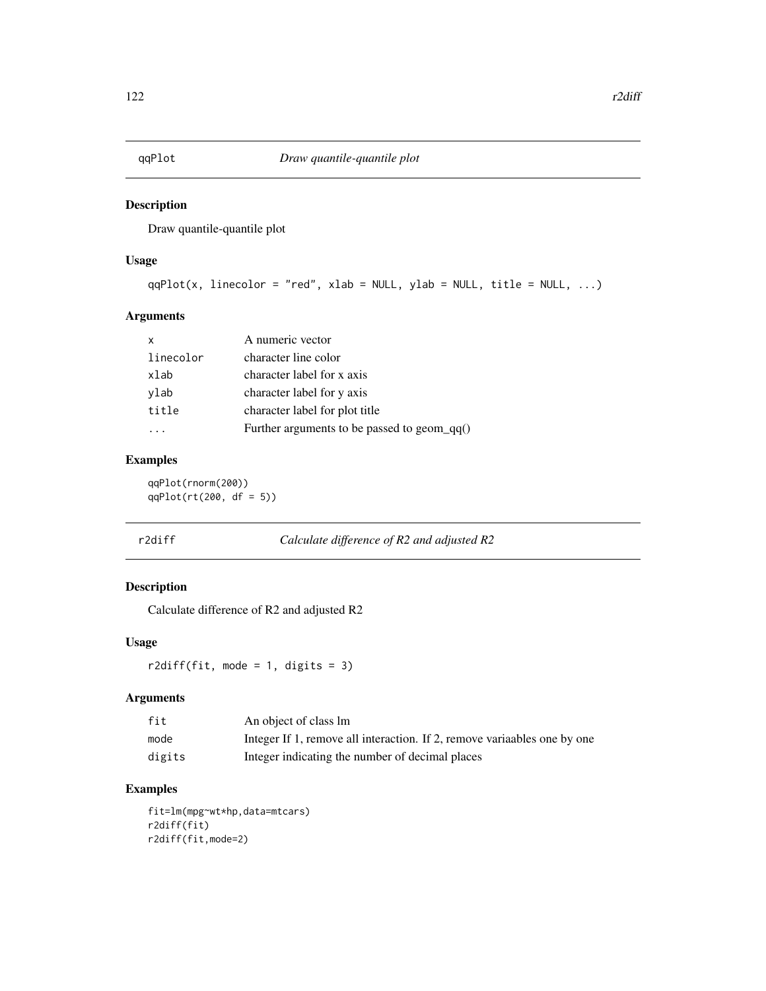Draw quantile-quantile plot

#### Usage

```
qqPlot(x, linecolor = "red", xlab = NULL, ylab = NULL, title = NULL, ...)
```
#### Arguments

| x         | A numeric vector                               |
|-----------|------------------------------------------------|
| linecolor | character line color                           |
| xlab      | character label for x axis                     |
| ylab      | character label for y axis                     |
| title     | character label for plot title                 |
|           | Further arguments to be passed to geom_qq $()$ |

#### Examples

qqPlot(rnorm(200)) qqPlot(rt(200, df = 5))

| Calculate difference of $R2$ and adjusted $R2$ |
|------------------------------------------------|
|                                                |

# Description

Calculate difference of R2 and adjusted R2

#### Usage

 $r2diff(fit, mode = 1, digits = 3)$ 

#### Arguments

| fit    | An object of class lm                                                    |
|--------|--------------------------------------------------------------------------|
| mode   | Integer If 1, remove all interaction. If 2, remove variaables one by one |
| digits | Integer indicating the number of decimal places                          |

### Examples

fit=lm(mpg~wt\*hp,data=mtcars) r2diff(fit) r2diff(fit,mode=2)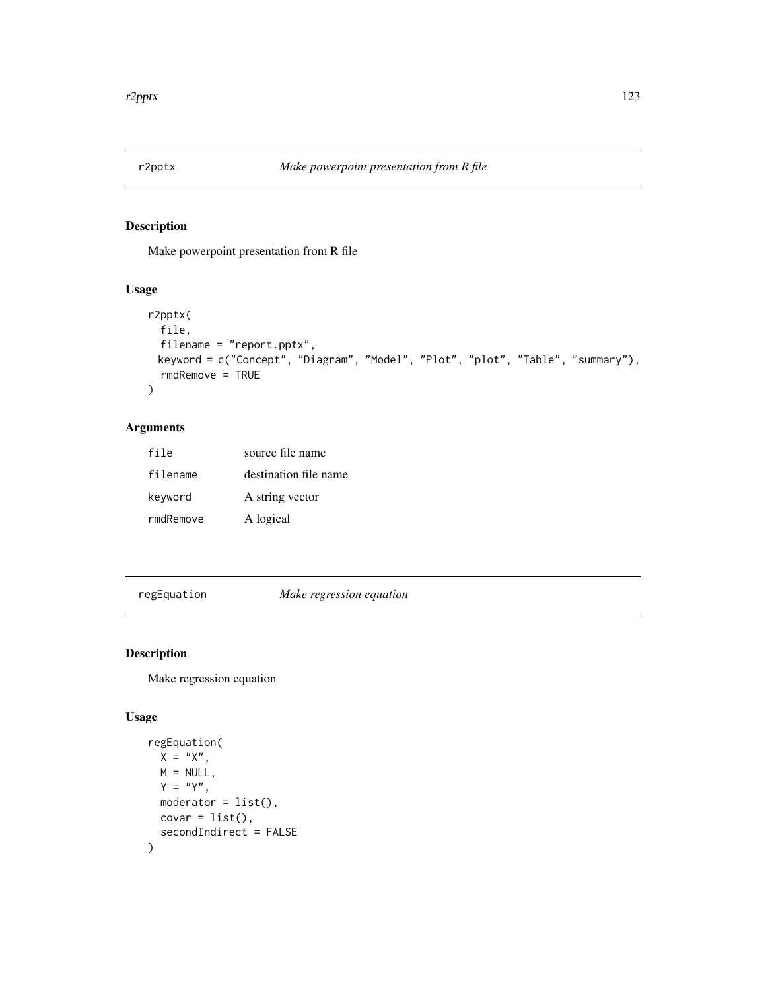Make powerpoint presentation from R file

#### Usage

```
r2pptx(
  file,
 filename = "report.pptx",
 keyword = c("Concept", "Diagram", "Model", "Plot", "plot", "Table", "summary"),
  rmdRemove = TRUE
\mathcal{L}
```
# Arguments

| file      | source file name      |
|-----------|-----------------------|
| filename  | destination file name |
| keyword   | A string vector       |
| rmdRemove | A logical             |

regEquation *Make regression equation*

# Description

Make regression equation

#### Usage

```
regEquation(
 X = "X",M = NULLY = "Y",moderator = list(),
 covar = list(),secondIndirect = FALSE
\mathcal{E}
```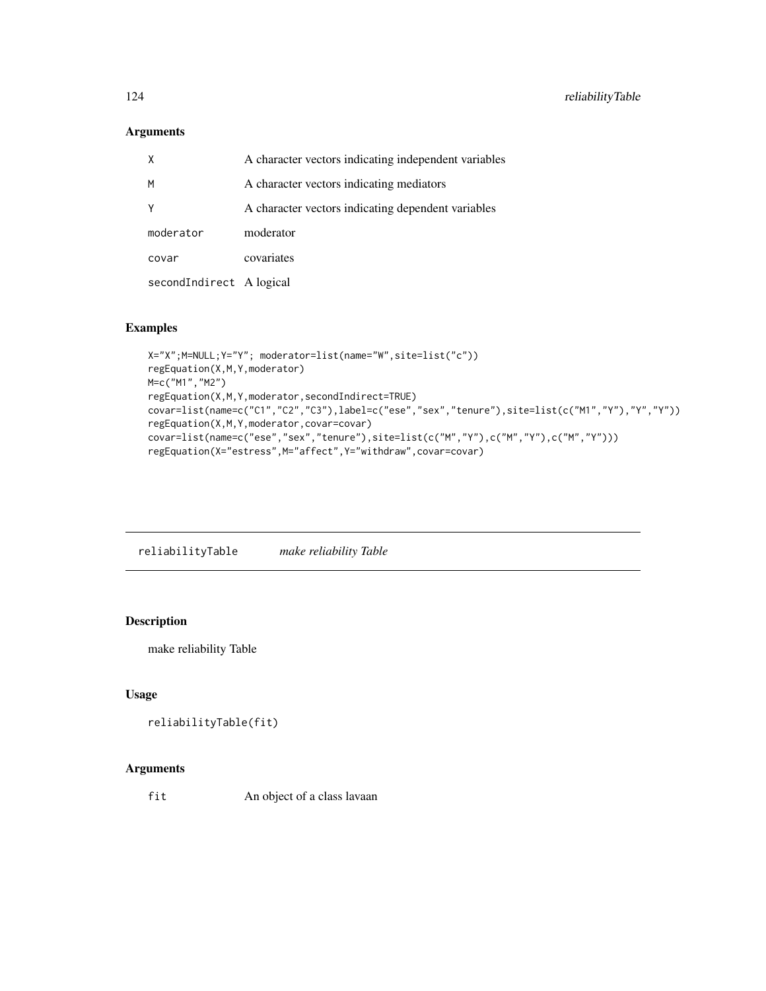## Arguments

| X                        | A character vectors indicating independent variables |
|--------------------------|------------------------------------------------------|
| M                        | A character vectors indicating mediators             |
| Y                        | A character vectors indicating dependent variables   |
| moderator                | moderator                                            |
| covar                    | covariates                                           |
| secondIndirect A logical |                                                      |

#### Examples

```
X="X";M=NULL;Y="Y"; moderator=list(name="W",site=list("c"))
regEquation(X,M,Y,moderator)
M=c("M1","M2")
regEquation(X,M,Y,moderator,secondIndirect=TRUE)
covar=list(name=c("C1","C2","C3"),label=c("ese","sex","tenure"),site=list(c("M1","Y"),"Y","Y"))
regEquation(X,M,Y,moderator,covar=covar)
covar=list(name=c("ese","sex","tenure"),site=list(c("M","Y"),c("M","Y"),c("M","Y")))
regEquation(X="estress",M="affect",Y="withdraw",covar=covar)
```
reliabilityTable *make reliability Table*

#### Description

make reliability Table

# Usage

```
reliabilityTable(fit)
```
#### Arguments

fit An object of a class lavaan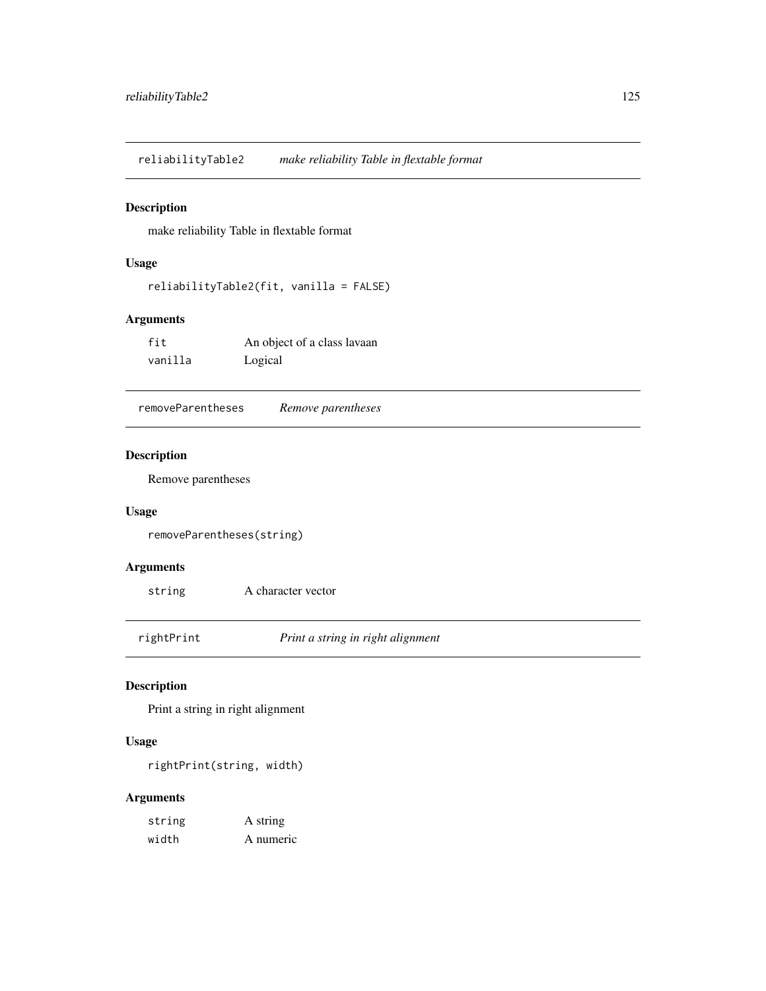reliabilityTable2 *make reliability Table in flextable format*

#### Description

make reliability Table in flextable format

#### Usage

```
reliabilityTable2(fit, vanilla = FALSE)
```
#### Arguments

| fit     | An object of a class lavaan |
|---------|-----------------------------|
| vanilla | Logical                     |

removeParentheses *Remove parentheses*

# Description

Remove parentheses

#### Usage

removeParentheses(string)

# Arguments

string A character vector

rightPrint *Print a string in right alignment*

#### Description

Print a string in right alignment

#### Usage

rightPrint(string, width)

| string | A string  |
|--------|-----------|
| width  | A numeric |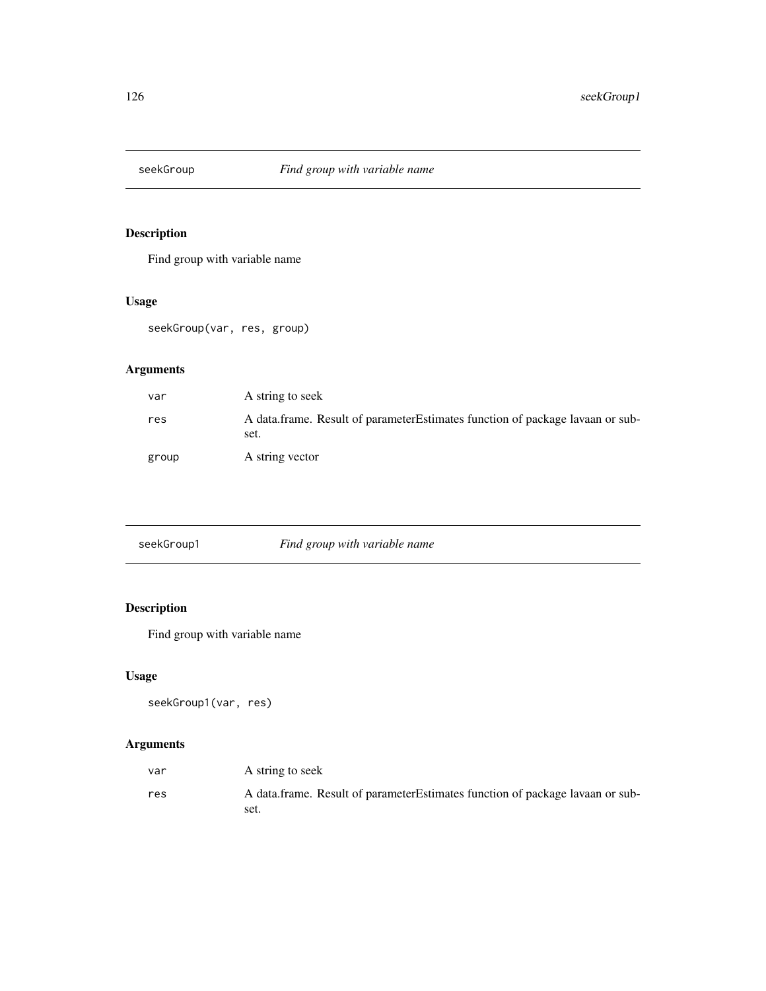Find group with variable name

# Usage

seekGroup(var, res, group)

# Arguments

| var   | A string to seek                                                                       |
|-------|----------------------------------------------------------------------------------------|
| res   | A data frame. Result of parameter Estimates function of package lavaan or sub-<br>set. |
| group | A string vector                                                                        |

| seekGroup1 | Find group with variable name |  |
|------------|-------------------------------|--|

# Description

Find group with variable name

# Usage

seekGroup1(var, res)

| var | A string to seek                                                                       |
|-----|----------------------------------------------------------------------------------------|
| res | A data.frame. Result of parameter Estimates function of package lavaan or sub-<br>set. |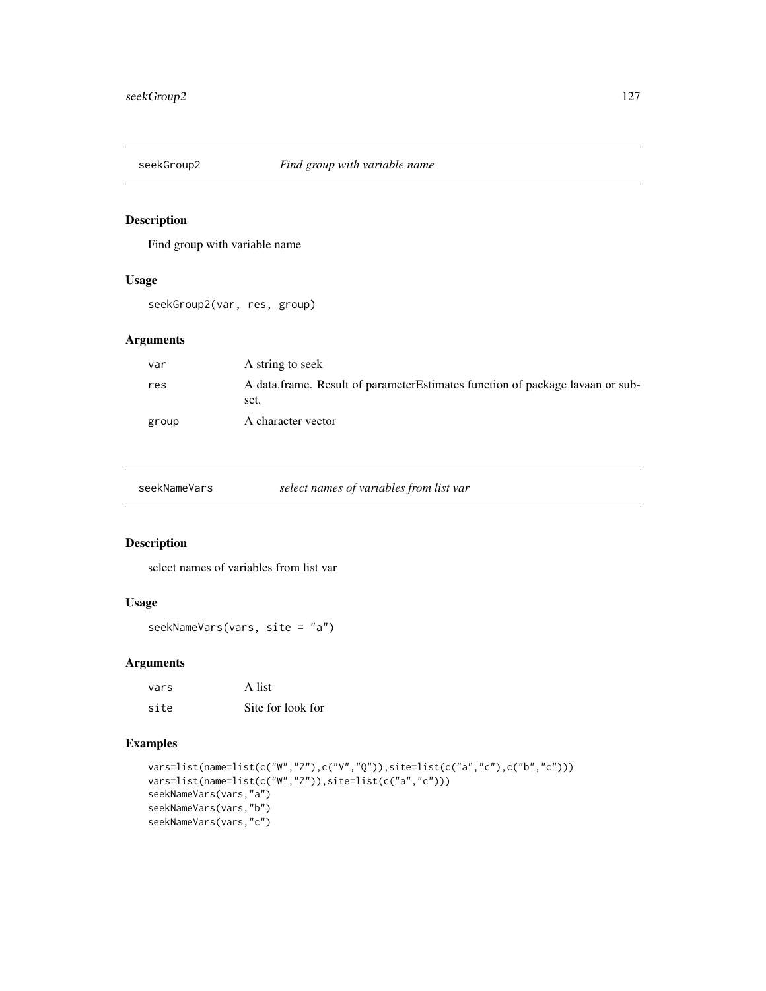Find group with variable name

#### Usage

seekGroup2(var, res, group)

#### Arguments

| var   | A string to seek                                                                       |  |
|-------|----------------------------------------------------------------------------------------|--|
| res   | A data frame. Result of parameter Estimates function of package lavaan or sub-<br>set. |  |
| group | A character vector                                                                     |  |

seekNameVars *select names of variables from list var*

#### Description

select names of variables from list var

### Usage

seekNameVars(vars, site = "a")

#### Arguments

| vars | A list            |
|------|-------------------|
| site | Site for look for |

```
vars=list(name=list(c("W","Z"),c("V","Q")),site=list(c("a","c"),c("b","c")))
vars=list(name=list(c("W","Z")),site=list(c("a","c")))
seekNameVars(vars,"a")
seekNameVars(vars,"b")
seekNameVars(vars,"c")
```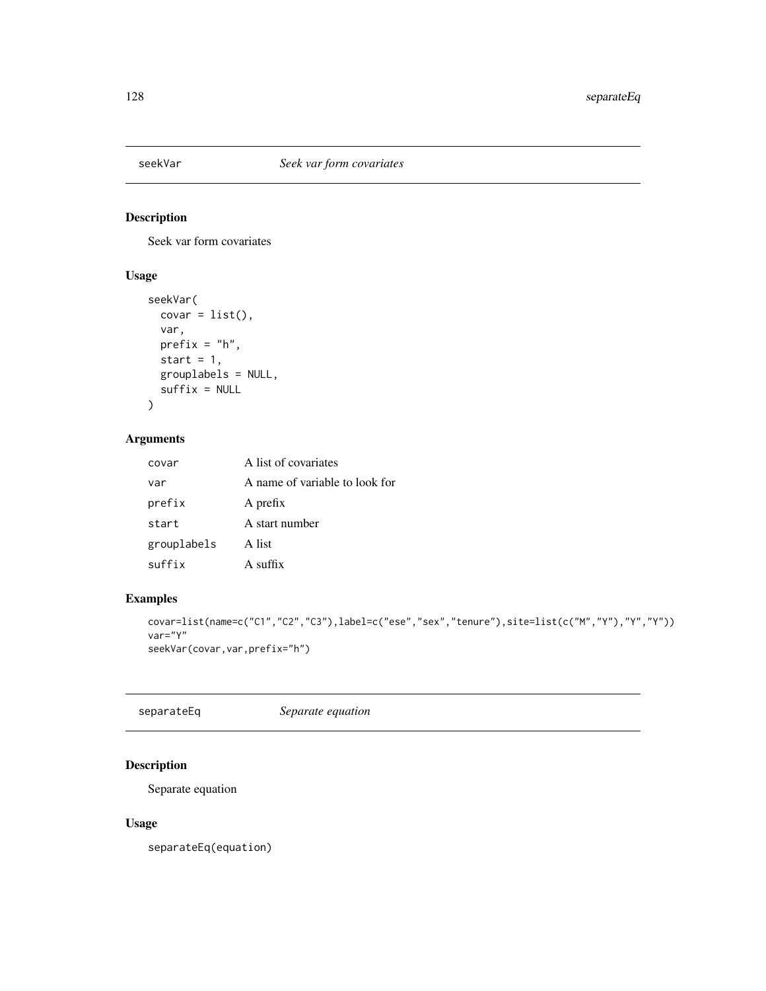Seek var form covariates

# Usage

```
seekVar(
 covar = list(),
 var,
 prefix = "h",start = 1,
 grouplabels = NULL,
 suffix = NULL
)
```
#### Arguments

| A list of covariates           |
|--------------------------------|
| A name of variable to look for |
| A prefix                       |
| A start number                 |
| A list                         |
| $A$ suffix                     |
|                                |

# Examples

```
covar=list(name=c("C1","C2","C3"),label=c("ese","sex","tenure"),site=list(c("M","Y"),"Y","Y"))
var="Y"
seekVar(covar,var,prefix="h")
```
separateEq *Separate equation*

# Description

Separate equation

#### Usage

separateEq(equation)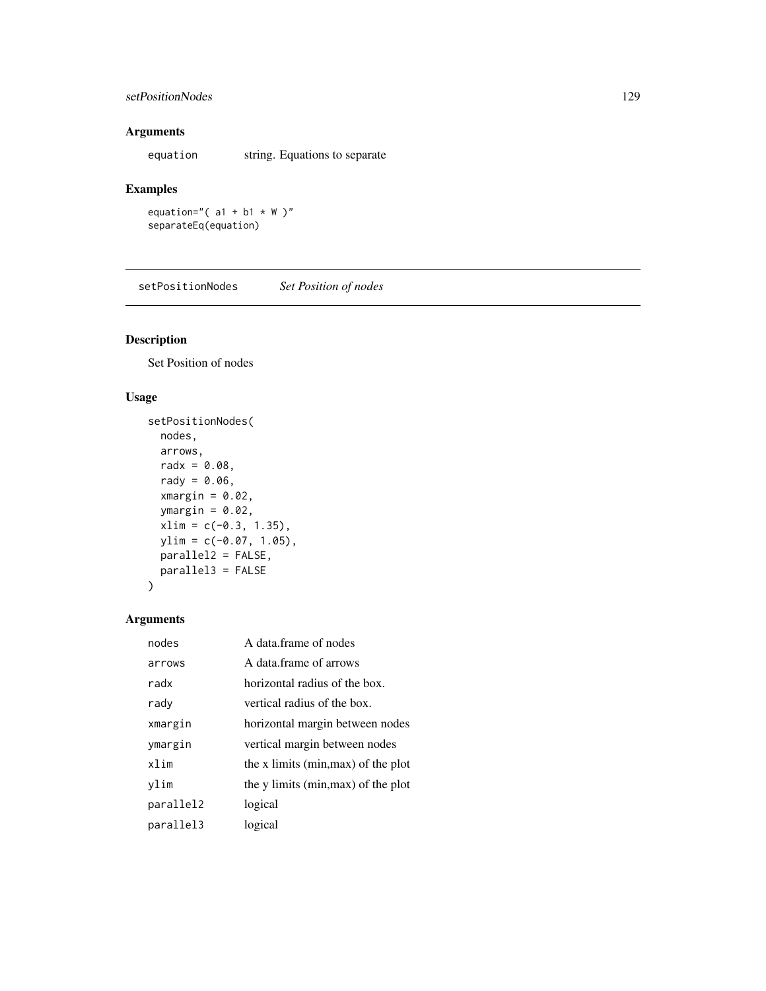#### setPositionNodes 129

#### Arguments

equation string. Equations to separate

#### Examples

equation="( $a1 + b1 \times W$ )" separateEq(equation)

setPositionNodes *Set Position of nodes*

# Description

Set Position of nodes

# Usage

```
setPositionNodes(
 nodes,
 arrows,
 radx = 0.08,
 rady = 0.06,
  xmargin = 0.02,
 ymargin = 0.02,
 xlim = c(-0.3, 1.35),
 ylim = c(-0.07, 1.05),
 parallel2 = FALSE,
 parallel3 = FALSE
\mathcal{E}
```

| nodes     | A data frame of nodes               |
|-----------|-------------------------------------|
| arrows    | A data frame of arrows              |
| radx      | horizontal radius of the box.       |
| rady      | vertical radius of the box.         |
| xmargin   | horizontal margin between nodes     |
| ymargin   | vertical margin between nodes       |
| xlim      | the x limits (min, max) of the plot |
| vlim      | the y limits (min, max) of the plot |
| parallel2 | logical                             |
| parallel3 | logical                             |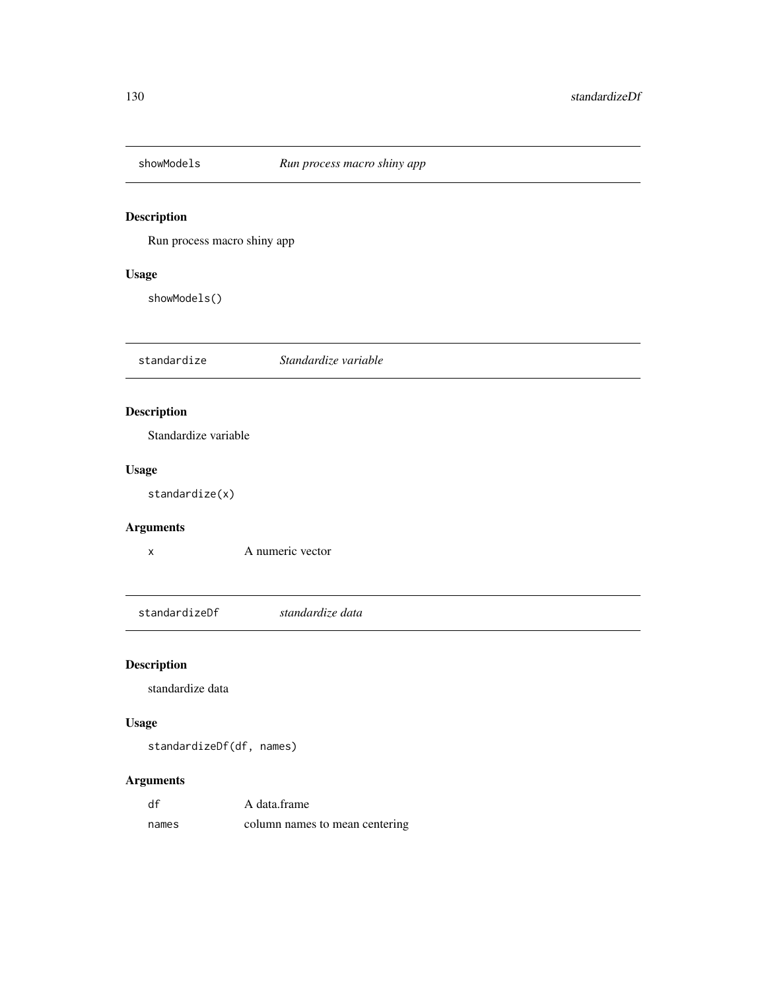Run process macro shiny app

#### Usage

showModels()

standardize *Standardize variable*

# Description

Standardize variable

#### Usage

standardize(x)

#### Arguments

x A numeric vector

standardizeDf *standardize data*

# Description

standardize data

# Usage

standardizeDf(df, names)

| df    | A data frame                   |
|-------|--------------------------------|
| names | column names to mean centering |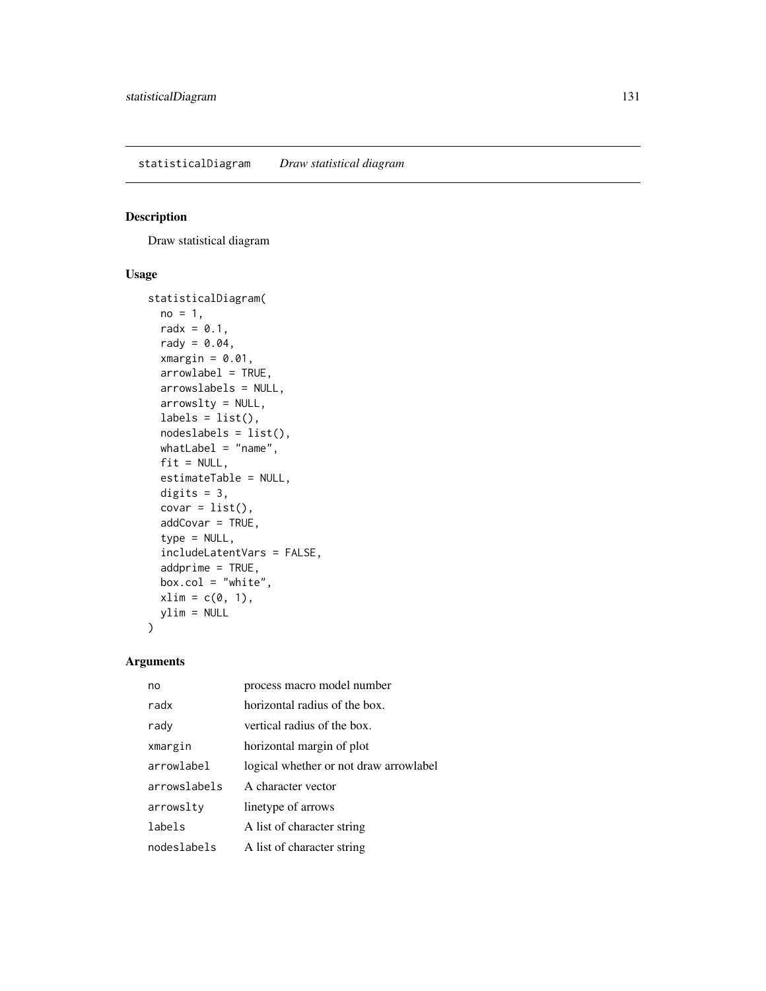Draw statistical diagram

#### Usage

```
statisticalDiagram(
 no = 1,radx = 0.1,
  rady = 0.04,
  xmargin = 0.01,
  arrowlabel = TRUE,
  arrowslabels = NULL,
  arrowslty = NULL,
  labels = list(),nodeslabels = list(),
  whatLabel = "name",
  fit = NULL,estimateTable = NULL,
  digits = 3,
  covar = list(),
  addCovar = TRUE,
  type = NULL,
  includeLatentVars = FALSE,
  addprime = TRUE,box.col = "white",xlim = c(0, 1),ylim = NULL
\mathcal{E}
```

| no           | process macro model number             |
|--------------|----------------------------------------|
| radx         | horizontal radius of the box.          |
| rady         | vertical radius of the box.            |
| xmargin      | horizontal margin of plot              |
| arrowlabel   | logical whether or not draw arrowlabel |
| arrowslabels | A character vector                     |
| arrowslty    | linetype of arrows                     |
| labels       | A list of character string             |
| nodeslabels  | A list of character string             |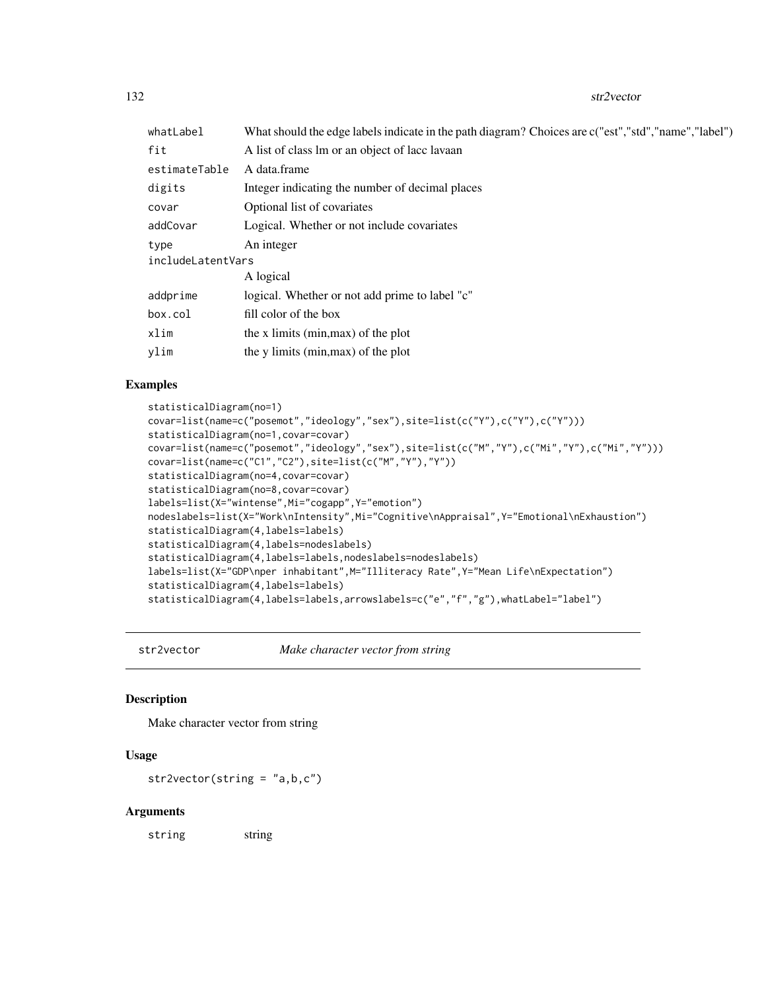132 str2vector and the str2vector str2vector and the str2vector str2vector str2vector

| whatLabel         | What should the edge labels indicate in the path diagram? Choices are c("est","std","name","label") |  |
|-------------------|-----------------------------------------------------------------------------------------------------|--|
| fit               | A list of class lm or an object of lace lavaan                                                      |  |
| estimateTable     | A data.frame                                                                                        |  |
| digits            | Integer indicating the number of decimal places                                                     |  |
| covar             | Optional list of covariates                                                                         |  |
| addCovar          | Logical. Whether or not include covariates                                                          |  |
| type              | An integer                                                                                          |  |
| includeLatentVars |                                                                                                     |  |
|                   | A logical                                                                                           |  |
| addprime          | logical. Whether or not add prime to label "c"                                                      |  |
| box.col           | fill color of the box                                                                               |  |
| xlim              | the x limits (min, max) of the plot                                                                 |  |
| ylim              | the y limits (min, max) of the plot                                                                 |  |
|                   |                                                                                                     |  |

#### Examples

```
statisticalDiagram(no=1)
covar=list(name=c("posemot","ideology","sex"),site=list(c("Y"),c("Y"),c("Y")))
statisticalDiagram(no=1,covar=covar)
covar=list(name=c("posemot","ideology","sex"),site=list(c("M","Y"),c("Mi","Y"),c("Mi","Y")))
covar=list(name=c("C1","C2"),site=list(c("M","Y"),"Y"))
statisticalDiagram(no=4,covar=covar)
statisticalDiagram(no=8,covar=covar)
labels=list(X="wintense",Mi="cogapp",Y="emotion")
nodeslabels=list(X="Work\nIntensity",Mi="Cognitive\nAppraisal",Y="Emotional\nExhaustion")
statisticalDiagram(4,labels=labels)
statisticalDiagram(4,labels=nodeslabels)
statisticalDiagram(4,labels=labels,nodeslabels=nodeslabels)
labels=list(X="GDP\nper inhabitant", M="Illiteracy Rate", Y="Mean Life\nExpectation")
statisticalDiagram(4,labels=labels)
statisticalDiagram(4,labels=labels,arrowslabels=c("e","f","g"),whatLabel="label")
```
str2vector *Make character vector from string*

#### Description

Make character vector from string

#### Usage

str2vector(string = "a,b,c")

#### Arguments

string string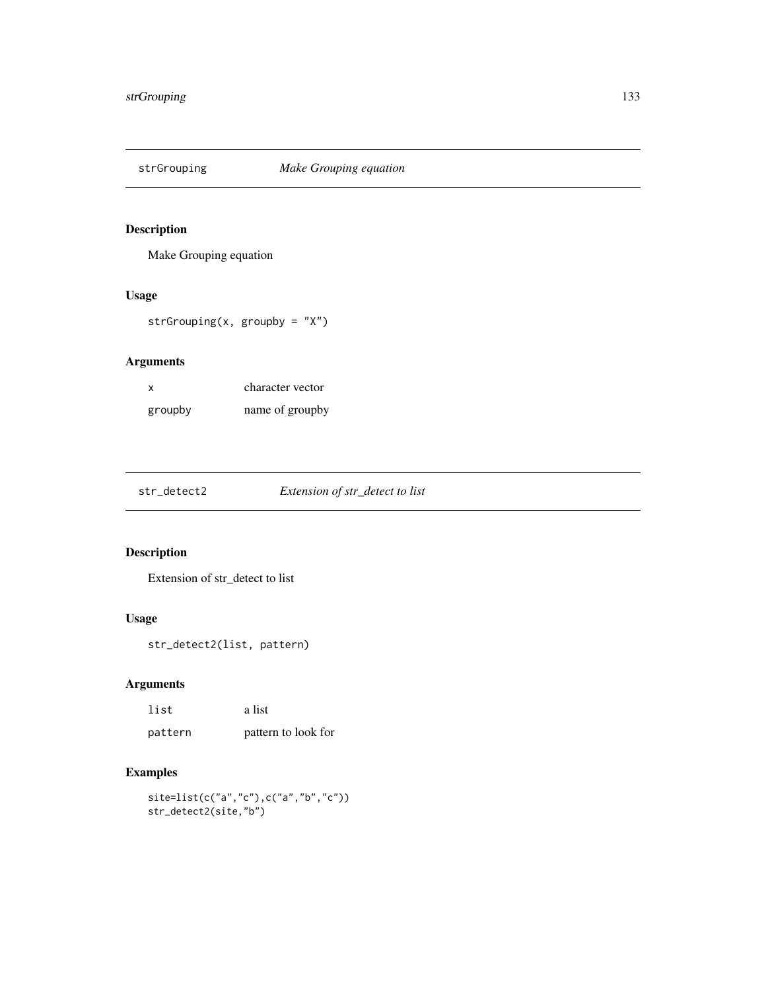Make Grouping equation

#### Usage

strGrouping(x, groupby =  $''X''$ )

# Arguments

| x       | character vector |
|---------|------------------|
| groupby | name of groupby  |

str\_detect2 *Extension of str\_detect to list*

# Description

Extension of str\_detect to list

#### Usage

str\_detect2(list, pattern)

# Arguments

| list    | a list              |
|---------|---------------------|
| pattern | pattern to look for |

```
site=list(c("a","c"),c("a","b","c"))
str_detect2(site,"b")
```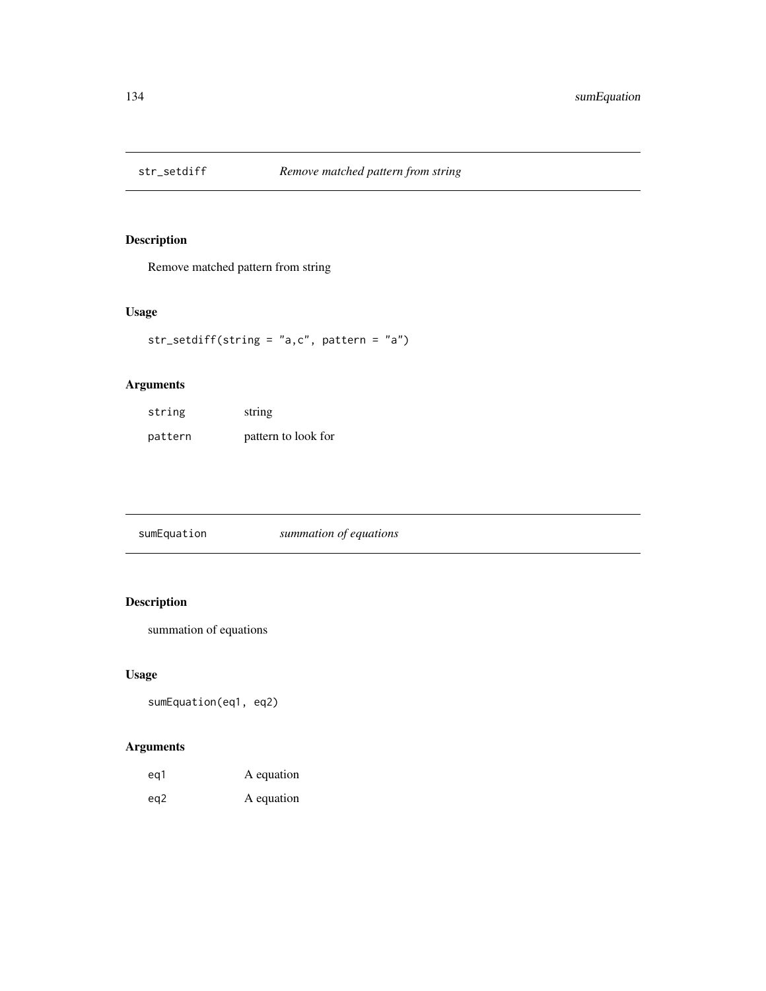Remove matched pattern from string

# Usage

str\_setdiff(string = "a,c", pattern = "a")

#### Arguments

| string  | string              |
|---------|---------------------|
| pattern | pattern to look for |

sumEquation *summation of equations*

# Description

summation of equations

# Usage

sumEquation(eq1, eq2)

| eg1 | A equation |
|-----|------------|
| eg2 | A equation |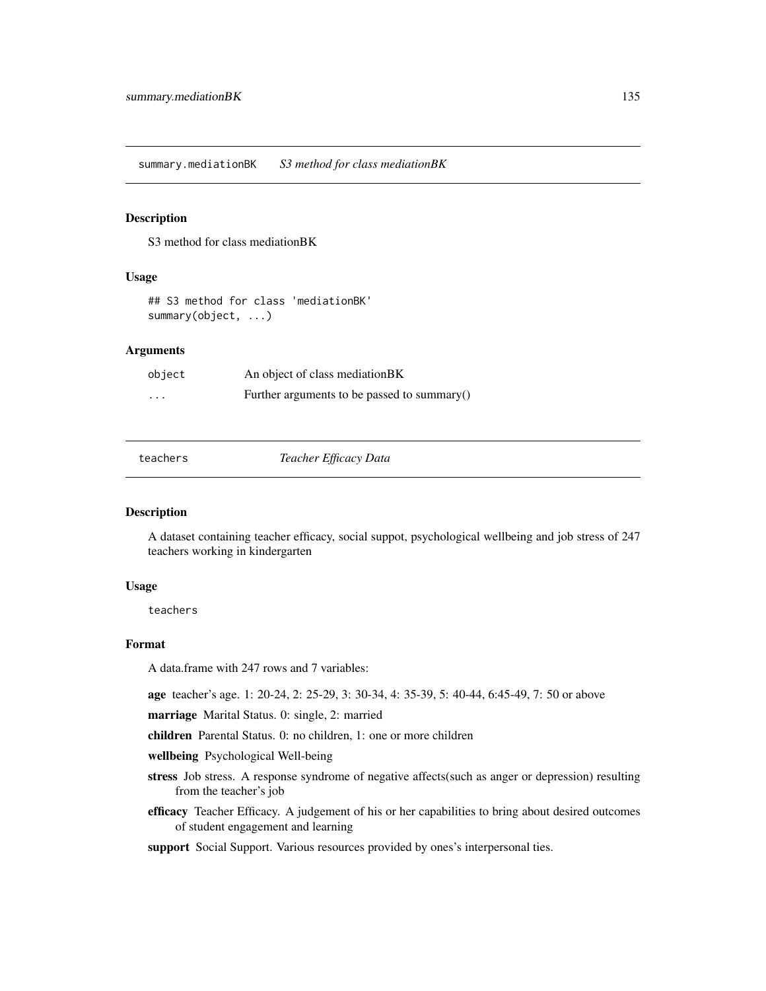<span id="page-134-0"></span>summary.mediationBK *S3 method for class mediationBK*

#### Description

S3 method for class mediationBK

#### Usage

## S3 method for class 'mediationBK' summary(object, ...)

#### Arguments

| object   | An object of class mediation BK             |
|----------|---------------------------------------------|
| $\cdots$ | Further arguments to be passed to summary() |

| teachers |  |
|----------|--|
|----------|--|

Teacher *Efficacy Data* 

#### Description

A dataset containing teacher efficacy, social suppot, psychological wellbeing and job stress of 247 teachers working in kindergarten

#### Usage

teachers

#### Format

A data.frame with 247 rows and 7 variables:

age teacher's age. 1: 20-24, 2: 25-29, 3: 30-34, 4: 35-39, 5: 40-44, 6:45-49, 7: 50 or above

marriage Marital Status. 0: single, 2: married

children Parental Status. 0: no children, 1: one or more children

wellbeing Psychological Well-being

- stress Job stress. A response syndrome of negative affects(such as anger or depression) resulting from the teacher's job
- efficacy Teacher Efficacy. A judgement of his or her capabilities to bring about desired outcomes of student engagement and learning
- support Social Support. Various resources provided by ones's interpersonal ties.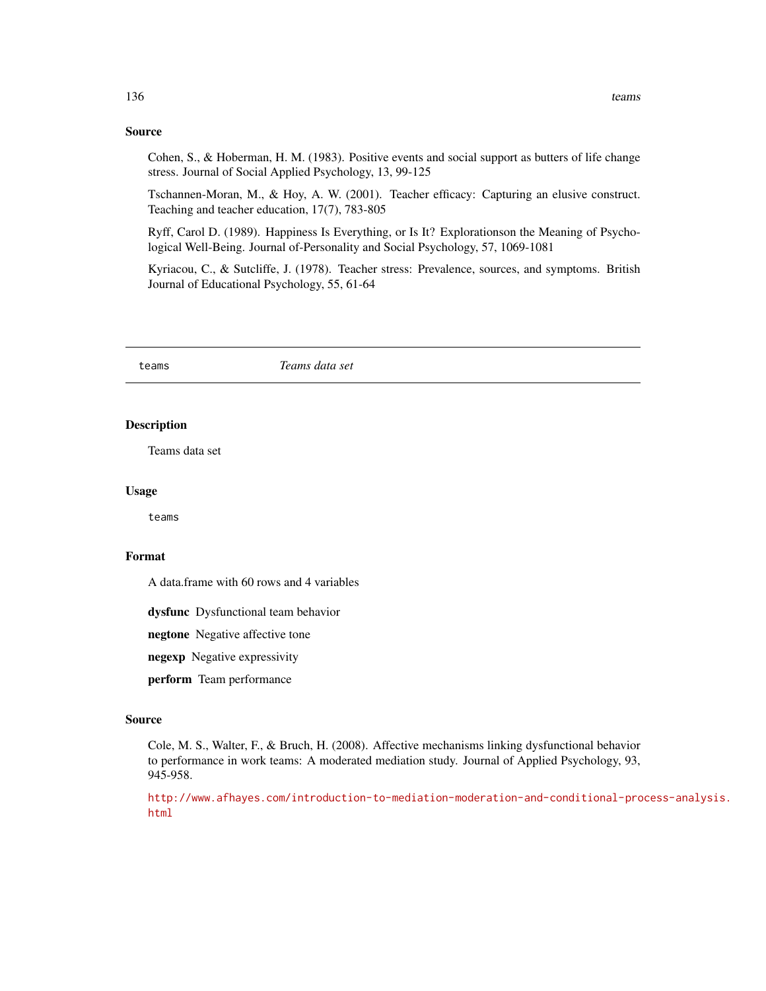#### Source

Cohen, S., & Hoberman, H. M. (1983). Positive events and social support as butters of life change stress. Journal of Social Applied Psychology, 13, 99-125

Tschannen-Moran, M., & Hoy, A. W. (2001). Teacher efficacy: Capturing an elusive construct. Teaching and teacher education, 17(7), 783-805

Ryff, Carol D. (1989). Happiness Is Everything, or Is It? Explorationson the Meaning of Psychological Well-Being. Journal of-Personality and Social Psychology, 57, 1069-1081

Kyriacou, C., & Sutcliffe, J. (1978). Teacher stress: Prevalence, sources, and symptoms. British Journal of Educational Psychology, 55, 61-64

teams *Teams data set*

#### Description

Teams data set

#### Usage

teams

#### Format

A data.frame with 60 rows and 4 variables

dysfunc Dysfunctional team behavior

negtone Negative affective tone

negexp Negative expressivity

perform Team performance

#### Source

Cole, M. S., Walter, F., & Bruch, H. (2008). Affective mechanisms linking dysfunctional behavior to performance in work teams: A moderated mediation study. Journal of Applied Psychology, 93, 945-958.

[http://www.afhayes.com/introduction-to-mediation-moderation-and-conditional-pro](http://www.afhayes.com/introduction-to-mediation-moderation-and-conditional-process-analysis.html)cess-analysis. [html](http://www.afhayes.com/introduction-to-mediation-moderation-and-conditional-process-analysis.html)

<span id="page-135-0"></span>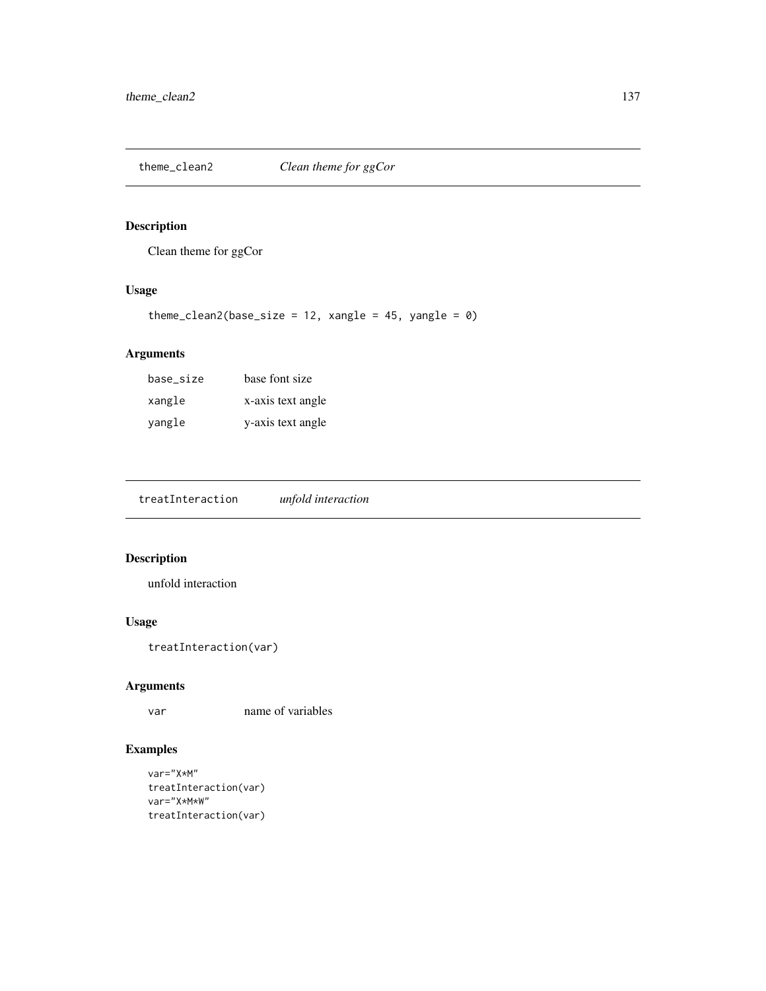Clean theme for ggCor

# Usage

```
theme_clean2(base_size = 12, xangle = 45, yangle = \theta)
```
#### Arguments

| base_size | base font size    |
|-----------|-------------------|
| xangle    | x-axis text angle |
| yangle    | y-axis text angle |

treatInteraction *unfold interaction*

# Description

unfold interaction

#### Usage

```
treatInteraction(var)
```
#### Arguments

var name of variables

```
var="X*M"
treatInteraction(var)
var="X*M*W"
treatInteraction(var)
```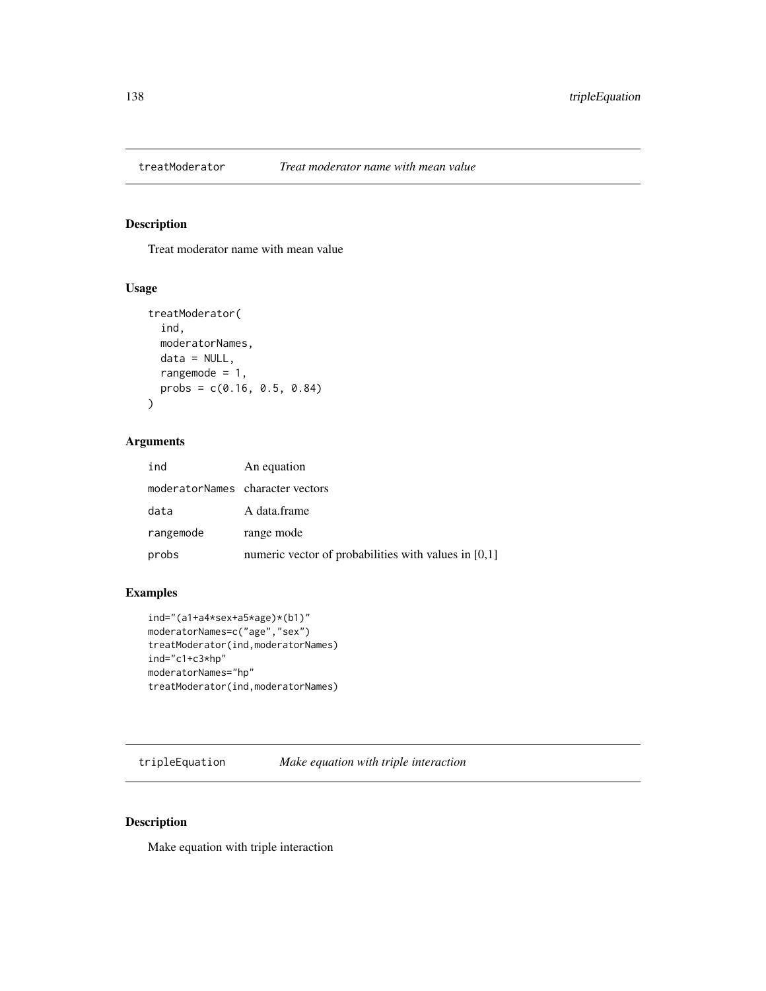Treat moderator name with mean value

#### Usage

```
treatModerator(
  ind,
 moderatorNames,
 data = NULL,rangemode = 1,
 probs = c(0.16, 0.5, 0.84))
```
#### Arguments

| ind                              | An equation                                            |
|----------------------------------|--------------------------------------------------------|
| moderatorNames character vectors |                                                        |
| data                             | A data.frame                                           |
| rangemode                        | range mode                                             |
| probs                            | numeric vector of probabilities with values in $[0,1]$ |

# Examples

```
ind="(a1+a4*sex+a5*age)*(b1)"
moderatorNames=c("age","sex")
treatModerator(ind,moderatorNames)
ind="c1+c3*hp"
moderatorNames="hp"
treatModerator(ind,moderatorNames)
```
tripleEquation *Make equation with triple interaction*

#### Description

Make equation with triple interaction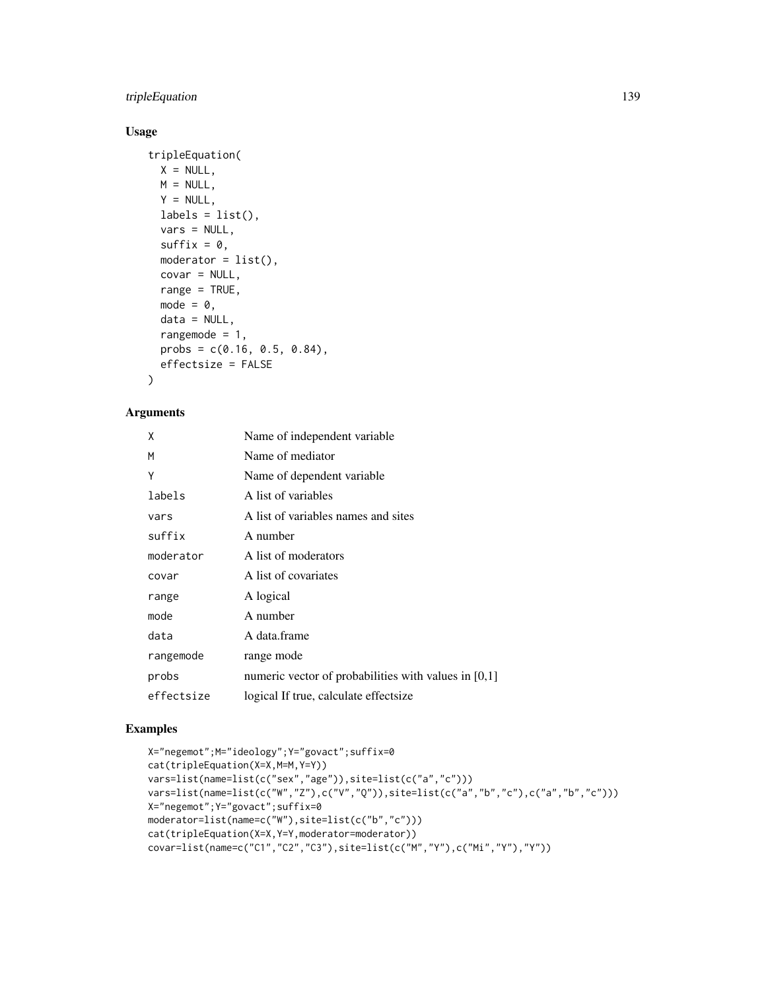#### tripleEquation 139

# Usage

```
tripleEquation(
 X = NULL,M = NULL,
 Y = NULL,labels = list(),vars = NULL,
 suffix = 0,
 moderator = list(),
 covar = NULL,
 range = TRUE,
 mode = 0,data = NULL,
 rangemode = 1,
 probs = c(0.16, 0.5, 0.84),
 effectsize = FALSE
)
```
# Arguments

| X          | Name of independent variable                           |
|------------|--------------------------------------------------------|
| M          | Name of mediator                                       |
| Υ          | Name of dependent variable.                            |
| labels     | A list of variables                                    |
| vars       | A list of variables names and sites                    |
| suffix     | A number                                               |
| moderator  | A list of moderators                                   |
| covar      | A list of covariates                                   |
| range      | A logical                                              |
| mode       | A number                                               |
| data       | A data.frame                                           |
| rangemode  | range mode                                             |
| probs      | numeric vector of probabilities with values in $[0,1]$ |
| effectsize | logical If true, calculate effectsize                  |

```
X="negemot";M="ideology";Y="govact";suffix=0
cat(tripleEquation(X=X,M=M,Y=Y))
vars=list(name=list(c("sex","age")),site=list(c("a","c")))
vars=list(name=list(c("W","Z"),c("V","Q")),site=list(c("a","b","c"),c("a","b","c")))
X="negemot";Y="govact";suffix=0
moderator=list(name=c("W"),site=list(c("b","c")))
cat(tripleEquation(X=X,Y=Y,moderator=moderator))
covar=list(name=c("C1","C2","C3"),site=list(c("M","Y"),c("Mi","Y"),"Y"))
```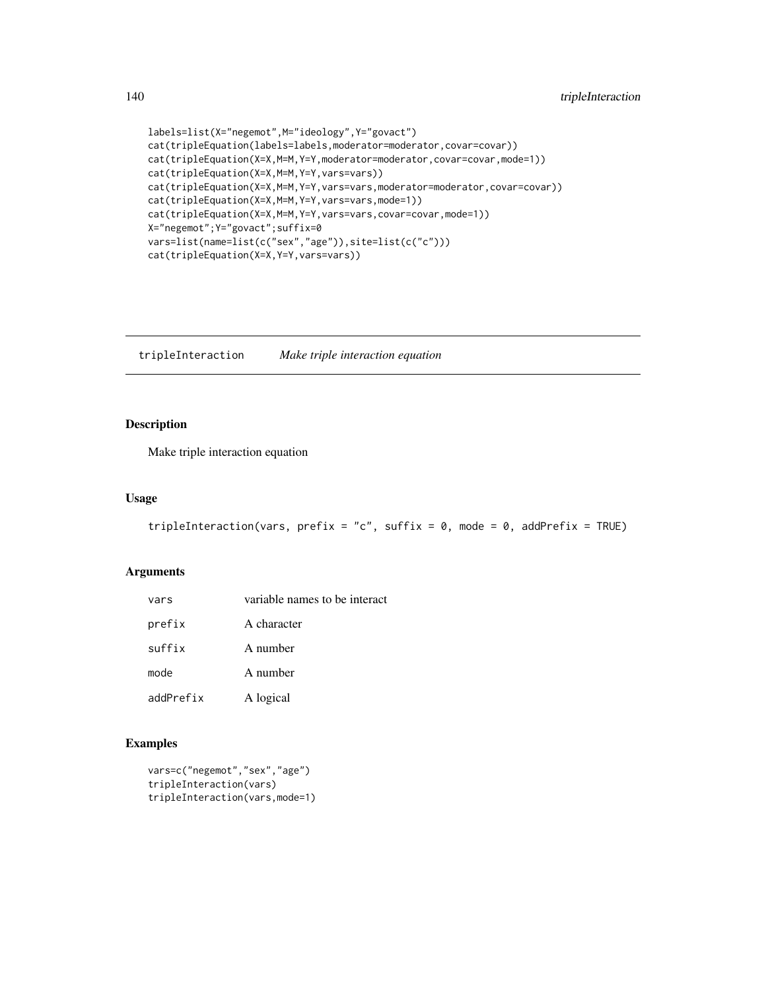```
labels=list(X="negemot",M="ideology",Y="govact")
cat(tripleEquation(labels=labels,moderator=moderator,covar=covar))
cat(tripleEquation(X=X,M=M,Y=Y,moderator=moderator,covar=covar,mode=1))
cat(tripleEquation(X=X,M=M,Y=Y,vars=vars))
cat(tripleEquation(X=X,M=M,Y=Y,vars=vars,moderator=moderator,covar=covar))
cat(tripleEquation(X=X,M=M,Y=Y,vars=vars,mode=1))
cat(tripleEquation(X=X,M=M,Y=Y,vars=vars,covar=covar,mode=1))
X="negemot";Y="govact";suffix=0
vars=list(name=list(c("sex","age")),site=list(c("c")))
cat(tripleEquation(X=X,Y=Y,vars=vars))
```
tripleInteraction *Make triple interaction equation*

#### Description

Make triple interaction equation

#### Usage

```
tripleInteraction(vars, prefix = "c", suffix = \theta, mode = \theta, addPrefix = TRUE)
```
#### Arguments

| vars      | variable names to be interact |
|-----------|-------------------------------|
| prefix    | A character                   |
| suffix    | A number                      |
| mode      | A number                      |
| addPrefix | A logical                     |

```
vars=c("negemot","sex","age")
tripleInteraction(vars)
tripleInteraction(vars,mode=1)
```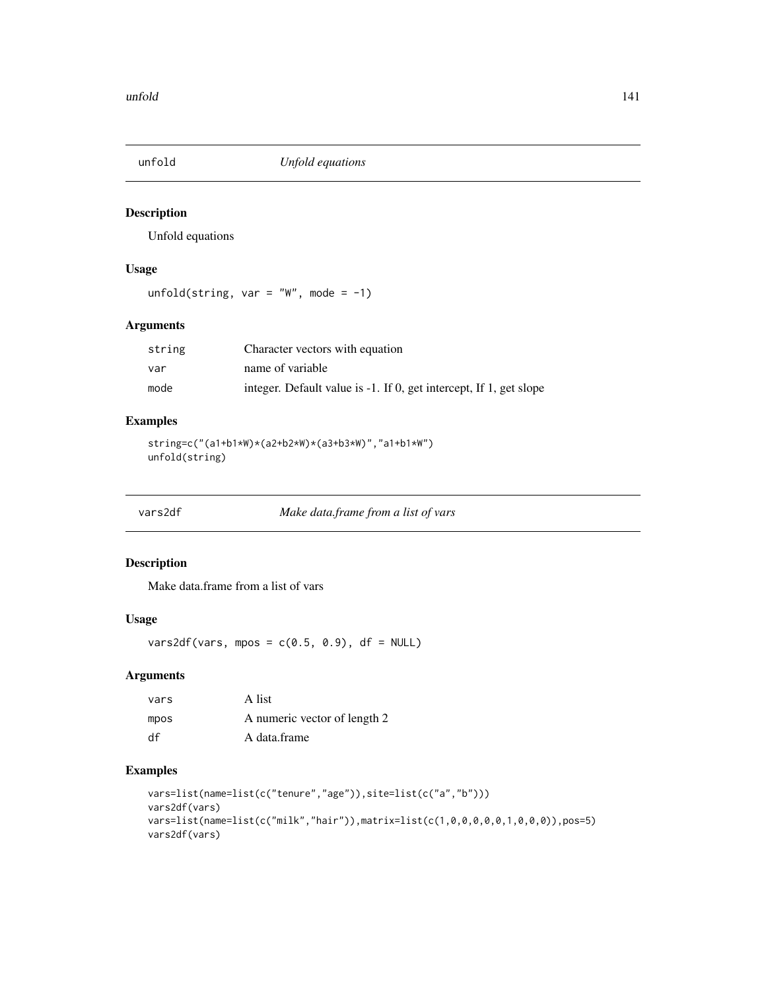Unfold equations

# Usage

unfold(string, var = "W", mode =  $-1$ )

# Arguments

| string | Character vectors with equation                                    |
|--------|--------------------------------------------------------------------|
| var    | name of variable                                                   |
| mode   | integer. Default value is -1. If 0, get intercept, If 1, get slope |

#### Examples

```
string=c("(a1+b1*W)*(a2+b2*W)*(a3+b3*W)","a1+b1*W")
unfold(string)
```
vars2df *Make data.frame from a list of vars*

#### Description

Make data.frame from a list of vars

# Usage

vars2df(vars, mpos =  $c(0.5, 0.9)$ , df = NULL)

#### Arguments

| vars | A list                       |
|------|------------------------------|
| mpos | A numeric vector of length 2 |
| df   | A data.frame                 |

```
vars=list(name=list(c("tenure","age")),site=list(c("a","b")))
vars2df(vars)
vars=list(name=list(c("milk","hair")),matrix=list(c(1,0,0,0,0,0,1,0,0,0)),pos=5)
vars2df(vars)
```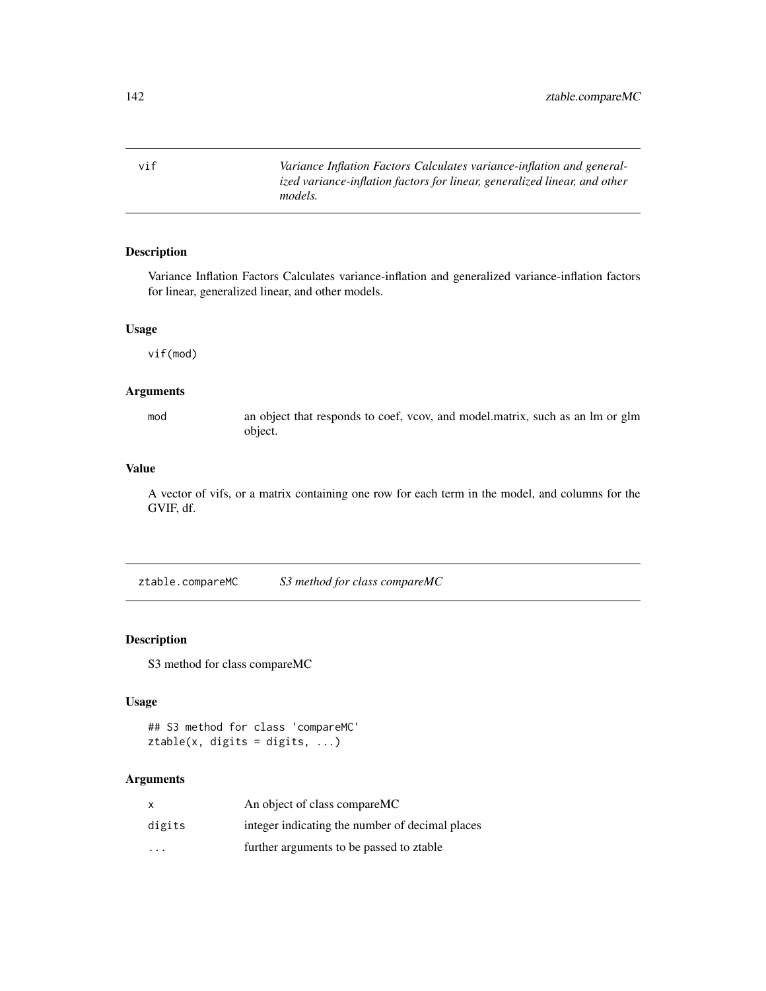vif *Variance Inflation Factors Calculates variance-inflation and generalized variance-inflation factors for linear, generalized linear, and other models.*

#### Description

Variance Inflation Factors Calculates variance-inflation and generalized variance-inflation factors for linear, generalized linear, and other models.

#### Usage

vif(mod)

#### Arguments

mod an object that responds to coef, vcov, and model.matrix, such as an lm or glm object.

#### Value

A vector of vifs, or a matrix containing one row for each term in the model, and columns for the GVIF, df.

ztable.compareMC *S3 method for class compareMC*

# Description

S3 method for class compareMC

#### Usage

```
## S3 method for class 'compareMC'
ztable(x, digits = digits, ...)
```

| x                       | An object of class compareMC                    |
|-------------------------|-------------------------------------------------|
| digits                  | integer indicating the number of decimal places |
| $\cdot$ $\cdot$ $\cdot$ | further arguments to be passed to ztable        |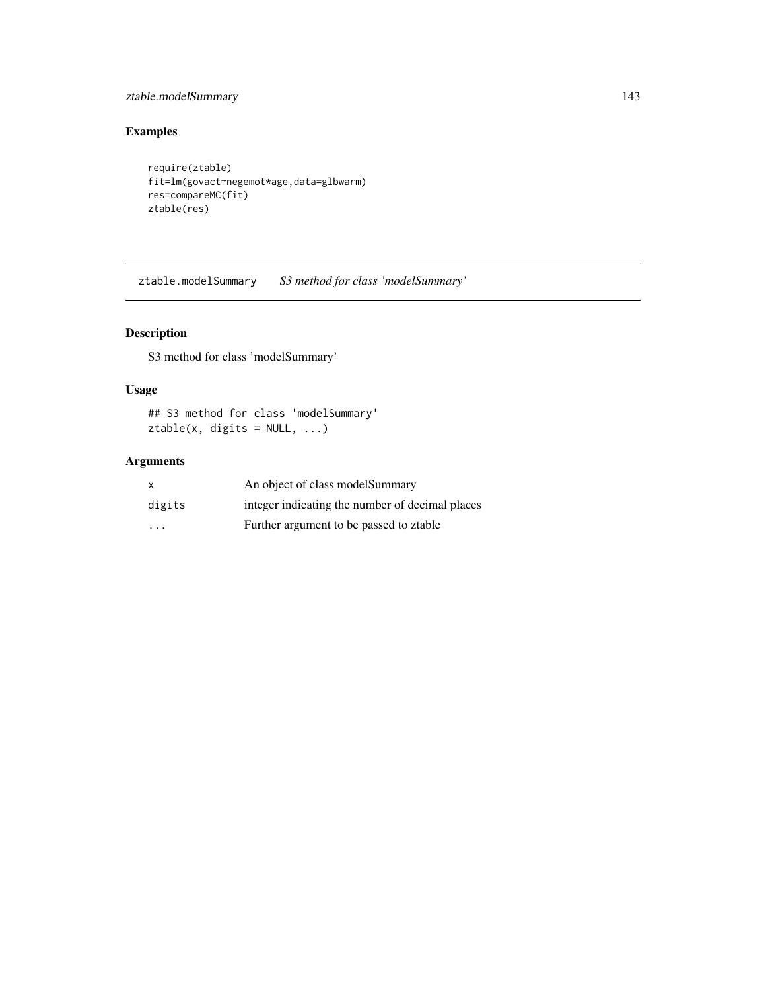# ztable.modelSummary 143

# Examples

```
require(ztable)
fit=lm(govact~negemot*age,data=glbwarm)
res=compareMC(fit)
ztable(res)
```
ztable.modelSummary *S3 method for class 'modelSummary'*

# Description

S3 method for class 'modelSummary'

#### Usage

## S3 method for class 'modelSummary'  $ztable(x, digits = NULL, ...)$ 

| $\mathsf{x}$ | An object of class model Summary                |
|--------------|-------------------------------------------------|
| digits       | integer indicating the number of decimal places |
| $\cdots$     | Further argument to be passed to ztable         |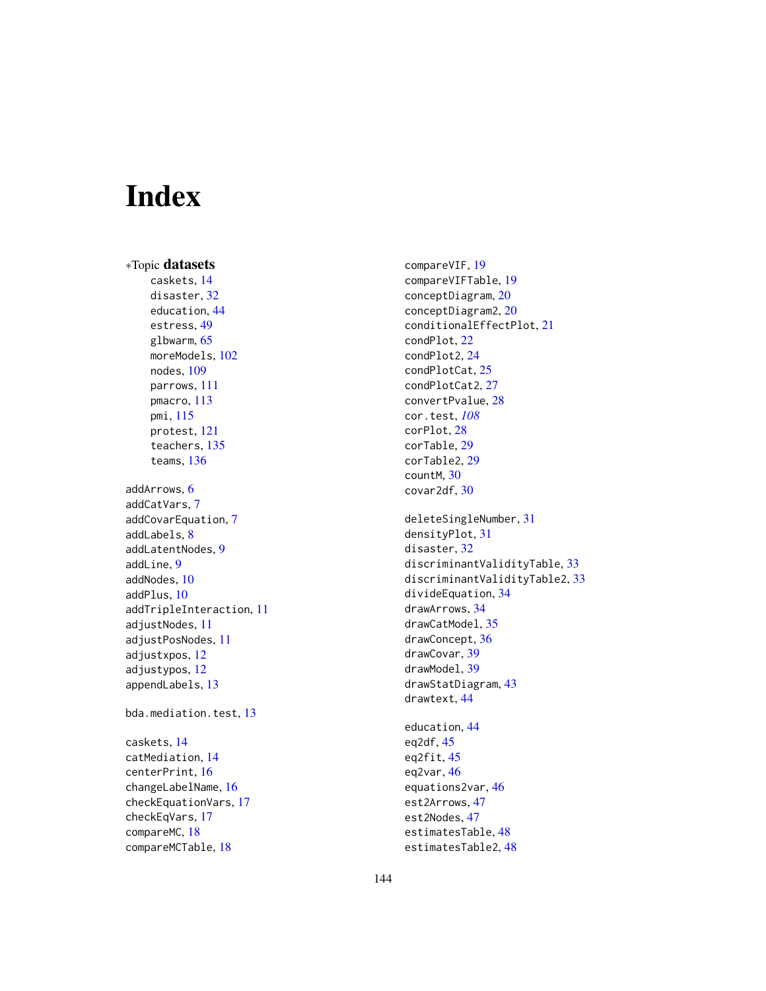# Index

∗Topic datasets caskets, [14](#page-13-0) disaster, [32](#page-31-0) education, [44](#page-43-0) estress, [49](#page-48-0) glbwarm, [65](#page-64-0) moreModels, [102](#page-101-0) nodes, [109](#page-108-0) parrows, [111](#page-110-0) pmacro, [113](#page-112-0) pmi, [115](#page-114-0) protest, [121](#page-120-0) teachers, [135](#page-134-0) teams, [136](#page-135-0) addArrows, [6](#page-5-0) addCatVars, [7](#page-6-0) addCovarEquation, [7](#page-6-0) addLabels, [8](#page-7-0) addLatentNodes, [9](#page-8-0) addLine, [9](#page-8-0) addNodes, [10](#page-9-0) addPlus, [10](#page-9-0) addTripleInteraction, [11](#page-10-0) adjustNodes, [11](#page-10-0) adjustPosNodes, [11](#page-10-0) adjustxpos, [12](#page-11-0) adjustypos, [12](#page-11-0) appendLabels, [13](#page-12-0) bda.mediation.test, [13](#page-12-0) caskets, [14](#page-13-0) catMediation, [14](#page-13-0) centerPrint, [16](#page-15-0) changeLabelName, [16](#page-15-0) checkEquationVars, [17](#page-16-0) checkEqVars, [17](#page-16-0) compareMC, [18](#page-17-0) compareMCTable, [18](#page-17-0)

compareVIF, [19](#page-18-0) compareVIFTable, [19](#page-18-0) conceptDiagram, [20](#page-19-0) conceptDiagram2, [20](#page-19-0) conditionalEffectPlot, [21](#page-20-0) condPlot, [22](#page-21-0) condPlot2, [24](#page-23-0) condPlotCat, [25](#page-24-0) condPlotCat2, [27](#page-26-0) convertPvalue, [28](#page-27-0) cor.test, *[108](#page-107-0)* corPlot, [28](#page-27-0) corTable, [29](#page-28-0) corTable2, [29](#page-28-0) countM, [30](#page-29-0) covar2df, [30](#page-29-0) deleteSingleNumber, [31](#page-30-0) densityPlot, [31](#page-30-0) disaster, [32](#page-31-0) discriminantValidityTable, [33](#page-32-0) discriminantValidityTable2, [33](#page-32-0) divideEquation, [34](#page-33-0) drawArrows, [34](#page-33-0) drawCatModel, [35](#page-34-0) drawConcept, [36](#page-35-0) drawCovar, [39](#page-38-0) drawModel, [39](#page-38-0) drawStatDiagram, [43](#page-42-0) drawtext, [44](#page-43-0) education, [44](#page-43-0) eq2df, [45](#page-44-0) eq2fit, [45](#page-44-0) eq2var, [46](#page-45-0) equations2var, [46](#page-45-0) est2Arrows, [47](#page-46-0) est2Nodes, [47](#page-46-0) estimatesTable, [48](#page-47-0)

estimatesTable2, [48](#page-47-0)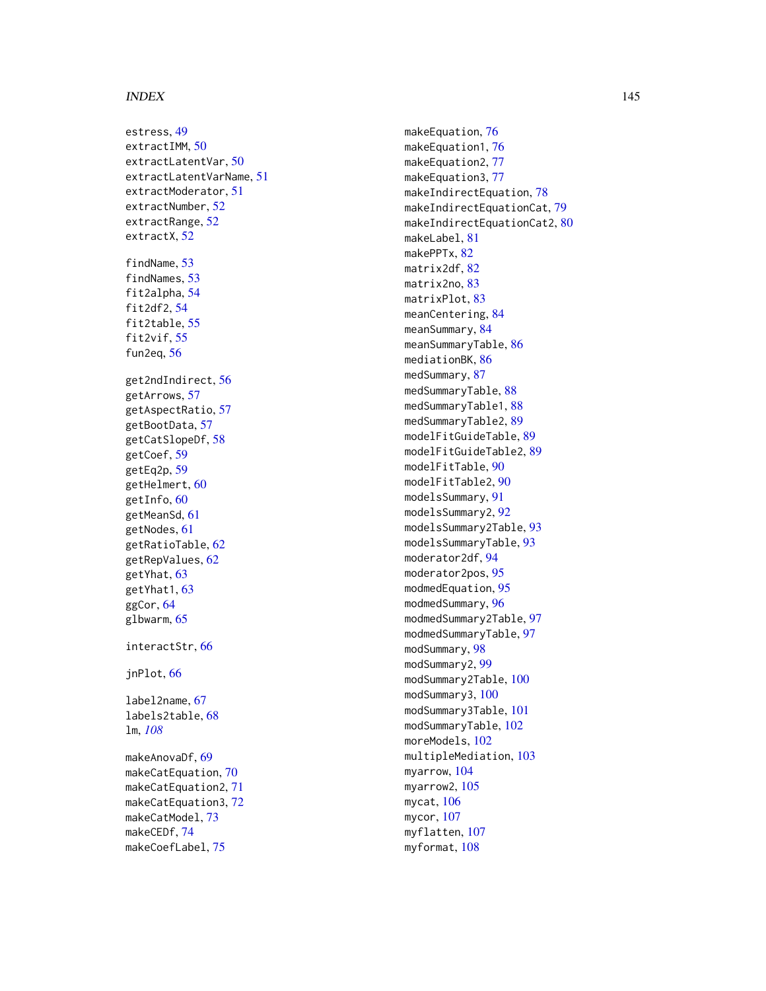## INDEX 145

estress , [49](#page-48-0) extractIMM, [50](#page-49-0) extractLatentVar , [50](#page-49-0) extractLatentVarName , [51](#page-50-0) extractModerator , [51](#page-50-0) extractNumber , [52](#page-51-0) extractRange, <mark>5</mark>2 extractX, <mark>5</mark>2 findName, [53](#page-52-0) findNames , [53](#page-52-0) fit2alpha , [54](#page-53-0) fit2df2 , [54](#page-53-0) fit2table , [55](#page-54-0) fit2vif, [55](#page-54-0) fun2eq , [56](#page-55-0) get2ndIndirect , [56](#page-55-0) getArrows , [57](#page-56-0) getAspectRatio , [57](#page-56-0) getBootData , [57](#page-56-0) getCatSlopeDf , [58](#page-57-0) getCoef , [59](#page-58-0) getEq2p , [59](#page-58-0) getHelmert, [60](#page-59-0) getInfo, [60](#page-59-0) getMeanSd , [61](#page-60-0) getNodes , [61](#page-60-0) getRatioTable , [62](#page-61-0) getRepValues, <mark>[62](#page-61-0)</mark> getYhat , [63](#page-62-0) getYhat1, [63](#page-62-0) ggCor , [64](#page-63-0) glbwarm, [65](#page-64-0) interactStr , [66](#page-65-0) jnPlot , [66](#page-65-0) label2name , [67](#page-66-0) labels2table , [68](#page-67-0) lm , *[108](#page-107-0)* makeAnovaDf , [69](#page-68-0) makeCatEquation,[70](#page-69-0) makeCatEquation2 , [71](#page-70-0) makeCatEquation3 , [72](#page-71-0) makeCatModel,[73](#page-72-0) makeCEDf , [74](#page-73-0) makeCoefLabel , [75](#page-74-0)

makeEquation,[76](#page-75-0) makeEquation1 , [76](#page-75-0) makeEquation2,[77](#page-76-0) makeEquation3,[77](#page-76-0) makeIndirectEquation, [78](#page-77-0) makeIndirectEquationCat , [79](#page-78-0) makeIndirectEquationCat2, [80](#page-79-0) makeLabel , [81](#page-80-0) makePPTx, [82](#page-81-0) matrix2df , [82](#page-81-0) matrix2no, [83](#page-82-0) matrixPlot, [83](#page-82-0) meanCentering, [84](#page-83-0) meanSummary, [84](#page-83-0) meanSummaryTable, [86](#page-85-0) mediationBK, [86](#page-85-0) medSummary, [87](#page-86-0) medSummaryTable, [88](#page-87-0) medSummaryTable1 , [88](#page-87-0) medSummaryTable2 , [89](#page-88-0) modelFitGuideTable , [89](#page-88-0) modelFitGuideTable2 , [89](#page-88-0) modelFitTable, [90](#page-89-0) modelFitTable2 , [90](#page-89-0) modelsSummary , [91](#page-90-0) modelsSummary2 , [92](#page-91-0) modelsSummary2Table, [93](#page-92-0) modelsSummaryTable , [93](#page-92-0) moderator2df, [94](#page-93-0) moderator2pos , [95](#page-94-0) modmedEquation , [95](#page-94-0) modmedSummary, <mark>[96](#page-95-0)</mark> modmedSummary2Table , [97](#page-96-0) modmedSummaryTable , [97](#page-96-0) modSummary, [98](#page-97-0) modSummary2,[99](#page-98-0) modSummary2Table , [100](#page-99-0) modSummary3,[100](#page-99-0) modSummary3Table , [101](#page-100-0) modSummaryTable , [102](#page-101-0) moreModels, [102](#page-101-0) multipleMediation , [103](#page-102-0) myarrow, [104](#page-103-0) myarrow2, [105](#page-104-0) mycat, [106](#page-105-0) mycor , [107](#page-106-0) myflatten, [107](#page-106-0) myformat, <mark>[108](#page-107-0)</mark>